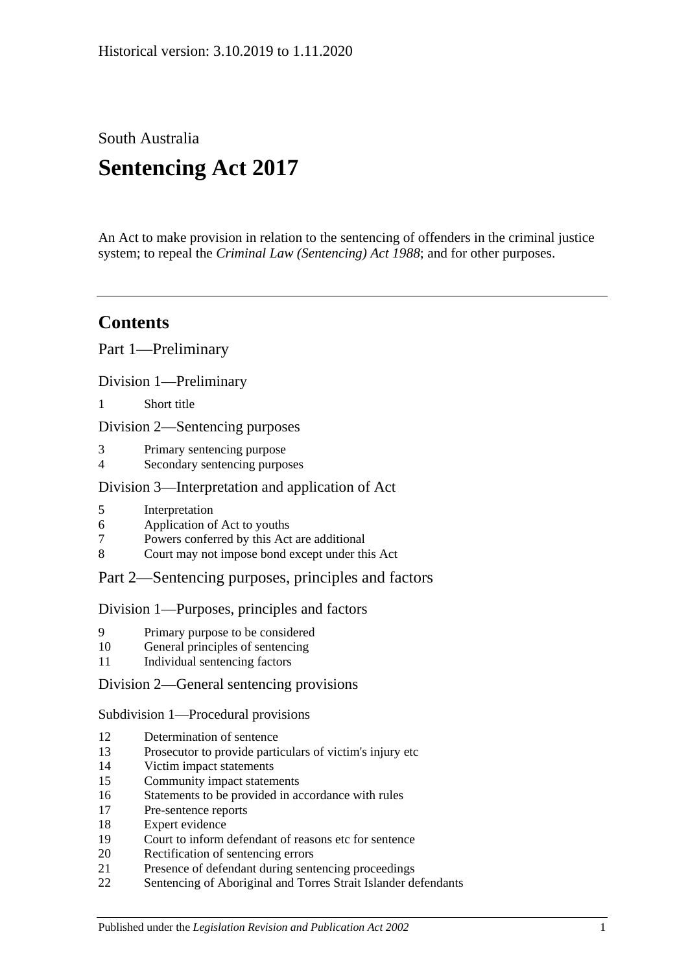South Australia

# **Sentencing Act 2017**

An Act to make provision in relation to the sentencing of offenders in the criminal justice system; to repeal the *[Criminal Law \(Sentencing\) Act](http://www.legislation.sa.gov.au/index.aspx?action=legref&type=act&legtitle=Criminal%20Law%20(Sentencing)%20Act%201988) 1988*; and for other purposes.

## **Contents**

Part [1—Preliminary](#page-4-0)

Division [1—Preliminary](#page-4-1)

1 [Short title](#page-4-2)

Division [2—Sentencing purposes](#page-4-3)

- 3 [Primary sentencing purpose](#page-4-4)
- 4 [Secondary sentencing purposes](#page-4-5)

### Division [3—Interpretation and application of Act](#page-5-0)

- 5 [Interpretation](#page-5-1)
- 6 [Application of Act to youths](#page-9-0)
- 7 [Powers conferred by this Act are additional](#page-9-1)
- 8 [Court may not impose bond except under this Act](#page-10-0)

### Part [2—Sentencing purposes, principles and factors](#page-10-1)

#### Division [1—Purposes, principles and factors](#page-10-2)

- 9 [Primary purpose to be considered](#page-10-3)
- 10 [General principles of sentencing](#page-10-4)
- 11 [Individual sentencing factors](#page-10-5)

### Division [2—General sentencing provisions](#page-12-0)

Subdivision [1—Procedural provisions](#page-12-1)

- 12 [Determination of sentence](#page-12-2)
- 13 [Prosecutor to provide particulars of victim's injury etc](#page-12-3)
- 14 [Victim impact statements](#page-12-4)
- 15 [Community impact statements](#page-14-0)
- 16 [Statements to be provided in accordance with rules](#page-14-1)
- 17 [Pre-sentence reports](#page-14-2)
- 18 [Expert evidence](#page-15-0)
- 19 [Court to inform defendant of reasons etc for sentence](#page-16-0)
- 20 [Rectification of sentencing errors](#page-16-1)
- 21 [Presence of defendant during sentencing proceedings](#page-16-2)
- 22 [Sentencing of Aboriginal and Torres Strait Islander defendants](#page-17-0)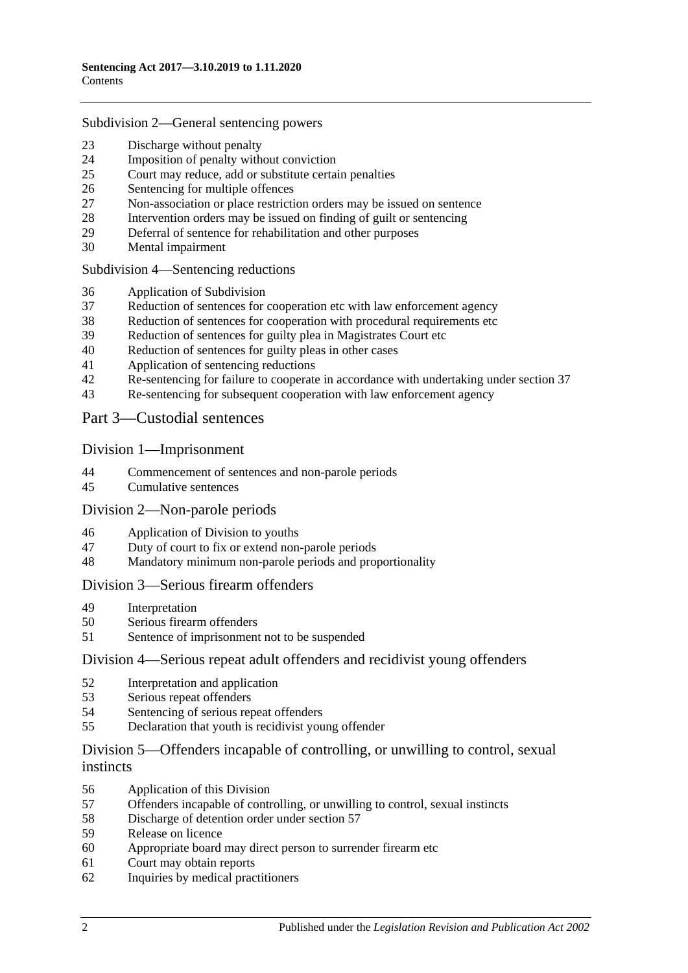#### Subdivision [2—General sentencing powers](#page-18-0)

- [Discharge without penalty](#page-18-1)
- [Imposition of penalty without conviction](#page-18-2)<br>25 Court may reduce add or substitute certain
- [Court may reduce, add or substitute certain penalties](#page-19-0)
- [Sentencing for multiple offences](#page-20-0)
- [Non-association or place restriction orders may be issued on sentence](#page-20-1)
- [Intervention orders may be issued on finding of guilt or sentencing](#page-21-0)
- [Deferral of sentence for rehabilitation and other purposes](#page-22-0)
- [Mental impairment](#page-23-0)

Subdivision [4—Sentencing reductions](#page-24-0)

- [Application of Subdivision](#page-24-1)
- [Reduction of sentences for cooperation etc with law enforcement agency](#page-25-0)
- [Reduction of sentences for cooperation with procedural requirements etc](#page-26-0)
- [Reduction of sentences for guilty plea in Magistrates Court etc](#page-26-1)
- [Reduction of sentences for guilty pleas in other cases](#page-28-0)
- [Application of sentencing reductions](#page-30-0)
- [Re-sentencing for failure to cooperate in accordance with undertaking under section](#page-30-1) 37
- [Re-sentencing for subsequent cooperation with law enforcement agency](#page-31-0)

Part [3—Custodial sentences](#page-32-0)

#### Division [1—Imprisonment](#page-32-1)

- [Commencement of sentences and non-parole periods](#page-32-2)
- [Cumulative sentences](#page-33-0)

#### Division [2—Non-parole periods](#page-33-1)

- [Application of Division to youths](#page-33-2)
- [Duty of court to fix or extend non-parole periods](#page-34-0)
- [Mandatory minimum non-parole periods and proportionality](#page-37-0)

#### Division [3—Serious firearm offenders](#page-37-1)

- [Interpretation](#page-37-2)<br>50 Serious firears
- [Serious firearm offenders](#page-39-0)
- [Sentence of imprisonment not to be suspended](#page-40-0)

#### Division [4—Serious repeat adult offenders and recidivist young offenders](#page-40-1)

- [Interpretation and application](#page-40-2)
- [Serious repeat offenders](#page-42-0)
- [Sentencing of serious repeat offenders](#page-43-0)
- [Declaration that youth is recidivist young offender](#page-43-1)

### Division [5—Offenders incapable of controlling, or unwilling to control, sexual](#page-44-0)  [instincts](#page-44-0)

- [Application of this Division](#page-44-1)
- [Offenders incapable of controlling, or unwilling to control, sexual instincts](#page-44-2)
- Discharge [of detention order under section](#page-47-0) 57
- [Release on licence](#page-48-0)
- [Appropriate board may direct person to surrender firearm etc](#page-51-0)
- [Court may obtain reports](#page-51-1)
- [Inquiries by medical practitioners](#page-51-2)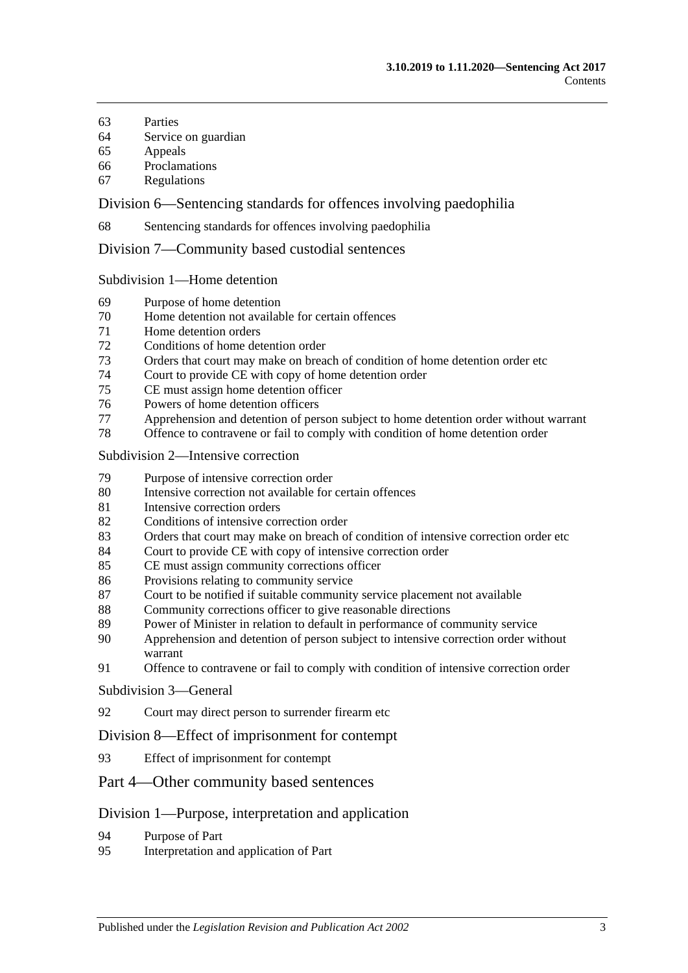- [Parties](#page-52-0)
- [Service on guardian](#page-52-1)
- [Appeals](#page-52-2)
- [Proclamations](#page-53-0)
- [Regulations](#page-53-1)

Division [6—Sentencing standards for offences involving paedophilia](#page-53-2)

[Sentencing standards for offences involving paedophilia](#page-53-3)

Division [7—Community based custodial sentences](#page-53-4)

Subdivision [1—Home detention](#page-53-5)

- [Purpose of home detention](#page-53-6)
- [Home detention not available for certain offences](#page-54-0)
- [Home detention orders](#page-54-1)
- [Conditions of home detention order](#page-59-0)
- [Orders that court may make on breach of condition of home detention order etc](#page-60-0)
- [Court to provide CE with copy of home detention order](#page-62-0)
- [CE must assign home detention officer](#page-62-1)
- [Powers of home detention officers](#page-63-0)
- [Apprehension and detention of person subject to home detention order without warrant](#page-63-1)
- [Offence to contravene or fail to comply with condition of home detention order](#page-63-2)

#### Subdivision [2—Intensive correction](#page-64-0)

- [Purpose of intensive correction order](#page-64-1)
- [Intensive correction not available for certain offences](#page-64-2)
- [Intensive correction orders](#page-64-3)
- [Conditions of intensive correction order](#page-68-0)
- [Orders that court may make on breach of condition of intensive correction order etc](#page-70-0)
- [Court to provide CE with copy of intensive correction order](#page-73-0)
- [CE must assign community corrections officer](#page-73-1)
- [Provisions relating to community service](#page-73-2)
- [Court to be notified if suitable community service placement not available](#page-74-0)
- [Community corrections officer to give reasonable directions](#page-74-1)
- [Power of Minister in relation to default in performance of community service](#page-75-0)
- [Apprehension and detention of person subject to intensive correction order without](#page-75-1)  [warrant](#page-75-1)
- [Offence to contravene or fail to comply with condition of intensive correction order](#page-75-2)

#### [Subdivision](#page-76-0) 3—General

[Court may direct person to surrender firearm etc](#page-76-1)

#### Division [8—Effect of imprisonment for contempt](#page-76-2)

[Effect of imprisonment for contempt](#page-76-3)

#### Part [4—Other community based sentences](#page-76-4)

#### Division [1—Purpose, interpretation and application](#page-76-5)

- [Purpose of Part](#page-76-6)
- [Interpretation and application of Part](#page-76-7)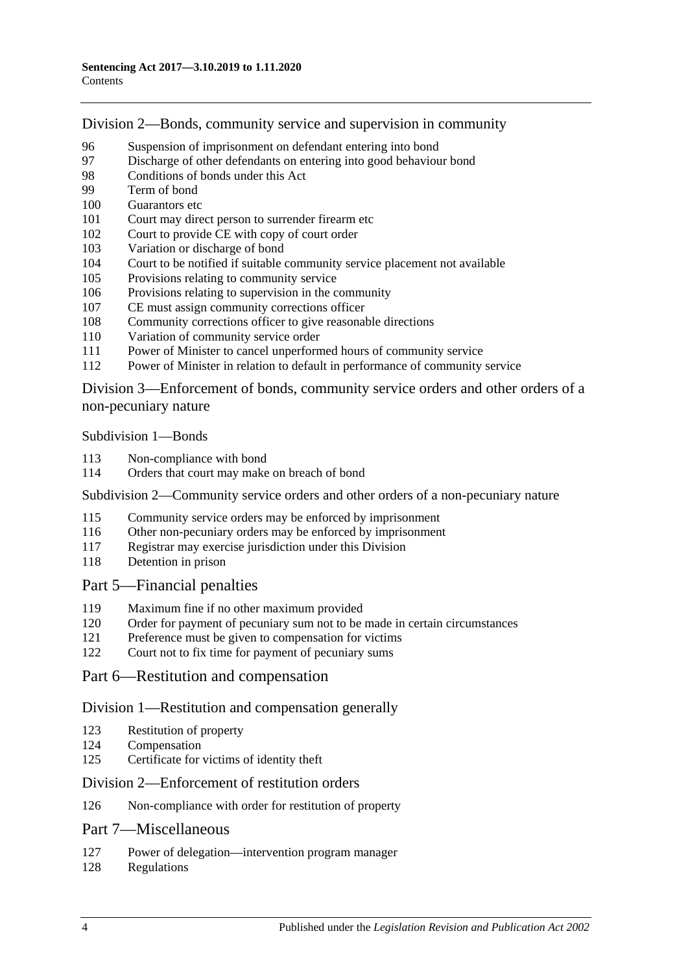Division [2—Bonds, community service and supervision in community](#page-77-0)

- [Suspension of imprisonment on defendant entering into bond](#page-77-1)<br>97 Discharge of other defendants on entering into good behaviour
- [Discharge of other defendants on entering into good behaviour bond](#page-82-0)
- [Conditions of bonds under this Act](#page-82-1)
- [Term of bond](#page-84-0)
- [Guarantors etc](#page-84-1)
- [Court may direct person to surrender firearm etc](#page-85-0)
- [Court to provide CE with copy of court order](#page-85-1)
- [Variation or discharge of bond](#page-85-2)
- [Court to be notified if suitable community service placement not available](#page-86-0)
- [Provisions relating to community service](#page-86-1)
- [Provisions relating to supervision in the community](#page-87-0)
- [CE must assign community corrections officer](#page-87-1)
- [Community corrections officer to give reasonable directions](#page-88-0)
- [Variation of community service order](#page-88-1)
- [Power of Minister to cancel unperformed hours of community service](#page-89-0)
- [Power of Minister in relation to default in performance of community service](#page-89-1)

Division [3—Enforcement of bonds, community service orders and other orders of a](#page-90-0)  [non-pecuniary nature](#page-90-0)

[Subdivision](#page-90-1) 1—Bonds

- [Non-compliance with bond](#page-90-2)
- [Orders that court may make on breach of bond](#page-91-0)

Subdivision [2—Community service orders and other orders of a non-pecuniary nature](#page-92-0)

- [Community service orders may be enforced by imprisonment](#page-92-1)
- [Other non-pecuniary orders may be enforced by imprisonment](#page-94-0)
- Registrar may exercise [jurisdiction under this Division](#page-94-1)
- [Detention in prison](#page-95-0)

### Part [5—Financial penalties](#page-95-1)

- [Maximum fine if no other maximum provided](#page-95-2)
- [Order for payment of pecuniary sum not to be made in certain circumstances](#page-95-3)
- [Preference must be given to compensation for victims](#page-95-4)
- [Court not to fix time for payment of pecuniary sums](#page-96-0)

### Part [6—Restitution and compensation](#page-96-1)

#### Division [1—Restitution and compensation generally](#page-96-2)

- [Restitution of property](#page-96-3)
- [Compensation](#page-96-4)
- [Certificate for victims of identity theft](#page-97-0)

#### Division [2—Enforcement of restitution orders](#page-98-0)

[Non-compliance with order for restitution of property](#page-98-1)

### Part [7—Miscellaneous](#page-99-0)

- [Power of delegation—intervention program manager](#page-99-1)
- [Regulations](#page-99-2)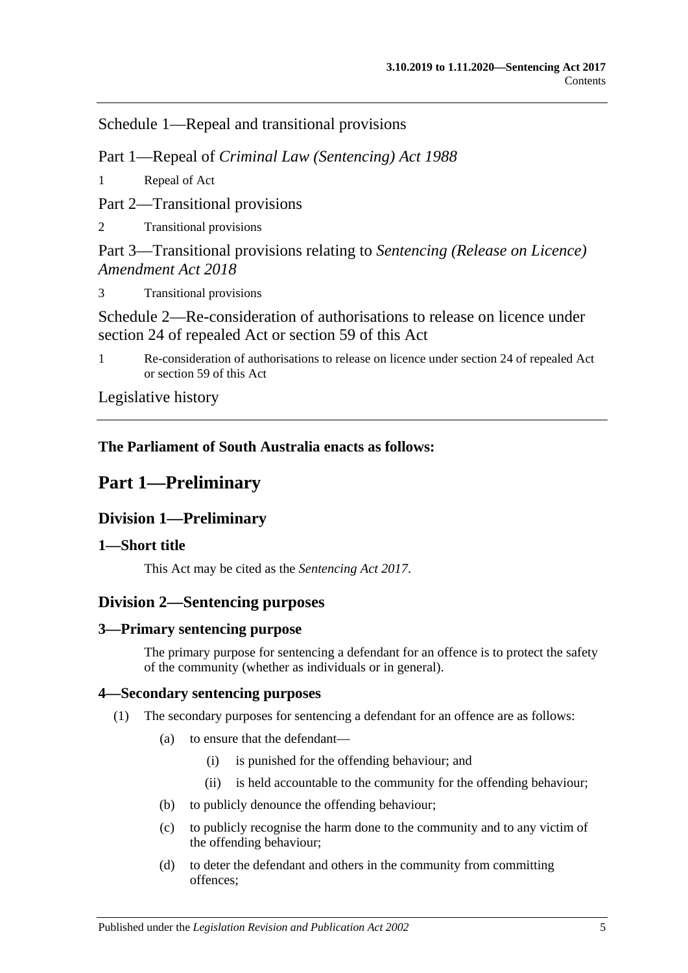Schedule [1—Repeal and transitional provisions](#page-100-0)

Part 1—Repeal of *Criminal Law (Sentencing) Act 1988*

1 [Repeal of Act](#page-100-1)

Part 2—Transitional provisions

2 [Transitional provisions](#page-100-2)

Part 3—Transitional provisions relating to *Sentencing (Release on Licence) Amendment Act 2018*

3 [Transitional provisions](#page-100-3)

[Schedule 2—Re-consideration of authorisations to release on licence under](#page-101-0)  [section 24 of repealed Act or section](#page-101-0) 59 of this Act

1 [Re-consideration of authorisations to release on licence under section 24 of repealed Act](#page-101-1)  or [section](#page-48-0) 59 [of this Act](#page-101-1)

[Legislative history](#page-104-0)

## <span id="page-4-0"></span>**The Parliament of South Australia enacts as follows:**

## **Part 1—Preliminary**

## <span id="page-4-1"></span>**Division 1—Preliminary**

## <span id="page-4-2"></span>**1—Short title**

This Act may be cited as the *Sentencing Act 2017*.

## <span id="page-4-3"></span>**Division 2—Sentencing purposes**

## <span id="page-4-4"></span>**3—Primary sentencing purpose**

The primary purpose for sentencing a defendant for an offence is to protect the safety of the community (whether as individuals or in general).

## <span id="page-4-6"></span><span id="page-4-5"></span>**4—Secondary sentencing purposes**

- (1) The secondary purposes for sentencing a defendant for an offence are as follows:
	- (a) to ensure that the defendant—
		- (i) is punished for the offending behaviour; and
		- (ii) is held accountable to the community for the offending behaviour;
	- (b) to publicly denounce the offending behaviour;
	- (c) to publicly recognise the harm done to the community and to any victim of the offending behaviour;
	- (d) to deter the defendant and others in the community from committing offences;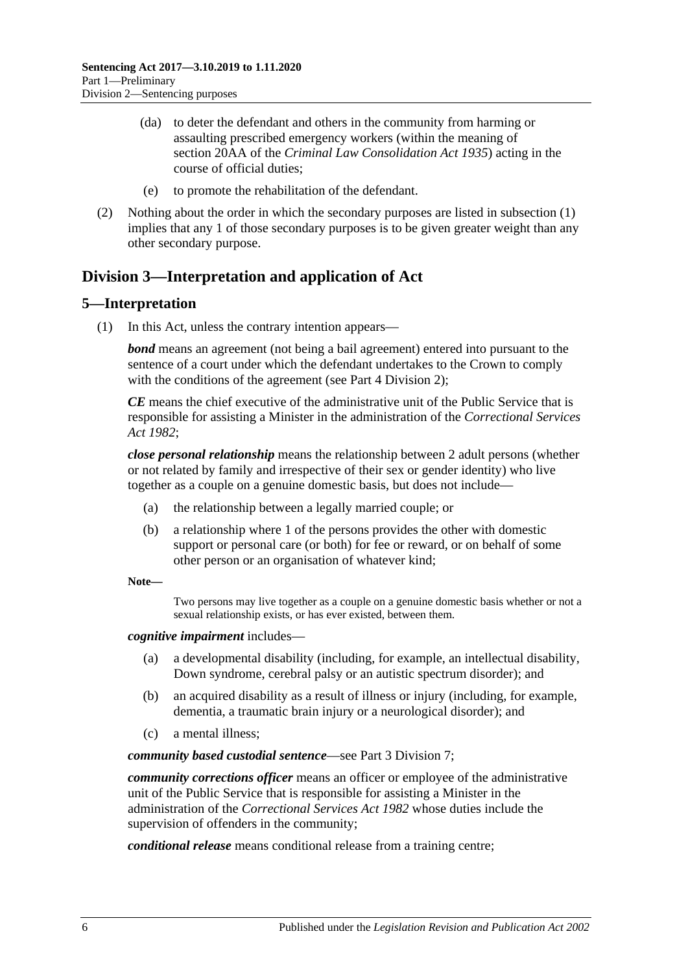- (da) to deter the defendant and others in the community from harming or assaulting prescribed emergency workers (within the meaning of section 20AA of the *[Criminal Law Consolidation Act](http://www.legislation.sa.gov.au/index.aspx?action=legref&type=act&legtitle=Criminal%20Law%20Consolidation%20Act%201935) 1935*) acting in the course of official duties;
- (e) to promote the rehabilitation of the defendant.
- (2) Nothing about the order in which the secondary purposes are listed in [subsection](#page-4-6) (1) implies that any 1 of those secondary purposes is to be given greater weight than any other secondary purpose.

## <span id="page-5-0"></span>**Division 3—Interpretation and application of Act**

#### <span id="page-5-1"></span>**5—Interpretation**

(1) In this Act, unless the contrary intention appears—

*bond* means an agreement (not being a bail agreement) entered into pursuant to the sentence of a court under which the defendant undertakes to the Crown to comply with the conditions of the agreement (see Part [4 Division](#page-77-0) 2):

*CE* means the chief executive of the administrative unit of the Public Service that is responsible for assisting a Minister in the administration of the *[Correctional Services](http://www.legislation.sa.gov.au/index.aspx?action=legref&type=act&legtitle=Correctional%20Services%20Act%201982)  Act [1982](http://www.legislation.sa.gov.au/index.aspx?action=legref&type=act&legtitle=Correctional%20Services%20Act%201982)*;

*close personal relationship* means the relationship between 2 adult persons (whether or not related by family and irrespective of their sex or gender identity) who live together as a couple on a genuine domestic basis, but does not include—

- (a) the relationship between a legally married couple; or
- (b) a relationship where 1 of the persons provides the other with domestic support or personal care (or both) for fee or reward, or on behalf of some other person or an organisation of whatever kind;

#### **Note—**

Two persons may live together as a couple on a genuine domestic basis whether or not a sexual relationship exists, or has ever existed, between them.

#### *cognitive impairment* includes—

- (a) a developmental disability (including, for example, an intellectual disability, Down syndrome, cerebral palsy or an autistic spectrum disorder); and
- (b) an acquired disability as a result of illness or injury (including, for example, dementia, a traumatic brain injury or a neurological disorder); and
- (c) a mental illness;

*community based custodial sentence*—see Part [3 Division](#page-53-4) 7;

*community corrections officer* means an officer or employee of the administrative unit of the Public Service that is responsible for assisting a Minister in the administration of the *[Correctional Services Act](http://www.legislation.sa.gov.au/index.aspx?action=legref&type=act&legtitle=Correctional%20Services%20Act%201982) 1982* whose duties include the supervision of offenders in the community;

*conditional release* means conditional release from a training centre;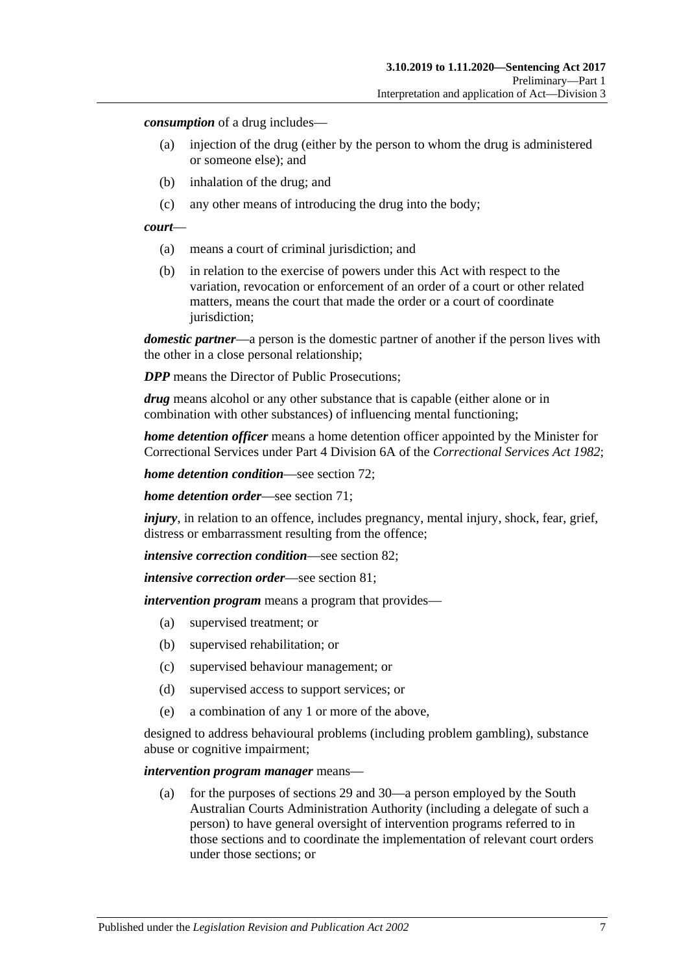*consumption* of a drug includes—

- (a) injection of the drug (either by the person to whom the drug is administered or someone else); and
- (b) inhalation of the drug; and
- (c) any other means of introducing the drug into the body;

#### *court*—

- (a) means a court of criminal jurisdiction; and
- (b) in relation to the exercise of powers under this Act with respect to the variation, revocation or enforcement of an order of a court or other related matters, means the court that made the order or a court of coordinate jurisdiction;

*domestic partner*—a person is the domestic partner of another if the person lives with the other in a close personal relationship;

*DPP* means the Director of Public Prosecutions;

*drug* means alcohol or any other substance that is capable (either alone or in combination with other substances) of influencing mental functioning;

*home detention officer* means a home detention officer appointed by the Minister for Correctional Services under Part 4 Division 6A of the *[Correctional Services Act](http://www.legislation.sa.gov.au/index.aspx?action=legref&type=act&legtitle=Correctional%20Services%20Act%201982) 1982*;

*home detention condition*—see [section](#page-59-0) 72;

*home detention order*—see [section](#page-54-1) 71;

*injury*, in relation to an offence, includes pregnancy, mental injury, shock, fear, grief, distress or embarrassment resulting from the offence;

*intensive correction condition*—see [section](#page-68-0) 82;

*intensive correction order*—see [section](#page-64-3) 81;

*intervention program* means a program that provides—

- (a) supervised treatment; or
- (b) supervised rehabilitation; or
- (c) supervised behaviour management; or
- (d) supervised access to support services; or
- (e) a combination of any 1 or more of the above,

designed to address behavioural problems (including problem gambling), substance abuse or cognitive impairment;

#### *intervention program manager* means—

(a) for the purposes of [sections](#page-22-0) 29 and [30—](#page-23-0)a person employed by the South Australian Courts Administration Authority (including a delegate of such a person) to have general oversight of intervention programs referred to in those sections and to coordinate the implementation of relevant court orders under those sections; or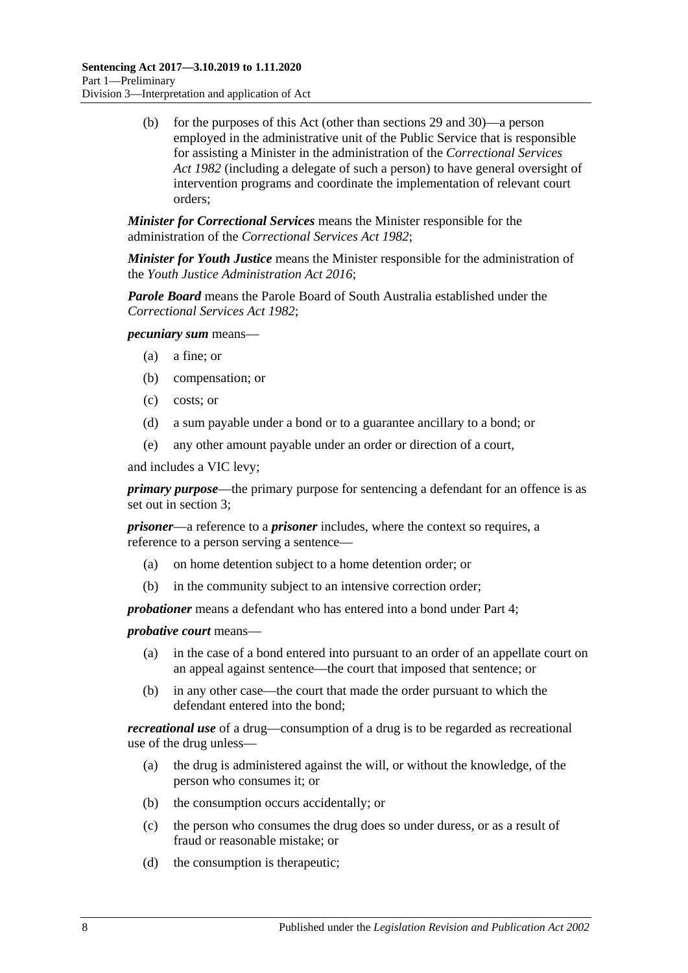(b) for the purposes of this Act (other than [sections](#page-22-0) 29 and [30\)](#page-23-0)—a person employed in the administrative unit of the Public Service that is responsible for assisting a Minister in the administration of the *[Correctional Services](http://www.legislation.sa.gov.au/index.aspx?action=legref&type=act&legtitle=Correctional%20Services%20Act%201982)  Act [1982](http://www.legislation.sa.gov.au/index.aspx?action=legref&type=act&legtitle=Correctional%20Services%20Act%201982)* (including a delegate of such a person) to have general oversight of intervention programs and coordinate the implementation of relevant court orders;

*Minister for Correctional Services* means the Minister responsible for the administration of the *[Correctional Services Act](http://www.legislation.sa.gov.au/index.aspx?action=legref&type=act&legtitle=Correctional%20Services%20Act%201982) 1982*;

*Minister for Youth Justice* means the Minister responsible for the administration of the *[Youth Justice Administration Act](http://www.legislation.sa.gov.au/index.aspx?action=legref&type=act&legtitle=Youth%20Justice%20Administration%20Act%202016) 2016*;

*Parole Board* means the Parole Board of South Australia established under the *[Correctional Services Act](http://www.legislation.sa.gov.au/index.aspx?action=legref&type=act&legtitle=Correctional%20Services%20Act%201982) 1982*;

*pecuniary sum* means—

- (a) a fine; or
- (b) compensation; or
- (c) costs; or
- (d) a sum payable under a bond or to a guarantee ancillary to a bond; or
- (e) any other amount payable under an order or direction of a court,

and includes a VIC levy;

*primary purpose*—the primary purpose for sentencing a defendant for an offence is as set out in [section](#page-4-4) 3;

*prisoner*—a reference to a *prisoner* includes, where the context so requires, a reference to a person serving a sentence—

- (a) on home detention subject to a home detention order; or
- (b) in the community subject to an intensive correction order;

*probationer* means a defendant who has entered into a bond under [Part](#page-76-4) 4;

*probative court* means—

- (a) in the case of a bond entered into pursuant to an order of an appellate court on an appeal against sentence—the court that imposed that sentence; or
- (b) in any other case—the court that made the order pursuant to which the defendant entered into the bond;

*recreational use* of a drug—consumption of a drug is to be regarded as recreational use of the drug unless—

- (a) the drug is administered against the will, or without the knowledge, of the person who consumes it; or
- (b) the consumption occurs accidentally; or
- (c) the person who consumes the drug does so under duress, or as a result of fraud or reasonable mistake; or
- (d) the consumption is therapeutic;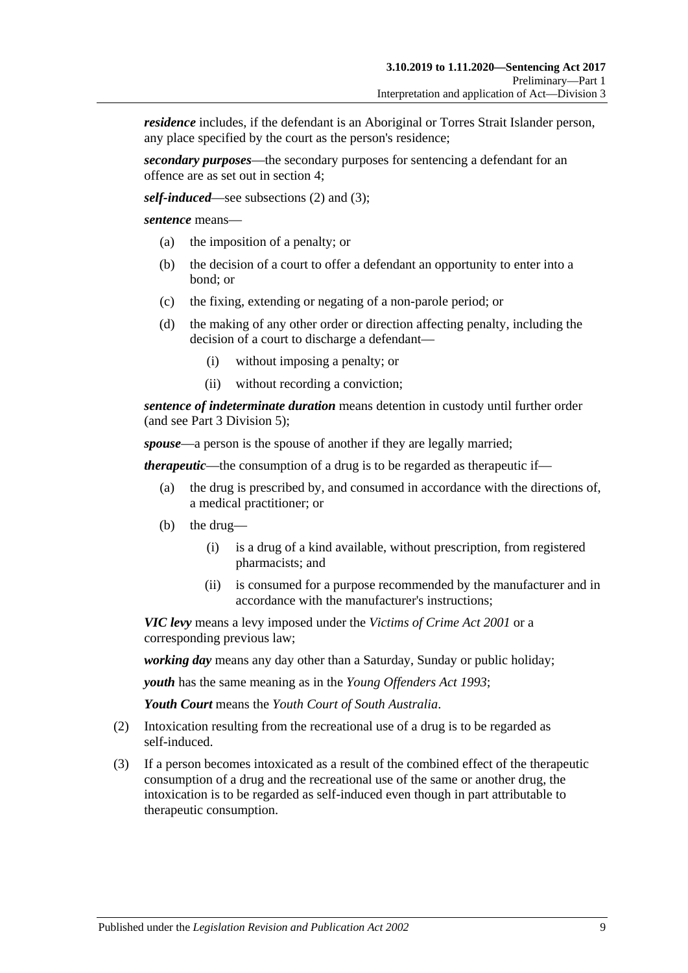*residence* includes, if the defendant is an Aboriginal or Torres Strait Islander person, any place specified by the court as the person's residence;

*secondary purposes*—the secondary purposes for sentencing a defendant for an offence are as set out in [section](#page-4-5) 4;

*self-induced*—see [subsections \(2\)](#page-8-0) and [\(3\);](#page-8-1)

*sentence* means—

- (a) the imposition of a penalty; or
- (b) the decision of a court to offer a defendant an opportunity to enter into a bond; or
- (c) the fixing, extending or negating of a non-parole period; or
- (d) the making of any other order or direction affecting penalty, including the decision of a court to discharge a defendant—
	- (i) without imposing a penalty; or
	- (ii) without recording a conviction;

*sentence of indeterminate duration* means detention in custody until further order (and see Part [3 Division](#page-44-0) 5);

*spouse*—a person is the spouse of another if they are legally married;

*therapeutic*—the consumption of a drug is to be regarded as therapeutic if—

- (a) the drug is prescribed by, and consumed in accordance with the directions of, a medical practitioner; or
- (b) the drug—
	- (i) is a drug of a kind available, without prescription, from registered pharmacists; and
	- (ii) is consumed for a purpose recommended by the manufacturer and in accordance with the manufacturer's instructions;

*VIC levy* means a levy imposed under the *[Victims of Crime Act](http://www.legislation.sa.gov.au/index.aspx?action=legref&type=act&legtitle=Victims%20of%20Crime%20Act%202001) 2001* or a corresponding previous law;

*working day* means any day other than a Saturday, Sunday or public holiday;

*youth* has the same meaning as in the *[Young Offenders Act](http://www.legislation.sa.gov.au/index.aspx?action=legref&type=act&legtitle=Young%20Offenders%20Act%201993) 1993*;

*Youth Court* means the *Youth Court of South Australia*.

- <span id="page-8-0"></span>(2) Intoxication resulting from the recreational use of a drug is to be regarded as self-induced.
- <span id="page-8-1"></span>(3) If a person becomes intoxicated as a result of the combined effect of the therapeutic consumption of a drug and the recreational use of the same or another drug, the intoxication is to be regarded as self-induced even though in part attributable to therapeutic consumption.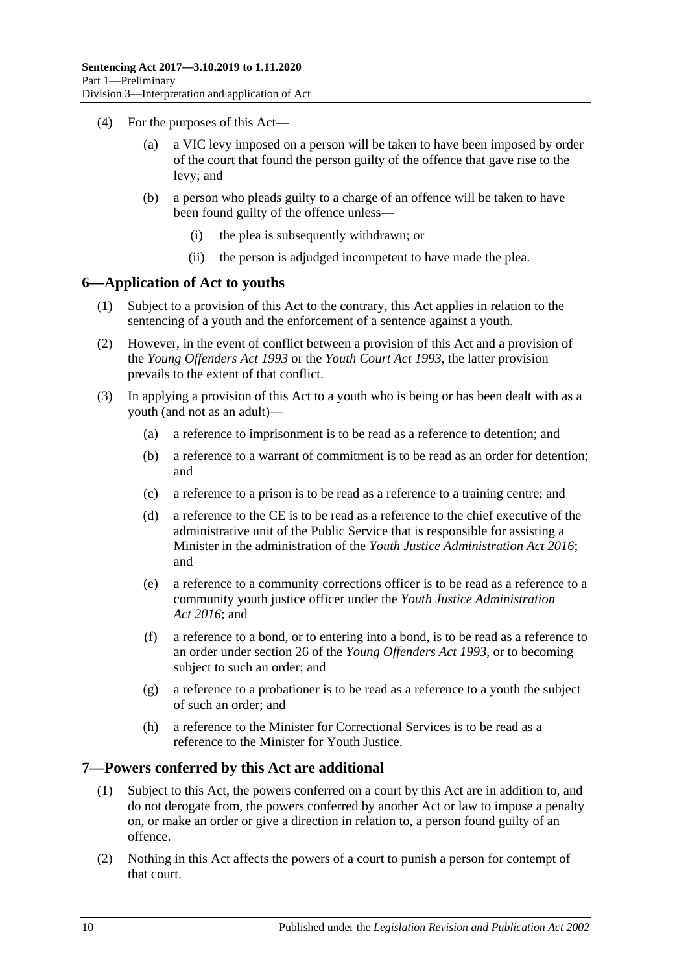- (4) For the purposes of this Act—
	- (a) a VIC levy imposed on a person will be taken to have been imposed by order of the court that found the person guilty of the offence that gave rise to the levy; and
	- (b) a person who pleads guilty to a charge of an offence will be taken to have been found guilty of the offence unless—
		- (i) the plea is subsequently withdrawn; or
		- (ii) the person is adjudged incompetent to have made the plea.

#### <span id="page-9-0"></span>**6—Application of Act to youths**

- (1) Subject to a provision of this Act to the contrary, this Act applies in relation to the sentencing of a youth and the enforcement of a sentence against a youth.
- (2) However, in the event of conflict between a provision of this Act and a provision of the *[Young Offenders Act](http://www.legislation.sa.gov.au/index.aspx?action=legref&type=act&legtitle=Young%20Offenders%20Act%201993) 1993* or the *[Youth Court Act](http://www.legislation.sa.gov.au/index.aspx?action=legref&type=act&legtitle=Youth%20Court%20Act%201993) 1993*, the latter provision prevails to the extent of that conflict.
- (3) In applying a provision of this Act to a youth who is being or has been dealt with as a youth (and not as an adult)—
	- (a) a reference to imprisonment is to be read as a reference to detention; and
	- (b) a reference to a warrant of commitment is to be read as an order for detention; and
	- (c) a reference to a prison is to be read as a reference to a training centre; and
	- (d) a reference to the CE is to be read as a reference to the chief executive of the administrative unit of the Public Service that is responsible for assisting a Minister in the administration of the *[Youth Justice Administration Act](http://www.legislation.sa.gov.au/index.aspx?action=legref&type=act&legtitle=Youth%20Justice%20Administration%20Act%202016) 2016*; and
	- (e) a reference to a community corrections officer is to be read as a reference to a community youth justice officer under the *[Youth Justice Administration](http://www.legislation.sa.gov.au/index.aspx?action=legref&type=act&legtitle=Youth%20Justice%20Administration%20Act%202016)  Act [2016](http://www.legislation.sa.gov.au/index.aspx?action=legref&type=act&legtitle=Youth%20Justice%20Administration%20Act%202016)*; and
	- (f) a reference to a bond, or to entering into a bond, is to be read as a reference to an order under section 26 of the *[Young Offenders Act](http://www.legislation.sa.gov.au/index.aspx?action=legref&type=act&legtitle=Young%20Offenders%20Act%201993) 1993*, or to becoming subject to such an order; and
	- (g) a reference to a probationer is to be read as a reference to a youth the subject of such an order; and
	- (h) a reference to the Minister for Correctional Services is to be read as a reference to the Minister for Youth Justice.

#### <span id="page-9-1"></span>**7—Powers conferred by this Act are additional**

- (1) Subject to this Act, the powers conferred on a court by this Act are in addition to, and do not derogate from, the powers conferred by another Act or law to impose a penalty on, or make an order or give a direction in relation to, a person found guilty of an offence.
- (2) Nothing in this Act affects the powers of a court to punish a person for contempt of that court.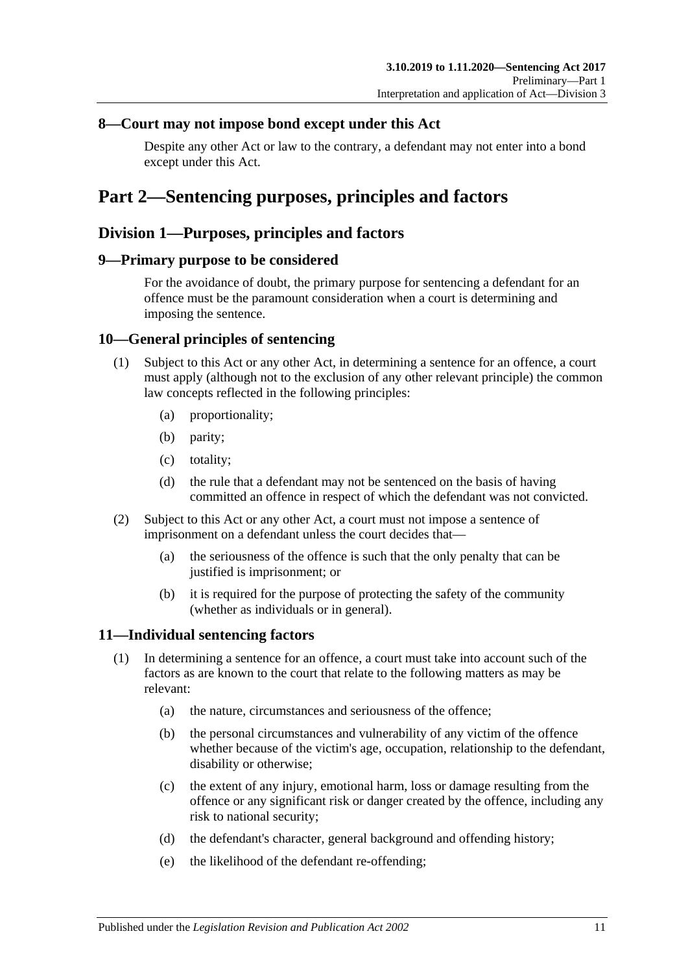### <span id="page-10-0"></span>**8—Court may not impose bond except under this Act**

Despite any other Act or law to the contrary, a defendant may not enter into a bond except under this Act.

## <span id="page-10-1"></span>**Part 2—Sentencing purposes, principles and factors**

## <span id="page-10-2"></span>**Division 1—Purposes, principles and factors**

#### <span id="page-10-3"></span>**9—Primary purpose to be considered**

For the avoidance of doubt, the primary purpose for sentencing a defendant for an offence must be the paramount consideration when a court is determining and imposing the sentence.

### <span id="page-10-4"></span>**10—General principles of sentencing**

- (1) Subject to this Act or any other Act, in determining a sentence for an offence, a court must apply (although not to the exclusion of any other relevant principle) the common law concepts reflected in the following principles:
	- (a) proportionality;
	- (b) parity;
	- (c) totality;
	- (d) the rule that a defendant may not be sentenced on the basis of having committed an offence in respect of which the defendant was not convicted.
- (2) Subject to this Act or any other Act, a court must not impose a sentence of imprisonment on a defendant unless the court decides that—
	- (a) the seriousness of the offence is such that the only penalty that can be justified is imprisonment; or
	- (b) it is required for the purpose of protecting the safety of the community (whether as individuals or in general).

### <span id="page-10-6"></span><span id="page-10-5"></span>**11—Individual sentencing factors**

- <span id="page-10-7"></span>(1) In determining a sentence for an offence, a court must take into account such of the factors as are known to the court that relate to the following matters as may be relevant:
	- (a) the nature, circumstances and seriousness of the offence;
	- (b) the personal circumstances and vulnerability of any victim of the offence whether because of the victim's age, occupation, relationship to the defendant, disability or otherwise;
	- (c) the extent of any injury, emotional harm, loss or damage resulting from the offence or any significant risk or danger created by the offence, including any risk to national security;
	- (d) the defendant's character, general background and offending history;
	- (e) the likelihood of the defendant re-offending;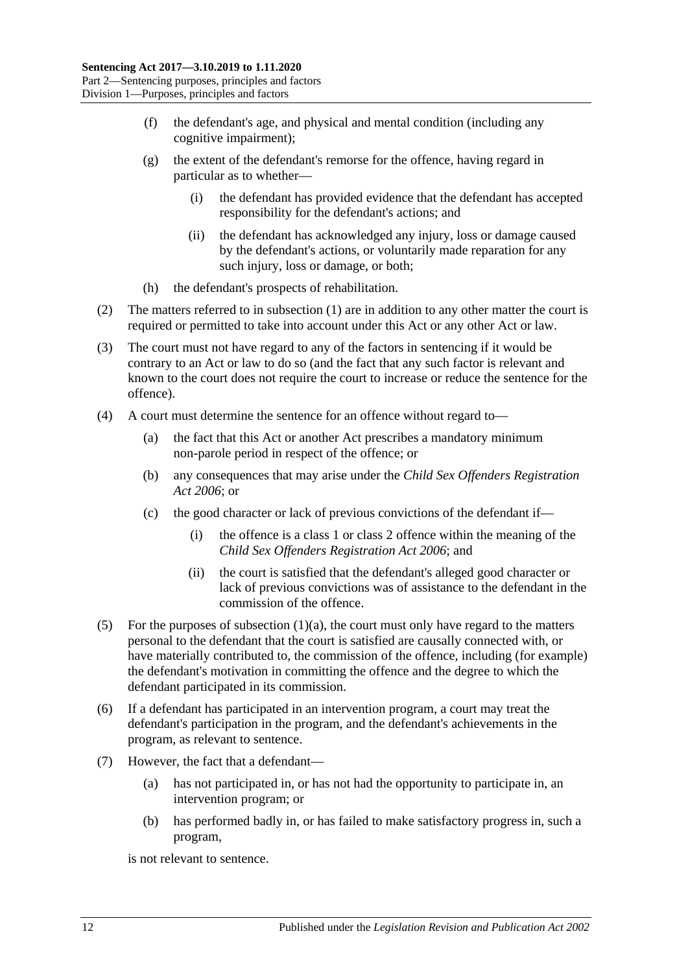- (f) the defendant's age, and physical and mental condition (including any cognitive impairment);
- (g) the extent of the defendant's remorse for the offence, having regard in particular as to whether—
	- (i) the defendant has provided evidence that the defendant has accepted responsibility for the defendant's actions; and
	- (ii) the defendant has acknowledged any injury, loss or damage caused by the defendant's actions, or voluntarily made reparation for any such injury, loss or damage, or both;
- (h) the defendant's prospects of rehabilitation.
- (2) The matters referred to in [subsection](#page-10-6) (1) are in addition to any other matter the court is required or permitted to take into account under this Act or any other Act or law.
- (3) The court must not have regard to any of the factors in sentencing if it would be contrary to an Act or law to do so (and the fact that any such factor is relevant and known to the court does not require the court to increase or reduce the sentence for the offence).
- (4) A court must determine the sentence for an offence without regard to—
	- (a) the fact that this Act or another Act prescribes a mandatory minimum non-parole period in respect of the offence; or
	- (b) any consequences that may arise under the *[Child Sex Offenders Registration](http://www.legislation.sa.gov.au/index.aspx?action=legref&type=act&legtitle=Child%20Sex%20Offenders%20Registration%20Act%202006)  Act [2006](http://www.legislation.sa.gov.au/index.aspx?action=legref&type=act&legtitle=Child%20Sex%20Offenders%20Registration%20Act%202006)*; or
	- (c) the good character or lack of previous convictions of the defendant if—
		- (i) the offence is a class 1 or class 2 offence within the meaning of the *[Child Sex Offenders Registration Act](http://www.legislation.sa.gov.au/index.aspx?action=legref&type=act&legtitle=Child%20Sex%20Offenders%20Registration%20Act%202006) 2006*; and
		- (ii) the court is satisfied that the defendant's alleged good character or lack of previous convictions was of assistance to the defendant in the commission of the offence.
- (5) For the purposes of [subsection](#page-10-7)  $(1)(a)$ , the court must only have regard to the matters personal to the defendant that the court is satisfied are causally connected with, or have materially contributed to, the commission of the offence, including (for example) the defendant's motivation in committing the offence and the degree to which the defendant participated in its commission.
- (6) If a defendant has participated in an intervention program, a court may treat the defendant's participation in the program, and the defendant's achievements in the program, as relevant to sentence.
- (7) However, the fact that a defendant—
	- (a) has not participated in, or has not had the opportunity to participate in, an intervention program; or
	- (b) has performed badly in, or has failed to make satisfactory progress in, such a program,

is not relevant to sentence.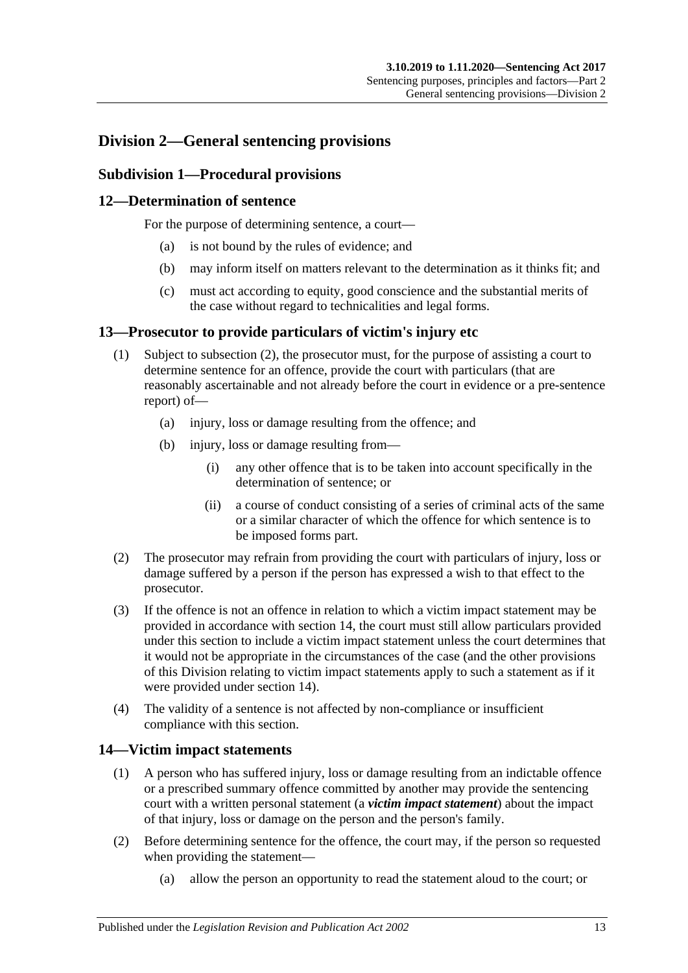## <span id="page-12-1"></span><span id="page-12-0"></span>**Division 2—General sentencing provisions**

### **Subdivision 1—Procedural provisions**

### <span id="page-12-2"></span>**12—Determination of sentence**

For the purpose of determining sentence, a court—

- (a) is not bound by the rules of evidence; and
- (b) may inform itself on matters relevant to the determination as it thinks fit; and
- (c) must act according to equity, good conscience and the substantial merits of the case without regard to technicalities and legal forms.

#### <span id="page-12-3"></span>**13—Prosecutor to provide particulars of victim's injury etc**

- (1) Subject to [subsection](#page-12-5) (2), the prosecutor must, for the purpose of assisting a court to determine sentence for an offence, provide the court with particulars (that are reasonably ascertainable and not already before the court in evidence or a pre-sentence report) of—
	- (a) injury, loss or damage resulting from the offence; and
	- (b) injury, loss or damage resulting from—
		- (i) any other offence that is to be taken into account specifically in the determination of sentence; or
		- (ii) a course of conduct consisting of a series of criminal acts of the same or a similar character of which the offence for which sentence is to be imposed forms part.
- <span id="page-12-5"></span>(2) The prosecutor may refrain from providing the court with particulars of injury, loss or damage suffered by a person if the person has expressed a wish to that effect to the prosecutor.
- (3) If the offence is not an offence in relation to which a victim impact statement may be provided in accordance with [section](#page-12-4) 14, the court must still allow particulars provided under this section to include a victim impact statement unless the court determines that it would not be appropriate in the circumstances of the case (and the other provisions of this Division relating to victim impact statements apply to such a statement as if it were provided under [section](#page-12-4) 14).
- (4) The validity of a sentence is not affected by non-compliance or insufficient compliance with this section.

### <span id="page-12-4"></span>**14—Victim impact statements**

- (1) A person who has suffered injury, loss or damage resulting from an indictable offence or a prescribed summary offence committed by another may provide the sentencing court with a written personal statement (a *victim impact statement*) about the impact of that injury, loss or damage on the person and the person's family.
- (2) Before determining sentence for the offence, the court may, if the person so requested when providing the statement—
	- (a) allow the person an opportunity to read the statement aloud to the court; or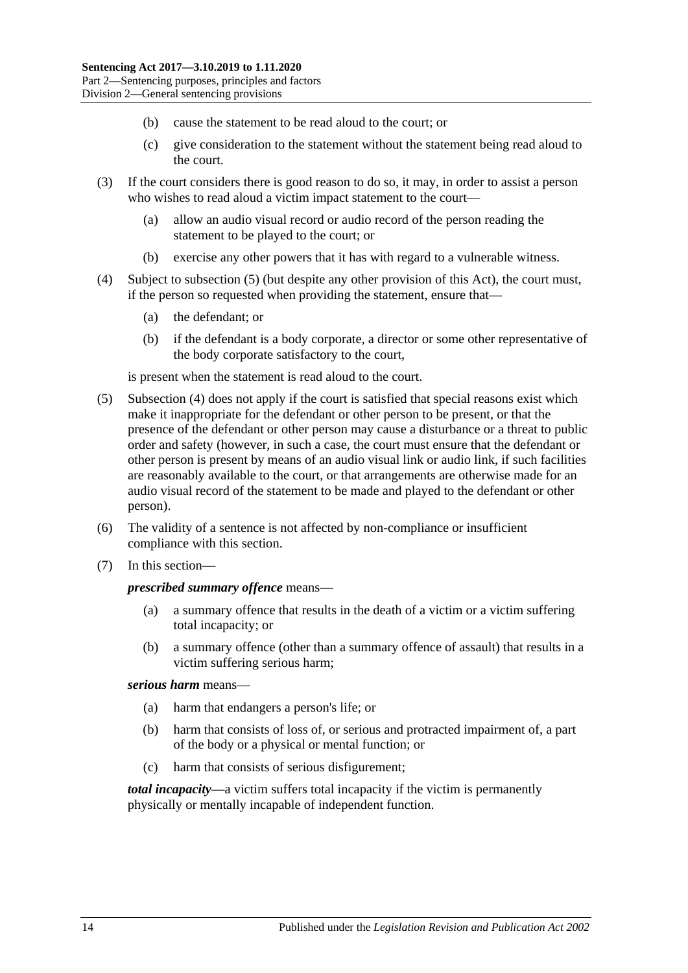- (b) cause the statement to be read aloud to the court; or
- (c) give consideration to the statement without the statement being read aloud to the court.
- (3) If the court considers there is good reason to do so, it may, in order to assist a person who wishes to read aloud a victim impact statement to the court—
	- (a) allow an audio visual record or audio record of the person reading the statement to be played to the court; or
	- (b) exercise any other powers that it has with regard to a vulnerable witness.
- <span id="page-13-1"></span>(4) Subject to [subsection](#page-13-0) (5) (but despite any other provision of this Act), the court must, if the person so requested when providing the statement, ensure that—
	- (a) the defendant; or
	- (b) if the defendant is a body corporate, a director or some other representative of the body corporate satisfactory to the court,

is present when the statement is read aloud to the court.

- <span id="page-13-0"></span>(5) [Subsection](#page-13-1) (4) does not apply if the court is satisfied that special reasons exist which make it inappropriate for the defendant or other person to be present, or that the presence of the defendant or other person may cause a disturbance or a threat to public order and safety (however, in such a case, the court must ensure that the defendant or other person is present by means of an audio visual link or audio link, if such facilities are reasonably available to the court, or that arrangements are otherwise made for an audio visual record of the statement to be made and played to the defendant or other person).
- (6) The validity of a sentence is not affected by non-compliance or insufficient compliance with this section.
- (7) In this section—

#### *prescribed summary offence* means—

- (a) a summary offence that results in the death of a victim or a victim suffering total incapacity; or
- (b) a summary offence (other than a summary offence of assault) that results in a victim suffering serious harm;

#### *serious harm* means—

- (a) harm that endangers a person's life; or
- (b) harm that consists of loss of, or serious and protracted impairment of, a part of the body or a physical or mental function; or
- (c) harm that consists of serious disfigurement;

*total incapacity*—a victim suffers total incapacity if the victim is permanently physically or mentally incapable of independent function.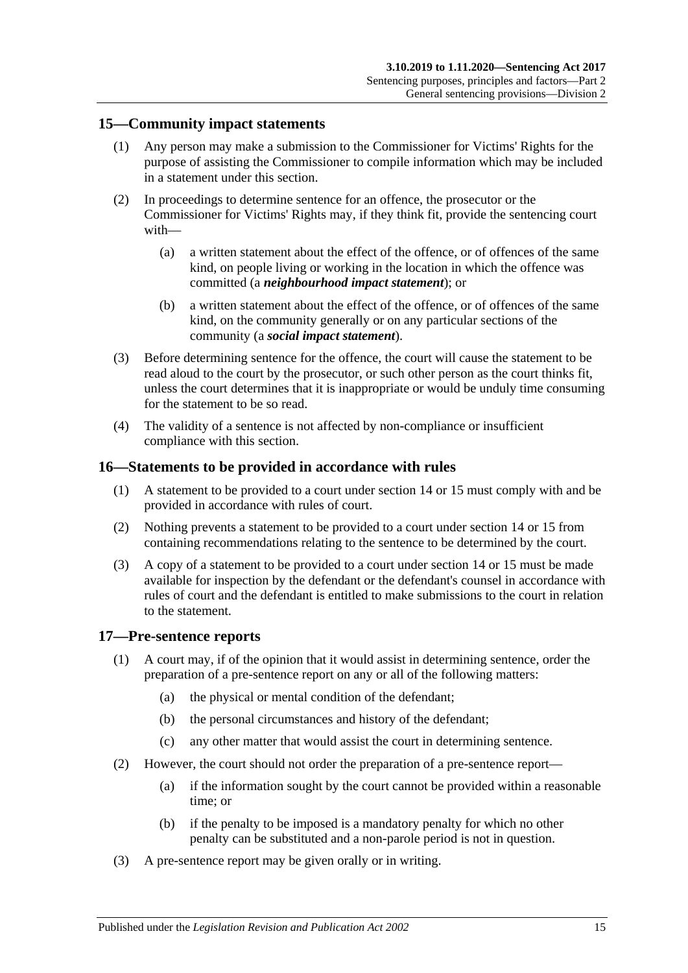#### <span id="page-14-0"></span>**15—Community impact statements**

- (1) Any person may make a submission to the Commissioner for Victims' Rights for the purpose of assisting the Commissioner to compile information which may be included in a statement under this section.
- (2) In proceedings to determine sentence for an offence, the prosecutor or the Commissioner for Victims' Rights may, if they think fit, provide the sentencing court with—
	- (a) a written statement about the effect of the offence, or of offences of the same kind, on people living or working in the location in which the offence was committed (a *neighbourhood impact statement*); or
	- (b) a written statement about the effect of the offence, or of offences of the same kind, on the community generally or on any particular sections of the community (a *social impact statement*).
- (3) Before determining sentence for the offence, the court will cause the statement to be read aloud to the court by the prosecutor, or such other person as the court thinks fit, unless the court determines that it is inappropriate or would be unduly time consuming for the statement to be so read.
- (4) The validity of a sentence is not affected by non-compliance or insufficient compliance with this section.

#### <span id="page-14-1"></span>**16—Statements to be provided in accordance with rules**

- (1) A statement to be provided to a court under [section](#page-12-4) 14 or [15](#page-14-0) must comply with and be provided in accordance with rules of court.
- (2) Nothing prevents a statement to be provided to a court under [section](#page-12-4) 14 or [15](#page-14-0) from containing recommendations relating to the sentence to be determined by the court.
- (3) A copy of a statement to be provided to a court under [section](#page-12-4) 14 or [15](#page-14-0) must be made available for inspection by the defendant or the defendant's counsel in accordance with rules of court and the defendant is entitled to make submissions to the court in relation to the statement.

#### <span id="page-14-2"></span>**17—Pre-sentence reports**

- (1) A court may, if of the opinion that it would assist in determining sentence, order the preparation of a pre-sentence report on any or all of the following matters:
	- (a) the physical or mental condition of the defendant;
	- (b) the personal circumstances and history of the defendant;
	- (c) any other matter that would assist the court in determining sentence.
- (2) However, the court should not order the preparation of a pre-sentence report—
	- (a) if the information sought by the court cannot be provided within a reasonable time; or
	- (b) if the penalty to be imposed is a mandatory penalty for which no other penalty can be substituted and a non-parole period is not in question.
- (3) A pre-sentence report may be given orally or in writing.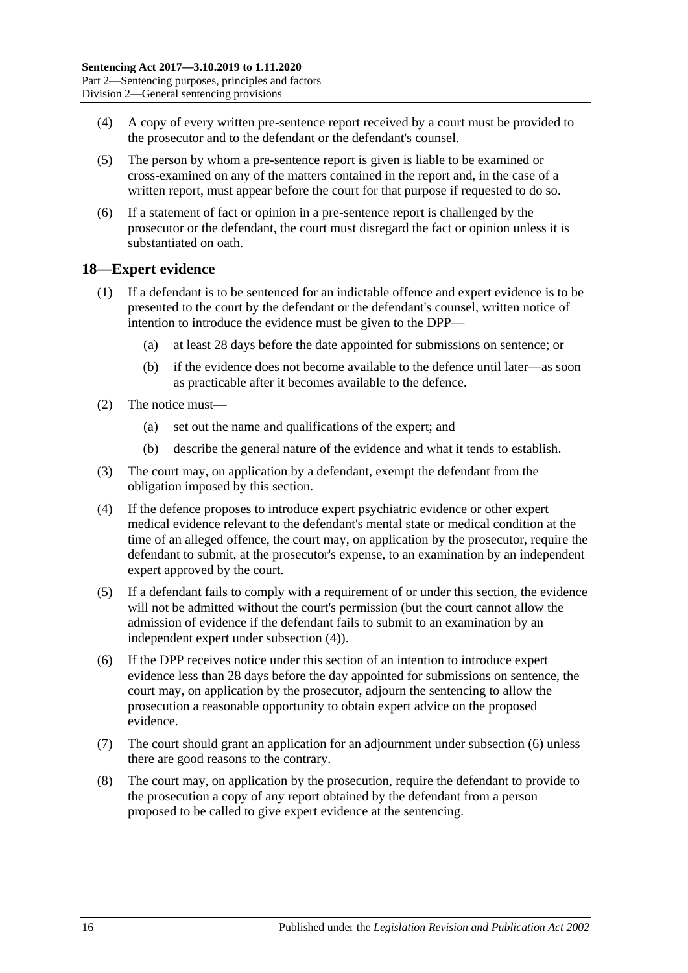- (4) A copy of every written pre-sentence report received by a court must be provided to the prosecutor and to the defendant or the defendant's counsel.
- (5) The person by whom a pre-sentence report is given is liable to be examined or cross-examined on any of the matters contained in the report and, in the case of a written report, must appear before the court for that purpose if requested to do so.
- (6) If a statement of fact or opinion in a pre-sentence report is challenged by the prosecutor or the defendant, the court must disregard the fact or opinion unless it is substantiated on oath.

#### <span id="page-15-0"></span>**18—Expert evidence**

- (1) If a defendant is to be sentenced for an indictable offence and expert evidence is to be presented to the court by the defendant or the defendant's counsel, written notice of intention to introduce the evidence must be given to the DPP—
	- (a) at least 28 days before the date appointed for submissions on sentence; or
	- (b) if the evidence does not become available to the defence until later—as soon as practicable after it becomes available to the defence.
- (2) The notice must—
	- (a) set out the name and qualifications of the expert; and
	- (b) describe the general nature of the evidence and what it tends to establish.
- (3) The court may, on application by a defendant, exempt the defendant from the obligation imposed by this section.
- <span id="page-15-1"></span>(4) If the defence proposes to introduce expert psychiatric evidence or other expert medical evidence relevant to the defendant's mental state or medical condition at the time of an alleged offence, the court may, on application by the prosecutor, require the defendant to submit, at the prosecutor's expense, to an examination by an independent expert approved by the court.
- (5) If a defendant fails to comply with a requirement of or under this section, the evidence will not be admitted without the court's permission (but the court cannot allow the admission of evidence if the defendant fails to submit to an examination by an independent expert under [subsection](#page-15-1) (4)).
- <span id="page-15-2"></span>(6) If the DPP receives notice under this section of an intention to introduce expert evidence less than 28 days before the day appointed for submissions on sentence, the court may, on application by the prosecutor, adjourn the sentencing to allow the prosecution a reasonable opportunity to obtain expert advice on the proposed evidence.
- (7) The court should grant an application for an adjournment under [subsection](#page-15-2) (6) unless there are good reasons to the contrary.
- (8) The court may, on application by the prosecution, require the defendant to provide to the prosecution a copy of any report obtained by the defendant from a person proposed to be called to give expert evidence at the sentencing.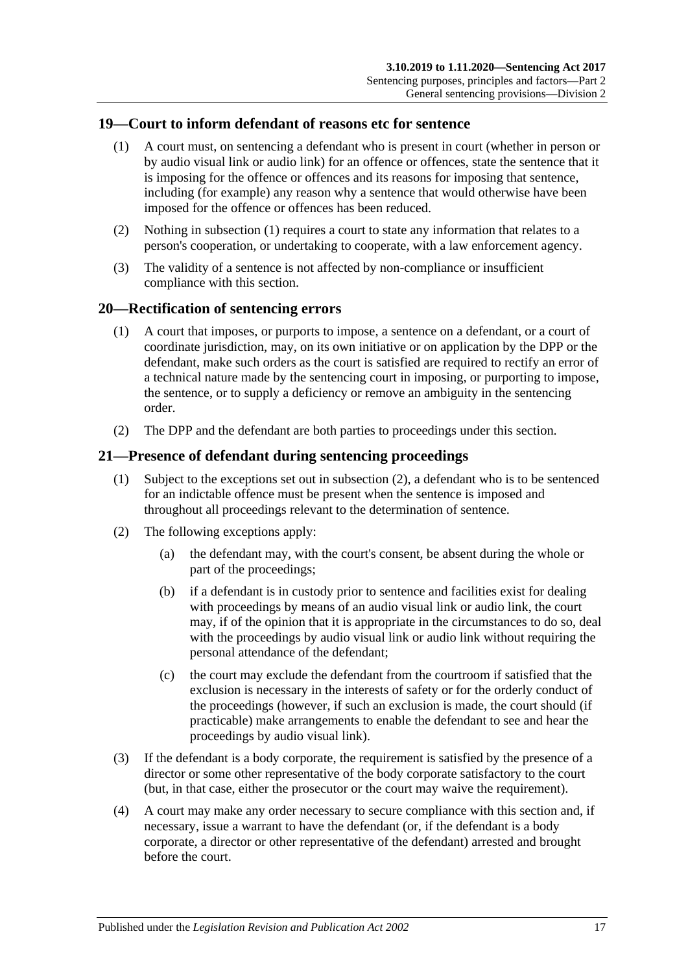#### <span id="page-16-3"></span><span id="page-16-0"></span>**19—Court to inform defendant of reasons etc for sentence**

- (1) A court must, on sentencing a defendant who is present in court (whether in person or by audio visual link or audio link) for an offence or offences, state the sentence that it is imposing for the offence or offences and its reasons for imposing that sentence, including (for example) any reason why a sentence that would otherwise have been imposed for the offence or offences has been reduced.
- (2) Nothing in [subsection](#page-16-3) (1) requires a court to state any information that relates to a person's cooperation, or undertaking to cooperate, with a law enforcement agency.
- (3) The validity of a sentence is not affected by non-compliance or insufficient compliance with this section.

#### <span id="page-16-1"></span>**20—Rectification of sentencing errors**

- (1) A court that imposes, or purports to impose, a sentence on a defendant, or a court of coordinate jurisdiction, may, on its own initiative or on application by the DPP or the defendant, make such orders as the court is satisfied are required to rectify an error of a technical nature made by the sentencing court in imposing, or purporting to impose, the sentence, or to supply a deficiency or remove an ambiguity in the sentencing order.
- (2) The DPP and the defendant are both parties to proceedings under this section.

#### <span id="page-16-2"></span>**21—Presence of defendant during sentencing proceedings**

- (1) Subject to the exceptions set out in [subsection](#page-16-4) (2), a defendant who is to be sentenced for an indictable offence must be present when the sentence is imposed and throughout all proceedings relevant to the determination of sentence.
- <span id="page-16-4"></span>(2) The following exceptions apply:
	- (a) the defendant may, with the court's consent, be absent during the whole or part of the proceedings;
	- (b) if a defendant is in custody prior to sentence and facilities exist for dealing with proceedings by means of an audio visual link or audio link, the court may, if of the opinion that it is appropriate in the circumstances to do so, deal with the proceedings by audio visual link or audio link without requiring the personal attendance of the defendant;
	- (c) the court may exclude the defendant from the courtroom if satisfied that the exclusion is necessary in the interests of safety or for the orderly conduct of the proceedings (however, if such an exclusion is made, the court should (if practicable) make arrangements to enable the defendant to see and hear the proceedings by audio visual link).
- (3) If the defendant is a body corporate, the requirement is satisfied by the presence of a director or some other representative of the body corporate satisfactory to the court (but, in that case, either the prosecutor or the court may waive the requirement).
- (4) A court may make any order necessary to secure compliance with this section and, if necessary, issue a warrant to have the defendant (or, if the defendant is a body corporate, a director or other representative of the defendant) arrested and brought before the court.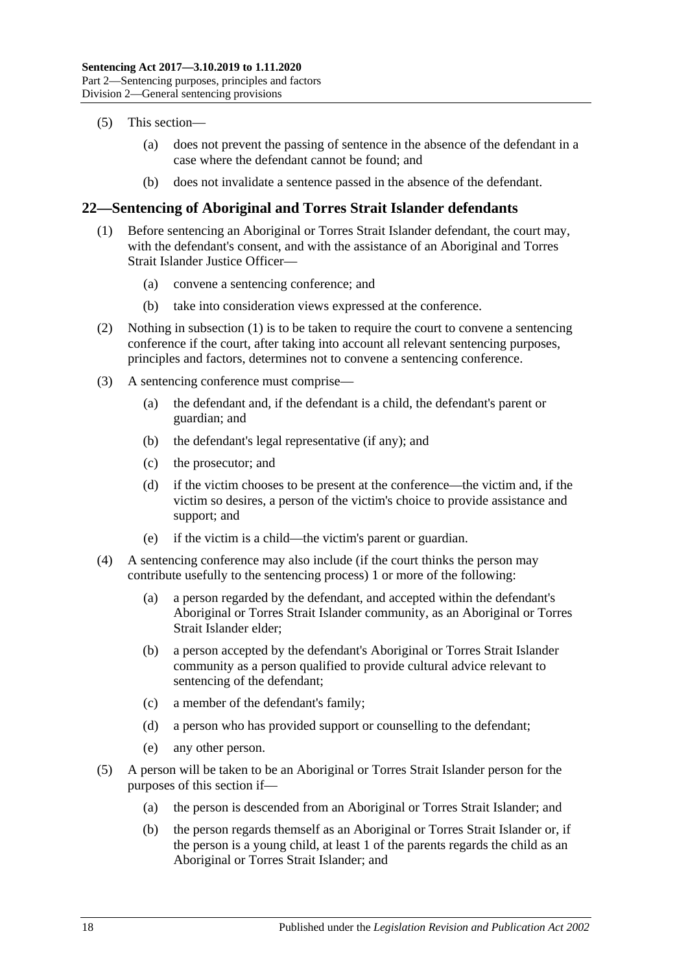- (5) This section—
	- (a) does not prevent the passing of sentence in the absence of the defendant in a case where the defendant cannot be found; and
	- (b) does not invalidate a sentence passed in the absence of the defendant.

### <span id="page-17-1"></span><span id="page-17-0"></span>**22—Sentencing of Aboriginal and Torres Strait Islander defendants**

- (1) Before sentencing an Aboriginal or Torres Strait Islander defendant, the court may, with the defendant's consent, and with the assistance of an Aboriginal and Torres Strait Islander Justice Officer—
	- (a) convene a sentencing conference; and
	- (b) take into consideration views expressed at the conference.
- (2) Nothing in [subsection](#page-17-1) (1) is to be taken to require the court to convene a sentencing conference if the court, after taking into account all relevant sentencing purposes, principles and factors, determines not to convene a sentencing conference.
- (3) A sentencing conference must comprise—
	- (a) the defendant and, if the defendant is a child, the defendant's parent or guardian; and
	- (b) the defendant's legal representative (if any); and
	- (c) the prosecutor; and
	- (d) if the victim chooses to be present at the conference—the victim and, if the victim so desires, a person of the victim's choice to provide assistance and support; and
	- (e) if the victim is a child—the victim's parent or guardian.
- (4) A sentencing conference may also include (if the court thinks the person may contribute usefully to the sentencing process) 1 or more of the following:
	- (a) a person regarded by the defendant, and accepted within the defendant's Aboriginal or Torres Strait Islander community, as an Aboriginal or Torres Strait Islander elder;
	- (b) a person accepted by the defendant's Aboriginal or Torres Strait Islander community as a person qualified to provide cultural advice relevant to sentencing of the defendant;
	- (c) a member of the defendant's family;
	- (d) a person who has provided support or counselling to the defendant;
	- (e) any other person.
- (5) A person will be taken to be an Aboriginal or Torres Strait Islander person for the purposes of this section if—
	- (a) the person is descended from an Aboriginal or Torres Strait Islander; and
	- (b) the person regards themself as an Aboriginal or Torres Strait Islander or, if the person is a young child, at least 1 of the parents regards the child as an Aboriginal or Torres Strait Islander; and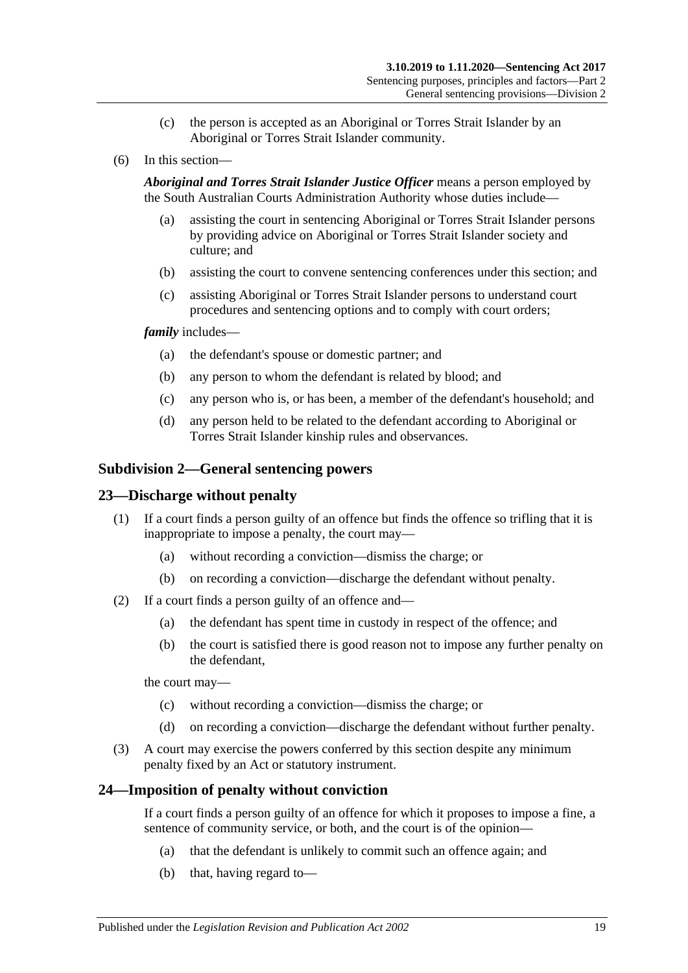- (c) the person is accepted as an Aboriginal or Torres Strait Islander by an Aboriginal or Torres Strait Islander community.
- (6) In this section—

*Aboriginal and Torres Strait Islander Justice Officer* means a person employed by the South Australian Courts Administration Authority whose duties include—

- (a) assisting the court in sentencing Aboriginal or Torres Strait Islander persons by providing advice on Aboriginal or Torres Strait Islander society and culture; and
- (b) assisting the court to convene sentencing conferences under this section; and
- (c) assisting Aboriginal or Torres Strait Islander persons to understand court procedures and sentencing options and to comply with court orders;

#### *family* includes—

- (a) the defendant's spouse or domestic partner; and
- (b) any person to whom the defendant is related by blood; and
- (c) any person who is, or has been, a member of the defendant's household; and
- (d) any person held to be related to the defendant according to Aboriginal or Torres Strait Islander kinship rules and observances.

#### <span id="page-18-0"></span>**Subdivision 2—General sentencing powers**

#### <span id="page-18-1"></span>**23—Discharge without penalty**

- (1) If a court finds a person guilty of an offence but finds the offence so trifling that it is inappropriate to impose a penalty, the court may—
	- (a) without recording a conviction—dismiss the charge; or
	- (b) on recording a conviction—discharge the defendant without penalty.
- (2) If a court finds a person guilty of an offence and—
	- (a) the defendant has spent time in custody in respect of the offence; and
	- (b) the court is satisfied there is good reason not to impose any further penalty on the defendant,

the court may—

- (c) without recording a conviction—dismiss the charge; or
- (d) on recording a conviction—discharge the defendant without further penalty.
- (3) A court may exercise the powers conferred by this section despite any minimum penalty fixed by an Act or statutory instrument.

#### <span id="page-18-2"></span>**24—Imposition of penalty without conviction**

If a court finds a person guilty of an offence for which it proposes to impose a fine, a sentence of community service, or both, and the court is of the opinion—

- (a) that the defendant is unlikely to commit such an offence again; and
- (b) that, having regard to—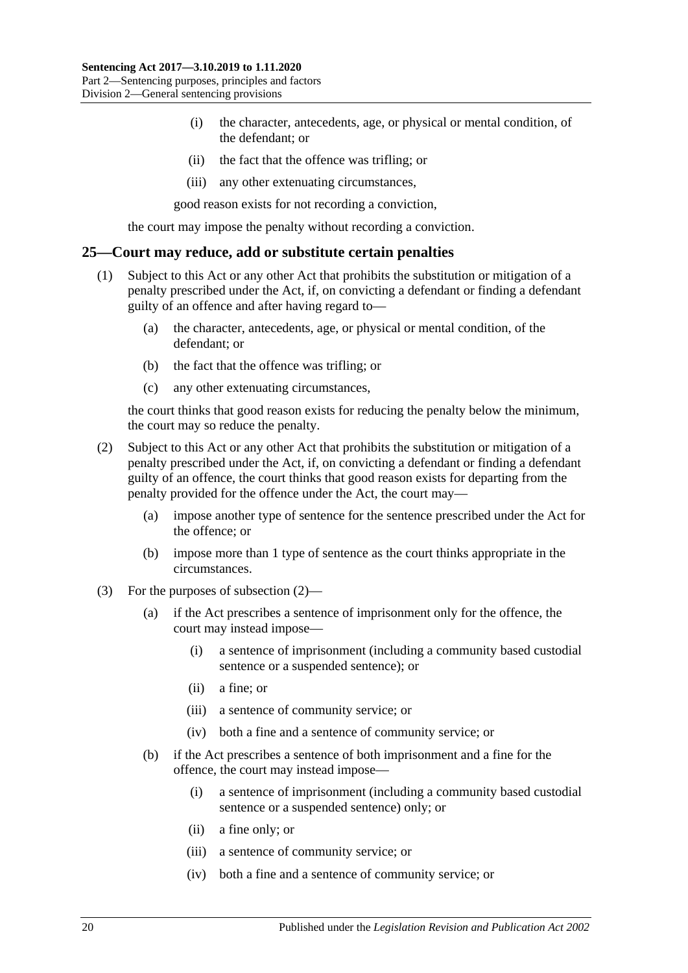- (i) the character, antecedents, age, or physical or mental condition, of the defendant; or
- (ii) the fact that the offence was trifling; or
- (iii) any other extenuating circumstances,

good reason exists for not recording a conviction,

the court may impose the penalty without recording a conviction.

#### <span id="page-19-0"></span>**25—Court may reduce, add or substitute certain penalties**

- (1) Subject to this Act or any other Act that prohibits the substitution or mitigation of a penalty prescribed under the Act, if, on convicting a defendant or finding a defendant guilty of an offence and after having regard to—
	- (a) the character, antecedents, age, or physical or mental condition, of the defendant; or
	- (b) the fact that the offence was trifling; or
	- (c) any other extenuating circumstances,

the court thinks that good reason exists for reducing the penalty below the minimum, the court may so reduce the penalty.

- <span id="page-19-1"></span>(2) Subject to this Act or any other Act that prohibits the substitution or mitigation of a penalty prescribed under the Act, if, on convicting a defendant or finding a defendant guilty of an offence, the court thinks that good reason exists for departing from the penalty provided for the offence under the Act, the court may—
	- (a) impose another type of sentence for the sentence prescribed under the Act for the offence; or
	- (b) impose more than 1 type of sentence as the court thinks appropriate in the circumstances.
- (3) For the purposes of [subsection](#page-19-1) (2)—
	- (a) if the Act prescribes a sentence of imprisonment only for the offence, the court may instead impose—
		- (i) a sentence of imprisonment (including a community based custodial sentence or a suspended sentence); or
		- (ii) a fine; or
		- (iii) a sentence of community service; or
		- (iv) both a fine and a sentence of community service; or
	- (b) if the Act prescribes a sentence of both imprisonment and a fine for the offence, the court may instead impose—
		- (i) a sentence of imprisonment (including a community based custodial sentence or a suspended sentence) only; or
		- (ii) a fine only; or
		- (iii) a sentence of community service; or
		- (iv) both a fine and a sentence of community service; or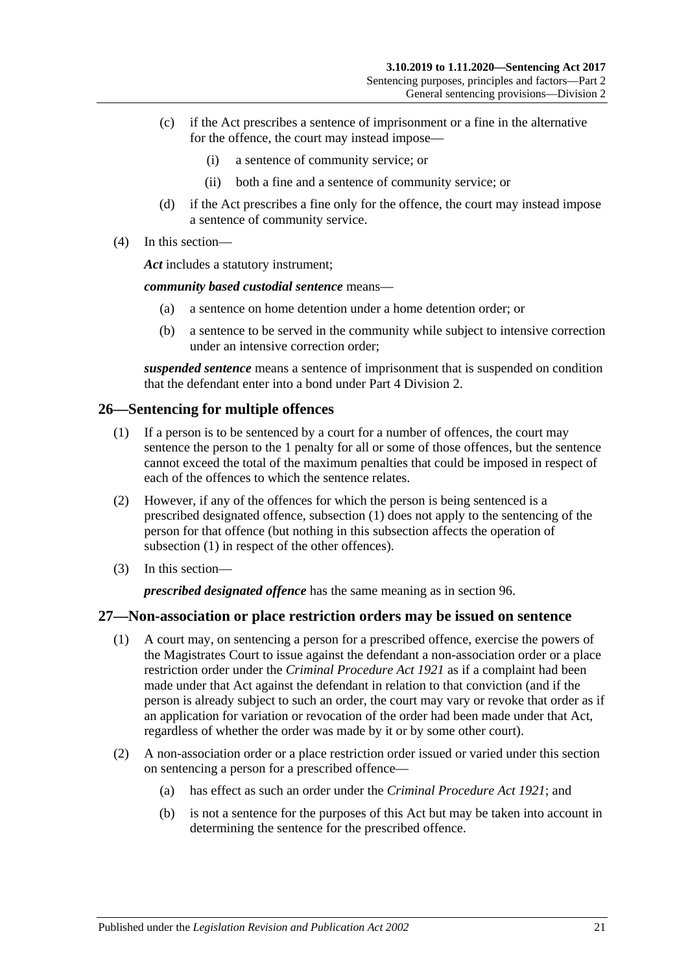- (c) if the Act prescribes a sentence of imprisonment or a fine in the alternative for the offence, the court may instead impose—
	- (i) a sentence of community service; or
	- (ii) both a fine and a sentence of community service; or
- (d) if the Act prescribes a fine only for the offence, the court may instead impose a sentence of community service.
- (4) In this section—

*Act* includes a statutory instrument;

*community based custodial sentence* means—

- (a) a sentence on home detention under a home detention order; or
- (b) a sentence to be served in the community while subject to intensive correction under an intensive correction order;

*suspended sentence* means a sentence of imprisonment that is suspended on condition that the defendant enter into a bond under Part [4 Division](#page-77-0) 2.

### <span id="page-20-2"></span><span id="page-20-0"></span>**26—Sentencing for multiple offences**

- (1) If a person is to be sentenced by a court for a number of offences, the court may sentence the person to the 1 penalty for all or some of those offences, but the sentence cannot exceed the total of the maximum penalties that could be imposed in respect of each of the offences to which the sentence relates.
- (2) However, if any of the offences for which the person is being sentenced is a prescribed designated offence, [subsection](#page-20-2) (1) does not apply to the sentencing of the person for that offence (but nothing in this subsection affects the operation of [subsection](#page-20-2) (1) in respect of the other offences).
- (3) In this section—

*prescribed designated offence* has the same meaning as in [section](#page-77-1) 96.

### <span id="page-20-1"></span>**27—Non-association or place restriction orders may be issued on sentence**

- (1) A court may, on sentencing a person for a prescribed offence, exercise the powers of the Magistrates Court to issue against the defendant a non-association order or a place restriction order under the *[Criminal Procedure Act](http://www.legislation.sa.gov.au/index.aspx?action=legref&type=act&legtitle=Criminal%20Procedure%20Act%201921) 1921* as if a complaint had been made under that Act against the defendant in relation to that conviction (and if the person is already subject to such an order, the court may vary or revoke that order as if an application for variation or revocation of the order had been made under that Act, regardless of whether the order was made by it or by some other court).
- (2) A non-association order or a place restriction order issued or varied under this section on sentencing a person for a prescribed offence—
	- (a) has effect as such an order under the *[Criminal Procedure Act](http://www.legislation.sa.gov.au/index.aspx?action=legref&type=act&legtitle=Criminal%20Procedure%20Act%201921) 1921*; and
	- (b) is not a sentence for the purposes of this Act but may be taken into account in determining the sentence for the prescribed offence.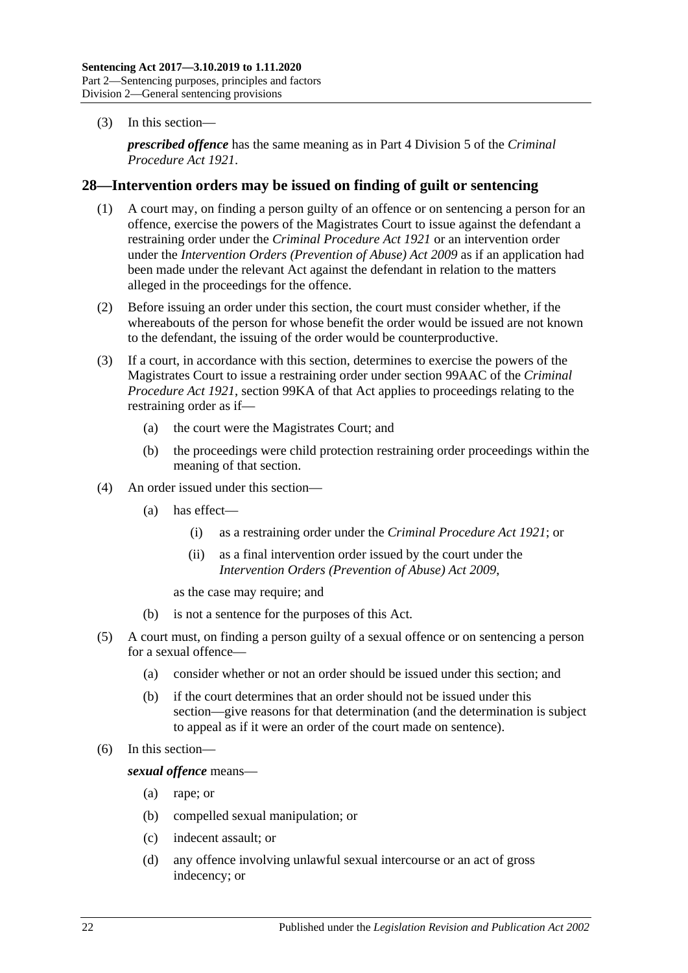(3) In this section—

*prescribed offence* has the same meaning as in Part 4 Division 5 of the *[Criminal](http://www.legislation.sa.gov.au/index.aspx?action=legref&type=act&legtitle=Criminal%20Procedure%20Act%201921)  [Procedure Act](http://www.legislation.sa.gov.au/index.aspx?action=legref&type=act&legtitle=Criminal%20Procedure%20Act%201921) 1921*.

#### <span id="page-21-0"></span>**28—Intervention orders may be issued on finding of guilt or sentencing**

- (1) A court may, on finding a person guilty of an offence or on sentencing a person for an offence, exercise the powers of the Magistrates Court to issue against the defendant a restraining order under the *[Criminal Procedure Act](http://www.legislation.sa.gov.au/index.aspx?action=legref&type=act&legtitle=Criminal%20Procedure%20Act%201921) 1921* or an intervention order under the *[Intervention Orders \(Prevention of Abuse\) Act](http://www.legislation.sa.gov.au/index.aspx?action=legref&type=act&legtitle=Intervention%20Orders%20(Prevention%20of%20Abuse)%20Act%202009) 2009* as if an application had been made under the relevant Act against the defendant in relation to the matters alleged in the proceedings for the offence.
- (2) Before issuing an order under this section, the court must consider whether, if the whereabouts of the person for whose benefit the order would be issued are not known to the defendant, the issuing of the order would be counterproductive.
- (3) If a court, in accordance with this section, determines to exercise the powers of the Magistrates Court to issue a restraining order under section 99AAC of the *[Criminal](http://www.legislation.sa.gov.au/index.aspx?action=legref&type=act&legtitle=Criminal%20Procedure%20Act%201921)  [Procedure Act](http://www.legislation.sa.gov.au/index.aspx?action=legref&type=act&legtitle=Criminal%20Procedure%20Act%201921) 1921*, section 99KA of that Act applies to proceedings relating to the restraining order as if—
	- (a) the court were the Magistrates Court; and
	- (b) the proceedings were child protection restraining order proceedings within the meaning of that section.
- (4) An order issued under this section—
	- (a) has effect—
		- (i) as a restraining order under the *[Criminal Procedure Act](http://www.legislation.sa.gov.au/index.aspx?action=legref&type=act&legtitle=Criminal%20Procedure%20Act%201921) 1921*; or
		- (ii) as a final intervention order issued by the court under the *[Intervention Orders \(Prevention of Abuse\) Act](http://www.legislation.sa.gov.au/index.aspx?action=legref&type=act&legtitle=Intervention%20Orders%20(Prevention%20of%20Abuse)%20Act%202009) 2009*,

as the case may require; and

- (b) is not a sentence for the purposes of this Act.
- (5) A court must, on finding a person guilty of a sexual offence or on sentencing a person for a sexual offence—
	- (a) consider whether or not an order should be issued under this section; and
	- (b) if the court determines that an order should not be issued under this section—give reasons for that determination (and the determination is subject to appeal as if it were an order of the court made on sentence).
- (6) In this section—

*sexual offence* means—

- (a) rape; or
- (b) compelled sexual manipulation; or
- (c) indecent assault; or
- (d) any offence involving unlawful sexual intercourse or an act of gross indecency; or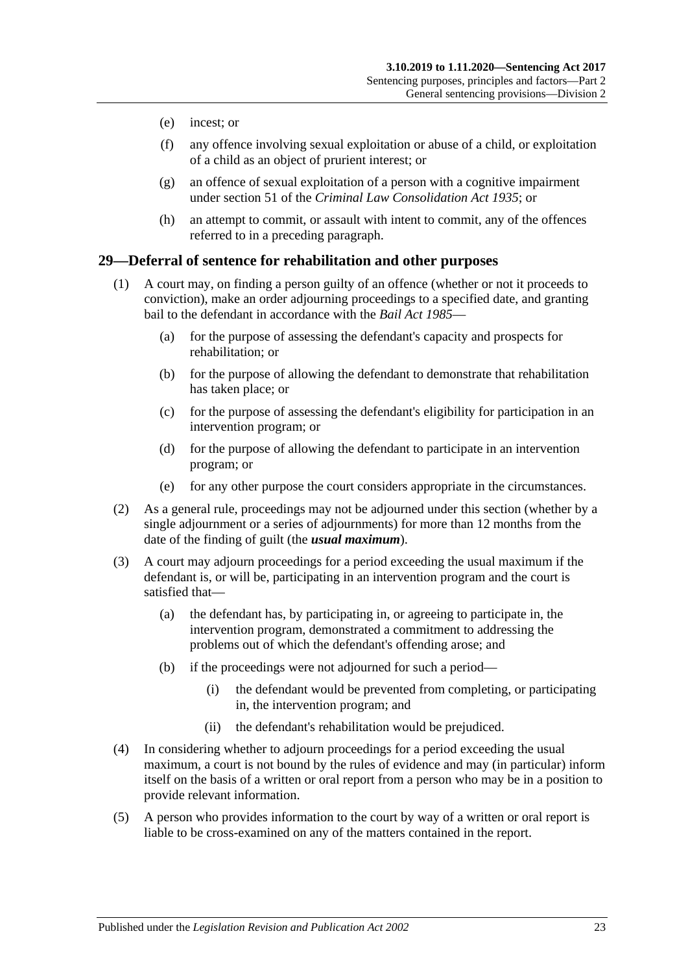- (e) incest; or
- (f) any offence involving sexual exploitation or abuse of a child, or exploitation of a child as an object of prurient interest; or
- (g) an offence of sexual exploitation of a person with a cognitive impairment under section 51 of the *[Criminal Law Consolidation Act](http://www.legislation.sa.gov.au/index.aspx?action=legref&type=act&legtitle=Criminal%20Law%20Consolidation%20Act%201935) 1935*; or
- (h) an attempt to commit, or assault with intent to commit, any of the offences referred to in a preceding paragraph.

#### <span id="page-22-0"></span>**29—Deferral of sentence for rehabilitation and other purposes**

- (1) A court may, on finding a person guilty of an offence (whether or not it proceeds to conviction), make an order adjourning proceedings to a specified date, and granting bail to the defendant in accordance with the *[Bail Act](http://www.legislation.sa.gov.au/index.aspx?action=legref&type=act&legtitle=Bail%20Act%201985) 1985*—
	- (a) for the purpose of assessing the defendant's capacity and prospects for rehabilitation; or
	- (b) for the purpose of allowing the defendant to demonstrate that rehabilitation has taken place; or
	- (c) for the purpose of assessing the defendant's eligibility for participation in an intervention program; or
	- (d) for the purpose of allowing the defendant to participate in an intervention program; or
	- (e) for any other purpose the court considers appropriate in the circumstances.
- (2) As a general rule, proceedings may not be adjourned under this section (whether by a single adjournment or a series of adjournments) for more than 12 months from the date of the finding of guilt (the *usual maximum*).
- (3) A court may adjourn proceedings for a period exceeding the usual maximum if the defendant is, or will be, participating in an intervention program and the court is satisfied that—
	- (a) the defendant has, by participating in, or agreeing to participate in, the intervention program, demonstrated a commitment to addressing the problems out of which the defendant's offending arose; and
	- (b) if the proceedings were not adjourned for such a period—
		- (i) the defendant would be prevented from completing, or participating in, the intervention program; and
		- (ii) the defendant's rehabilitation would be prejudiced.
- (4) In considering whether to adjourn proceedings for a period exceeding the usual maximum, a court is not bound by the rules of evidence and may (in particular) inform itself on the basis of a written or oral report from a person who may be in a position to provide relevant information.
- (5) A person who provides information to the court by way of a written or oral report is liable to be cross-examined on any of the matters contained in the report.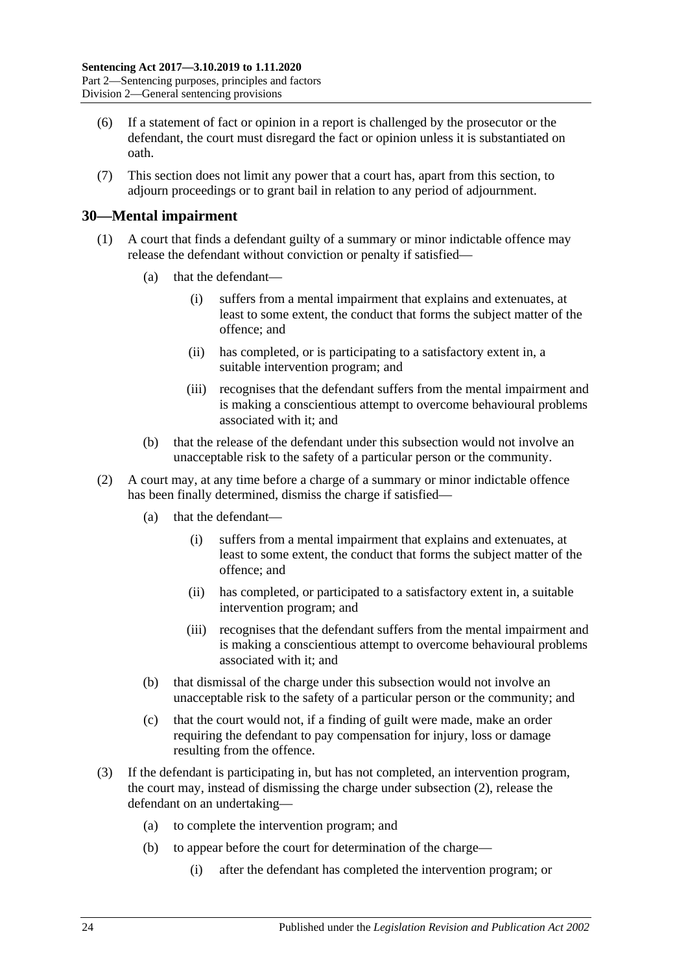- (6) If a statement of fact or opinion in a report is challenged by the prosecutor or the defendant, the court must disregard the fact or opinion unless it is substantiated on oath.
- (7) This section does not limit any power that a court has, apart from this section, to adjourn proceedings or to grant bail in relation to any period of adjournment.

#### <span id="page-23-0"></span>**30—Mental impairment**

- (1) A court that finds a defendant guilty of a summary or minor indictable offence may release the defendant without conviction or penalty if satisfied—
	- (a) that the defendant—
		- (i) suffers from a mental impairment that explains and extenuates, at least to some extent, the conduct that forms the subject matter of the offence; and
		- (ii) has completed, or is participating to a satisfactory extent in, a suitable intervention program; and
		- (iii) recognises that the defendant suffers from the mental impairment and is making a conscientious attempt to overcome behavioural problems associated with it; and
	- (b) that the release of the defendant under this subsection would not involve an unacceptable risk to the safety of a particular person or the community.
- <span id="page-23-1"></span>(2) A court may, at any time before a charge of a summary or minor indictable offence has been finally determined, dismiss the charge if satisfied—
	- (a) that the defendant—
		- (i) suffers from a mental impairment that explains and extenuates, at least to some extent, the conduct that forms the subject matter of the offence; and
		- (ii) has completed, or participated to a satisfactory extent in, a suitable intervention program; and
		- (iii) recognises that the defendant suffers from the mental impairment and is making a conscientious attempt to overcome behavioural problems associated with it; and
	- (b) that dismissal of the charge under this subsection would not involve an unacceptable risk to the safety of a particular person or the community; and
	- (c) that the court would not, if a finding of guilt were made, make an order requiring the defendant to pay compensation for injury, loss or damage resulting from the offence.
- <span id="page-23-2"></span>(3) If the defendant is participating in, but has not completed, an intervention program, the court may, instead of dismissing the charge under [subsection](#page-23-1) (2), release the defendant on an undertaking—
	- (a) to complete the intervention program; and
	- (b) to appear before the court for determination of the charge—
		- (i) after the defendant has completed the intervention program; or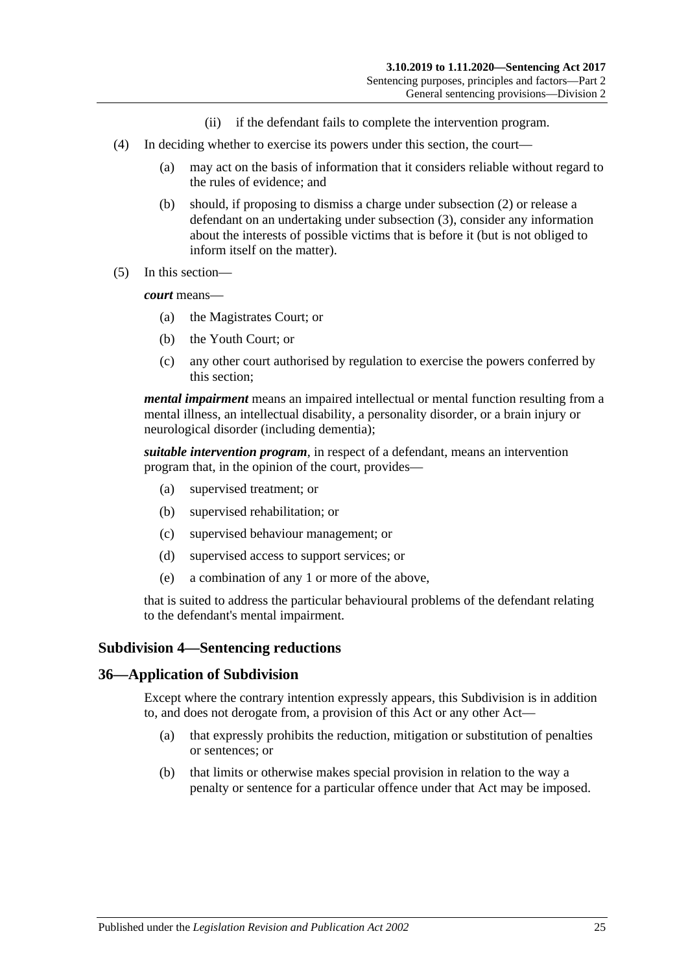- (ii) if the defendant fails to complete the intervention program.
- (4) In deciding whether to exercise its powers under this section, the court—
	- (a) may act on the basis of information that it considers reliable without regard to the rules of evidence; and
	- (b) should, if proposing to dismiss a charge under [subsection](#page-23-1) (2) or release a defendant on an undertaking under [subsection](#page-23-2) (3), consider any information about the interests of possible victims that is before it (but is not obliged to inform itself on the matter).
- (5) In this section—

*court* means—

- (a) the Magistrates Court; or
- (b) the Youth Court; or
- (c) any other court authorised by regulation to exercise the powers conferred by this section;

*mental impairment* means an impaired intellectual or mental function resulting from a mental illness, an intellectual disability, a personality disorder, or a brain injury or neurological disorder (including dementia);

*suitable intervention program*, in respect of a defendant, means an intervention program that, in the opinion of the court, provides—

- (a) supervised treatment; or
- (b) supervised rehabilitation; or
- (c) supervised behaviour management; or
- (d) supervised access to support services; or
- (e) a combination of any 1 or more of the above,

that is suited to address the particular behavioural problems of the defendant relating to the defendant's mental impairment.

#### <span id="page-24-0"></span>**Subdivision 4—Sentencing reductions**

#### <span id="page-24-1"></span>**36—Application of Subdivision**

Except where the contrary intention expressly appears, this Subdivision is in addition to, and does not derogate from, a provision of this Act or any other Act—

- (a) that expressly prohibits the reduction, mitigation or substitution of penalties or sentences; or
- (b) that limits or otherwise makes special provision in relation to the way a penalty or sentence for a particular offence under that Act may be imposed.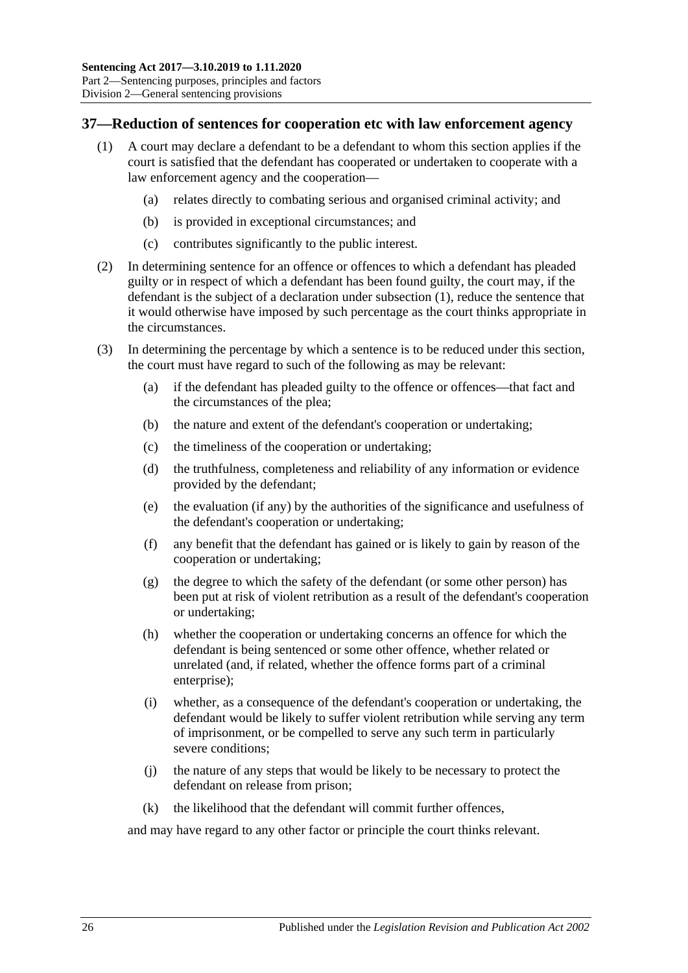#### <span id="page-25-1"></span><span id="page-25-0"></span>**37—Reduction of sentences for cooperation etc with law enforcement agency**

- (1) A court may declare a defendant to be a defendant to whom this section applies if the court is satisfied that the defendant has cooperated or undertaken to cooperate with a law enforcement agency and the cooperation—
	- (a) relates directly to combating serious and organised criminal activity; and
	- (b) is provided in exceptional circumstances; and
	- (c) contributes significantly to the public interest.
- (2) In determining sentence for an offence or offences to which a defendant has pleaded guilty or in respect of which a defendant has been found guilty, the court may, if the defendant is the subject of a declaration under [subsection](#page-25-1) (1), reduce the sentence that it would otherwise have imposed by such percentage as the court thinks appropriate in the circumstances.
- (3) In determining the percentage by which a sentence is to be reduced under this section, the court must have regard to such of the following as may be relevant:
	- (a) if the defendant has pleaded guilty to the offence or offences—that fact and the circumstances of the plea;
	- (b) the nature and extent of the defendant's cooperation or undertaking;
	- (c) the timeliness of the cooperation or undertaking;
	- (d) the truthfulness, completeness and reliability of any information or evidence provided by the defendant;
	- (e) the evaluation (if any) by the authorities of the significance and usefulness of the defendant's cooperation or undertaking;
	- (f) any benefit that the defendant has gained or is likely to gain by reason of the cooperation or undertaking;
	- (g) the degree to which the safety of the defendant (or some other person) has been put at risk of violent retribution as a result of the defendant's cooperation or undertaking;
	- (h) whether the cooperation or undertaking concerns an offence for which the defendant is being sentenced or some other offence, whether related or unrelated (and, if related, whether the offence forms part of a criminal enterprise);
	- (i) whether, as a consequence of the defendant's cooperation or undertaking, the defendant would be likely to suffer violent retribution while serving any term of imprisonment, or be compelled to serve any such term in particularly severe conditions;
	- (j) the nature of any steps that would be likely to be necessary to protect the defendant on release from prison;
	- (k) the likelihood that the defendant will commit further offences,

and may have regard to any other factor or principle the court thinks relevant.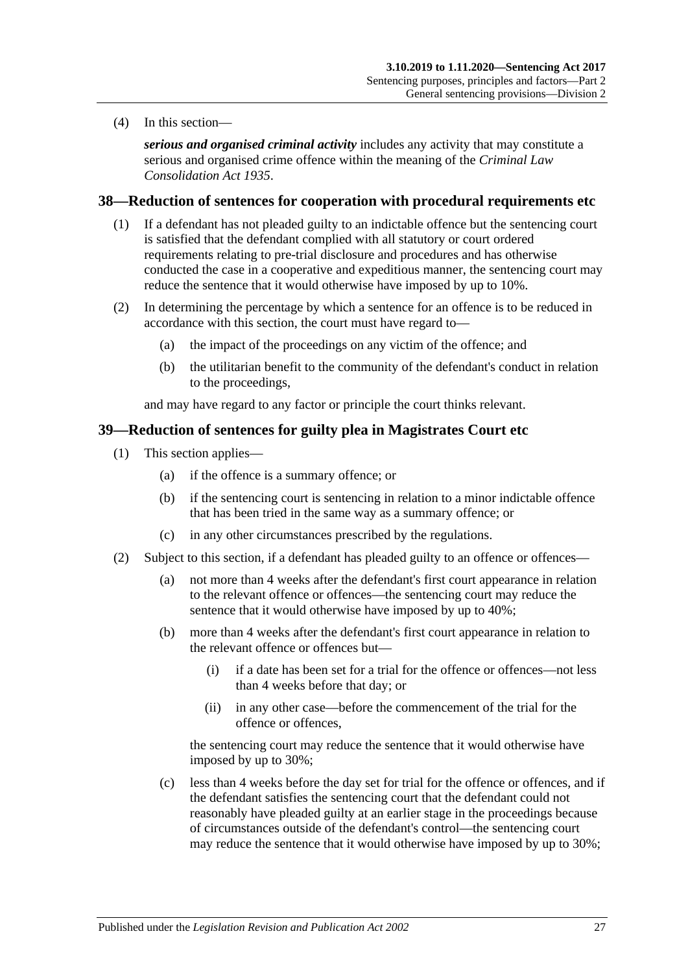(4) In this section—

*serious and organised criminal activity* includes any activity that may constitute a serious and organised crime offence within the meaning of the *[Criminal Law](http://www.legislation.sa.gov.au/index.aspx?action=legref&type=act&legtitle=Criminal%20Law%20Consolidation%20Act%201935)  [Consolidation Act](http://www.legislation.sa.gov.au/index.aspx?action=legref&type=act&legtitle=Criminal%20Law%20Consolidation%20Act%201935) 1935*.

#### <span id="page-26-0"></span>**38—Reduction of sentences for cooperation with procedural requirements etc**

- (1) If a defendant has not pleaded guilty to an indictable offence but the sentencing court is satisfied that the defendant complied with all statutory or court ordered requirements relating to pre-trial disclosure and procedures and has otherwise conducted the case in a cooperative and expeditious manner, the sentencing court may reduce the sentence that it would otherwise have imposed by up to 10%.
- (2) In determining the percentage by which a sentence for an offence is to be reduced in accordance with this section, the court must have regard to—
	- (a) the impact of the proceedings on any victim of the offence; and
	- (b) the utilitarian benefit to the community of the defendant's conduct in relation to the proceedings,

and may have regard to any factor or principle the court thinks relevant.

#### <span id="page-26-3"></span><span id="page-26-1"></span>**39—Reduction of sentences for guilty plea in Magistrates Court etc**

- (1) This section applies—
	- (a) if the offence is a summary offence; or
	- (b) if the sentencing court is sentencing in relation to a minor indictable offence that has been tried in the same way as a summary offence; or
	- (c) in any other circumstances prescribed by the regulations.
- <span id="page-26-2"></span>(2) Subject to this section, if a defendant has pleaded guilty to an offence or offences—
	- (a) not more than 4 weeks after the defendant's first court appearance in relation to the relevant offence or offences—the sentencing court may reduce the sentence that it would otherwise have imposed by up to 40%;
	- (b) more than 4 weeks after the defendant's first court appearance in relation to the relevant offence or offences but—
		- (i) if a date has been set for a trial for the offence or offences—not less than 4 weeks before that day; or
		- (ii) in any other case—before the commencement of the trial for the offence or offences,

the sentencing court may reduce the sentence that it would otherwise have imposed by up to 30%;

(c) less than 4 weeks before the day set for trial for the offence or offences, and if the defendant satisfies the sentencing court that the defendant could not reasonably have pleaded guilty at an earlier stage in the proceedings because of circumstances outside of the defendant's control—the sentencing court may reduce the sentence that it would otherwise have imposed by up to 30%;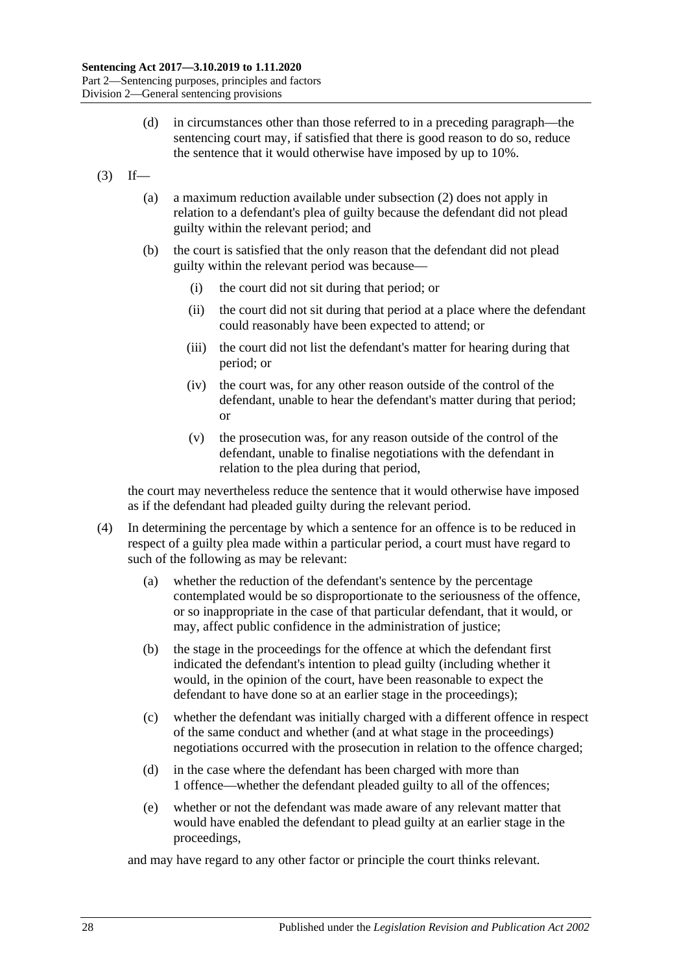- (d) in circumstances other than those referred to in a preceding paragraph—the sentencing court may, if satisfied that there is good reason to do so, reduce the sentence that it would otherwise have imposed by up to 10%.
- $(3)$  If—
	- (a) a maximum reduction available under [subsection](#page-26-2) (2) does not apply in relation to a defendant's plea of guilty because the defendant did not plead guilty within the relevant period; and
	- (b) the court is satisfied that the only reason that the defendant did not plead guilty within the relevant period was because—
		- (i) the court did not sit during that period; or
		- (ii) the court did not sit during that period at a place where the defendant could reasonably have been expected to attend; or
		- (iii) the court did not list the defendant's matter for hearing during that period; or
		- (iv) the court was, for any other reason outside of the control of the defendant, unable to hear the defendant's matter during that period; or
		- (v) the prosecution was, for any reason outside of the control of the defendant, unable to finalise negotiations with the defendant in relation to the plea during that period,

the court may nevertheless reduce the sentence that it would otherwise have imposed as if the defendant had pleaded guilty during the relevant period.

- (4) In determining the percentage by which a sentence for an offence is to be reduced in respect of a guilty plea made within a particular period, a court must have regard to such of the following as may be relevant:
	- (a) whether the reduction of the defendant's sentence by the percentage contemplated would be so disproportionate to the seriousness of the offence, or so inappropriate in the case of that particular defendant, that it would, or may, affect public confidence in the administration of justice;
	- (b) the stage in the proceedings for the offence at which the defendant first indicated the defendant's intention to plead guilty (including whether it would, in the opinion of the court, have been reasonable to expect the defendant to have done so at an earlier stage in the proceedings);
	- (c) whether the defendant was initially charged with a different offence in respect of the same conduct and whether (and at what stage in the proceedings) negotiations occurred with the prosecution in relation to the offence charged;
	- (d) in the case where the defendant has been charged with more than 1 offence—whether the defendant pleaded guilty to all of the offences;
	- (e) whether or not the defendant was made aware of any relevant matter that would have enabled the defendant to plead guilty at an earlier stage in the proceedings,

and may have regard to any other factor or principle the court thinks relevant.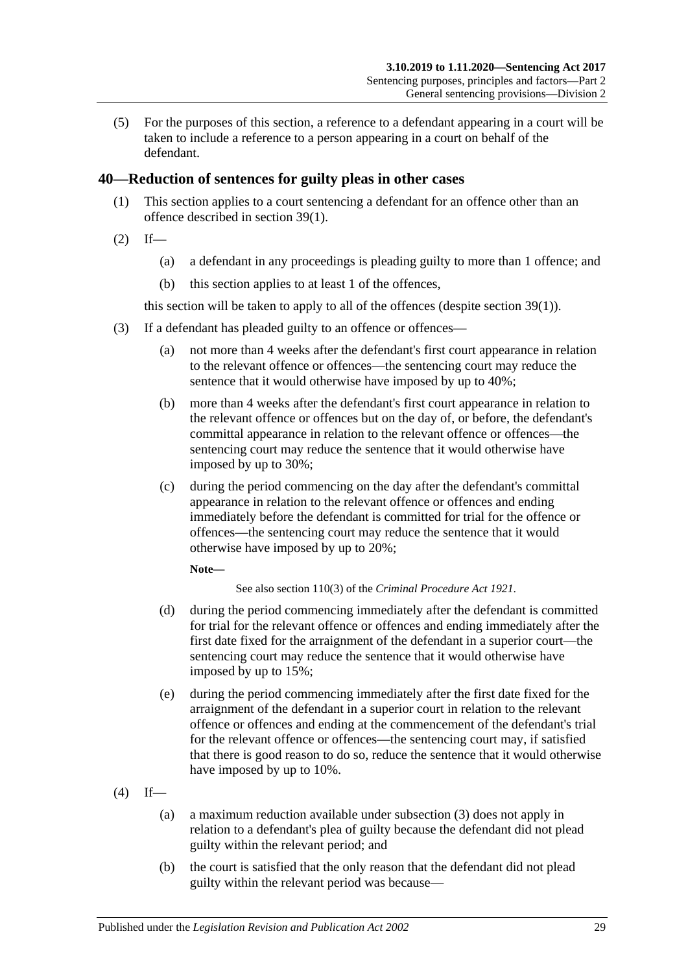(5) For the purposes of this section, a reference to a defendant appearing in a court will be taken to include a reference to a person appearing in a court on behalf of the defendant.

### <span id="page-28-0"></span>**40—Reduction of sentences for guilty pleas in other cases**

- (1) This section applies to a court sentencing a defendant for an offence other than an offence described in [section](#page-26-3) 39(1).
- $(2)$  If—
	- (a) a defendant in any proceedings is pleading guilty to more than 1 offence; and
	- (b) this section applies to at least 1 of the offences,

this section will be taken to apply to all of the offences (despite [section](#page-26-3) 39(1)).

- <span id="page-28-1"></span>(3) If a defendant has pleaded guilty to an offence or offences—
	- (a) not more than 4 weeks after the defendant's first court appearance in relation to the relevant offence or offences—the sentencing court may reduce the sentence that it would otherwise have imposed by up to 40%;
	- (b) more than 4 weeks after the defendant's first court appearance in relation to the relevant offence or offences but on the day of, or before, the defendant's committal appearance in relation to the relevant offence or offences—the sentencing court may reduce the sentence that it would otherwise have imposed by up to 30%;
	- (c) during the period commencing on the day after the defendant's committal appearance in relation to the relevant offence or offences and ending immediately before the defendant is committed for trial for the offence or offences—the sentencing court may reduce the sentence that it would otherwise have imposed by up to 20%;

#### **Note—**

See also section 110(3) of the *[Criminal Procedure Act](http://www.legislation.sa.gov.au/index.aspx?action=legref&type=act&legtitle=Criminal%20Procedure%20Act%201921) 1921*.

- (d) during the period commencing immediately after the defendant is committed for trial for the relevant offence or offences and ending immediately after the first date fixed for the arraignment of the defendant in a superior court—the sentencing court may reduce the sentence that it would otherwise have imposed by up to 15%;
- (e) during the period commencing immediately after the first date fixed for the arraignment of the defendant in a superior court in relation to the relevant offence or offences and ending at the commencement of the defendant's trial for the relevant offence or offences—the sentencing court may, if satisfied that there is good reason to do so, reduce the sentence that it would otherwise have imposed by up to 10%.
- $(4)$  If—
	- (a) a maximum reduction available under [subsection](#page-28-1) (3) does not apply in relation to a defendant's plea of guilty because the defendant did not plead guilty within the relevant period; and
	- (b) the court is satisfied that the only reason that the defendant did not plead guilty within the relevant period was because—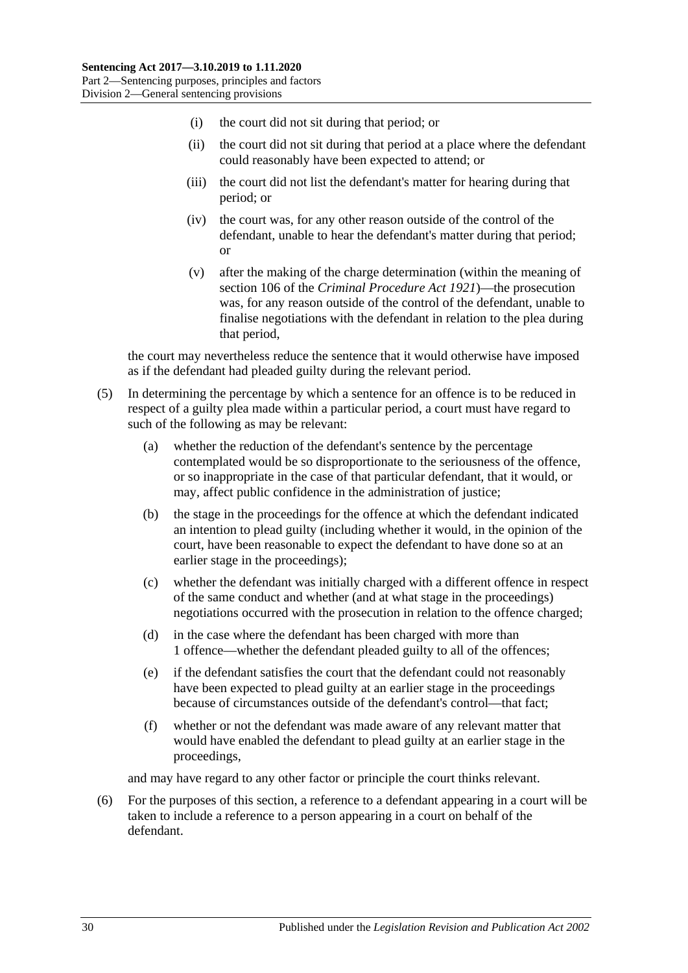- (i) the court did not sit during that period; or
- (ii) the court did not sit during that period at a place where the defendant could reasonably have been expected to attend; or
- (iii) the court did not list the defendant's matter for hearing during that period; or
- (iv) the court was, for any other reason outside of the control of the defendant, unable to hear the defendant's matter during that period; or
- (v) after the making of the charge determination (within the meaning of section 106 of the *[Criminal Procedure Act](http://www.legislation.sa.gov.au/index.aspx?action=legref&type=act&legtitle=Criminal%20Procedure%20Act%201921) 1921*)—the prosecution was, for any reason outside of the control of the defendant, unable to finalise negotiations with the defendant in relation to the plea during that period,

the court may nevertheless reduce the sentence that it would otherwise have imposed as if the defendant had pleaded guilty during the relevant period.

- (5) In determining the percentage by which a sentence for an offence is to be reduced in respect of a guilty plea made within a particular period, a court must have regard to such of the following as may be relevant:
	- (a) whether the reduction of the defendant's sentence by the percentage contemplated would be so disproportionate to the seriousness of the offence, or so inappropriate in the case of that particular defendant, that it would, or may, affect public confidence in the administration of justice;
	- (b) the stage in the proceedings for the offence at which the defendant indicated an intention to plead guilty (including whether it would, in the opinion of the court, have been reasonable to expect the defendant to have done so at an earlier stage in the proceedings);
	- (c) whether the defendant was initially charged with a different offence in respect of the same conduct and whether (and at what stage in the proceedings) negotiations occurred with the prosecution in relation to the offence charged;
	- (d) in the case where the defendant has been charged with more than 1 offence—whether the defendant pleaded guilty to all of the offences;
	- (e) if the defendant satisfies the court that the defendant could not reasonably have been expected to plead guilty at an earlier stage in the proceedings because of circumstances outside of the defendant's control—that fact;
	- (f) whether or not the defendant was made aware of any relevant matter that would have enabled the defendant to plead guilty at an earlier stage in the proceedings,

and may have regard to any other factor or principle the court thinks relevant.

(6) For the purposes of this section, a reference to a defendant appearing in a court will be taken to include a reference to a person appearing in a court on behalf of the defendant.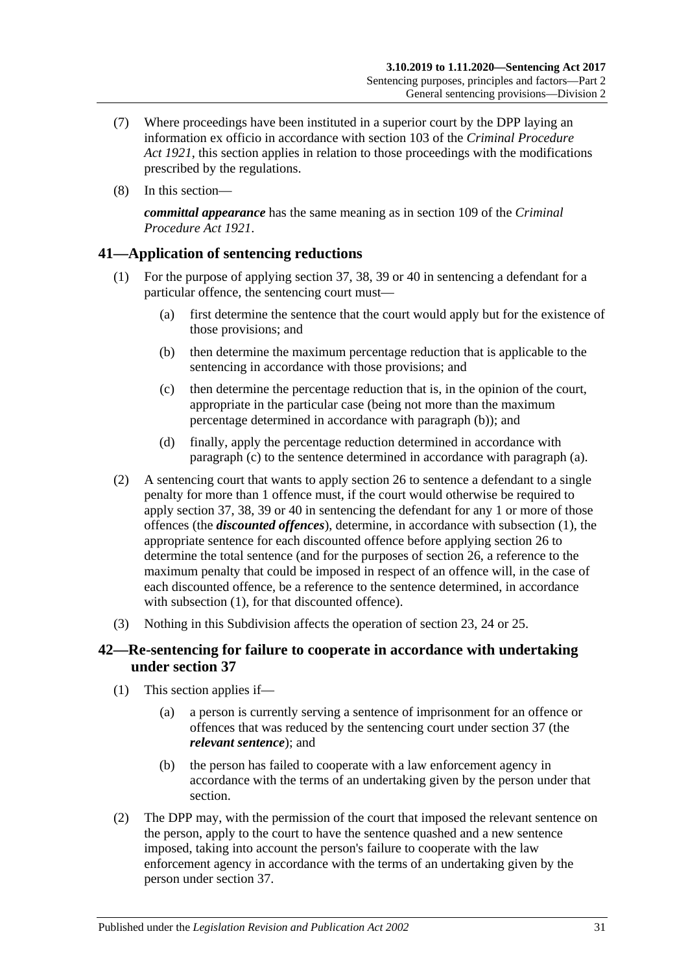- (7) Where proceedings have been instituted in a superior court by the DPP laying an information ex officio in accordance with section 103 of the *[Criminal Procedure](http://www.legislation.sa.gov.au/index.aspx?action=legref&type=act&legtitle=Criminal%20Procedure%20Act%201921)  Act [1921](http://www.legislation.sa.gov.au/index.aspx?action=legref&type=act&legtitle=Criminal%20Procedure%20Act%201921)*, this section applies in relation to those proceedings with the modifications prescribed by the regulations.
- (8) In this section—

*committal appearance* has the same meaning as in section 109 of the *[Criminal](http://www.legislation.sa.gov.au/index.aspx?action=legref&type=act&legtitle=Criminal%20Procedure%20Act%201921)  [Procedure Act](http://www.legislation.sa.gov.au/index.aspx?action=legref&type=act&legtitle=Criminal%20Procedure%20Act%201921) 1921*.

### <span id="page-30-5"></span><span id="page-30-0"></span>**41—Application of sentencing reductions**

- <span id="page-30-4"></span><span id="page-30-2"></span>(1) For the purpose of applying [section](#page-25-0) 37, [38,](#page-26-0) [39](#page-26-1) or [40](#page-28-0) in sentencing a defendant for a particular offence, the sentencing court must—
	- (a) first determine the sentence that the court would apply but for the existence of those provisions; and
	- (b) then determine the maximum percentage reduction that is applicable to the sentencing in accordance with those provisions; and
	- (c) then determine the percentage reduction that is, in the opinion of the court, appropriate in the particular case (being not more than the maximum percentage determined in accordance with [paragraph](#page-30-2) (b)); and
	- (d) finally, apply the percentage reduction determined in accordance with [paragraph](#page-30-3) (c) to the sentence determined in accordance with [paragraph](#page-30-4) (a).
- <span id="page-30-3"></span>(2) A sentencing court that wants to apply [section](#page-20-0) 26 to sentence a defendant to a single penalty for more than 1 offence must, if the court would otherwise be required to apply [section](#page-25-0) 37, [38,](#page-26-0) [39](#page-26-1) or [40](#page-28-0) in sentencing the defendant for any 1 or more of those offences (the *discounted offences*), determine, in accordance with [subsection](#page-30-5) (1), the appropriate sentence for each discounted offence before applying [section](#page-20-0) 26 to determine the total sentence (and for the purposes of [section](#page-20-0) 26, a reference to the maximum penalty that could be imposed in respect of an offence will, in the case of each discounted offence, be a reference to the sentence determined, in accordance with [subsection](#page-30-5) (1), for that discounted offence).
- (3) Nothing in this Subdivision affects the operation of [section 23,](#page-18-1) [24](#page-18-2) or [25.](#page-19-0)

### <span id="page-30-1"></span>**42—Re-sentencing for failure to cooperate in accordance with undertaking under [section](#page-25-0) 37**

- (1) This section applies if—
	- (a) a person is currently serving a sentence of imprisonment for an offence or offences that was reduced by the sentencing court under [section](#page-25-0) 37 (the *relevant sentence*); and
	- (b) the person has failed to cooperate with a law enforcement agency in accordance with the terms of an undertaking given by the person under that section.
- (2) The DPP may, with the permission of the court that imposed the relevant sentence on the person, apply to the court to have the sentence quashed and a new sentence imposed, taking into account the person's failure to cooperate with the law enforcement agency in accordance with the terms of an undertaking given by the person under [section](#page-25-0) 37.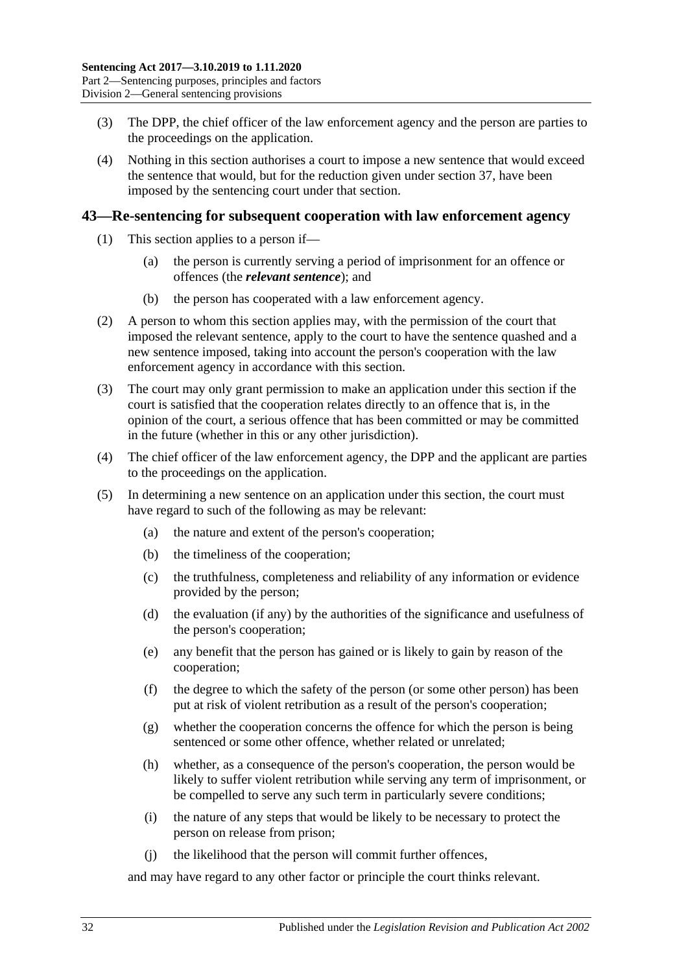- (3) The DPP, the chief officer of the law enforcement agency and the person are parties to the proceedings on the application.
- (4) Nothing in this section authorises a court to impose a new sentence that would exceed the sentence that would, but for the reduction given under [section](#page-25-0) 37, have been imposed by the sentencing court under that section.

#### <span id="page-31-0"></span>**43—Re-sentencing for subsequent cooperation with law enforcement agency**

- (1) This section applies to a person if—
	- (a) the person is currently serving a period of imprisonment for an offence or offences (the *relevant sentence*); and
	- (b) the person has cooperated with a law enforcement agency.
- (2) A person to whom this section applies may, with the permission of the court that imposed the relevant sentence, apply to the court to have the sentence quashed and a new sentence imposed, taking into account the person's cooperation with the law enforcement agency in accordance with this section.
- (3) The court may only grant permission to make an application under this section if the court is satisfied that the cooperation relates directly to an offence that is, in the opinion of the court, a serious offence that has been committed or may be committed in the future (whether in this or any other jurisdiction).
- (4) The chief officer of the law enforcement agency, the DPP and the applicant are parties to the proceedings on the application.
- (5) In determining a new sentence on an application under this section, the court must have regard to such of the following as may be relevant:
	- (a) the nature and extent of the person's cooperation;
	- (b) the timeliness of the cooperation;
	- (c) the truthfulness, completeness and reliability of any information or evidence provided by the person;
	- (d) the evaluation (if any) by the authorities of the significance and usefulness of the person's cooperation;
	- (e) any benefit that the person has gained or is likely to gain by reason of the cooperation;
	- (f) the degree to which the safety of the person (or some other person) has been put at risk of violent retribution as a result of the person's cooperation;
	- (g) whether the cooperation concerns the offence for which the person is being sentenced or some other offence, whether related or unrelated;
	- (h) whether, as a consequence of the person's cooperation, the person would be likely to suffer violent retribution while serving any term of imprisonment, or be compelled to serve any such term in particularly severe conditions;
	- (i) the nature of any steps that would be likely to be necessary to protect the person on release from prison;
	- (j) the likelihood that the person will commit further offences,

and may have regard to any other factor or principle the court thinks relevant.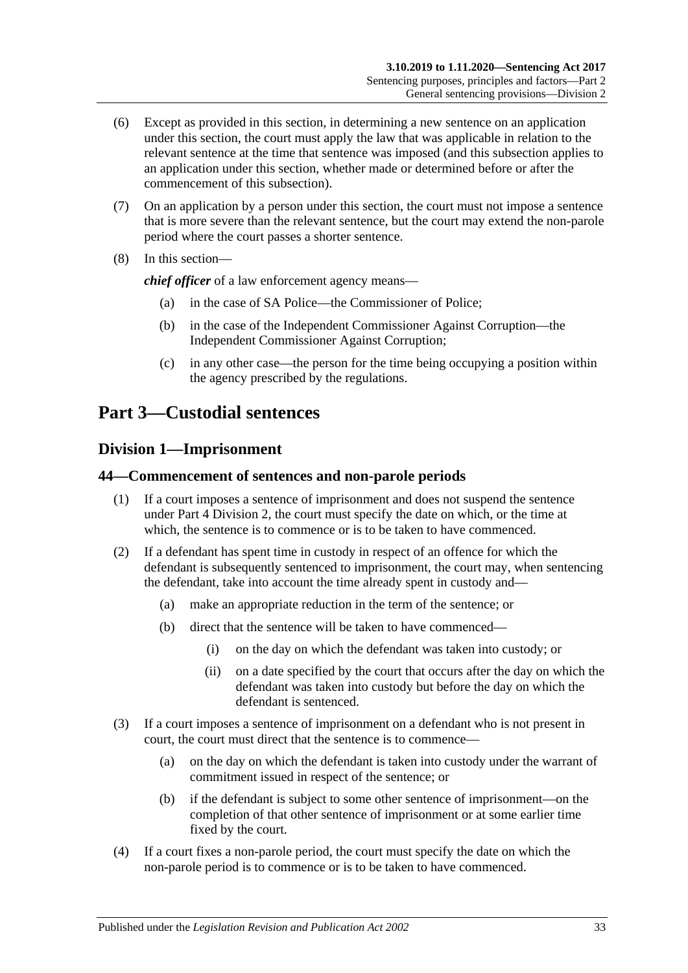- (6) Except as provided in this section, in determining a new sentence on an application under this section, the court must apply the law that was applicable in relation to the relevant sentence at the time that sentence was imposed (and this subsection applies to an application under this section, whether made or determined before or after the commencement of this subsection).
- (7) On an application by a person under this section, the court must not impose a sentence that is more severe than the relevant sentence, but the court may extend the non-parole period where the court passes a shorter sentence.
- (8) In this section—

*chief officer* of a law enforcement agency means—

- (a) in the case of SA Police—the Commissioner of Police;
- (b) in the case of the Independent Commissioner Against Corruption—the Independent Commissioner Against Corruption;
- (c) in any other case—the person for the time being occupying a position within the agency prescribed by the regulations.

## <span id="page-32-0"></span>**Part 3—Custodial sentences**

### <span id="page-32-1"></span>**Division 1—Imprisonment**

#### <span id="page-32-2"></span>**44—Commencement of sentences and non-parole periods**

- (1) If a court imposes a sentence of imprisonment and does not suspend the sentence under Part [4 Division](#page-77-0) 2, the court must specify the date on which, or the time at which, the sentence is to commence or is to be taken to have commenced.
- (2) If a defendant has spent time in custody in respect of an offence for which the defendant is subsequently sentenced to imprisonment, the court may, when sentencing the defendant, take into account the time already spent in custody and—
	- (a) make an appropriate reduction in the term of the sentence; or
	- (b) direct that the sentence will be taken to have commenced—
		- (i) on the day on which the defendant was taken into custody; or
		- (ii) on a date specified by the court that occurs after the day on which the defendant was taken into custody but before the day on which the defendant is sentenced.
- (3) If a court imposes a sentence of imprisonment on a defendant who is not present in court, the court must direct that the sentence is to commence—
	- (a) on the day on which the defendant is taken into custody under the warrant of commitment issued in respect of the sentence; or
	- (b) if the defendant is subject to some other sentence of imprisonment—on the completion of that other sentence of imprisonment or at some earlier time fixed by the court.
- (4) If a court fixes a non-parole period, the court must specify the date on which the non-parole period is to commence or is to be taken to have commenced.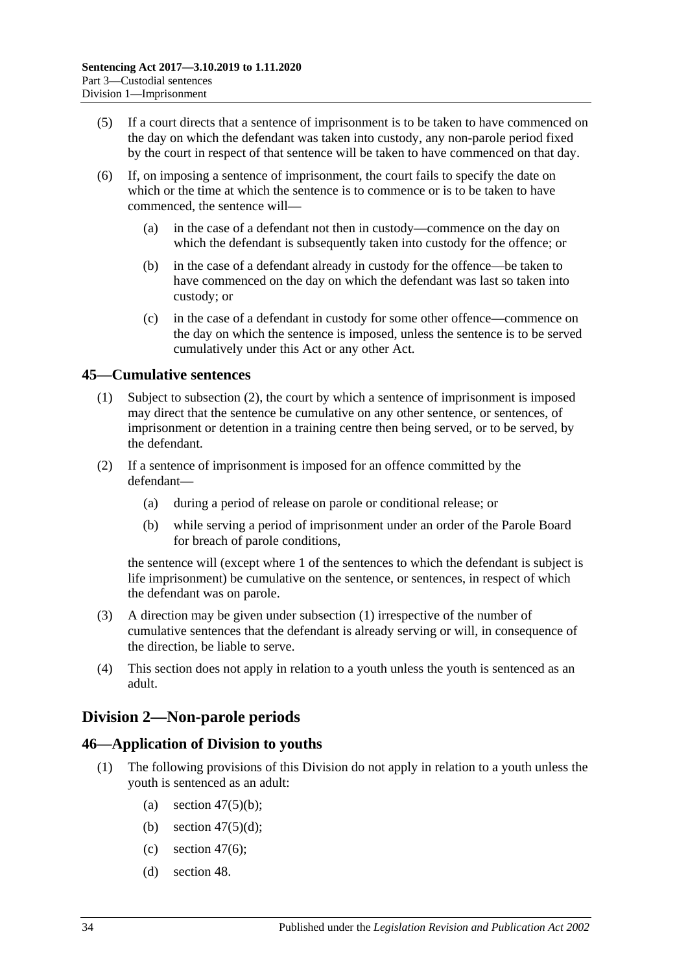- (5) If a court directs that a sentence of imprisonment is to be taken to have commenced on the day on which the defendant was taken into custody, any non-parole period fixed by the court in respect of that sentence will be taken to have commenced on that day.
- (6) If, on imposing a sentence of imprisonment, the court fails to specify the date on which or the time at which the sentence is to commence or is to be taken to have commenced, the sentence will—
	- (a) in the case of a defendant not then in custody—commence on the day on which the defendant is subsequently taken into custody for the offence; or
	- (b) in the case of a defendant already in custody for the offence—be taken to have commenced on the day on which the defendant was last so taken into custody; or
	- (c) in the case of a defendant in custody for some other offence—commence on the day on which the sentence is imposed, unless the sentence is to be served cumulatively under this Act or any other Act.

### <span id="page-33-4"></span><span id="page-33-0"></span>**45—Cumulative sentences**

- (1) Subject to [subsection](#page-33-3) (2), the court by which a sentence of imprisonment is imposed may direct that the sentence be cumulative on any other sentence, or sentences, of imprisonment or detention in a training centre then being served, or to be served, by the defendant.
- <span id="page-33-3"></span>(2) If a sentence of imprisonment is imposed for an offence committed by the defendant—
	- (a) during a period of release on parole or conditional release; or
	- (b) while serving a period of imprisonment under an order of the Parole Board for breach of parole conditions,

the sentence will (except where 1 of the sentences to which the defendant is subject is life imprisonment) be cumulative on the sentence, or sentences, in respect of which the defendant was on parole.

- (3) A direction may be given under [subsection](#page-33-4) (1) irrespective of the number of cumulative sentences that the defendant is already serving or will, in consequence of the direction, be liable to serve.
- (4) This section does not apply in relation to a youth unless the youth is sentenced as an adult.

## <span id="page-33-1"></span>**Division 2—Non-parole periods**

### <span id="page-33-2"></span>**46—Application of Division to youths**

- (1) The following provisions of this Division do not apply in relation to a youth unless the youth is sentenced as an adult:
	- (a) section  $47(5)(b)$ ;
	- (b) section  $47(5)(d)$ ;
	- (c) [section](#page-35-1)  $47(6)$ ;
	- (d) [section](#page-37-0) 48.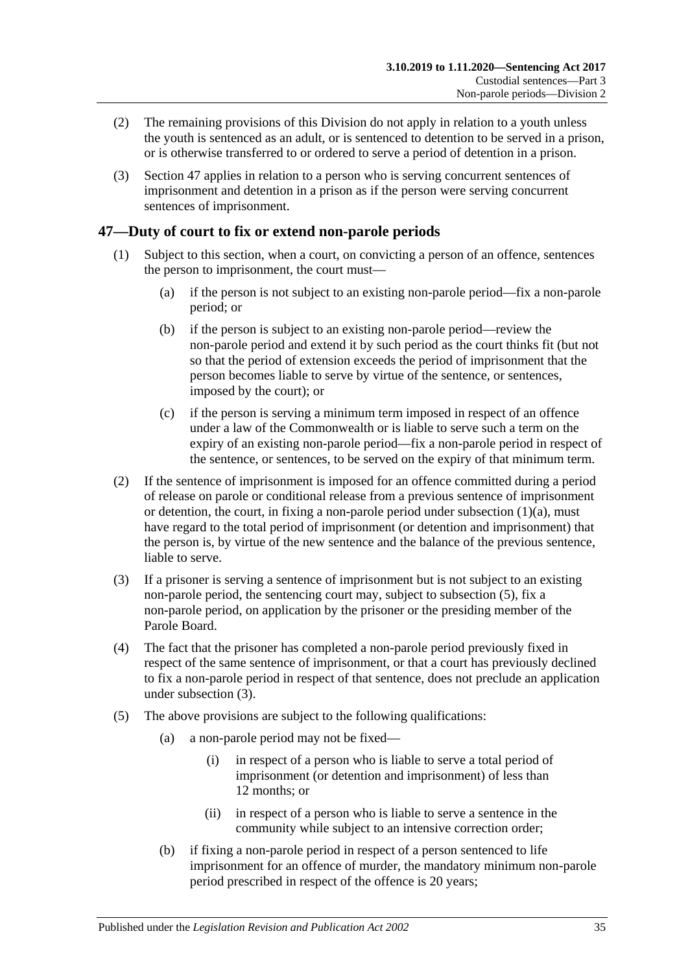- (2) The remaining provisions of this Division do not apply in relation to a youth unless the youth is sentenced as an adult, or is sentenced to detention to be served in a prison, or is otherwise transferred to or ordered to serve a period of detention in a prison.
- (3) [Section](#page-34-0) 47 applies in relation to a person who is serving concurrent sentences of imprisonment and detention in a prison as if the person were serving concurrent sentences of imprisonment.

## <span id="page-34-0"></span>**47—Duty of court to fix or extend non-parole periods**

- <span id="page-34-2"></span>(1) Subject to this section, when a court, on convicting a person of an offence, sentences the person to imprisonment, the court must—
	- (a) if the person is not subject to an existing non-parole period—fix a non-parole period; or
	- (b) if the person is subject to an existing non-parole period—review the non-parole period and extend it by such period as the court thinks fit (but not so that the period of extension exceeds the period of imprisonment that the person becomes liable to serve by virtue of the sentence, or sentences, imposed by the court); or
	- (c) if the person is serving a minimum term imposed in respect of an offence under a law of the Commonwealth or is liable to serve such a term on the expiry of an existing non-parole period—fix a non-parole period in respect of the sentence, or sentences, to be served on the expiry of that minimum term.
- (2) If the sentence of imprisonment is imposed for an offence committed during a period of release on parole or conditional release from a previous sentence of imprisonment or detention, the court, in fixing a non-parole period under [subsection](#page-34-2)  $(1)(a)$ , must have regard to the total period of imprisonment (or detention and imprisonment) that the person is, by virtue of the new sentence and the balance of the previous sentence, liable to serve.
- <span id="page-34-4"></span>(3) If a prisoner is serving a sentence of imprisonment but is not subject to an existing non-parole period, the sentencing court may, subject to [subsection](#page-34-3) (5), fix a non-parole period, on application by the prisoner or the presiding member of the Parole Board.
- (4) The fact that the prisoner has completed a non-parole period previously fixed in respect of the same sentence of imprisonment, or that a court has previously declined to fix a non-parole period in respect of that sentence, does not preclude an application under [subsection](#page-34-4) (3).
- <span id="page-34-3"></span><span id="page-34-1"></span>(5) The above provisions are subject to the following qualifications:
	- (a) a non-parole period may not be fixed—
		- (i) in respect of a person who is liable to serve a total period of imprisonment (or detention and imprisonment) of less than 12 months; or
		- (ii) in respect of a person who is liable to serve a sentence in the community while subject to an intensive correction order;
	- (b) if fixing a non-parole period in respect of a person sentenced to life imprisonment for an offence of murder, the mandatory minimum non-parole period prescribed in respect of the offence is 20 years;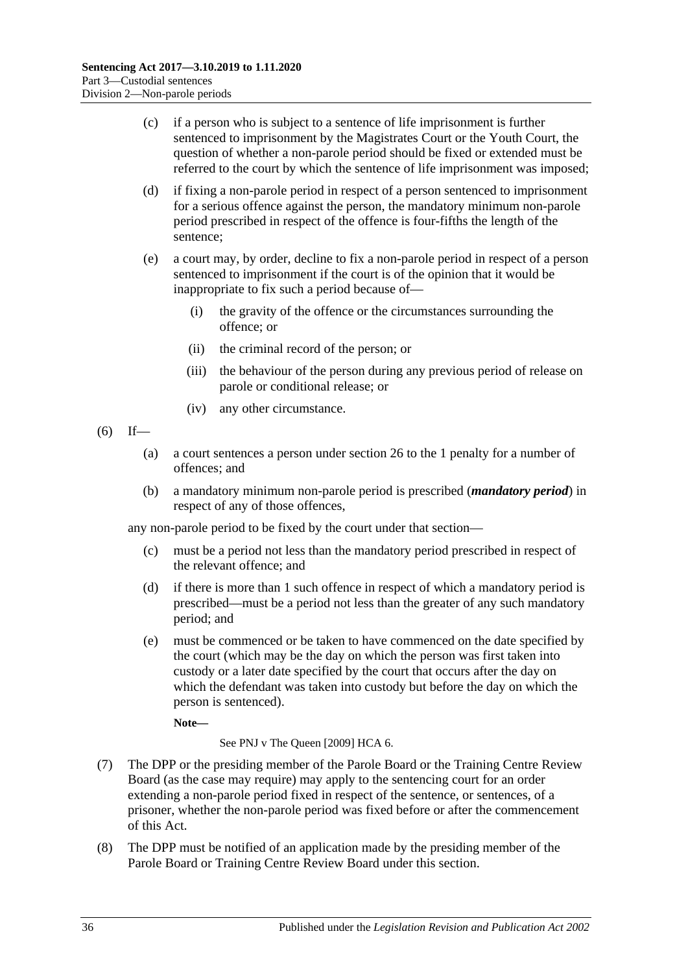- (c) if a person who is subject to a sentence of life imprisonment is further sentenced to imprisonment by the Magistrates Court or the Youth Court, the question of whether a non-parole period should be fixed or extended must be referred to the court by which the sentence of life imprisonment was imposed;
- <span id="page-35-0"></span>(d) if fixing a non-parole period in respect of a person sentenced to imprisonment for a serious offence against the person, the mandatory minimum non-parole period prescribed in respect of the offence is four-fifths the length of the sentence;
- (e) a court may, by order, decline to fix a non-parole period in respect of a person sentenced to imprisonment if the court is of the opinion that it would be inappropriate to fix such a period because of—
	- (i) the gravity of the offence or the circumstances surrounding the offence; or
	- (ii) the criminal record of the person; or
	- (iii) the behaviour of the person during any previous period of release on parole or conditional release; or
	- (iv) any other circumstance.
- <span id="page-35-1"></span> $(6)$  If—
	- (a) a court sentences a person under [section](#page-20-0) 26 to the 1 penalty for a number of offences; and
	- (b) a mandatory minimum non-parole period is prescribed (*mandatory period*) in respect of any of those offences,

any non-parole period to be fixed by the court under that section—

- (c) must be a period not less than the mandatory period prescribed in respect of the relevant offence; and
- (d) if there is more than 1 such offence in respect of which a mandatory period is prescribed—must be a period not less than the greater of any such mandatory period; and
- (e) must be commenced or be taken to have commenced on the date specified by the court (which may be the day on which the person was first taken into custody or a later date specified by the court that occurs after the day on which the defendant was taken into custody but before the day on which the person is sentenced).

**Note—**

See PNJ v The Queen [2009] HCA 6.

- (7) The DPP or the presiding member of the Parole Board or the Training Centre Review Board (as the case may require) may apply to the sentencing court for an order extending a non-parole period fixed in respect of the sentence, or sentences, of a prisoner, whether the non-parole period was fixed before or after the commencement of this Act.
- (8) The DPP must be notified of an application made by the presiding member of the Parole Board or Training Centre Review Board under this section.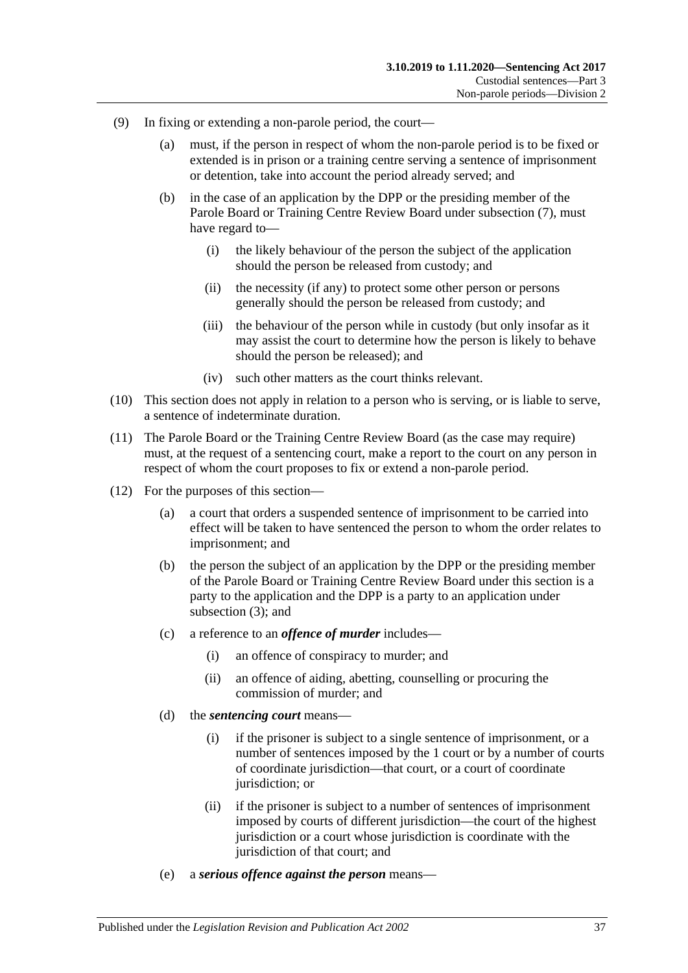- (9) In fixing or extending a non-parole period, the court—
	- (a) must, if the person in respect of whom the non-parole period is to be fixed or extended is in prison or a training centre serving a sentence of imprisonment or detention, take into account the period already served; and
	- (b) in the case of an application by the DPP or the presiding member of the Parole Board or Training Centre Review Board under [subsection](#page-35-0) (7), must have regard to—
		- (i) the likely behaviour of the person the subject of the application should the person be released from custody; and
		- (ii) the necessity (if any) to protect some other person or persons generally should the person be released from custody; and
		- (iii) the behaviour of the person while in custody (but only insofar as it may assist the court to determine how the person is likely to behave should the person be released); and
		- (iv) such other matters as the court thinks relevant.
- (10) This section does not apply in relation to a person who is serving, or is liable to serve, a sentence of indeterminate duration.
- (11) The Parole Board or the Training Centre Review Board (as the case may require) must, at the request of a sentencing court, make a report to the court on any person in respect of whom the court proposes to fix or extend a non-parole period.
- (12) For the purposes of this section—
	- (a) a court that orders a suspended sentence of imprisonment to be carried into effect will be taken to have sentenced the person to whom the order relates to imprisonment; and
	- (b) the person the subject of an application by the DPP or the presiding member of the Parole Board or Training Centre Review Board under this section is a party to the application and the DPP is a party to an application under [subsection](#page-34-0) (3); and
	- (c) a reference to an *offence of murder* includes—
		- (i) an offence of conspiracy to murder; and
		- (ii) an offence of aiding, abetting, counselling or procuring the commission of murder; and
	- (d) the *sentencing court* means—
		- (i) if the prisoner is subject to a single sentence of imprisonment, or a number of sentences imposed by the 1 court or by a number of courts of coordinate jurisdiction—that court, or a court of coordinate jurisdiction; or
		- (ii) if the prisoner is subject to a number of sentences of imprisonment imposed by courts of different jurisdiction—the court of the highest jurisdiction or a court whose jurisdiction is coordinate with the jurisdiction of that court; and
	- (e) a *serious offence against the person* means—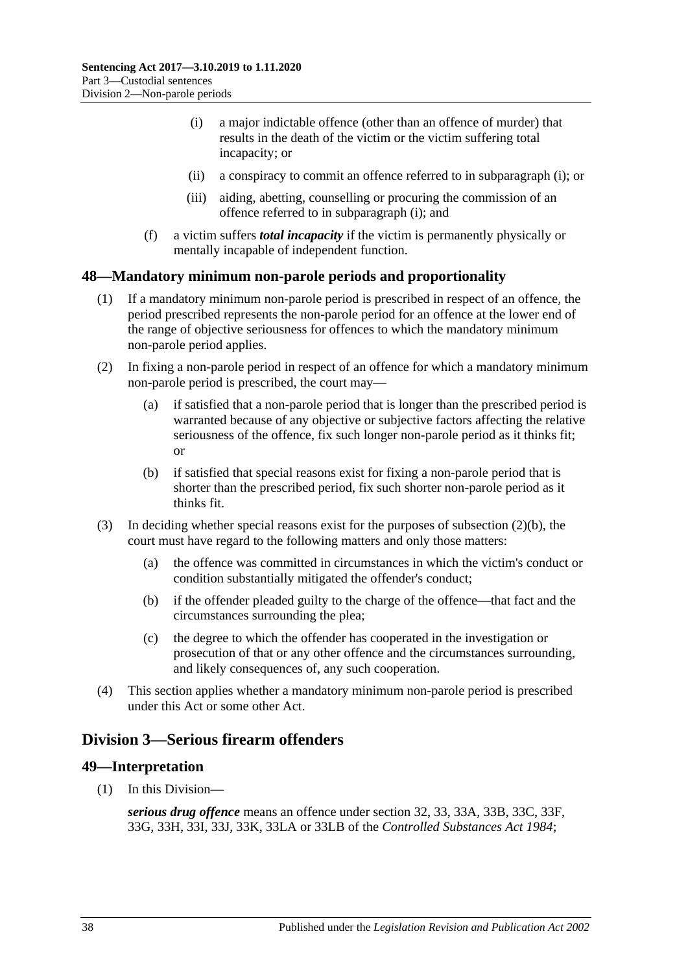- <span id="page-37-0"></span>(i) a major indictable offence (other than an offence of murder) that results in the death of the victim or the victim suffering total incapacity; or
- (ii) a conspiracy to commit an offence referred to in [subparagraph](#page-37-0) (i); or
- (iii) aiding, abetting, counselling or procuring the commission of an offence referred to in [subparagraph](#page-37-0) (i); and
- (f) a victim suffers *total incapacity* if the victim is permanently physically or mentally incapable of independent function.

# **48—Mandatory minimum non-parole periods and proportionality**

- (1) If a mandatory minimum non-parole period is prescribed in respect of an offence, the period prescribed represents the non-parole period for an offence at the lower end of the range of objective seriousness for offences to which the mandatory minimum non-parole period applies.
- (2) In fixing a non-parole period in respect of an offence for which a mandatory minimum non-parole period is prescribed, the court may—
	- (a) if satisfied that a non-parole period that is longer than the prescribed period is warranted because of any objective or subjective factors affecting the relative seriousness of the offence, fix such longer non-parole period as it thinks fit; or
	- (b) if satisfied that special reasons exist for fixing a non-parole period that is shorter than the prescribed period, fix such shorter non-parole period as it thinks fit.
- <span id="page-37-1"></span>(3) In deciding whether special reasons exist for the purposes of [subsection](#page-37-1)  $(2)(b)$ , the court must have regard to the following matters and only those matters:
	- (a) the offence was committed in circumstances in which the victim's conduct or condition substantially mitigated the offender's conduct;
	- (b) if the offender pleaded guilty to the charge of the offence—that fact and the circumstances surrounding the plea;
	- (c) the degree to which the offender has cooperated in the investigation or prosecution of that or any other offence and the circumstances surrounding, and likely consequences of, any such cooperation.
- (4) This section applies whether a mandatory minimum non-parole period is prescribed under this Act or some other Act.

# <span id="page-37-2"></span>**Division 3—Serious firearm offenders**

# **49—Interpretation**

(1) In this Division—

*serious drug offence* means an offence under section 32, 33, 33A, 33B, 33C, 33F, 33G, 33H, 33I, 33J, 33K, 33LA or 33LB of the *[Controlled Substances Act](http://www.legislation.sa.gov.au/index.aspx?action=legref&type=act&legtitle=Controlled%20Substances%20Act%201984) 1984*;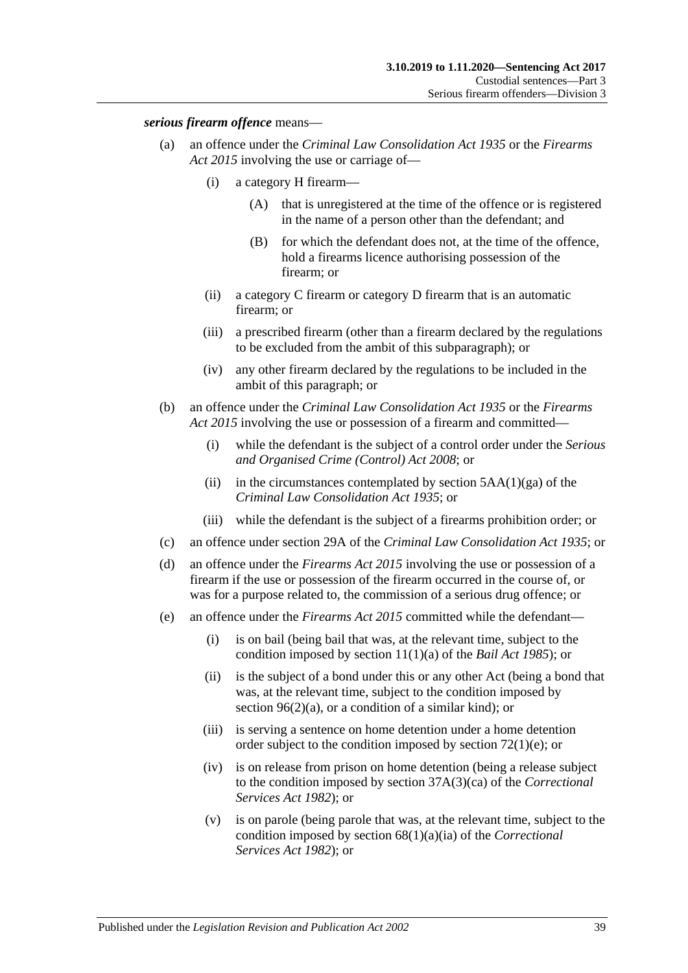### *serious firearm offence* means—

- (a) an offence under the *[Criminal Law Consolidation Act](http://www.legislation.sa.gov.au/index.aspx?action=legref&type=act&legtitle=Criminal%20Law%20Consolidation%20Act%201935) 1935* or the *[Firearms](http://www.legislation.sa.gov.au/index.aspx?action=legref&type=act&legtitle=Firearms%20Act%202015)  Act [2015](http://www.legislation.sa.gov.au/index.aspx?action=legref&type=act&legtitle=Firearms%20Act%202015)* involving the use or carriage of—
	- (i) a category H firearm—
		- (A) that is unregistered at the time of the offence or is registered in the name of a person other than the defendant; and
		- (B) for which the defendant does not, at the time of the offence, hold a firearms licence authorising possession of the firearm; or
	- (ii) a category C firearm or category D firearm that is an automatic firearm; or
	- (iii) a prescribed firearm (other than a firearm declared by the regulations to be excluded from the ambit of this subparagraph); or
	- (iv) any other firearm declared by the regulations to be included in the ambit of this paragraph; or
- (b) an offence under the *[Criminal Law Consolidation Act](http://www.legislation.sa.gov.au/index.aspx?action=legref&type=act&legtitle=Criminal%20Law%20Consolidation%20Act%201935) 1935* or the *[Firearms](http://www.legislation.sa.gov.au/index.aspx?action=legref&type=act&legtitle=Firearms%20Act%202015)  Act [2015](http://www.legislation.sa.gov.au/index.aspx?action=legref&type=act&legtitle=Firearms%20Act%202015)* involving the use or possession of a firearm and committed—
	- (i) while the defendant is the subject of a control order under the *[Serious](http://www.legislation.sa.gov.au/index.aspx?action=legref&type=act&legtitle=Serious%20and%20Organised%20Crime%20(Control)%20Act%202008)  [and Organised Crime \(Control\) Act](http://www.legislation.sa.gov.au/index.aspx?action=legref&type=act&legtitle=Serious%20and%20Organised%20Crime%20(Control)%20Act%202008) 2008*; or
	- (ii) in the circumstances contemplated by section  $5AA(1)(ga)$  of the *[Criminal Law Consolidation Act](http://www.legislation.sa.gov.au/index.aspx?action=legref&type=act&legtitle=Criminal%20Law%20Consolidation%20Act%201935) 1935*; or
	- (iii) while the defendant is the subject of a firearms prohibition order; or
- (c) an offence under section 29A of the *[Criminal Law Consolidation Act](http://www.legislation.sa.gov.au/index.aspx?action=legref&type=act&legtitle=Criminal%20Law%20Consolidation%20Act%201935) 1935*; or
- (d) an offence under the *[Firearms Act](http://www.legislation.sa.gov.au/index.aspx?action=legref&type=act&legtitle=Firearms%20Act%202015) 2015* involving the use or possession of a firearm if the use or possession of the firearm occurred in the course of, or was for a purpose related to, the commission of a serious drug offence; or
- (e) an offence under the *[Firearms Act](http://www.legislation.sa.gov.au/index.aspx?action=legref&type=act&legtitle=Firearms%20Act%202015) 2015* committed while the defendant—
	- (i) is on bail (being bail that was, at the relevant time, subject to the condition imposed by section 11(1)(a) of the *[Bail Act](http://www.legislation.sa.gov.au/index.aspx?action=legref&type=act&legtitle=Bail%20Act%201985) 1985*); or
	- (ii) is the subject of a bond under this or any other Act (being a bond that was, at the relevant time, subject to the condition imposed by section [96\(2\)\(a\),](#page-77-0) or a condition of a similar kind); or
	- (iii) is serving a sentence on home detention under a home detention order subject to the condition imposed by section [72\(1\)\(e\);](#page-59-0) or
	- (iv) is on release from prison on home detention (being a release subject to the condition imposed by section 37A(3)(ca) of the *[Correctional](http://www.legislation.sa.gov.au/index.aspx?action=legref&type=act&legtitle=Correctional%20Services%20Act%201982)  [Services Act](http://www.legislation.sa.gov.au/index.aspx?action=legref&type=act&legtitle=Correctional%20Services%20Act%201982) 1982*); or
	- (v) is on parole (being parole that was, at the relevant time, subject to the condition imposed by section 68(1)(a)(ia) of the *[Correctional](http://www.legislation.sa.gov.au/index.aspx?action=legref&type=act&legtitle=Correctional%20Services%20Act%201982)  [Services Act](http://www.legislation.sa.gov.au/index.aspx?action=legref&type=act&legtitle=Correctional%20Services%20Act%201982) 1982*); or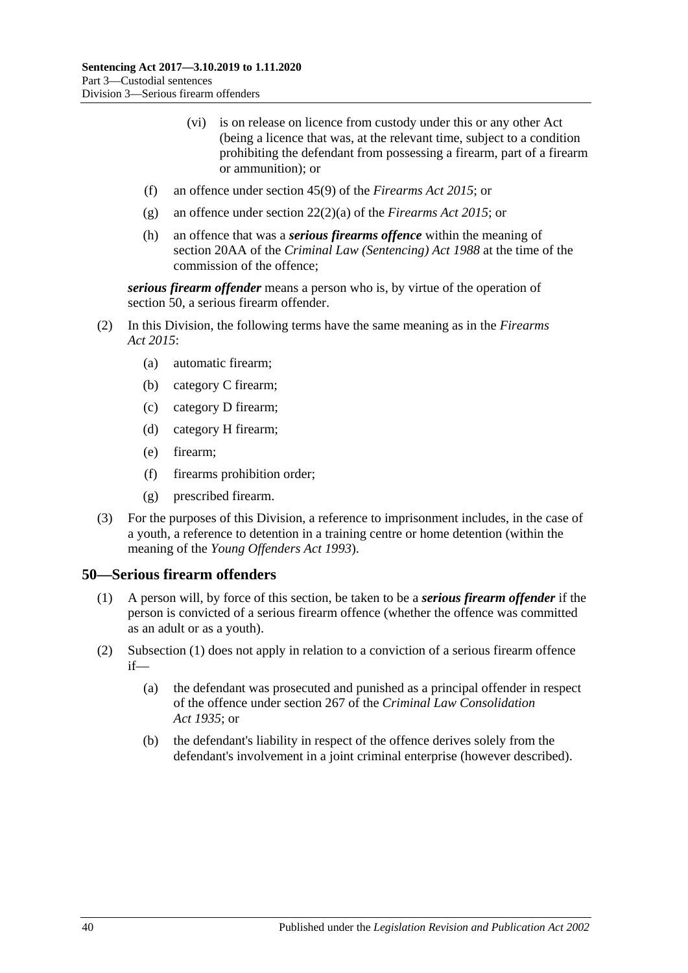- (vi) is on release on licence from custody under this or any other Act (being a licence that was, at the relevant time, subject to a condition prohibiting the defendant from possessing a firearm, part of a firearm or ammunition); or
- (f) an offence under section 45(9) of the *[Firearms Act](http://www.legislation.sa.gov.au/index.aspx?action=legref&type=act&legtitle=Firearms%20Act%202015) 2015*; or
- (g) an offence under section 22(2)(a) of the *[Firearms Act](http://www.legislation.sa.gov.au/index.aspx?action=legref&type=act&legtitle=Firearms%20Act%202015) 2015*; or
- (h) an offence that was a *serious firearms offence* within the meaning of section 20AA of the *[Criminal Law \(Sentencing\) Act](http://www.legislation.sa.gov.au/index.aspx?action=legref&type=act&legtitle=Criminal%20Law%20(Sentencing)%20Act%201988) 1988* at the time of the commission of the offence;

*serious firearm offender* means a person who is, by virtue of the operation of [section](#page-39-0) 50, a serious firearm offender.

- (2) In this Division, the following terms have the same meaning as in the *[Firearms](http://www.legislation.sa.gov.au/index.aspx?action=legref&type=act&legtitle=Firearms%20Act%202015)  Act [2015](http://www.legislation.sa.gov.au/index.aspx?action=legref&type=act&legtitle=Firearms%20Act%202015)*:
	- (a) automatic firearm;
	- (b) category C firearm;
	- (c) category D firearm;
	- (d) category H firearm;
	- (e) firearm;
	- (f) firearms prohibition order;
	- (g) prescribed firearm.
- (3) For the purposes of this Division, a reference to imprisonment includes, in the case of a youth, a reference to detention in a training centre or home detention (within the meaning of the *[Young Offenders Act](http://www.legislation.sa.gov.au/index.aspx?action=legref&type=act&legtitle=Young%20Offenders%20Act%201993) 1993*).

### <span id="page-39-1"></span><span id="page-39-0"></span>**50—Serious firearm offenders**

- (1) A person will, by force of this section, be taken to be a *serious firearm offender* if the person is convicted of a serious firearm offence (whether the offence was committed as an adult or as a youth).
- (2) [Subsection](#page-39-1) (1) does not apply in relation to a conviction of a serious firearm offence if—
	- (a) the defendant was prosecuted and punished as a principal offender in respect of the offence under section 267 of the *[Criminal Law Consolidation](http://www.legislation.sa.gov.au/index.aspx?action=legref&type=act&legtitle=Criminal%20Law%20Consolidation%20Act%201935)  Act [1935](http://www.legislation.sa.gov.au/index.aspx?action=legref&type=act&legtitle=Criminal%20Law%20Consolidation%20Act%201935)*; or
	- (b) the defendant's liability in respect of the offence derives solely from the defendant's involvement in a joint criminal enterprise (however described).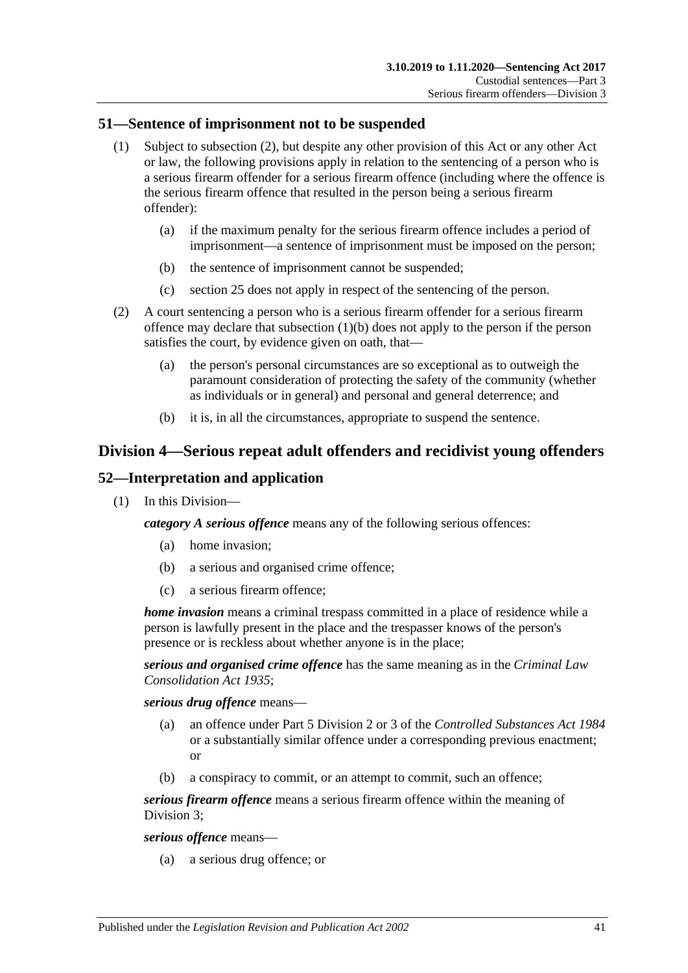### **51—Sentence of imprisonment not to be suspended**

- (1) Subject to [subsection](#page-40-0) (2), but despite any other provision of this Act or any other Act or law, the following provisions apply in relation to the sentencing of a person who is a serious firearm offender for a serious firearm offence (including where the offence is the serious firearm offence that resulted in the person being a serious firearm offender):
	- (a) if the maximum penalty for the serious firearm offence includes a period of imprisonment—a sentence of imprisonment must be imposed on the person;
	- (b) the sentence of imprisonment cannot be suspended;
	- (c) [section](#page-19-0) 25 does not apply in respect of the sentencing of the person.
- <span id="page-40-1"></span><span id="page-40-0"></span>(2) A court sentencing a person who is a serious firearm offender for a serious firearm offence may declare that [subsection](#page-40-1) (1)(b) does not apply to the person if the person satisfies the court, by evidence given on oath, that—
	- (a) the person's personal circumstances are so exceptional as to outweigh the paramount consideration of protecting the safety of the community (whether as individuals or in general) and personal and general deterrence; and
	- (b) it is, in all the circumstances, appropriate to suspend the sentence.

# **Division 4—Serious repeat adult offenders and recidivist young offenders**

# **52—Interpretation and application**

(1) In this Division—

*category A serious offence* means any of the following serious offences:

- (a) home invasion;
- (b) a serious and organised crime offence;
- (c) a serious firearm offence;

*home invasion* means a criminal trespass committed in a place of residence while a person is lawfully present in the place and the trespasser knows of the person's presence or is reckless about whether anyone is in the place;

*serious and organised crime offence* has the same meaning as in the *[Criminal Law](http://www.legislation.sa.gov.au/index.aspx?action=legref&type=act&legtitle=Criminal%20Law%20Consolidation%20Act%201935)  [Consolidation Act](http://www.legislation.sa.gov.au/index.aspx?action=legref&type=act&legtitle=Criminal%20Law%20Consolidation%20Act%201935) 1935*;

*serious drug offence* means—

- (a) an offence under Part 5 Division 2 or 3 of the *[Controlled Substances Act](http://www.legislation.sa.gov.au/index.aspx?action=legref&type=act&legtitle=Controlled%20Substances%20Act%201984) 1984* or a substantially similar offence under a corresponding previous enactment; or
- (b) a conspiracy to commit, or an attempt to commit, such an offence;

*serious firearm offence* means a serious firearm offence within the meaning of [Division](#page-37-2) 3;

*serious offence* means—

(a) a serious drug offence; or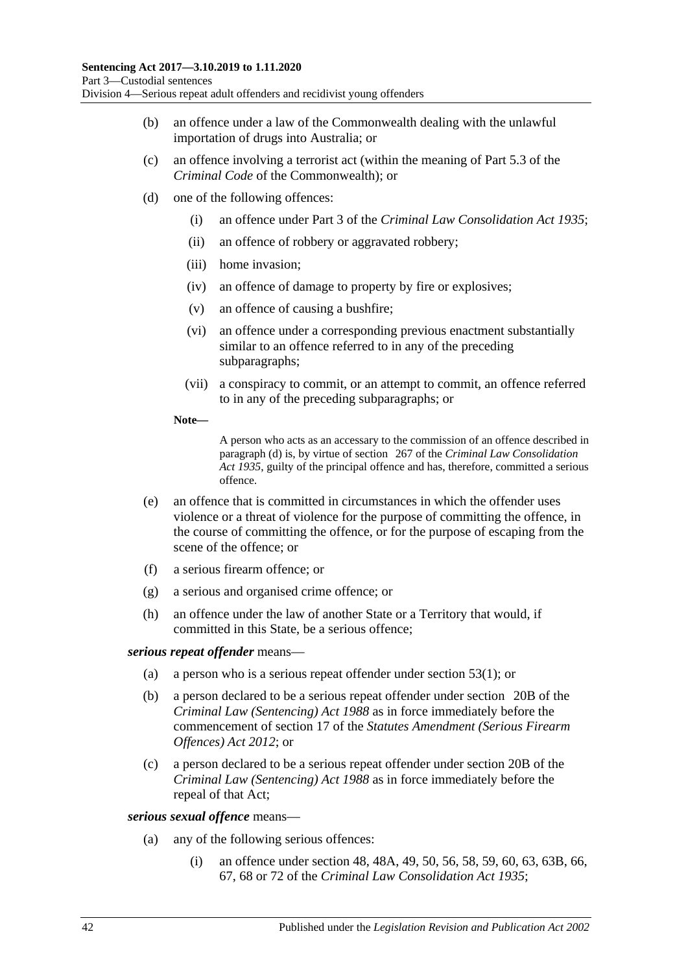- (b) an offence under a law of the Commonwealth dealing with the unlawful importation of drugs into Australia; or
- (c) an offence involving a terrorist act (within the meaning of Part 5.3 of the *Criminal Code* of the Commonwealth); or
- <span id="page-41-0"></span>(d) one of the following offences:
	- (i) an offence under Part 3 of the *[Criminal Law Consolidation Act](http://www.legislation.sa.gov.au/index.aspx?action=legref&type=act&legtitle=Criminal%20Law%20Consolidation%20Act%201935) 1935*;
	- (ii) an offence of robbery or aggravated robbery;
	- (iii) home invasion;
	- (iv) an offence of damage to property by fire or explosives;
	- (v) an offence of causing a bushfire;
	- (vi) an offence under a corresponding previous enactment substantially similar to an offence referred to in any of the preceding subparagraphs;
	- (vii) a conspiracy to commit, or an attempt to commit, an offence referred to in any of the preceding subparagraphs; or
	- **Note—**

A person who acts as an accessary to the commission of an offence described in [paragraph](#page-41-0) (d) is, by virtue of section 267 of the *[Criminal Law Consolidation](http://www.legislation.sa.gov.au/index.aspx?action=legref&type=act&legtitle=Criminal%20Law%20Consolidation%20Act%201935)  Act [1935](http://www.legislation.sa.gov.au/index.aspx?action=legref&type=act&legtitle=Criminal%20Law%20Consolidation%20Act%201935)*, guilty of the principal offence and has, therefore, committed a serious offence.

- (e) an offence that is committed in circumstances in which the offender uses violence or a threat of violence for the purpose of committing the offence, in the course of committing the offence, or for the purpose of escaping from the scene of the offence; or
- (f) a serious firearm offence; or
- (g) a serious and organised crime offence; or
- (h) an offence under the law of another State or a Territory that would, if committed in this State, be a serious offence;

### *serious repeat offender* means—

- (a) a person who is a serious repeat offender under [section](#page-42-0) 53(1); or
- (b) a person declared to be a serious repeat offender under section 20B of the *[Criminal Law \(Sentencing\) Act](http://www.legislation.sa.gov.au/index.aspx?action=legref&type=act&legtitle=Criminal%20Law%20(Sentencing)%20Act%201988) 1988* as in force immediately before the commencement of section 17 of the *[Statutes Amendment \(Serious Firearm](http://www.legislation.sa.gov.au/index.aspx?action=legref&type=act&legtitle=Statutes%20Amendment%20(Serious%20Firearm%20Offences)%20Act%202012)  [Offences\) Act](http://www.legislation.sa.gov.au/index.aspx?action=legref&type=act&legtitle=Statutes%20Amendment%20(Serious%20Firearm%20Offences)%20Act%202012) 2012*; or
- (c) a person declared to be a serious repeat offender under section 20B of the *[Criminal Law \(Sentencing\) Act](http://www.legislation.sa.gov.au/index.aspx?action=legref&type=act&legtitle=Criminal%20Law%20(Sentencing)%20Act%201988) 1988* as in force immediately before the repeal of that Act;

### <span id="page-41-2"></span><span id="page-41-1"></span>*serious sexual offence* means—

- (a) any of the following serious offences:
	- (i) an offence under section 48, 48A, 49, 50, 56, 58, 59, 60, 63, 63B, 66, 67, 68 or 72 of the *[Criminal Law Consolidation Act](http://www.legislation.sa.gov.au/index.aspx?action=legref&type=act&legtitle=Criminal%20Law%20Consolidation%20Act%201935) 1935*;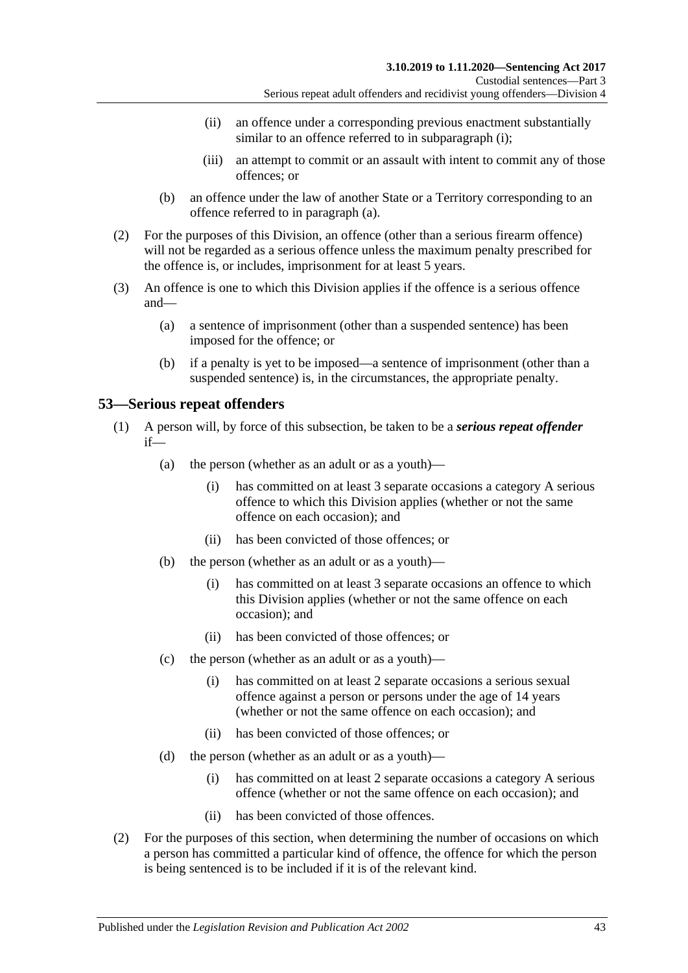- (ii) an offence under a corresponding previous enactment substantially similar to an offence referred to in [subparagraph](#page-41-1) (i);
- (iii) an attempt to commit or an assault with intent to commit any of those offences; or
- (b) an offence under the law of another State or a Territory corresponding to an offence referred to in [paragraph](#page-41-2) (a).
- (2) For the purposes of this Division, an offence (other than a serious firearm offence) will not be regarded as a serious offence unless the maximum penalty prescribed for the offence is, or includes, imprisonment for at least 5 years.
- (3) An offence is one to which this Division applies if the offence is a serious offence and—
	- (a) a sentence of imprisonment (other than a suspended sentence) has been imposed for the offence; or
	- (b) if a penalty is yet to be imposed—a sentence of imprisonment (other than a suspended sentence) is, in the circumstances, the appropriate penalty.

# <span id="page-42-0"></span>**53—Serious repeat offenders**

- (1) A person will, by force of this subsection, be taken to be a *serious repeat offender* if—
	- (a) the person (whether as an adult or as a youth)—
		- (i) has committed on at least 3 separate occasions a category A serious offence to which this Division applies (whether or not the same offence on each occasion); and
		- (ii) has been convicted of those offences; or
	- (b) the person (whether as an adult or as a youth)—
		- (i) has committed on at least 3 separate occasions an offence to which this Division applies (whether or not the same offence on each occasion); and
		- (ii) has been convicted of those offences; or
	- (c) the person (whether as an adult or as a youth)—
		- (i) has committed on at least 2 separate occasions a serious sexual offence against a person or persons under the age of 14 years (whether or not the same offence on each occasion); and
		- (ii) has been convicted of those offences; or
	- (d) the person (whether as an adult or as a youth)—
		- (i) has committed on at least 2 separate occasions a category A serious offence (whether or not the same offence on each occasion); and
		- (ii) has been convicted of those offences.
- (2) For the purposes of this section, when determining the number of occasions on which a person has committed a particular kind of offence, the offence for which the person is being sentenced is to be included if it is of the relevant kind.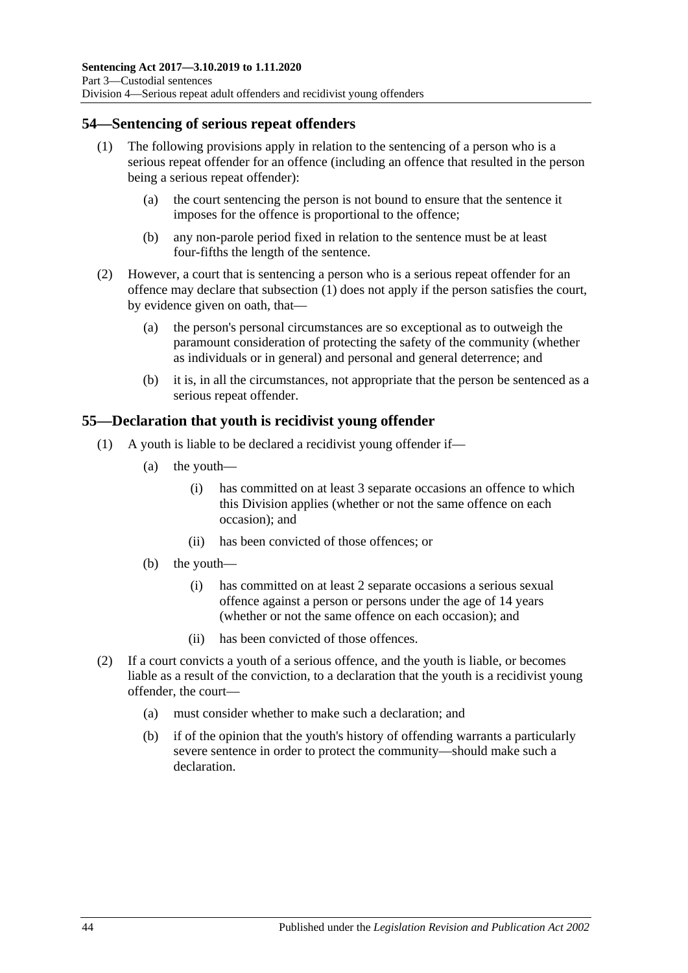# <span id="page-43-0"></span>**54—Sentencing of serious repeat offenders**

- (1) The following provisions apply in relation to the sentencing of a person who is a serious repeat offender for an offence (including an offence that resulted in the person being a serious repeat offender):
	- (a) the court sentencing the person is not bound to ensure that the sentence it imposes for the offence is proportional to the offence;
	- (b) any non-parole period fixed in relation to the sentence must be at least four-fifths the length of the sentence.
- (2) However, a court that is sentencing a person who is a serious repeat offender for an offence may declare that [subsection](#page-43-0) (1) does not apply if the person satisfies the court, by evidence given on oath, that—
	- (a) the person's personal circumstances are so exceptional as to outweigh the paramount consideration of protecting the safety of the community (whether as individuals or in general) and personal and general deterrence; and
	- (b) it is, in all the circumstances, not appropriate that the person be sentenced as a serious repeat offender.

# **55—Declaration that youth is recidivist young offender**

- (1) A youth is liable to be declared a recidivist young offender if—
	- (a) the youth—
		- (i) has committed on at least 3 separate occasions an offence to which this Division applies (whether or not the same offence on each occasion); and
		- (ii) has been convicted of those offences; or
	- (b) the youth—
		- (i) has committed on at least 2 separate occasions a serious sexual offence against a person or persons under the age of 14 years (whether or not the same offence on each occasion); and
		- (ii) has been convicted of those offences.
- (2) If a court convicts a youth of a serious offence, and the youth is liable, or becomes liable as a result of the conviction, to a declaration that the youth is a recidivist young offender, the court—
	- (a) must consider whether to make such a declaration; and
	- (b) if of the opinion that the youth's history of offending warrants a particularly severe sentence in order to protect the community—should make such a declaration.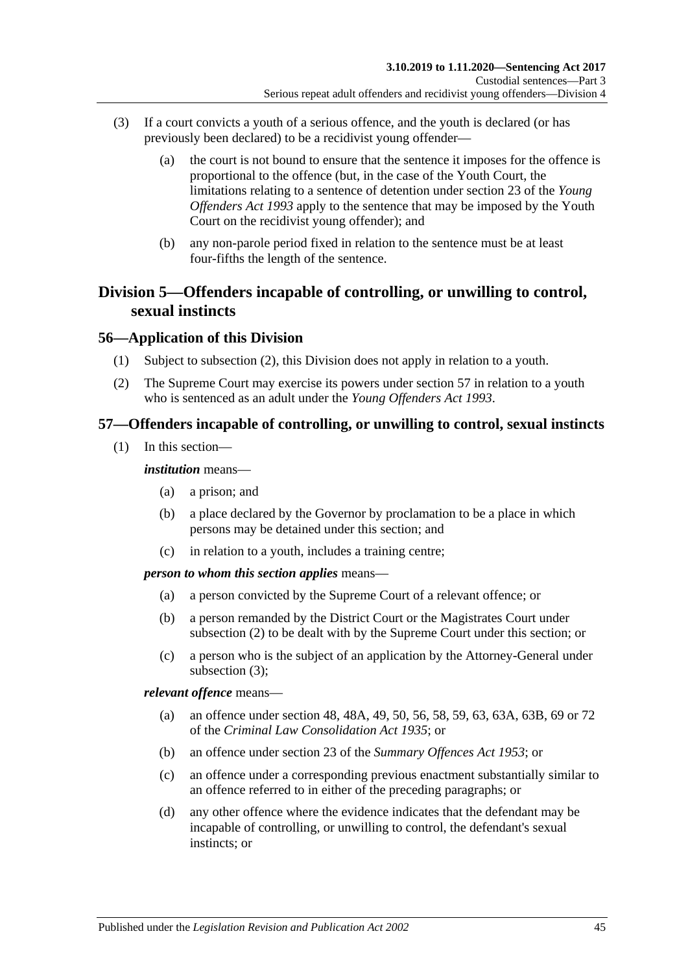- (3) If a court convicts a youth of a serious offence, and the youth is declared (or has previously been declared) to be a recidivist young offender—
	- (a) the court is not bound to ensure that the sentence it imposes for the offence is proportional to the offence (but, in the case of the Youth Court, the limitations relating to a sentence of detention under section 23 of the *[Young](http://www.legislation.sa.gov.au/index.aspx?action=legref&type=act&legtitle=Young%20Offenders%20Act%201993)  [Offenders Act](http://www.legislation.sa.gov.au/index.aspx?action=legref&type=act&legtitle=Young%20Offenders%20Act%201993) 1993* apply to the sentence that may be imposed by the Youth Court on the recidivist young offender); and
	- (b) any non-parole period fixed in relation to the sentence must be at least four-fifths the length of the sentence.

# **Division 5—Offenders incapable of controlling, or unwilling to control, sexual instincts**

# **56—Application of this Division**

- (1) Subject to [subsection](#page-44-0) (2), this Division does not apply in relation to a youth.
- <span id="page-44-0"></span>(2) The Supreme Court may exercise its powers under [section](#page-44-1) 57 in relation to a youth who is sentenced as an adult under the *[Young Offenders Act](http://www.legislation.sa.gov.au/index.aspx?action=legref&type=act&legtitle=Young%20Offenders%20Act%201993) 1993*.

# <span id="page-44-1"></span>**57—Offenders incapable of controlling, or unwilling to control, sexual instincts**

(1) In this section—

### *institution* means—

- (a) a prison; and
- (b) a place declared by the Governor by proclamation to be a place in which persons may be detained under this section; and
- (c) in relation to a youth, includes a training centre;

### *person to whom this section applies* means—

- (a) a person convicted by the Supreme Court of a relevant offence; or
- (b) a person remanded by the District Court or the Magistrates Court under [subsection](#page-45-0) (2) to be dealt with by the Supreme Court under this section; or
- (c) a person who is the subject of an application by the Attorney-General under [subsection](#page-45-1) (3);

*relevant offence* means—

- (a) an offence under section 48, 48A, 49, 50, 56, 58, 59, 63, 63A, 63B, 69 or 72 of the *[Criminal Law Consolidation Act](http://www.legislation.sa.gov.au/index.aspx?action=legref&type=act&legtitle=Criminal%20Law%20Consolidation%20Act%201935) 1935*; or
- (b) an offence under section 23 of the *[Summary Offences Act](http://www.legislation.sa.gov.au/index.aspx?action=legref&type=act&legtitle=Summary%20Offences%20Act%201953) 1953*; or
- (c) an offence under a corresponding previous enactment substantially similar to an offence referred to in either of the preceding paragraphs; or
- (d) any other offence where the evidence indicates that the defendant may be incapable of controlling, or unwilling to control, the defendant's sexual instincts; or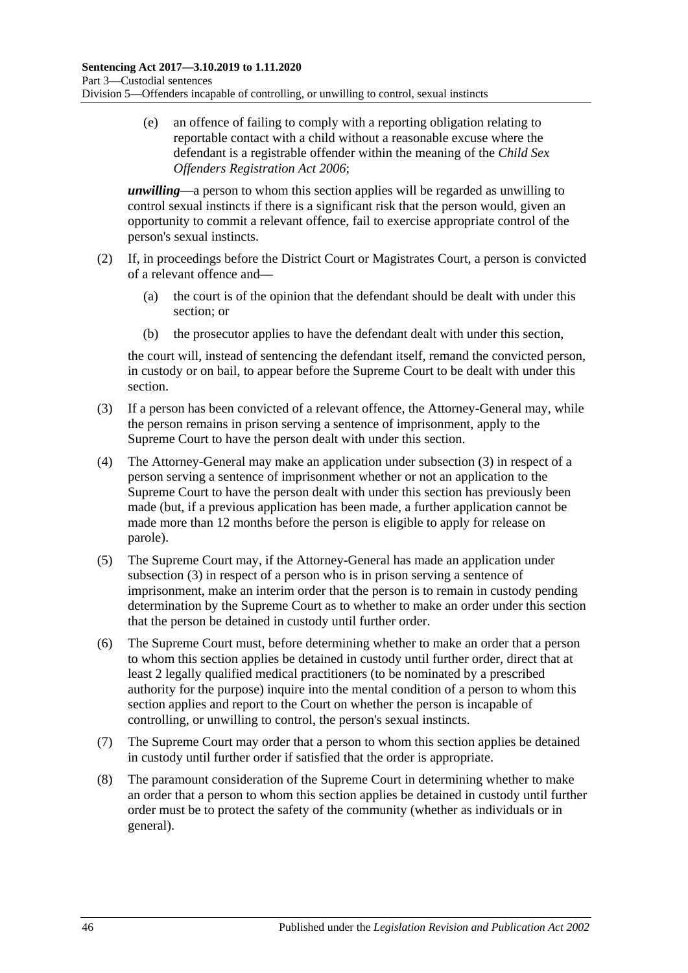(e) an offence of failing to comply with a reporting obligation relating to reportable contact with a child without a reasonable excuse where the defendant is a registrable offender within the meaning of the *[Child Sex](http://www.legislation.sa.gov.au/index.aspx?action=legref&type=act&legtitle=Child%20Sex%20Offenders%20Registration%20Act%202006)  [Offenders Registration Act](http://www.legislation.sa.gov.au/index.aspx?action=legref&type=act&legtitle=Child%20Sex%20Offenders%20Registration%20Act%202006) 2006*;

*unwilling*—a person to whom this section applies will be regarded as unwilling to control sexual instincts if there is a significant risk that the person would, given an opportunity to commit a relevant offence, fail to exercise appropriate control of the person's sexual instincts.

- <span id="page-45-0"></span>(2) If, in proceedings before the District Court or Magistrates Court, a person is convicted of a relevant offence and—
	- (a) the court is of the opinion that the defendant should be dealt with under this section; or
	- (b) the prosecutor applies to have the defendant dealt with under this section,

the court will, instead of sentencing the defendant itself, remand the convicted person, in custody or on bail, to appear before the Supreme Court to be dealt with under this section.

- <span id="page-45-1"></span>(3) If a person has been convicted of a relevant offence, the Attorney-General may, while the person remains in prison serving a sentence of imprisonment, apply to the Supreme Court to have the person dealt with under this section.
- (4) The Attorney-General may make an application under [subsection](#page-45-1) (3) in respect of a person serving a sentence of imprisonment whether or not an application to the Supreme Court to have the person dealt with under this section has previously been made (but, if a previous application has been made, a further application cannot be made more than 12 months before the person is eligible to apply for release on parole).
- (5) The Supreme Court may, if the Attorney-General has made an application under [subsection](#page-45-1) (3) in respect of a person who is in prison serving a sentence of imprisonment, make an interim order that the person is to remain in custody pending determination by the Supreme Court as to whether to make an order under this section that the person be detained in custody until further order.
- <span id="page-45-2"></span>(6) The Supreme Court must, before determining whether to make an order that a person to whom this section applies be detained in custody until further order, direct that at least 2 legally qualified medical practitioners (to be nominated by a prescribed authority for the purpose) inquire into the mental condition of a person to whom this section applies and report to the Court on whether the person is incapable of controlling, or unwilling to control, the person's sexual instincts.
- (7) The Supreme Court may order that a person to whom this section applies be detained in custody until further order if satisfied that the order is appropriate.
- (8) The paramount consideration of the Supreme Court in determining whether to make an order that a person to whom this section applies be detained in custody until further order must be to protect the safety of the community (whether as individuals or in general).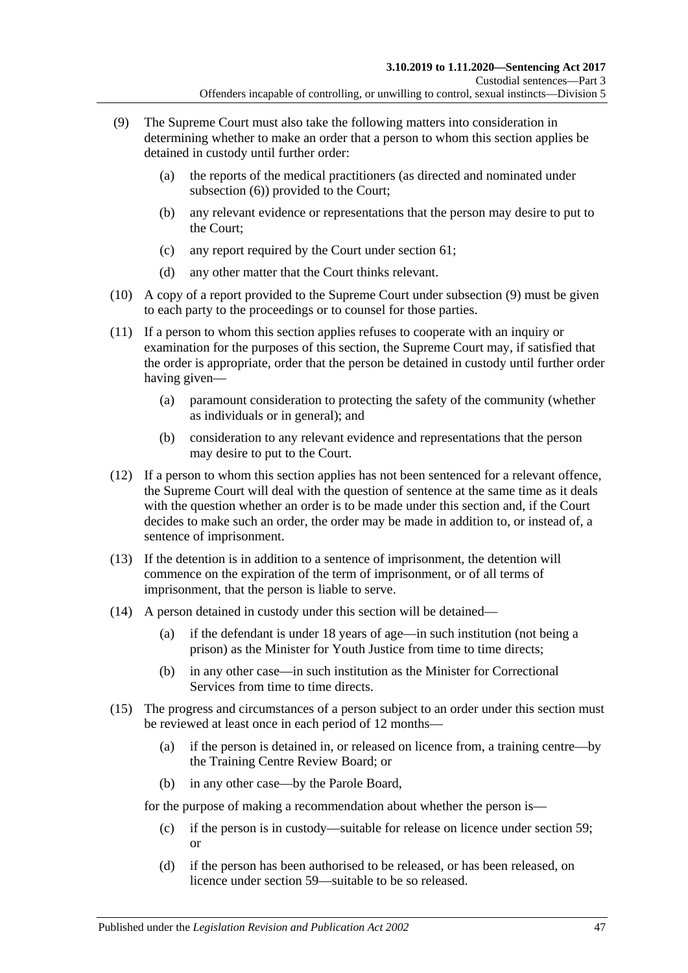- <span id="page-46-0"></span>(9) The Supreme Court must also take the following matters into consideration in determining whether to make an order that a person to whom this section applies be detained in custody until further order:
	- (a) the reports of the medical practitioners (as directed and nominated under [subsection](#page-45-2) (6)) provided to the Court;
	- (b) any relevant evidence or representations that the person may desire to put to the Court;
	- (c) any report required by the Court under [section](#page-51-0) 61;
	- (d) any other matter that the Court thinks relevant.
- (10) A copy of a report provided to the Supreme Court under [subsection](#page-46-0) (9) must be given to each party to the proceedings or to counsel for those parties.
- (11) If a person to whom this section applies refuses to cooperate with an inquiry or examination for the purposes of this section, the Supreme Court may, if satisfied that the order is appropriate, order that the person be detained in custody until further order having given—
	- (a) paramount consideration to protecting the safety of the community (whether as individuals or in general); and
	- (b) consideration to any relevant evidence and representations that the person may desire to put to the Court.
- (12) If a person to whom this section applies has not been sentenced for a relevant offence, the Supreme Court will deal with the question of sentence at the same time as it deals with the question whether an order is to be made under this section and, if the Court decides to make such an order, the order may be made in addition to, or instead of, a sentence of imprisonment.
- (13) If the detention is in addition to a sentence of imprisonment, the detention will commence on the expiration of the term of imprisonment, or of all terms of imprisonment, that the person is liable to serve.
- (14) A person detained in custody under this section will be detained—
	- (a) if the defendant is under 18 years of age—in such institution (not being a prison) as the Minister for Youth Justice from time to time directs;
	- (b) in any other case—in such institution as the Minister for Correctional Services from time to time directs.
- <span id="page-46-1"></span>(15) The progress and circumstances of a person subject to an order under this section must be reviewed at least once in each period of 12 months—
	- (a) if the person is detained in, or released on licence from, a training centre—by the Training Centre Review Board; or
	- (b) in any other case—by the Parole Board,

for the purpose of making a recommendation about whether the person is—

- (c) if the person is in custody—suitable for release on licence under [section](#page-48-0) 59; or
- (d) if the person has been authorised to be released, or has been released, on licence under [section](#page-48-0) 59—suitable to be so released.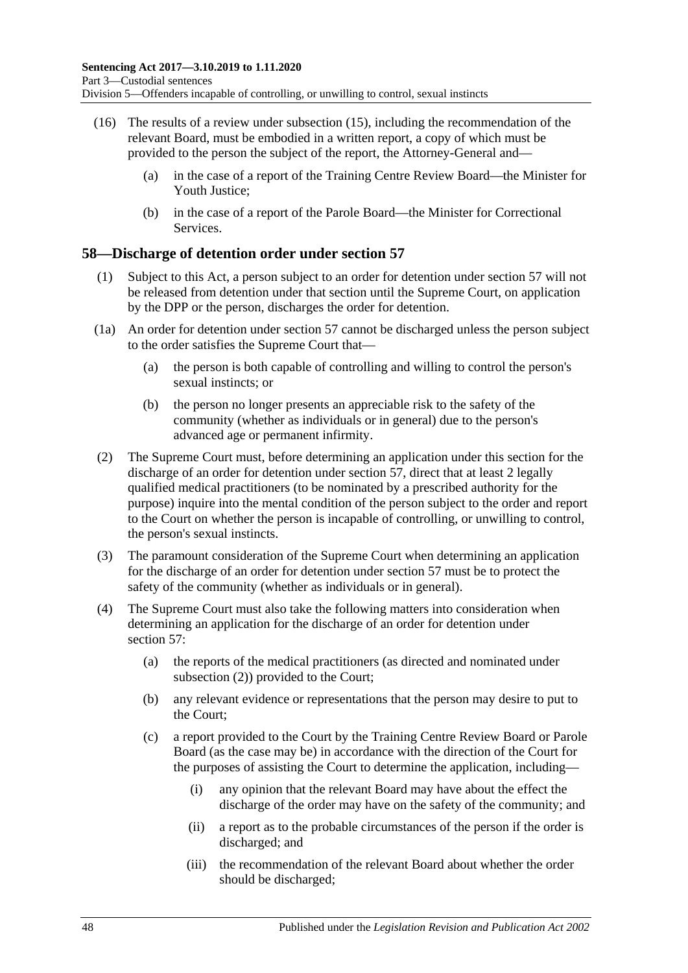- (16) The results of a review under [subsection](#page-46-1) (15), including the recommendation of the relevant Board, must be embodied in a written report, a copy of which must be provided to the person the subject of the report, the Attorney-General and—
	- (a) in the case of a report of the Training Centre Review Board—the Minister for Youth Justice;
	- (b) in the case of a report of the Parole Board—the Minister for Correctional **Services**

# **58—Discharge of detention order under [section](#page-44-1) 57**

- (1) Subject to this Act, a person subject to an order for detention under [section](#page-44-1) 57 will not be released from detention under that section until the Supreme Court, on application by the DPP or the person, discharges the order for detention.
- (1a) An order for detention under [section](#page-44-1) 57 cannot be discharged unless the person subject to the order satisfies the Supreme Court that—
	- (a) the person is both capable of controlling and willing to control the person's sexual instincts; or
	- (b) the person no longer presents an appreciable risk to the safety of the community (whether as individuals or in general) due to the person's advanced age or permanent infirmity.
- <span id="page-47-0"></span>(2) The Supreme Court must, before determining an application under this section for the discharge of an order for detention under [section](#page-44-1) 57, direct that at least 2 legally qualified medical practitioners (to be nominated by a prescribed authority for the purpose) inquire into the mental condition of the person subject to the order and report to the Court on whether the person is incapable of controlling, or unwilling to control, the person's sexual instincts.
- (3) The paramount consideration of the Supreme Court when determining an application for the discharge of an order for detention under [section](#page-44-1) 57 must be to protect the safety of the community (whether as individuals or in general).
- <span id="page-47-1"></span>(4) The Supreme Court must also take the following matters into consideration when determining an application for the discharge of an order for detention under [section](#page-44-1) 57:
	- (a) the reports of the medical practitioners (as directed and nominated under [subsection](#page-47-0) (2)) provided to the Court;
	- (b) any relevant evidence or representations that the person may desire to put to the Court;
	- (c) a report provided to the Court by the Training Centre Review Board or Parole Board (as the case may be) in accordance with the direction of the Court for the purposes of assisting the Court to determine the application, including—
		- (i) any opinion that the relevant Board may have about the effect the discharge of the order may have on the safety of the community; and
		- (ii) a report as to the probable circumstances of the person if the order is discharged; and
		- (iii) the recommendation of the relevant Board about whether the order should be discharged;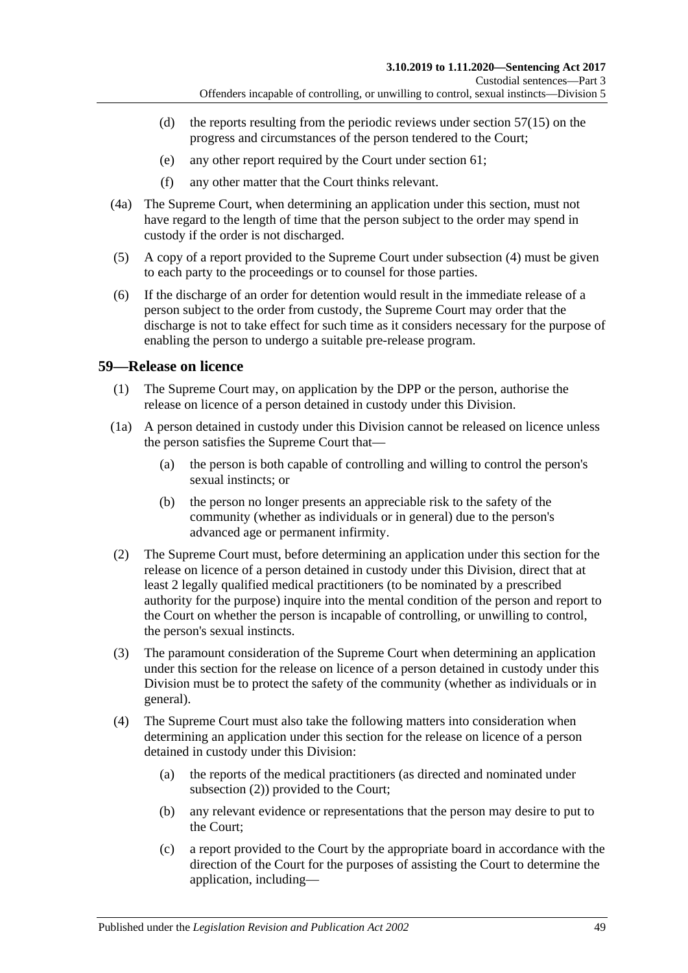- (d) the reports resulting from the periodic reviews under [section](#page-46-1)  $57(15)$  on the progress and circumstances of the person tendered to the Court;
- (e) any other report required by the Court under [section](#page-51-0) 61;
- (f) any other matter that the Court thinks relevant.
- (4a) The Supreme Court, when determining an application under this section, must not have regard to the length of time that the person subject to the order may spend in custody if the order is not discharged.
- (5) A copy of a report provided to the Supreme Court under [subsection](#page-47-1) (4) must be given to each party to the proceedings or to counsel for those parties.
- (6) If the discharge of an order for detention would result in the immediate release of a person subject to the order from custody, the Supreme Court may order that the discharge is not to take effect for such time as it considers necessary for the purpose of enabling the person to undergo a suitable pre-release program.

# <span id="page-48-3"></span><span id="page-48-0"></span>**59—Release on licence**

- (1) The Supreme Court may, on application by the DPP or the person, authorise the release on licence of a person detained in custody under this Division.
- (1a) A person detained in custody under this Division cannot be released on licence unless the person satisfies the Supreme Court that—
	- (a) the person is both capable of controlling and willing to control the person's sexual instincts; or
	- (b) the person no longer presents an appreciable risk to the safety of the community (whether as individuals or in general) due to the person's advanced age or permanent infirmity.
- <span id="page-48-4"></span><span id="page-48-1"></span>(2) The Supreme Court must, before determining an application under this section for the release on licence of a person detained in custody under this Division, direct that at least 2 legally qualified medical practitioners (to be nominated by a prescribed authority for the purpose) inquire into the mental condition of the person and report to the Court on whether the person is incapable of controlling, or unwilling to control, the person's sexual instincts.
- (3) The paramount consideration of the Supreme Court when determining an application under this section for the release on licence of a person detained in custody under this Division must be to protect the safety of the community (whether as individuals or in general).
- <span id="page-48-2"></span>(4) The Supreme Court must also take the following matters into consideration when determining an application under this section for the release on licence of a person detained in custody under this Division:
	- (a) the reports of the medical practitioners (as directed and nominated under [subsection](#page-48-1) (2)) provided to the Court;
	- (b) any relevant evidence or representations that the person may desire to put to the Court;
	- (c) a report provided to the Court by the appropriate board in accordance with the direction of the Court for the purposes of assisting the Court to determine the application, including—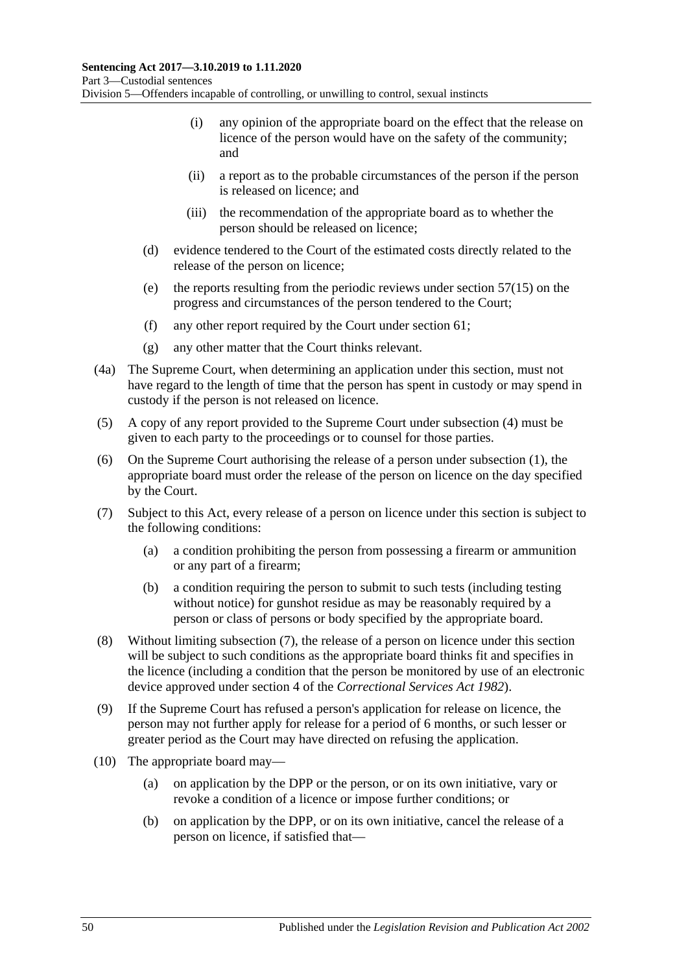- (i) any opinion of the appropriate board on the effect that the release on licence of the person would have on the safety of the community; and
- (ii) a report as to the probable circumstances of the person if the person is released on licence; and
- (iii) the recommendation of the appropriate board as to whether the person should be released on licence;
- (d) evidence tendered to the Court of the estimated costs directly related to the release of the person on licence;
- (e) the reports resulting from the periodic reviews under [section](#page-46-1) 57(15) on the progress and circumstances of the person tendered to the Court;
- (f) any other report required by the Court under [section](#page-51-0) 61;
- (g) any other matter that the Court thinks relevant.
- (4a) The Supreme Court, when determining an application under this section, must not have regard to the length of time that the person has spent in custody or may spend in custody if the person is not released on licence.
- (5) A copy of any report provided to the Supreme Court under [subsection](#page-48-2) (4) must be given to each party to the proceedings or to counsel for those parties.
- (6) On the Supreme Court authorising the release of a person under [subsection](#page-48-3) (1), the appropriate board must order the release of the person on licence on the day specified by the Court.
- <span id="page-49-2"></span><span id="page-49-0"></span>(7) Subject to this Act, every release of a person on licence under this section is subject to the following conditions:
	- (a) a condition prohibiting the person from possessing a firearm or ammunition or any part of a firearm;
	- (b) a condition requiring the person to submit to such tests (including testing without notice) for gunshot residue as may be reasonably required by a person or class of persons or body specified by the appropriate board.
- (8) Without limiting [subsection](#page-49-0) (7), the release of a person on licence under this section will be subject to such conditions as the appropriate board thinks fit and specifies in the licence (including a condition that the person be monitored by use of an electronic device approved under section 4 of the *[Correctional Services Act](http://www.legislation.sa.gov.au/index.aspx?action=legref&type=act&legtitle=Correctional%20Services%20Act%201982) 1982*).
- (9) If the Supreme Court has refused a person's application for release on licence, the person may not further apply for release for a period of 6 months, or such lesser or greater period as the Court may have directed on refusing the application.
- <span id="page-49-1"></span>(10) The appropriate board may—
	- (a) on application by the DPP or the person, or on its own initiative, vary or revoke a condition of a licence or impose further conditions; or
	- (b) on application by the DPP, or on its own initiative, cancel the release of a person on licence, if satisfied that—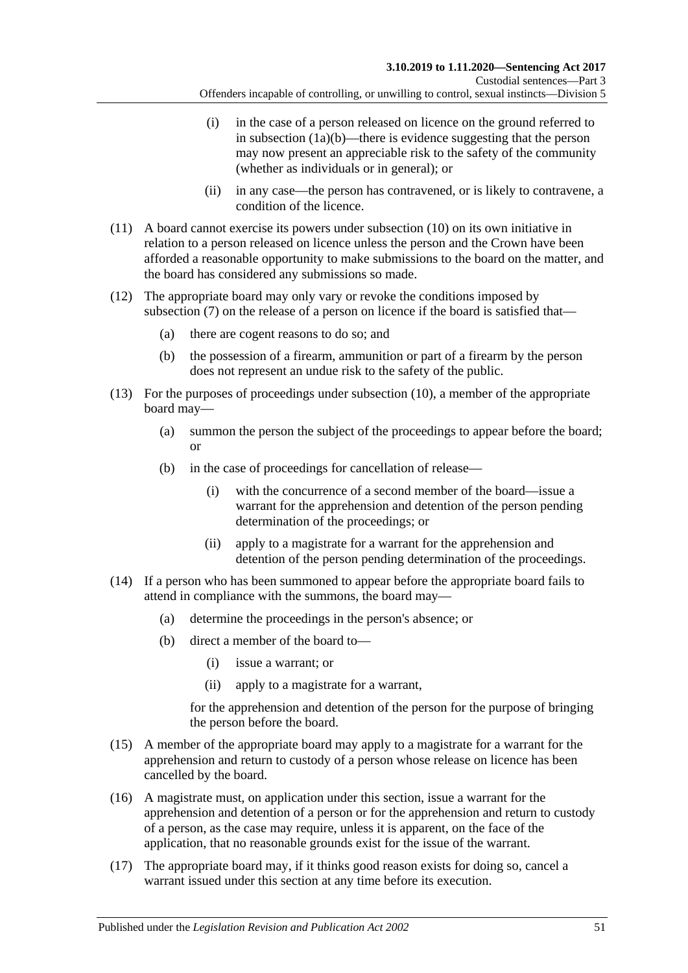- (i) in the case of a person released on licence on the ground referred to in [subsection](#page-48-4)  $(1a)(b)$ —there is evidence suggesting that the person may now present an appreciable risk to the safety of the community (whether as individuals or in general); or
- (ii) in any case—the person has contravened, or is likely to contravene, a condition of the licence.
- (11) A board cannot exercise its powers under [subsection](#page-49-1) (10) on its own initiative in relation to a person released on licence unless the person and the Crown have been afforded a reasonable opportunity to make submissions to the board on the matter, and the board has considered any submissions so made.
- (12) The appropriate board may only vary or revoke the conditions imposed by [subsection](#page-49-0) (7) on the release of a person on licence if the board is satisfied that—
	- (a) there are cogent reasons to do so; and
	- (b) the possession of a firearm, ammunition or part of a firearm by the person does not represent an undue risk to the safety of the public.
- (13) For the purposes of proceedings under [subsection](#page-49-1) (10), a member of the appropriate board may—
	- (a) summon the person the subject of the proceedings to appear before the board; or
	- (b) in the case of proceedings for cancellation of release—
		- (i) with the concurrence of a second member of the board—issue a warrant for the apprehension and detention of the person pending determination of the proceedings; or
		- (ii) apply to a magistrate for a warrant for the apprehension and detention of the person pending determination of the proceedings.
- (14) If a person who has been summoned to appear before the appropriate board fails to attend in compliance with the summons, the board may—
	- (a) determine the proceedings in the person's absence; or
	- (b) direct a member of the board to—
		- (i) issue a warrant; or
		- (ii) apply to a magistrate for a warrant,

for the apprehension and detention of the person for the purpose of bringing the person before the board.

- (15) A member of the appropriate board may apply to a magistrate for a warrant for the apprehension and return to custody of a person whose release on licence has been cancelled by the board.
- (16) A magistrate must, on application under this section, issue a warrant for the apprehension and detention of a person or for the apprehension and return to custody of a person, as the case may require, unless it is apparent, on the face of the application, that no reasonable grounds exist for the issue of the warrant.
- (17) The appropriate board may, if it thinks good reason exists for doing so, cancel a warrant issued under this section at any time before its execution.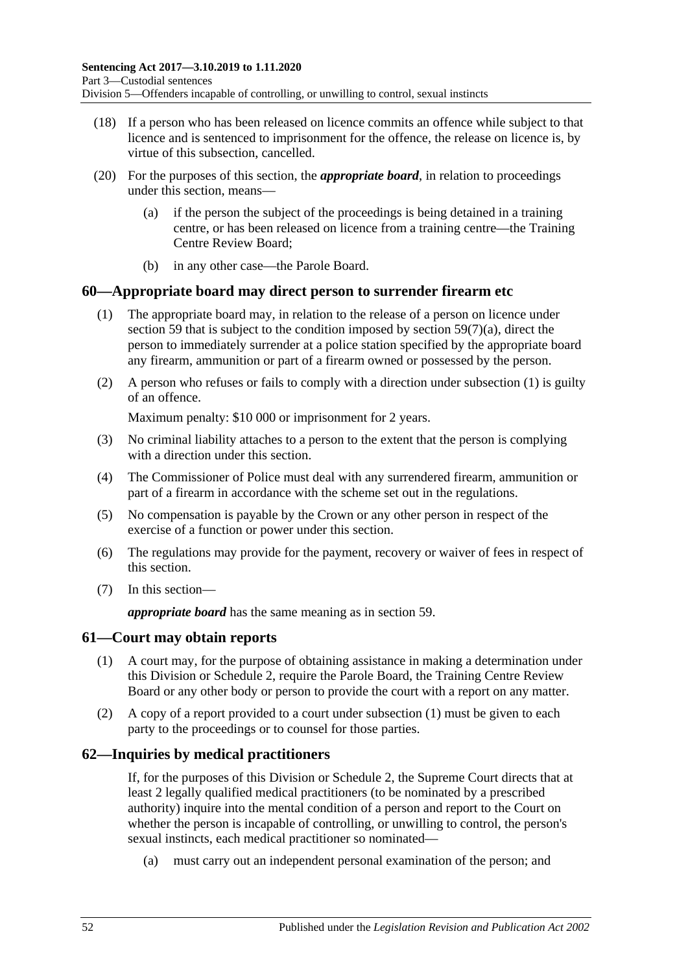- (18) If a person who has been released on licence commits an offence while subject to that licence and is sentenced to imprisonment for the offence, the release on licence is, by virtue of this subsection, cancelled.
- (20) For the purposes of this section, the *appropriate board*, in relation to proceedings under this section, means—
	- (a) if the person the subject of the proceedings is being detained in a training centre, or has been released on licence from a training centre—the Training Centre Review Board;
	- (b) in any other case—the Parole Board.

### <span id="page-51-1"></span>**60—Appropriate board may direct person to surrender firearm etc**

- (1) The appropriate board may, in relation to the release of a person on licence under [section](#page-48-0) 59 that is subject to the condition imposed by section [59\(7\)\(a\),](#page-49-2) direct the person to immediately surrender at a police station specified by the appropriate board any firearm, ammunition or part of a firearm owned or possessed by the person.
- (2) A person who refuses or fails to comply with a direction under [subsection](#page-51-1) (1) is guilty of an offence.

Maximum penalty: \$10 000 or imprisonment for 2 years.

- (3) No criminal liability attaches to a person to the extent that the person is complying with a direction under this section.
- (4) The Commissioner of Police must deal with any surrendered firearm, ammunition or part of a firearm in accordance with the scheme set out in the regulations.
- (5) No compensation is payable by the Crown or any other person in respect of the exercise of a function or power under this section.
- (6) The regulations may provide for the payment, recovery or waiver of fees in respect of this section.
- (7) In this section—

*appropriate board* has the same meaning as in [section](#page-48-0) 59.

### <span id="page-51-2"></span><span id="page-51-0"></span>**61—Court may obtain reports**

- (1) A court may, for the purpose of obtaining assistance in making a determination under this Division or [Schedule 2,](#page-101-0) require the Parole Board, the Training Centre Review Board or any other body or person to provide the court with a report on any matter.
- (2) A copy of a report provided to a court under [subsection](#page-51-2) (1) must be given to each party to the proceedings or to counsel for those parties.

# **62—Inquiries by medical practitioners**

If, for the purposes of this Division or [Schedule 2,](#page-101-0) the Supreme Court directs that at least 2 legally qualified medical practitioners (to be nominated by a prescribed authority) inquire into the mental condition of a person and report to the Court on whether the person is incapable of controlling, or unwilling to control, the person's sexual instincts, each medical practitioner so nominated—

(a) must carry out an independent personal examination of the person; and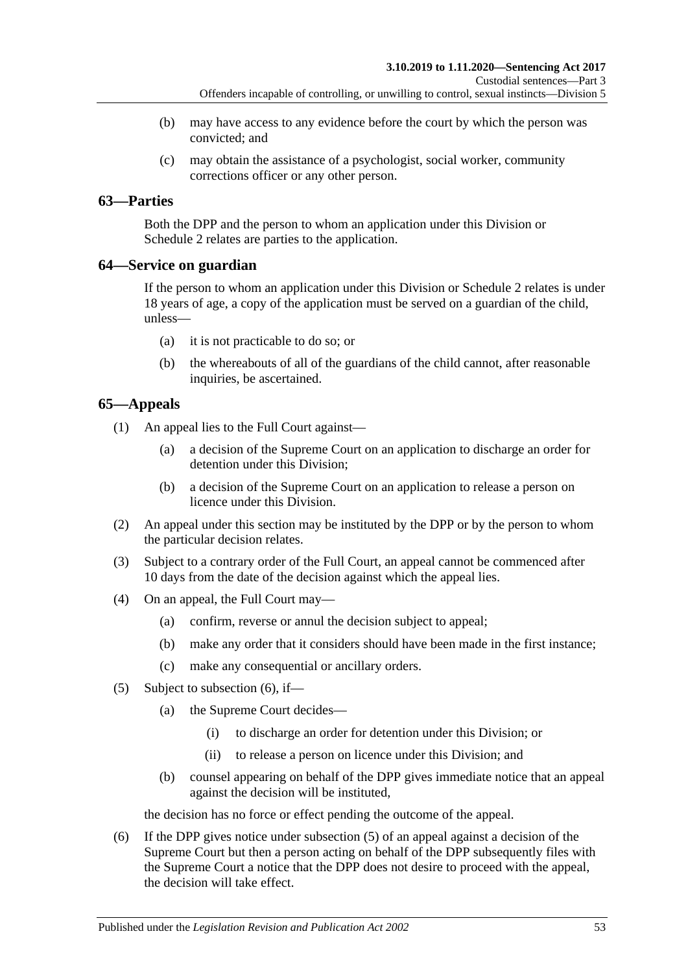- (b) may have access to any evidence before the court by which the person was convicted; and
- (c) may obtain the assistance of a psychologist, social worker, community corrections officer or any other person.

# **63—Parties**

Both the DPP and the person to whom an application under this Division or [Schedule](#page-101-0) 2 relates are parties to the application.

# **64—Service on guardian**

If the person to whom an application under this Division or [Schedule 2](#page-101-0) relates is under 18 years of age, a copy of the application must be served on a guardian of the child, unless—

- (a) it is not practicable to do so; or
- (b) the whereabouts of all of the guardians of the child cannot, after reasonable inquiries, be ascertained.

# **65—Appeals**

(1) An appeal lies to the Full Court against—

- (a) a decision of the Supreme Court on an application to discharge an order for detention under this Division;
- (b) a decision of the Supreme Court on an application to release a person on licence under this Division.
- (2) An appeal under this section may be instituted by the DPP or by the person to whom the particular decision relates.
- (3) Subject to a contrary order of the Full Court, an appeal cannot be commenced after 10 days from the date of the decision against which the appeal lies.
- (4) On an appeal, the Full Court may—
	- (a) confirm, reverse or annul the decision subject to appeal;
	- (b) make any order that it considers should have been made in the first instance;
	- (c) make any consequential or ancillary orders.
- <span id="page-52-1"></span>(5) Subject to [subsection](#page-52-0) (6), if—
	- (a) the Supreme Court decides—
		- (i) to discharge an order for detention under this Division; or
		- (ii) to release a person on licence under this Division; and
	- (b) counsel appearing on behalf of the DPP gives immediate notice that an appeal against the decision will be instituted,

the decision has no force or effect pending the outcome of the appeal.

<span id="page-52-0"></span>(6) If the DPP gives notice under [subsection](#page-52-1) (5) of an appeal against a decision of the Supreme Court but then a person acting on behalf of the DPP subsequently files with the Supreme Court a notice that the DPP does not desire to proceed with the appeal, the decision will take effect.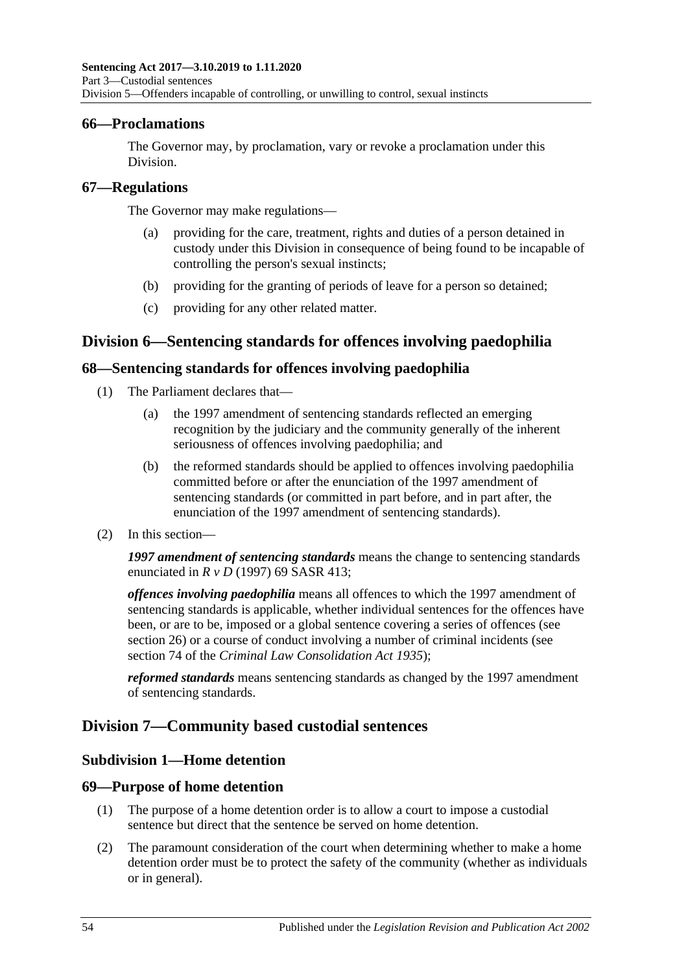### **66—Proclamations**

The Governor may, by proclamation, vary or revoke a proclamation under this Division.

### **67—Regulations**

The Governor may make regulations—

- (a) providing for the care, treatment, rights and duties of a person detained in custody under this Division in consequence of being found to be incapable of controlling the person's sexual instincts;
- (b) providing for the granting of periods of leave for a person so detained;
- (c) providing for any other related matter.

# **Division 6—Sentencing standards for offences involving paedophilia**

# **68—Sentencing standards for offences involving paedophilia**

- (1) The Parliament declares that—
	- (a) the 1997 amendment of sentencing standards reflected an emerging recognition by the judiciary and the community generally of the inherent seriousness of offences involving paedophilia; and
	- (b) the reformed standards should be applied to offences involving paedophilia committed before or after the enunciation of the 1997 amendment of sentencing standards (or committed in part before, and in part after, the enunciation of the 1997 amendment of sentencing standards).
- (2) In this section—

*1997 amendment of sentencing standards* means the change to sentencing standards enunciated in *R v D* (1997) 69 SASR 413;

*offences involving paedophilia* means all offences to which the 1997 amendment of sentencing standards is applicable, whether individual sentences for the offences have been, or are to be, imposed or a global sentence covering a series of offences (see [section](#page-20-0) 26) or a course of conduct involving a number of criminal incidents (see section 74 of the *[Criminal Law Consolidation Act](http://www.legislation.sa.gov.au/index.aspx?action=legref&type=act&legtitle=Criminal%20Law%20Consolidation%20Act%201935) 1935*);

*reformed standards* means sentencing standards as changed by the 1997 amendment of sentencing standards.

# **Division 7—Community based custodial sentences**

# **Subdivision 1—Home detention**

# **69—Purpose of home detention**

- (1) The purpose of a home detention order is to allow a court to impose a custodial sentence but direct that the sentence be served on home detention.
- (2) The paramount consideration of the court when determining whether to make a home detention order must be to protect the safety of the community (whether as individuals or in general).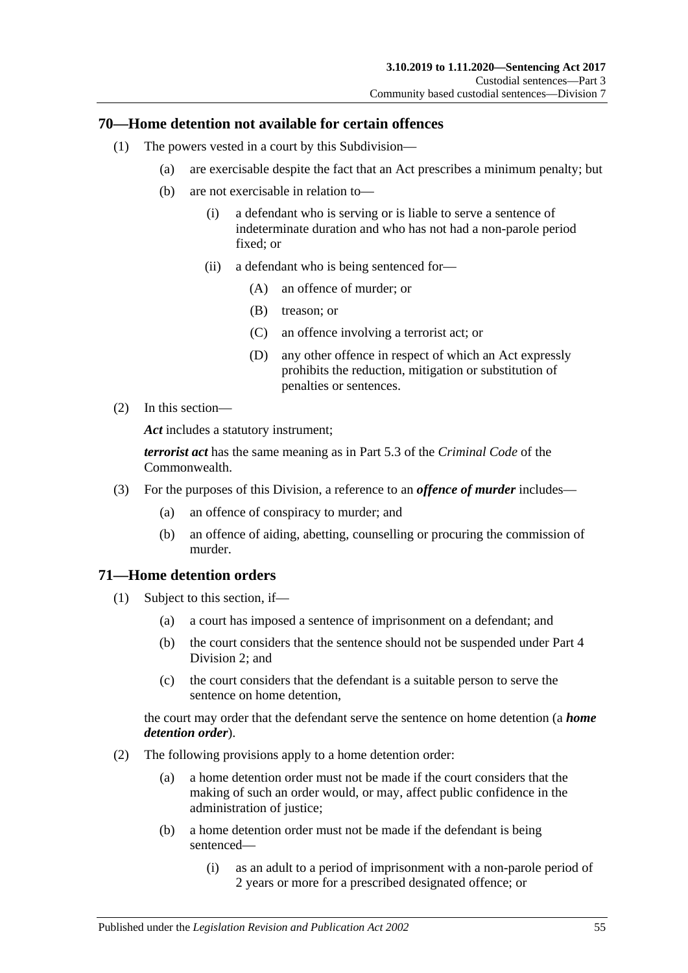# **70—Home detention not available for certain offences**

- (1) The powers vested in a court by this Subdivision—
	- (a) are exercisable despite the fact that an Act prescribes a minimum penalty; but
	- (b) are not exercisable in relation to—
		- (i) a defendant who is serving or is liable to serve a sentence of indeterminate duration and who has not had a non-parole period fixed; or
		- (ii) a defendant who is being sentenced for—
			- (A) an offence of murder; or
			- (B) treason; or
			- (C) an offence involving a terrorist act; or
			- (D) any other offence in respect of which an Act expressly prohibits the reduction, mitigation or substitution of penalties or sentences.
- (2) In this section—

*Act* includes a statutory instrument;

*terrorist act* has the same meaning as in Part 5.3 of the *Criminal Code* of the Commonwealth.

- (3) For the purposes of this Division, a reference to an *offence of murder* includes—
	- (a) an offence of conspiracy to murder; and
	- (b) an offence of aiding, abetting, counselling or procuring the commission of murder.

# **71—Home detention orders**

- (1) Subject to this section, if—
	- (a) a court has imposed a sentence of imprisonment on a defendant; and
	- (b) the court considers that the sentence should not be suspended under [Part](#page-77-1) 4 [Division](#page-77-1) 2; and
	- (c) the court considers that the defendant is a suitable person to serve the sentence on home detention,

the court may order that the defendant serve the sentence on home detention (a *home detention order*).

- (2) The following provisions apply to a home detention order:
	- (a) a home detention order must not be made if the court considers that the making of such an order would, or may, affect public confidence in the administration of justice;
	- (b) a home detention order must not be made if the defendant is being sentenced—
		- (i) as an adult to a period of imprisonment with a non-parole period of 2 years or more for a prescribed designated offence; or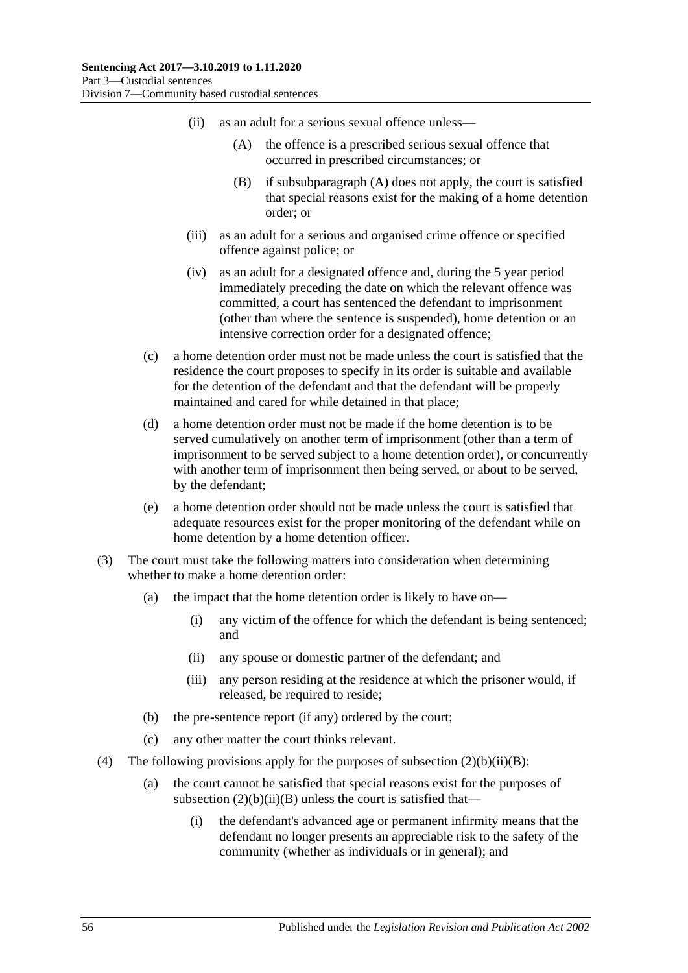- <span id="page-55-1"></span><span id="page-55-0"></span>(ii) as an adult for a serious sexual offence unless—
	- (A) the offence is a prescribed serious sexual offence that occurred in prescribed circumstances; or
	- (B) if [subsubparagraph](#page-55-0) (A) does not apply, the court is satisfied that special reasons exist for the making of a home detention order; or
- (iii) as an adult for a serious and organised crime offence or specified offence against police; or
- (iv) as an adult for a designated offence and, during the 5 year period immediately preceding the date on which the relevant offence was committed, a court has sentenced the defendant to imprisonment (other than where the sentence is suspended), home detention or an intensive correction order for a designated offence;
- (c) a home detention order must not be made unless the court is satisfied that the residence the court proposes to specify in its order is suitable and available for the detention of the defendant and that the defendant will be properly maintained and cared for while detained in that place;
- (d) a home detention order must not be made if the home detention is to be served cumulatively on another term of imprisonment (other than a term of imprisonment to be served subject to a home detention order), or concurrently with another term of imprisonment then being served, or about to be served, by the defendant;
- (e) a home detention order should not be made unless the court is satisfied that adequate resources exist for the proper monitoring of the defendant while on home detention by a home detention officer.
- (3) The court must take the following matters into consideration when determining whether to make a home detention order:
	- (a) the impact that the home detention order is likely to have on—
		- (i) any victim of the offence for which the defendant is being sentenced; and
		- (ii) any spouse or domestic partner of the defendant; and
		- (iii) any person residing at the residence at which the prisoner would, if released, be required to reside;
	- (b) the pre-sentence report (if any) ordered by the court;
	- (c) any other matter the court thinks relevant.
- (4) The following provisions apply for the purposes of subsection  $(2)(b)(ii)(B)$ :
	- (a) the court cannot be satisfied that special reasons exist for the purposes of subsection  $(2)(b)(ii)(B)$  unless the court is satisfied that—
		- (i) the defendant's advanced age or permanent infirmity means that the defendant no longer presents an appreciable risk to the safety of the community (whether as individuals or in general); and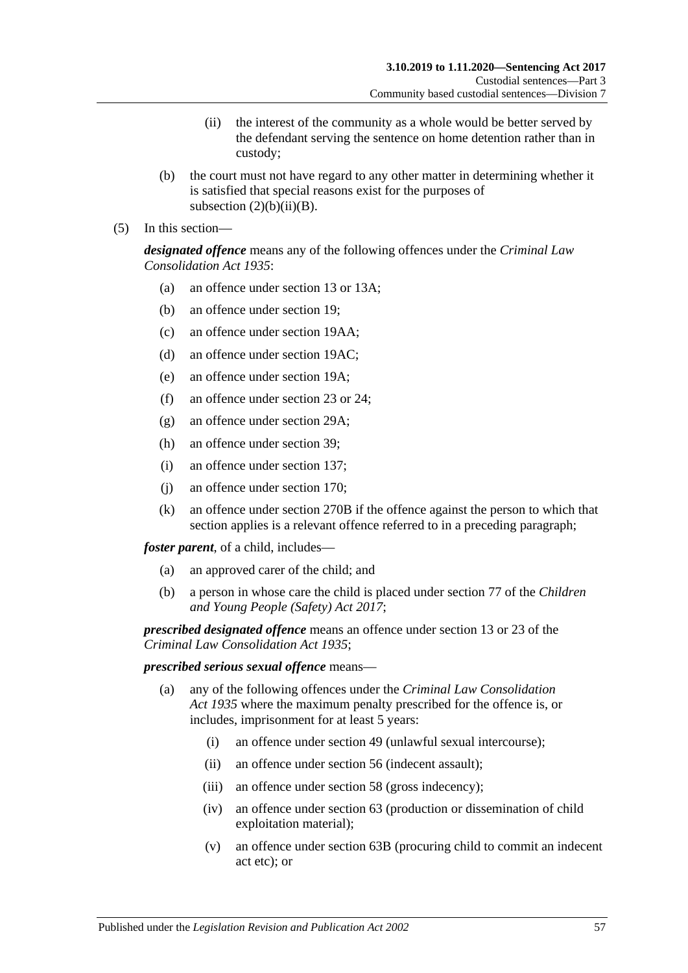- (ii) the interest of the community as a whole would be better served by the defendant serving the sentence on home detention rather than in custody;
- (b) the court must not have regard to any other matter in determining whether it is satisfied that special reasons exist for the purposes of subsection  $(2)(b)(ii)(B)$ .
- (5) In this section—

*designated offence* means any of the following offences under the *[Criminal Law](http://www.legislation.sa.gov.au/index.aspx?action=legref&type=act&legtitle=Criminal%20Law%20Consolidation%20Act%201935)  [Consolidation Act](http://www.legislation.sa.gov.au/index.aspx?action=legref&type=act&legtitle=Criminal%20Law%20Consolidation%20Act%201935) 1935*:

- (a) an offence under section 13 or 13A;
- (b) an offence under section 19;
- (c) an offence under section 19AA;
- (d) an offence under section 19AC;
- (e) an offence under section 19A;
- (f) an offence under section 23 or 24;
- (g) an offence under section 29A;
- (h) an offence under section 39;
- (i) an offence under section 137;
- (j) an offence under section 170;
- (k) an offence under section 270B if the offence against the person to which that section applies is a relevant offence referred to in a preceding paragraph;

*foster parent*, of a child, includes—

- (a) an approved carer of the child; and
- (b) a person in whose care the child is placed under section 77 of the *[Children](http://www.legislation.sa.gov.au/index.aspx?action=legref&type=act&legtitle=Children%20and%20Young%20People%20(Safety)%20Act%202017)  [and Young People \(Safety\) Act](http://www.legislation.sa.gov.au/index.aspx?action=legref&type=act&legtitle=Children%20and%20Young%20People%20(Safety)%20Act%202017) 2017*;

*prescribed designated offence* means an offence under section 13 or 23 of the *[Criminal Law Consolidation Act](http://www.legislation.sa.gov.au/index.aspx?action=legref&type=act&legtitle=Criminal%20Law%20Consolidation%20Act%201935) 1935*;

### *prescribed serious sexual offence* means—

- (a) any of the following offences under the *[Criminal Law Consolidation](http://www.legislation.sa.gov.au/index.aspx?action=legref&type=act&legtitle=Criminal%20Law%20Consolidation%20Act%201935)  Act [1935](http://www.legislation.sa.gov.au/index.aspx?action=legref&type=act&legtitle=Criminal%20Law%20Consolidation%20Act%201935)* where the maximum penalty prescribed for the offence is, or includes, imprisonment for at least 5 years:
	- (i) an offence under section 49 (unlawful sexual intercourse);
	- (ii) an offence under section 56 (indecent assault);
	- (iii) an offence under section 58 (gross indecency);
	- (iv) an offence under section 63 (production or dissemination of child exploitation material);
	- (v) an offence under section 63B (procuring child to commit an indecent act etc); or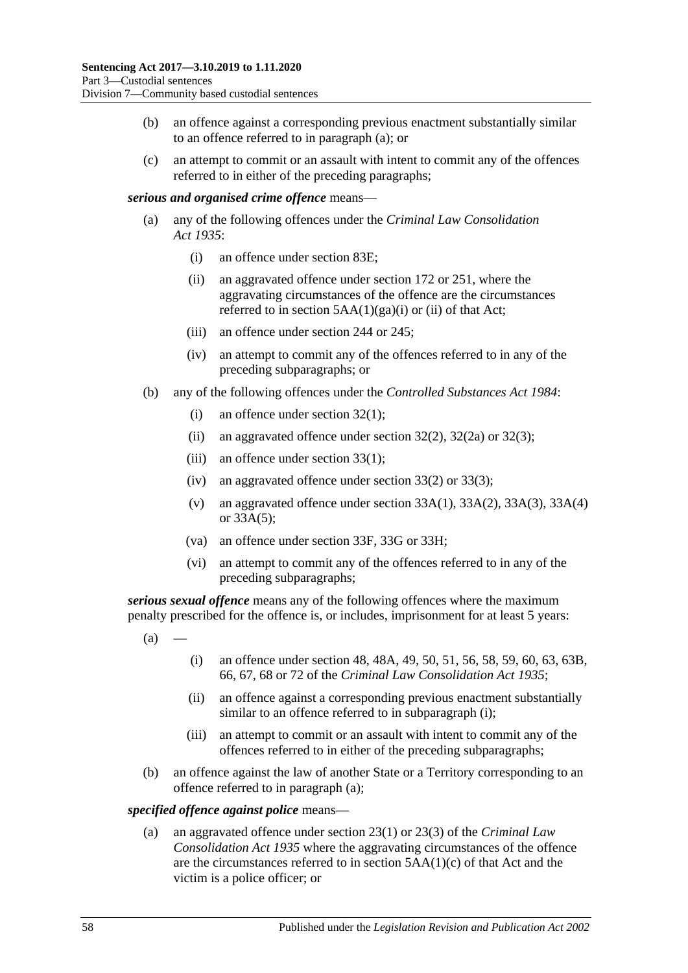- (b) an offence against a corresponding previous enactment substantially similar to an offence referred to in paragraph (a); or
- (c) an attempt to commit or an assault with intent to commit any of the offences referred to in either of the preceding paragraphs;

### *serious and organised crime offence* means—

- (a) any of the following offences under the *[Criminal Law Consolidation](http://www.legislation.sa.gov.au/index.aspx?action=legref&type=act&legtitle=Criminal%20Law%20Consolidation%20Act%201935)  Act [1935](http://www.legislation.sa.gov.au/index.aspx?action=legref&type=act&legtitle=Criminal%20Law%20Consolidation%20Act%201935)*:
	- (i) an offence under section 83E;
	- (ii) an aggravated offence under section 172 or 251, where the aggravating circumstances of the offence are the circumstances referred to in section  $5AA(1)(ga)(i)$  or (ii) of that Act;
	- (iii) an offence under section 244 or 245;
	- (iv) an attempt to commit any of the offences referred to in any of the preceding subparagraphs; or
- (b) any of the following offences under the *[Controlled Substances Act](http://www.legislation.sa.gov.au/index.aspx?action=legref&type=act&legtitle=Controlled%20Substances%20Act%201984) 1984*:
	- (i) an offence under section 32(1);
	- (ii) an aggravated offence under section  $32(2)$ ,  $32(2a)$  or  $32(3)$ ;
	- (iii) an offence under section 33(1);
	- (iv) an aggravated offence under section 33(2) or 33(3);
	- (v) an aggravated offence under section 33A(1), 33A(2), 33A(3), 33A(4) or 33A(5);
	- (va) an offence under section 33F, 33G or 33H;
	- (vi) an attempt to commit any of the offences referred to in any of the preceding subparagraphs;

<span id="page-57-1"></span>*serious sexual offence* means any of the following offences where the maximum penalty prescribed for the offence is, or includes, imprisonment for at least 5 years:

- <span id="page-57-0"></span> $(a)$
- (i) an offence under section 48, 48A, 49, 50, 51, 56, 58, 59, 60, 63, 63B, 66, 67, 68 or 72 of the *[Criminal Law Consolidation Act](http://www.legislation.sa.gov.au/index.aspx?action=legref&type=act&legtitle=Criminal%20Law%20Consolidation%20Act%201935) 1935*;
- (ii) an offence against a corresponding previous enactment substantially similar to an offence referred to in [subparagraph](#page-57-0) (i);
- (iii) an attempt to commit or an assault with intent to commit any of the offences referred to in either of the preceding subparagraphs;
- (b) an offence against the law of another State or a Territory corresponding to an offence referred to in [paragraph](#page-57-1) (a);

#### *specified offence against police* means—

(a) an aggravated offence under section 23(1) or 23(3) of the *[Criminal Law](http://www.legislation.sa.gov.au/index.aspx?action=legref&type=act&legtitle=Criminal%20Law%20Consolidation%20Act%201935)  [Consolidation Act](http://www.legislation.sa.gov.au/index.aspx?action=legref&type=act&legtitle=Criminal%20Law%20Consolidation%20Act%201935) 1935* where the aggravating circumstances of the offence are the circumstances referred to in section 5AA(1)(c) of that Act and the victim is a police officer; or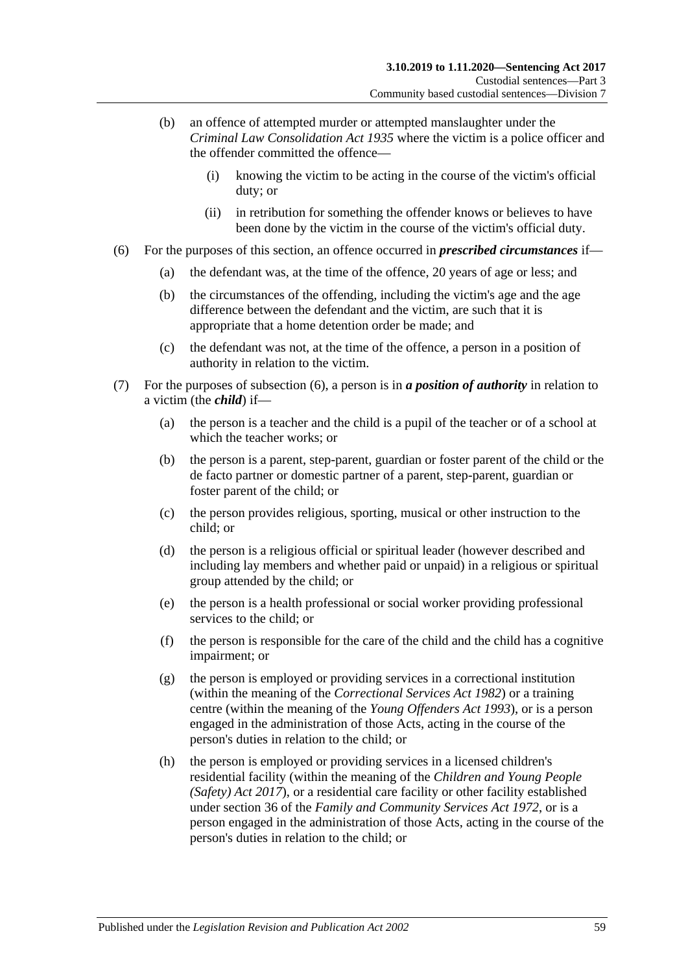- (b) an offence of attempted murder or attempted manslaughter under the *[Criminal Law Consolidation Act](http://www.legislation.sa.gov.au/index.aspx?action=legref&type=act&legtitle=Criminal%20Law%20Consolidation%20Act%201935) 1935* where the victim is a police officer and the offender committed the offence—
	- (i) knowing the victim to be acting in the course of the victim's official duty; or
	- (ii) in retribution for something the offender knows or believes to have been done by the victim in the course of the victim's official duty.
- <span id="page-58-0"></span>(6) For the purposes of this section, an offence occurred in *prescribed circumstances* if—
	- (a) the defendant was, at the time of the offence, 20 years of age or less; and
	- (b) the circumstances of the offending, including the victim's age and the age difference between the defendant and the victim, are such that it is appropriate that a home detention order be made; and
	- (c) the defendant was not, at the time of the offence, a person in a position of authority in relation to the victim.
- (7) For the purposes of [subsection](#page-58-0) (6), a person is in *a position of authority* in relation to a victim (the *child*) if—
	- (a) the person is a teacher and the child is a pupil of the teacher or of a school at which the teacher works; or
	- (b) the person is a parent, step-parent, guardian or foster parent of the child or the de facto partner or domestic partner of a parent, step-parent, guardian or foster parent of the child; or
	- (c) the person provides religious, sporting, musical or other instruction to the child; or
	- (d) the person is a religious official or spiritual leader (however described and including lay members and whether paid or unpaid) in a religious or spiritual group attended by the child; or
	- (e) the person is a health professional or social worker providing professional services to the child; or
	- (f) the person is responsible for the care of the child and the child has a cognitive impairment; or
	- (g) the person is employed or providing services in a correctional institution (within the meaning of the *[Correctional Services Act](http://www.legislation.sa.gov.au/index.aspx?action=legref&type=act&legtitle=Correctional%20Services%20Act%201982) 1982*) or a training centre (within the meaning of the *[Young Offenders Act](http://www.legislation.sa.gov.au/index.aspx?action=legref&type=act&legtitle=Young%20Offenders%20Act%201993) 1993*), or is a person engaged in the administration of those Acts, acting in the course of the person's duties in relation to the child; or
	- (h) the person is employed or providing services in a licensed children's residential facility (within the meaning of the *[Children and Young People](http://www.legislation.sa.gov.au/index.aspx?action=legref&type=act&legtitle=Children%20and%20Young%20People%20(Safety)%20Act%202017)  [\(Safety\) Act](http://www.legislation.sa.gov.au/index.aspx?action=legref&type=act&legtitle=Children%20and%20Young%20People%20(Safety)%20Act%202017) 2017*), or a residential care facility or other facility established under section 36 of the *[Family and Community Services Act](http://www.legislation.sa.gov.au/index.aspx?action=legref&type=act&legtitle=Family%20and%20Community%20Services%20Act%201972) 1972*, or is a person engaged in the administration of those Acts, acting in the course of the person's duties in relation to the child; or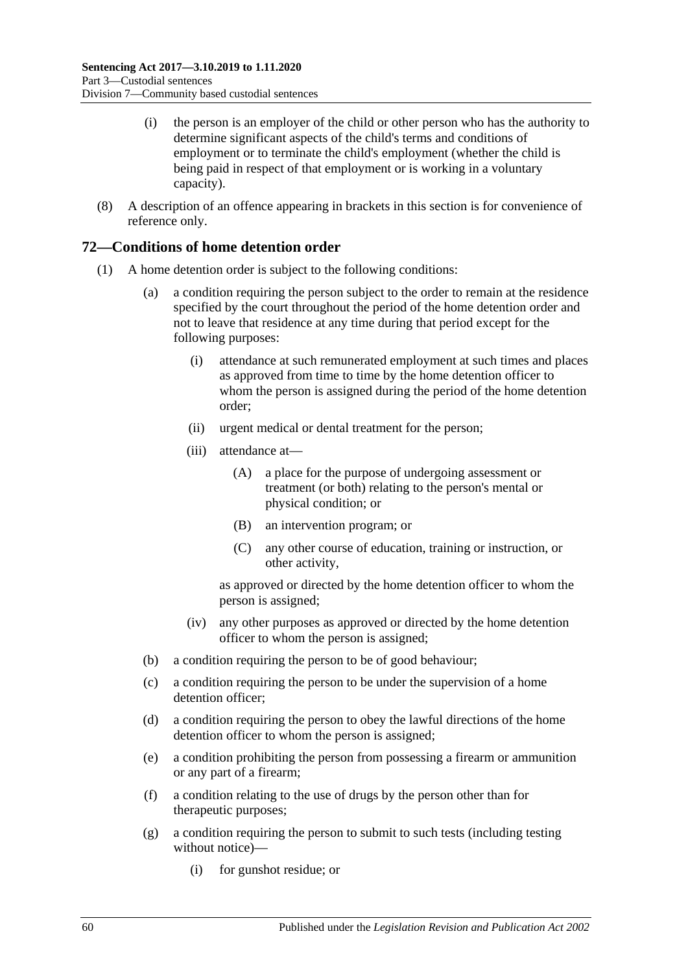- (i) the person is an employer of the child or other person who has the authority to determine significant aspects of the child's terms and conditions of employment or to terminate the child's employment (whether the child is being paid in respect of that employment or is working in a voluntary capacity).
- (8) A description of an offence appearing in brackets in this section is for convenience of reference only.

# **72—Conditions of home detention order**

- (1) A home detention order is subject to the following conditions:
	- (a) a condition requiring the person subject to the order to remain at the residence specified by the court throughout the period of the home detention order and not to leave that residence at any time during that period except for the following purposes:
		- (i) attendance at such remunerated employment at such times and places as approved from time to time by the home detention officer to whom the person is assigned during the period of the home detention order;
		- (ii) urgent medical or dental treatment for the person;
		- (iii) attendance at—
			- (A) a place for the purpose of undergoing assessment or treatment (or both) relating to the person's mental or physical condition; or
			- (B) an intervention program; or
			- (C) any other course of education, training or instruction, or other activity,

as approved or directed by the home detention officer to whom the person is assigned;

- (iv) any other purposes as approved or directed by the home detention officer to whom the person is assigned;
- (b) a condition requiring the person to be of good behaviour;
- (c) a condition requiring the person to be under the supervision of a home detention officer;
- (d) a condition requiring the person to obey the lawful directions of the home detention officer to whom the person is assigned;
- <span id="page-59-0"></span>(e) a condition prohibiting the person from possessing a firearm or ammunition or any part of a firearm;
- (f) a condition relating to the use of drugs by the person other than for therapeutic purposes;
- <span id="page-59-1"></span>(g) a condition requiring the person to submit to such tests (including testing without notice)—
	- (i) for gunshot residue; or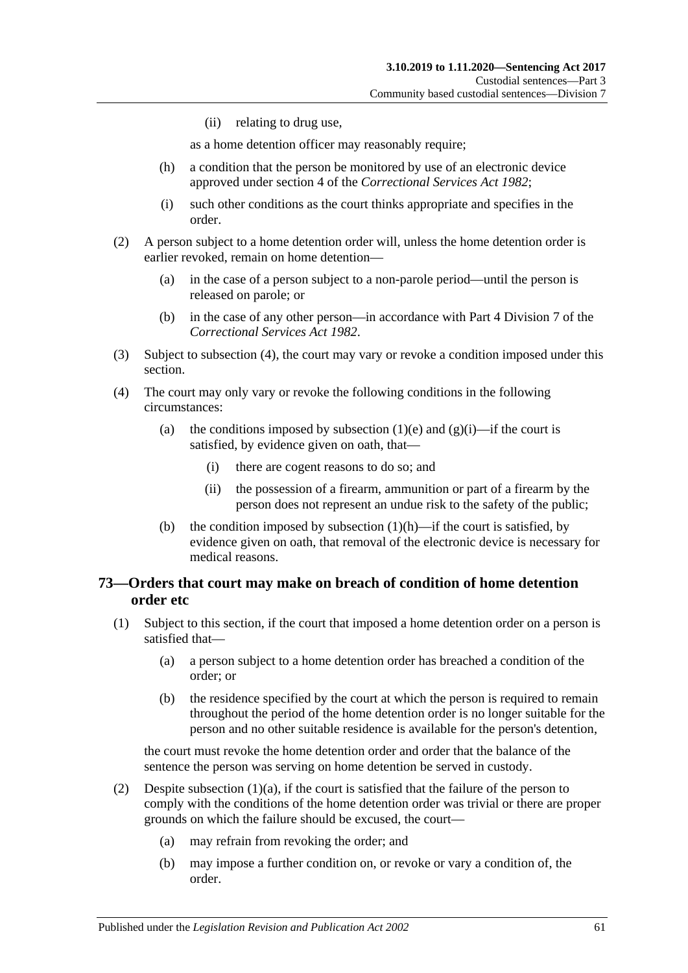(ii) relating to drug use,

as a home detention officer may reasonably require;

- <span id="page-60-1"></span>(h) a condition that the person be monitored by use of an electronic device approved under section 4 of the *[Correctional Services Act](http://www.legislation.sa.gov.au/index.aspx?action=legref&type=act&legtitle=Correctional%20Services%20Act%201982) 1982*;
- (i) such other conditions as the court thinks appropriate and specifies in the order.
- (2) A person subject to a home detention order will, unless the home detention order is earlier revoked, remain on home detention—
	- (a) in the case of a person subject to a non-parole period—until the person is released on parole; or
	- (b) in the case of any other person—in accordance with Part 4 Division 7 of the *[Correctional Services Act](http://www.legislation.sa.gov.au/index.aspx?action=legref&type=act&legtitle=Correctional%20Services%20Act%201982) 1982*.
- (3) Subject to [subsection](#page-60-0) (4), the court may vary or revoke a condition imposed under this section.
- <span id="page-60-0"></span>(4) The court may only vary or revoke the following conditions in the following circumstances:
	- (a) the conditions imposed by [subsection](#page-59-0) (1)(e) and [\(g\)\(i\)—](#page-59-1)if the court is satisfied, by evidence given on oath, that—
		- (i) there are cogent reasons to do so; and
		- (ii) the possession of a firearm, ammunition or part of a firearm by the person does not represent an undue risk to the safety of the public;
	- (b) the condition imposed by [subsection](#page-60-1)  $(1)(h)$ —if the court is satisfied, by evidence given on oath, that removal of the electronic device is necessary for medical reasons.

# <span id="page-60-4"></span>**73—Orders that court may make on breach of condition of home detention order etc**

- <span id="page-60-3"></span><span id="page-60-2"></span>(1) Subject to this section, if the court that imposed a home detention order on a person is satisfied that—
	- (a) a person subject to a home detention order has breached a condition of the order; or
	- (b) the residence specified by the court at which the person is required to remain throughout the period of the home detention order is no longer suitable for the person and no other suitable residence is available for the person's detention,

the court must revoke the home detention order and order that the balance of the sentence the person was serving on home detention be served in custody.

- (2) Despite [subsection](#page-60-2)  $(1)(a)$ , if the court is satisfied that the failure of the person to comply with the conditions of the home detention order was trivial or there are proper grounds on which the failure should be excused, the court—
	- (a) may refrain from revoking the order; and
	- (b) may impose a further condition on, or revoke or vary a condition of, the order.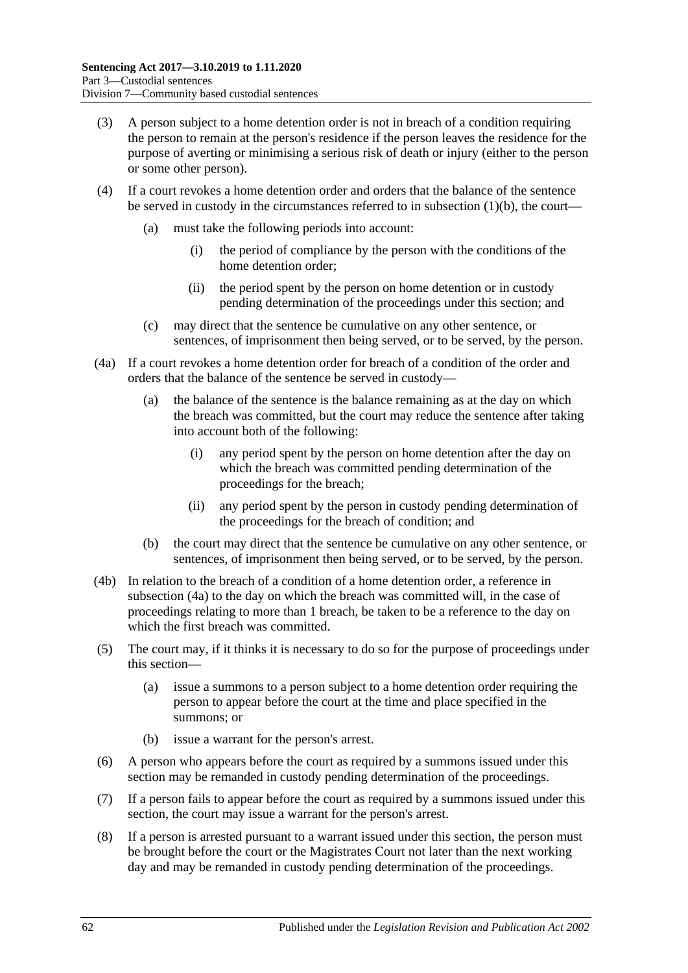- (3) A person subject to a home detention order is not in breach of a condition requiring the person to remain at the person's residence if the person leaves the residence for the purpose of averting or minimising a serious risk of death or injury (either to the person or some other person).
- (4) If a court revokes a home detention order and orders that the balance of the sentence be served in custody in the circumstances referred to in [subsection](#page-60-3)  $(1)(b)$ , the court—
	- (a) must take the following periods into account:
		- (i) the period of compliance by the person with the conditions of the home detention order;
		- (ii) the period spent by the person on home detention or in custody pending determination of the proceedings under this section; and
	- (c) may direct that the sentence be cumulative on any other sentence, or sentences, of imprisonment then being served, or to be served, by the person.
- <span id="page-61-0"></span>(4a) If a court revokes a home detention order for breach of a condition of the order and orders that the balance of the sentence be served in custody—
	- (a) the balance of the sentence is the balance remaining as at the day on which the breach was committed, but the court may reduce the sentence after taking into account both of the following:
		- (i) any period spent by the person on home detention after the day on which the breach was committed pending determination of the proceedings for the breach;
		- (ii) any period spent by the person in custody pending determination of the proceedings for the breach of condition; and
	- (b) the court may direct that the sentence be cumulative on any other sentence, or sentences, of imprisonment then being served, or to be served, by the person.
- (4b) In relation to the breach of a condition of a home detention order, a reference in [subsection](#page-61-0) (4a) to the day on which the breach was committed will, in the case of proceedings relating to more than 1 breach, be taken to be a reference to the day on which the first breach was committed.
- (5) The court may, if it thinks it is necessary to do so for the purpose of proceedings under this section—
	- (a) issue a summons to a person subject to a home detention order requiring the person to appear before the court at the time and place specified in the summons; or
	- (b) issue a warrant for the person's arrest.
- (6) A person who appears before the court as required by a summons issued under this section may be remanded in custody pending determination of the proceedings.
- (7) If a person fails to appear before the court as required by a summons issued under this section, the court may issue a warrant for the person's arrest.
- <span id="page-61-1"></span>(8) If a person is arrested pursuant to a warrant issued under this section, the person must be brought before the court or the Magistrates Court not later than the next working day and may be remanded in custody pending determination of the proceedings.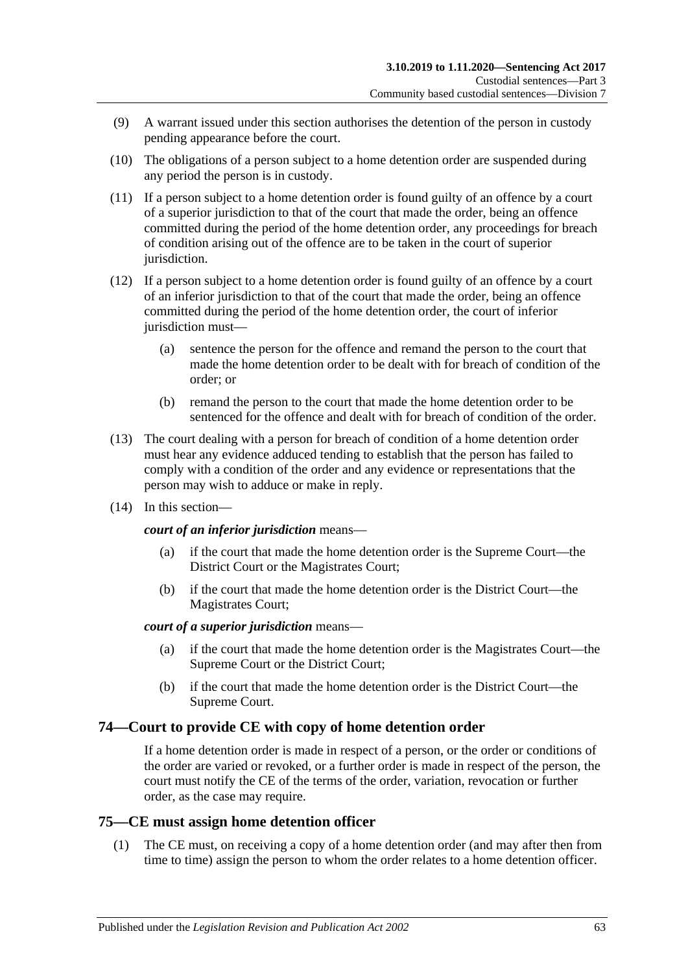- (9) A warrant issued under this section authorises the detention of the person in custody pending appearance before the court.
- <span id="page-62-0"></span>(10) The obligations of a person subject to a home detention order are suspended during any period the person is in custody.
- (11) If a person subject to a home detention order is found guilty of an offence by a court of a superior jurisdiction to that of the court that made the order, being an offence committed during the period of the home detention order, any proceedings for breach of condition arising out of the offence are to be taken in the court of superior jurisdiction.
- (12) If a person subject to a home detention order is found guilty of an offence by a court of an inferior jurisdiction to that of the court that made the order, being an offence committed during the period of the home detention order, the court of inferior jurisdiction must—
	- (a) sentence the person for the offence and remand the person to the court that made the home detention order to be dealt with for breach of condition of the order; or
	- (b) remand the person to the court that made the home detention order to be sentenced for the offence and dealt with for breach of condition of the order.
- (13) The court dealing with a person for breach of condition of a home detention order must hear any evidence adduced tending to establish that the person has failed to comply with a condition of the order and any evidence or representations that the person may wish to adduce or make in reply.
- (14) In this section—

#### *court of an inferior jurisdiction* means—

- (a) if the court that made the home detention order is the Supreme Court—the District Court or the Magistrates Court;
- (b) if the court that made the home detention order is the District Court—the Magistrates Court;

### *court of a superior jurisdiction* means—

- (a) if the court that made the home detention order is the Magistrates Court—the Supreme Court or the District Court;
- (b) if the court that made the home detention order is the District Court—the Supreme Court.

# **74—Court to provide CE with copy of home detention order**

If a home detention order is made in respect of a person, or the order or conditions of the order are varied or revoked, or a further order is made in respect of the person, the court must notify the CE of the terms of the order, variation, revocation or further order, as the case may require.

# **75—CE must assign home detention officer**

(1) The CE must, on receiving a copy of a home detention order (and may after then from time to time) assign the person to whom the order relates to a home detention officer.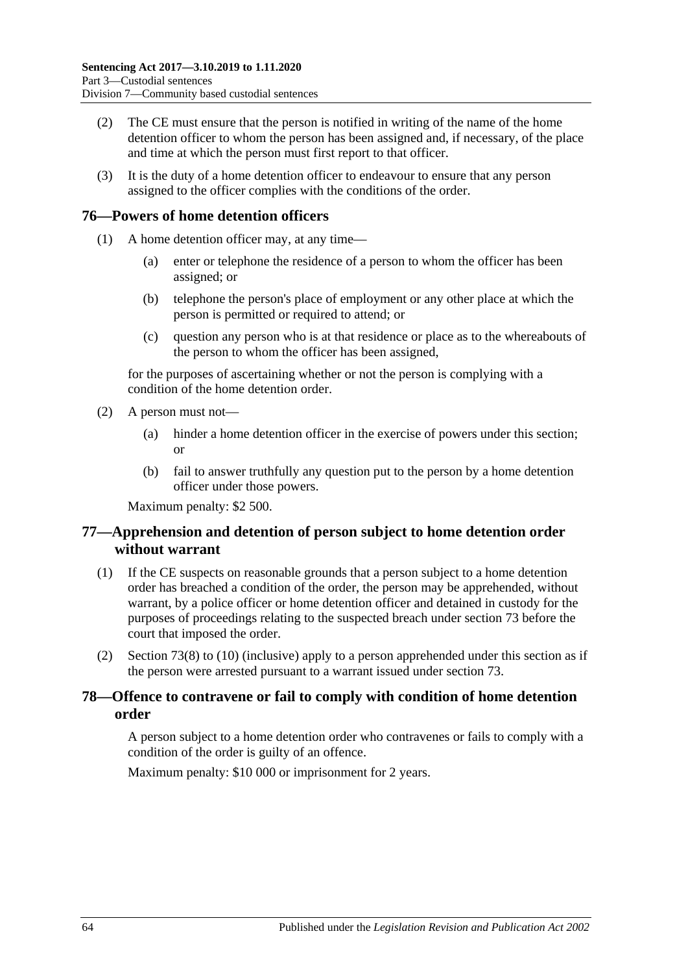- (2) The CE must ensure that the person is notified in writing of the name of the home detention officer to whom the person has been assigned and, if necessary, of the place and time at which the person must first report to that officer.
- (3) It is the duty of a home detention officer to endeavour to ensure that any person assigned to the officer complies with the conditions of the order.

# **76—Powers of home detention officers**

- (1) A home detention officer may, at any time—
	- (a) enter or telephone the residence of a person to whom the officer has been assigned; or
	- (b) telephone the person's place of employment or any other place at which the person is permitted or required to attend; or
	- (c) question any person who is at that residence or place as to the whereabouts of the person to whom the officer has been assigned,

for the purposes of ascertaining whether or not the person is complying with a condition of the home detention order.

- (2) A person must not—
	- (a) hinder a home detention officer in the exercise of powers under this section; or
	- (b) fail to answer truthfully any question put to the person by a home detention officer under those powers.

Maximum penalty: \$2 500.

# **77—Apprehension and detention of person subject to home detention order without warrant**

- (1) If the CE suspects on reasonable grounds that a person subject to a home detention order has breached a condition of the order, the person may be apprehended, without warrant, by a police officer or home detention officer and detained in custody for the purposes of proceedings relating to the suspected breach under [section](#page-60-4) 73 before the court that imposed the order.
- (2) [Section](#page-61-1) 73(8) to [\(10\)](#page-62-0) (inclusive) apply to a person apprehended under this section as if the person were arrested pursuant to a warrant issued under [section](#page-60-4) 73.

# **78—Offence to contravene or fail to comply with condition of home detention order**

A person subject to a home detention order who contravenes or fails to comply with a condition of the order is guilty of an offence.

Maximum penalty: \$10 000 or imprisonment for 2 years.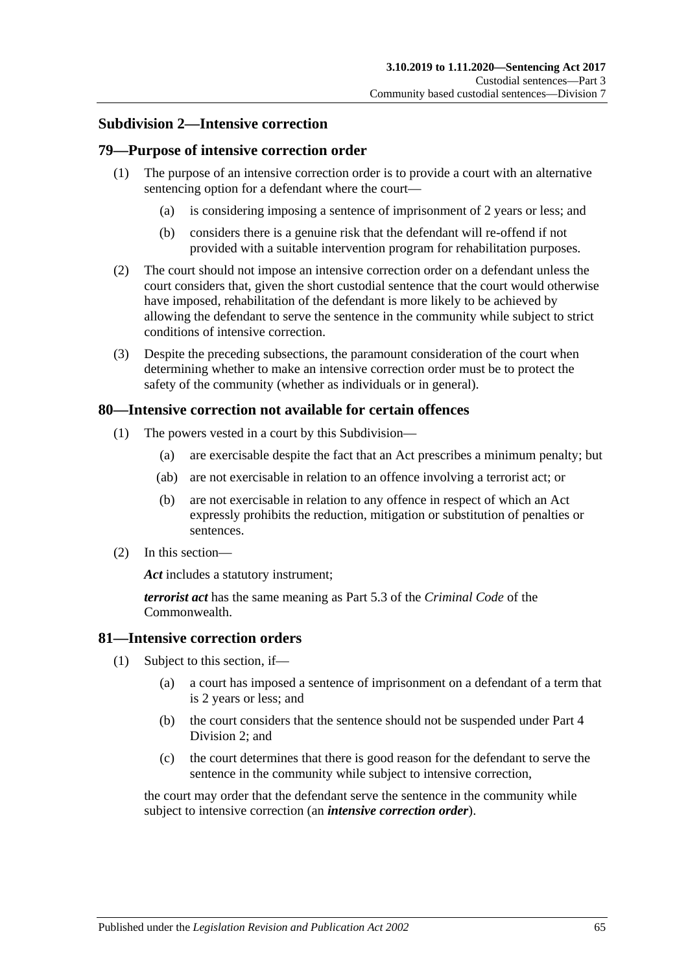### **Subdivision 2—Intensive correction**

### **79—Purpose of intensive correction order**

- (1) The purpose of an intensive correction order is to provide a court with an alternative sentencing option for a defendant where the court—
	- (a) is considering imposing a sentence of imprisonment of 2 years or less; and
	- (b) considers there is a genuine risk that the defendant will re-offend if not provided with a suitable intervention program for rehabilitation purposes.
- (2) The court should not impose an intensive correction order on a defendant unless the court considers that, given the short custodial sentence that the court would otherwise have imposed, rehabilitation of the defendant is more likely to be achieved by allowing the defendant to serve the sentence in the community while subject to strict conditions of intensive correction.
- (3) Despite the preceding subsections, the paramount consideration of the court when determining whether to make an intensive correction order must be to protect the safety of the community (whether as individuals or in general).

### **80—Intensive correction not available for certain offences**

- (1) The powers vested in a court by this Subdivision—
	- (a) are exercisable despite the fact that an Act prescribes a minimum penalty; but
	- (ab) are not exercisable in relation to an offence involving a terrorist act; or
	- (b) are not exercisable in relation to any offence in respect of which an Act expressly prohibits the reduction, mitigation or substitution of penalties or sentences.
- (2) In this section—

*Act* includes a statutory instrument;

*terrorist act* has the same meaning as Part 5.3 of the *Criminal Code* of the Commonwealth.

### **81—Intensive correction orders**

- (1) Subject to this section, if—
	- (a) a court has imposed a sentence of imprisonment on a defendant of a term that is 2 years or less; and
	- (b) the court considers that the sentence should not be suspended under [Part](#page-77-1) 4 [Division](#page-77-1) 2; and
	- (c) the court determines that there is good reason for the defendant to serve the sentence in the community while subject to intensive correction,

<span id="page-64-0"></span>the court may order that the defendant serve the sentence in the community while subject to intensive correction (an *intensive correction order*).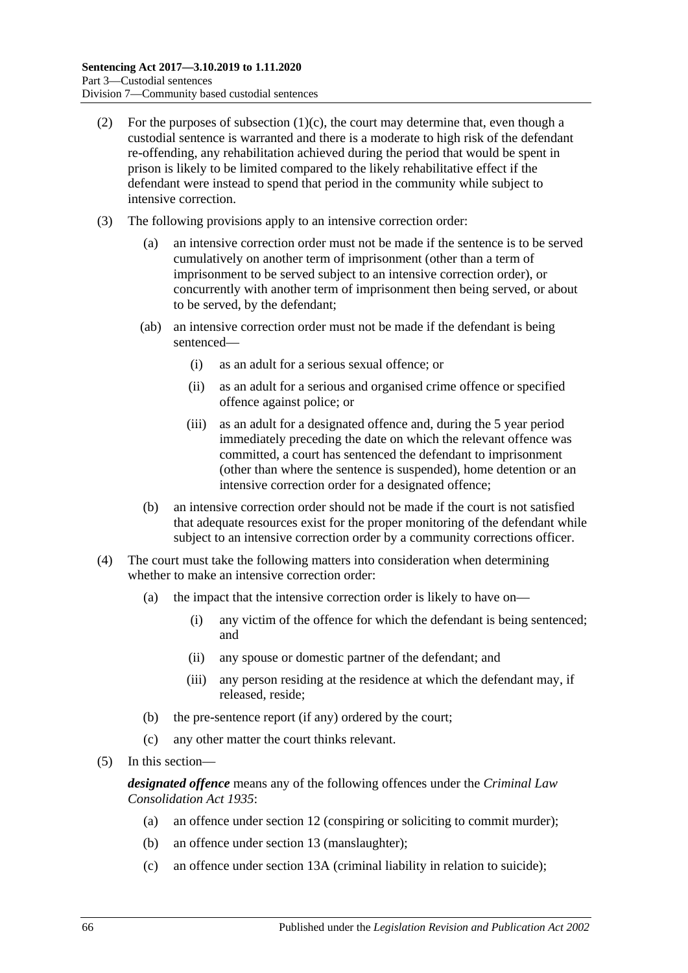- (2) For the purposes of [subsection](#page-64-0)  $(1)(c)$ , the court may determine that, even though a custodial sentence is warranted and there is a moderate to high risk of the defendant re-offending, any rehabilitation achieved during the period that would be spent in prison is likely to be limited compared to the likely rehabilitative effect if the defendant were instead to spend that period in the community while subject to intensive correction.
- (3) The following provisions apply to an intensive correction order:
	- (a) an intensive correction order must not be made if the sentence is to be served cumulatively on another term of imprisonment (other than a term of imprisonment to be served subject to an intensive correction order), or concurrently with another term of imprisonment then being served, or about to be served, by the defendant;
	- (ab) an intensive correction order must not be made if the defendant is being sentenced—
		- (i) as an adult for a serious sexual offence; or
		- (ii) as an adult for a serious and organised crime offence or specified offence against police; or
		- (iii) as an adult for a designated offence and, during the 5 year period immediately preceding the date on which the relevant offence was committed, a court has sentenced the defendant to imprisonment (other than where the sentence is suspended), home detention or an intensive correction order for a designated offence;
	- (b) an intensive correction order should not be made if the court is not satisfied that adequate resources exist for the proper monitoring of the defendant while subject to an intensive correction order by a community corrections officer.
- (4) The court must take the following matters into consideration when determining whether to make an intensive correction order:
	- (a) the impact that the intensive correction order is likely to have on—
		- (i) any victim of the offence for which the defendant is being sentenced; and
		- (ii) any spouse or domestic partner of the defendant; and
		- (iii) any person residing at the residence at which the defendant may, if released, reside;
	- (b) the pre-sentence report (if any) ordered by the court;
	- (c) any other matter the court thinks relevant.
- (5) In this section—

*designated offence* means any of the following offences under the *[Criminal Law](http://www.legislation.sa.gov.au/index.aspx?action=legref&type=act&legtitle=Criminal%20Law%20Consolidation%20Act%201935)  [Consolidation Act](http://www.legislation.sa.gov.au/index.aspx?action=legref&type=act&legtitle=Criminal%20Law%20Consolidation%20Act%201935) 1935*:

- (a) an offence under section 12 (conspiring or soliciting to commit murder);
- (b) an offence under section 13 (manslaughter);
- (c) an offence under section 13A (criminal liability in relation to suicide);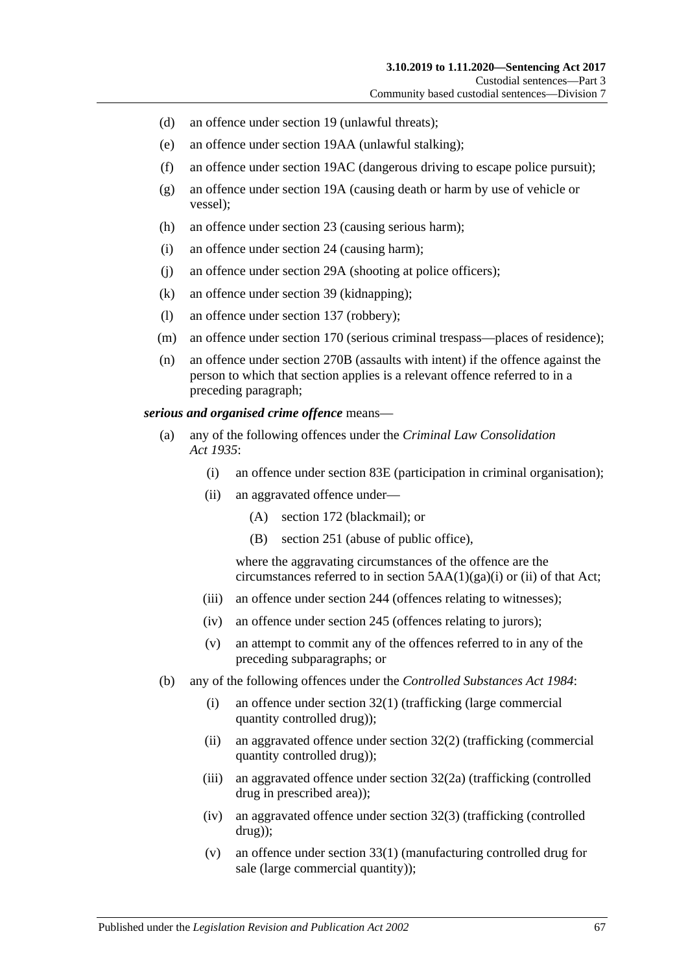- (d) an offence under section 19 (unlawful threats);
- (e) an offence under section 19AA (unlawful stalking);
- (f) an offence under section 19AC (dangerous driving to escape police pursuit);
- (g) an offence under section 19A (causing death or harm by use of vehicle or vessel);
- (h) an offence under section 23 (causing serious harm);
- (i) an offence under section 24 (causing harm);
- (j) an offence under section 29A (shooting at police officers);
- (k) an offence under section 39 (kidnapping);
- (l) an offence under section 137 (robbery);
- (m) an offence under section 170 (serious criminal trespass—places of residence);
- (n) an offence under section 270B (assaults with intent) if the offence against the person to which that section applies is a relevant offence referred to in a preceding paragraph;

#### *serious and organised crime offence* means—

- (a) any of the following offences under the *[Criminal Law Consolidation](http://www.legislation.sa.gov.au/index.aspx?action=legref&type=act&legtitle=Criminal%20Law%20Consolidation%20Act%201935)  Act [1935](http://www.legislation.sa.gov.au/index.aspx?action=legref&type=act&legtitle=Criminal%20Law%20Consolidation%20Act%201935)*:
	- (i) an offence under section 83E (participation in criminal organisation);
	- (ii) an aggravated offence under—
		- (A) section 172 (blackmail); or
		- (B) section 251 (abuse of public office),

where the aggravating circumstances of the offence are the circumstances referred to in section  $5AA(1)(ga)(i)$  or (ii) of that Act;

- (iii) an offence under section 244 (offences relating to witnesses);
- (iv) an offence under section 245 (offences relating to jurors);
- (v) an attempt to commit any of the offences referred to in any of the preceding subparagraphs; or
- (b) any of the following offences under the *[Controlled Substances Act](http://www.legislation.sa.gov.au/index.aspx?action=legref&type=act&legtitle=Controlled%20Substances%20Act%201984) 1984*:
	- (i) an offence under section 32(1) (trafficking (large commercial quantity controlled drug));
	- (ii) an aggravated offence under section 32(2) (trafficking (commercial quantity controlled drug));
	- (iii) an aggravated offence under section 32(2a) (trafficking (controlled drug in prescribed area));
	- (iv) an aggravated offence under section 32(3) (trafficking (controlled drug));
	- (v) an offence under section 33(1) (manufacturing controlled drug for sale (large commercial quantity));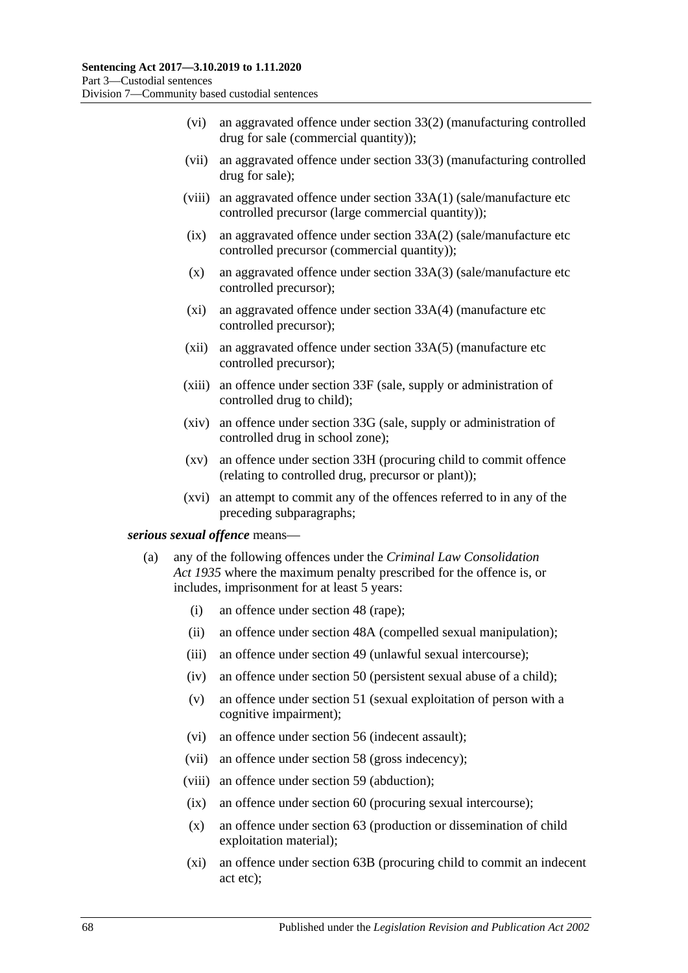- (vi) an aggravated offence under section 33(2) (manufacturing controlled drug for sale (commercial quantity));
- (vii) an aggravated offence under section 33(3) (manufacturing controlled drug for sale);
- (viii) an aggravated offence under section 33A(1) (sale/manufacture etc controlled precursor (large commercial quantity));
- (ix) an aggravated offence under section 33A(2) (sale/manufacture etc controlled precursor (commercial quantity));
- (x) an aggravated offence under section 33A(3) (sale/manufacture etc controlled precursor);
- (xi) an aggravated offence under section 33A(4) (manufacture etc controlled precursor);
- (xii) an aggravated offence under section 33A(5) (manufacture etc controlled precursor);
- (xiii) an offence under section 33F (sale, supply or administration of controlled drug to child);
- (xiv) an offence under section 33G (sale, supply or administration of controlled drug in school zone);
- (xv) an offence under section 33H (procuring child to commit offence (relating to controlled drug, precursor or plant));
- (xvi) an attempt to commit any of the offences referred to in any of the preceding subparagraphs;

#### <span id="page-67-0"></span>*serious sexual offence* means—

- (a) any of the following offences under the *[Criminal Law Consolidation](http://www.legislation.sa.gov.au/index.aspx?action=legref&type=act&legtitle=Criminal%20Law%20Consolidation%20Act%201935)  Act [1935](http://www.legislation.sa.gov.au/index.aspx?action=legref&type=act&legtitle=Criminal%20Law%20Consolidation%20Act%201935)* where the maximum penalty prescribed for the offence is, or includes, imprisonment for at least 5 years:
	- (i) an offence under section 48 (rape);
	- (ii) an offence under section 48A (compelled sexual manipulation);
	- (iii) an offence under section 49 (unlawful sexual intercourse);
	- (iv) an offence under section 50 (persistent sexual abuse of a child);
	- (v) an offence under section 51 (sexual exploitation of person with a cognitive impairment);
	- (vi) an offence under section 56 (indecent assault);
	- (vii) an offence under section 58 (gross indecency);
	- (viii) an offence under section 59 (abduction);
	- (ix) an offence under section 60 (procuring sexual intercourse);
	- (x) an offence under section 63 (production or dissemination of child exploitation material);
	- (xi) an offence under section 63B (procuring child to commit an indecent act etc);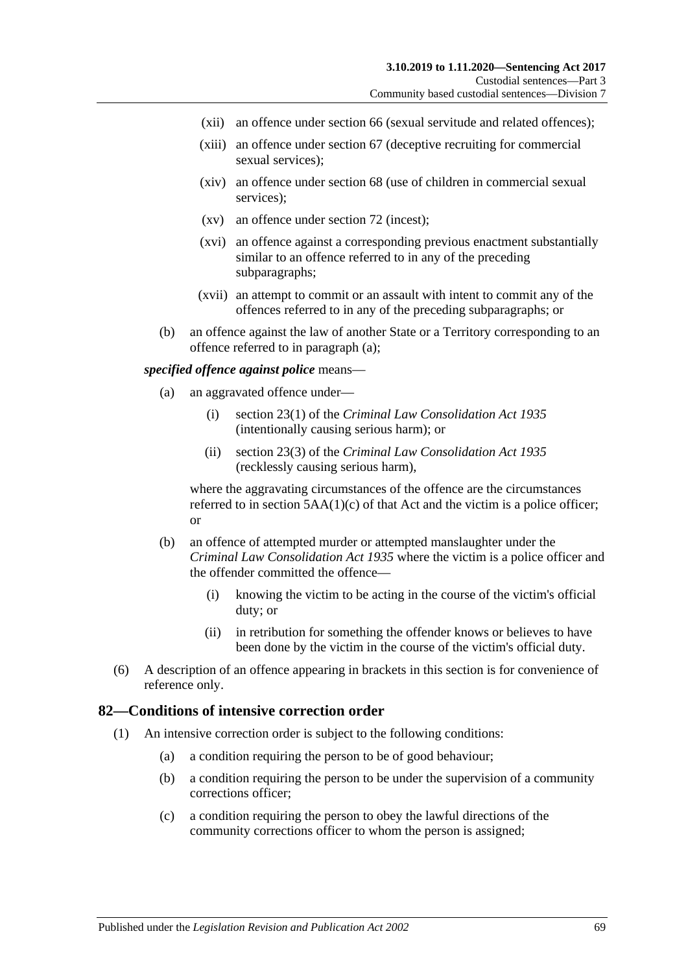- (xii) an offence under section 66 (sexual servitude and related offences);
- (xiii) an offence under section 67 (deceptive recruiting for commercial sexual services);
- (xiv) an offence under section 68 (use of children in commercial sexual services);
- (xv) an offence under section 72 (incest);
- (xvi) an offence against a corresponding previous enactment substantially similar to an offence referred to in any of the preceding subparagraphs;
- (xvii) an attempt to commit or an assault with intent to commit any of the offences referred to in any of the preceding subparagraphs; or
- (b) an offence against the law of another State or a Territory corresponding to an offence referred to in [paragraph](#page-67-0) (a);

#### *specified offence against police* means—

- (a) an aggravated offence under—
	- (i) section 23(1) of the *[Criminal Law Consolidation Act](http://www.legislation.sa.gov.au/index.aspx?action=legref&type=act&legtitle=Criminal%20Law%20Consolidation%20Act%201935) 1935* (intentionally causing serious harm); or
	- (ii) section 23(3) of the *Criminal [Law Consolidation Act](http://www.legislation.sa.gov.au/index.aspx?action=legref&type=act&legtitle=Criminal%20Law%20Consolidation%20Act%201935) 1935* (recklessly causing serious harm),

where the aggravating circumstances of the offence are the circumstances referred to in section  $5AA(1)(c)$  of that Act and the victim is a police officer; or

- (b) an offence of attempted murder or attempted manslaughter under the *[Criminal Law Consolidation Act](http://www.legislation.sa.gov.au/index.aspx?action=legref&type=act&legtitle=Criminal%20Law%20Consolidation%20Act%201935) 1935* where the victim is a police officer and the offender committed the offence—
	- (i) knowing the victim to be acting in the course of the victim's official duty; or
	- (ii) in retribution for something the offender knows or believes to have been done by the victim in the course of the victim's official duty.
- (6) A description of an offence appearing in brackets in this section is for convenience of reference only.

### **82—Conditions of intensive correction order**

- (1) An intensive correction order is subject to the following conditions:
	- (a) a condition requiring the person to be of good behaviour;
	- (b) a condition requiring the person to be under the supervision of a community corrections officer;
	- (c) a condition requiring the person to obey the lawful directions of the community corrections officer to whom the person is assigned;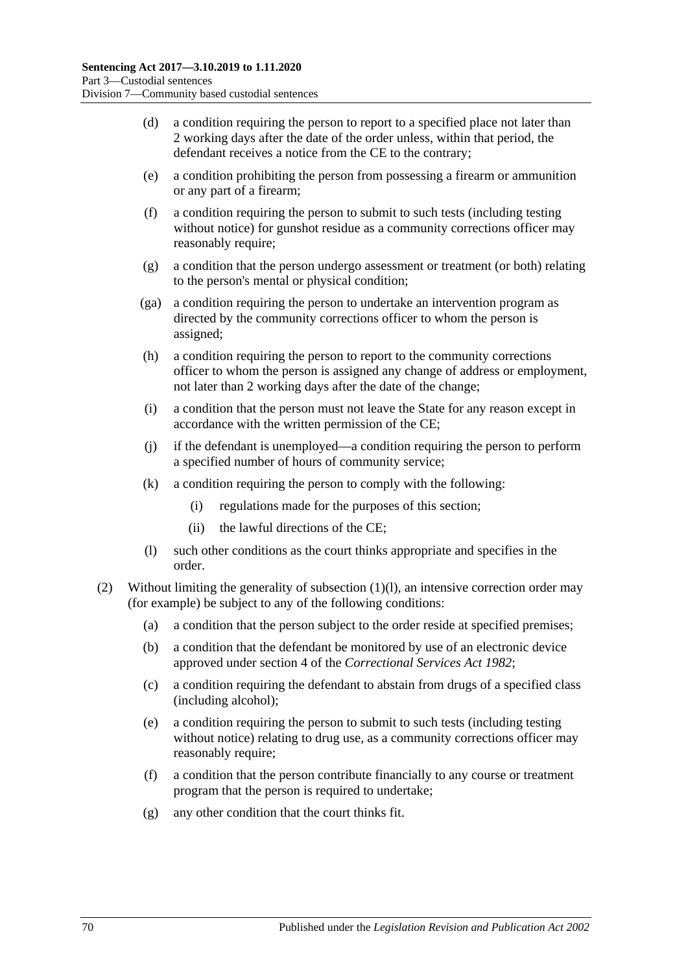- (d) a condition requiring the person to report to a specified place not later than 2 working days after the date of the order unless, within that period, the defendant receives a notice from the CE to the contrary;
- <span id="page-69-2"></span>(e) a condition prohibiting the person from possessing a firearm or ammunition or any part of a firearm;
- <span id="page-69-3"></span>(f) a condition requiring the person to submit to such tests (including testing without notice) for gunshot residue as a community corrections officer may reasonably require;
- (g) a condition that the person undergo assessment or treatment (or both) relating to the person's mental or physical condition;
- (ga) a condition requiring the person to undertake an intervention program as directed by the community corrections officer to whom the person is assigned;
- (h) a condition requiring the person to report to the community corrections officer to whom the person is assigned any change of address or employment, not later than 2 working days after the date of the change;
- (i) a condition that the person must not leave the State for any reason except in accordance with the written permission of the CE;
- (j) if the defendant is unemployed—a condition requiring the person to perform a specified number of hours of community service;
- (k) a condition requiring the person to comply with the following:
	- (i) regulations made for the purposes of this section;
	- (ii) the lawful directions of the CE;
- (l) such other conditions as the court thinks appropriate and specifies in the order.
- <span id="page-69-1"></span><span id="page-69-0"></span>(2) Without limiting the generality of [subsection](#page-69-0) (1)(l), an intensive correction order may (for example) be subject to any of the following conditions:
	- (a) a condition that the person subject to the order reside at specified premises;
	- (b) a condition that the defendant be monitored by use of an electronic device approved under section 4 of the *[Correctional Services Act](http://www.legislation.sa.gov.au/index.aspx?action=legref&type=act&legtitle=Correctional%20Services%20Act%201982) 1982*;
	- (c) a condition requiring the defendant to abstain from drugs of a specified class (including alcohol);
	- (e) a condition requiring the person to submit to such tests (including testing without notice) relating to drug use, as a community corrections officer may reasonably require;
	- (f) a condition that the person contribute financially to any course or treatment program that the person is required to undertake;
	- (g) any other condition that the court thinks fit.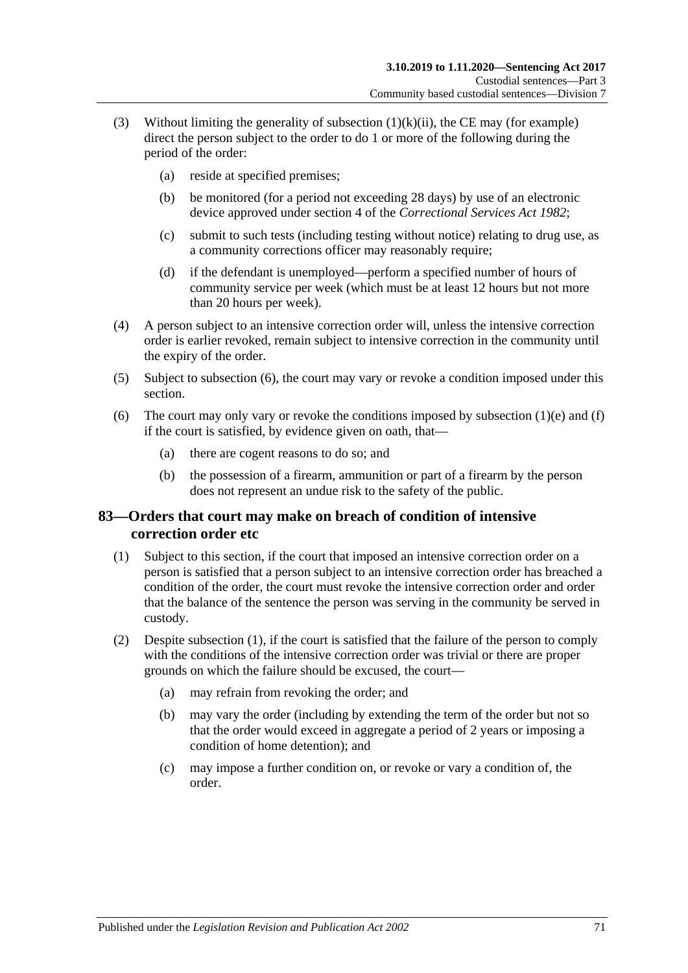- (3) Without limiting the generality of [subsection](#page-69-1)  $(1)(k)(ii)$ , the CE may (for example) direct the person subject to the order to do 1 or more of the following during the period of the order:
	- (a) reside at specified premises;
	- (b) be monitored (for a period not exceeding 28 days) by use of an electronic device approved under section 4 of the *[Correctional Services Act](http://www.legislation.sa.gov.au/index.aspx?action=legref&type=act&legtitle=Correctional%20Services%20Act%201982) 1982*;
	- (c) submit to such tests (including testing without notice) relating to drug use, as a community corrections officer may reasonably require;
	- (d) if the defendant is unemployed—perform a specified number of hours of community service per week (which must be at least 12 hours but not more than 20 hours per week).
- (4) A person subject to an intensive correction order will, unless the intensive correction order is earlier revoked, remain subject to intensive correction in the community until the expiry of the order.
- (5) Subject to [subsection](#page-70-0) (6), the court may vary or revoke a condition imposed under this section.
- <span id="page-70-0"></span>(6) The court may only vary or revoke the conditions imposed by [subsection](#page-69-2)  $(1)(e)$  and  $(f)$ if the court is satisfied, by evidence given on oath, that—
	- (a) there are cogent reasons to do so; and
	- (b) the possession of a firearm, ammunition or part of a firearm by the person does not represent an undue risk to the safety of the public.

# **83—Orders that court may make on breach of condition of intensive correction order etc**

- <span id="page-70-1"></span>(1) Subject to this section, if the court that imposed an intensive correction order on a person is satisfied that a person subject to an intensive correction order has breached a condition of the order, the court must revoke the intensive correction order and order that the balance of the sentence the person was serving in the community be served in custody.
- (2) Despite [subsection](#page-70-1) (1), if the court is satisfied that the failure of the person to comply with the conditions of the intensive correction order was trivial or there are proper grounds on which the failure should be excused, the court—
	- (a) may refrain from revoking the order; and
	- (b) may vary the order (including by extending the term of the order but not so that the order would exceed in aggregate a period of 2 years or imposing a condition of home detention); and
	- (c) may impose a further condition on, or revoke or vary a condition of, the order.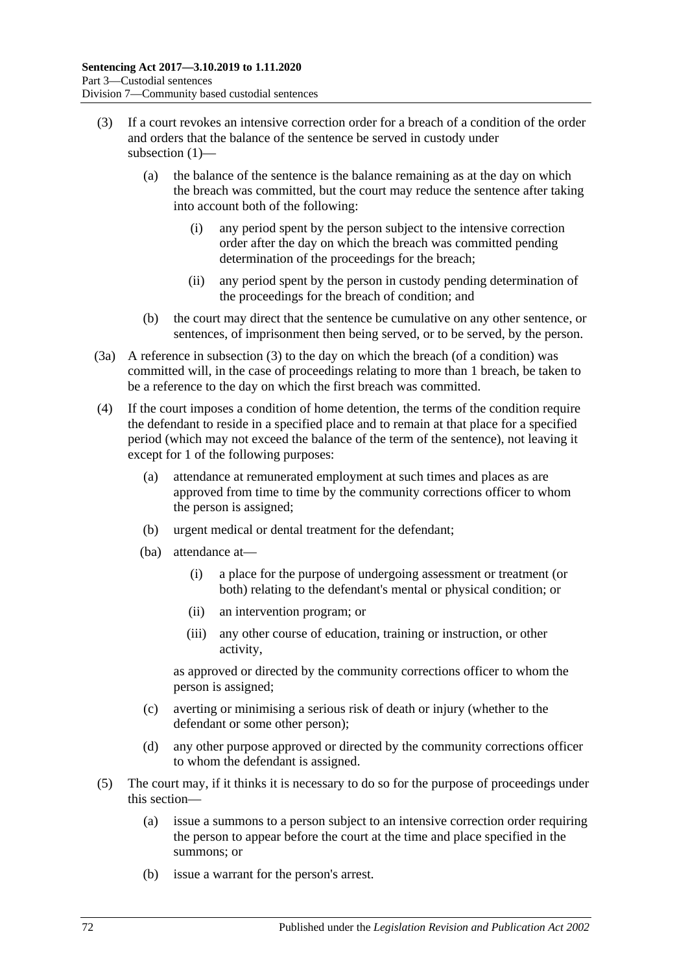- (3) If a court revokes an intensive correction order for a breach of a condition of the order and orders that the balance of the sentence be served in custody under subsection (1)—
	- (a) the balance of the sentence is the balance remaining as at the day on which the breach was committed, but the court may reduce the sentence after taking into account both of the following:
		- (i) any period spent by the person subject to the intensive correction order after the day on which the breach was committed pending determination of the proceedings for the breach;
		- (ii) any period spent by the person in custody pending determination of the proceedings for the breach of condition; and
	- (b) the court may direct that the sentence be cumulative on any other sentence, or sentences, of imprisonment then being served, or to be served, by the person.
- (3a) A reference in subsection (3) to the day on which the breach (of a condition) was committed will, in the case of proceedings relating to more than 1 breach, be taken to be a reference to the day on which the first breach was committed.
- (4) If the court imposes a condition of home detention, the terms of the condition require the defendant to reside in a specified place and to remain at that place for a specified period (which may not exceed the balance of the term of the sentence), not leaving it except for 1 of the following purposes:
	- (a) attendance at remunerated employment at such times and places as are approved from time to time by the community corrections officer to whom the person is assigned;
	- (b) urgent medical or dental treatment for the defendant;
	- (ba) attendance at—
		- (i) a place for the purpose of undergoing assessment or treatment (or both) relating to the defendant's mental or physical condition; or
		- (ii) an intervention program; or
		- (iii) any other course of education, training or instruction, or other activity,

as approved or directed by the community corrections officer to whom the person is assigned;

- (c) averting or minimising a serious risk of death or injury (whether to the defendant or some other person);
- (d) any other purpose approved or directed by the community corrections officer to whom the defendant is assigned.
- (5) The court may, if it thinks it is necessary to do so for the purpose of proceedings under this section—
	- (a) issue a summons to a person subject to an intensive correction order requiring the person to appear before the court at the time and place specified in the summons; or
	- (b) issue a warrant for the person's arrest.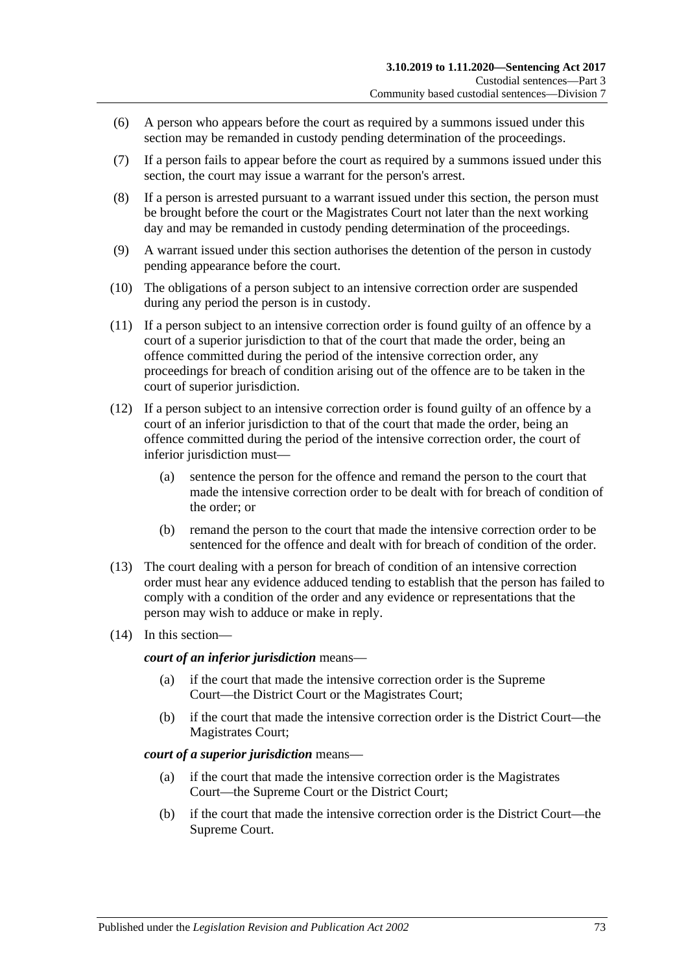- (6) A person who appears before the court as required by a summons issued under this section may be remanded in custody pending determination of the proceedings.
- (7) If a person fails to appear before the court as required by a summons issued under this section, the court may issue a warrant for the person's arrest.
- (8) If a person is arrested pursuant to a warrant issued under this section, the person must be brought before the court or the Magistrates Court not later than the next working day and may be remanded in custody pending determination of the proceedings.
- <span id="page-72-0"></span>(9) A warrant issued under this section authorises the detention of the person in custody pending appearance before the court.
- (10) The obligations of a person subject to an intensive correction order are suspended during any period the person is in custody.
- <span id="page-72-1"></span>(11) If a person subject to an intensive correction order is found guilty of an offence by a court of a superior jurisdiction to that of the court that made the order, being an offence committed during the period of the intensive correction order, any proceedings for breach of condition arising out of the offence are to be taken in the court of superior jurisdiction.
- (12) If a person subject to an intensive correction order is found guilty of an offence by a court of an inferior jurisdiction to that of the court that made the order, being an offence committed during the period of the intensive correction order, the court of inferior jurisdiction must—
	- (a) sentence the person for the offence and remand the person to the court that made the intensive correction order to be dealt with for breach of condition of the order; or
	- (b) remand the person to the court that made the intensive correction order to be sentenced for the offence and dealt with for breach of condition of the order.
- (13) The court dealing with a person for breach of condition of an intensive correction order must hear any evidence adduced tending to establish that the person has failed to comply with a condition of the order and any evidence or representations that the person may wish to adduce or make in reply.
- (14) In this section—

*court of an inferior jurisdiction* means—

- (a) if the court that made the intensive correction order is the Supreme Court—the District Court or the Magistrates Court;
- (b) if the court that made the intensive correction order is the District Court—the Magistrates Court;

#### *court of a superior jurisdiction* means—

- (a) if the court that made the intensive correction order is the Magistrates Court—the Supreme Court or the District Court;
- (b) if the court that made the intensive correction order is the District Court—the Supreme Court.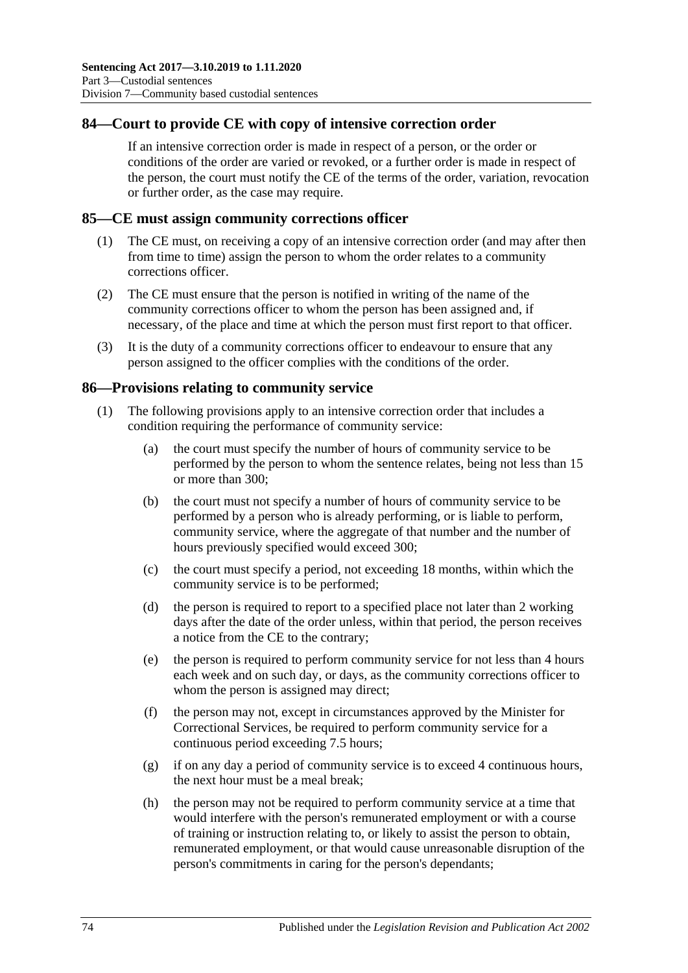### **84—Court to provide CE with copy of intensive correction order**

If an intensive correction order is made in respect of a person, or the order or conditions of the order are varied or revoked, or a further order is made in respect of the person, the court must notify the CE of the terms of the order, variation, revocation or further order, as the case may require.

### **85—CE must assign community corrections officer**

- (1) The CE must, on receiving a copy of an intensive correction order (and may after then from time to time) assign the person to whom the order relates to a community corrections officer.
- (2) The CE must ensure that the person is notified in writing of the name of the community corrections officer to whom the person has been assigned and, if necessary, of the place and time at which the person must first report to that officer.
- (3) It is the duty of a community corrections officer to endeavour to ensure that any person assigned to the officer complies with the conditions of the order.

### **86—Provisions relating to community service**

- (1) The following provisions apply to an intensive correction order that includes a condition requiring the performance of community service:
	- (a) the court must specify the number of hours of community service to be performed by the person to whom the sentence relates, being not less than 15 or more than 300;
	- (b) the court must not specify a number of hours of community service to be performed by a person who is already performing, or is liable to perform, community service, where the aggregate of that number and the number of hours previously specified would exceed 300;
	- (c) the court must specify a period, not exceeding 18 months, within which the community service is to be performed;
	- (d) the person is required to report to a specified place not later than 2 working days after the date of the order unless, within that period, the person receives a notice from the CE to the contrary;
	- (e) the person is required to perform community service for not less than 4 hours each week and on such day, or days, as the community corrections officer to whom the person is assigned may direct;
	- (f) the person may not, except in circumstances approved by the Minister for Correctional Services, be required to perform community service for a continuous period exceeding 7.5 hours;
	- (g) if on any day a period of community service is to exceed 4 continuous hours, the next hour must be a meal break;
	- (h) the person may not be required to perform community service at a time that would interfere with the person's remunerated employment or with a course of training or instruction relating to, or likely to assist the person to obtain, remunerated employment, or that would cause unreasonable disruption of the person's commitments in caring for the person's dependants;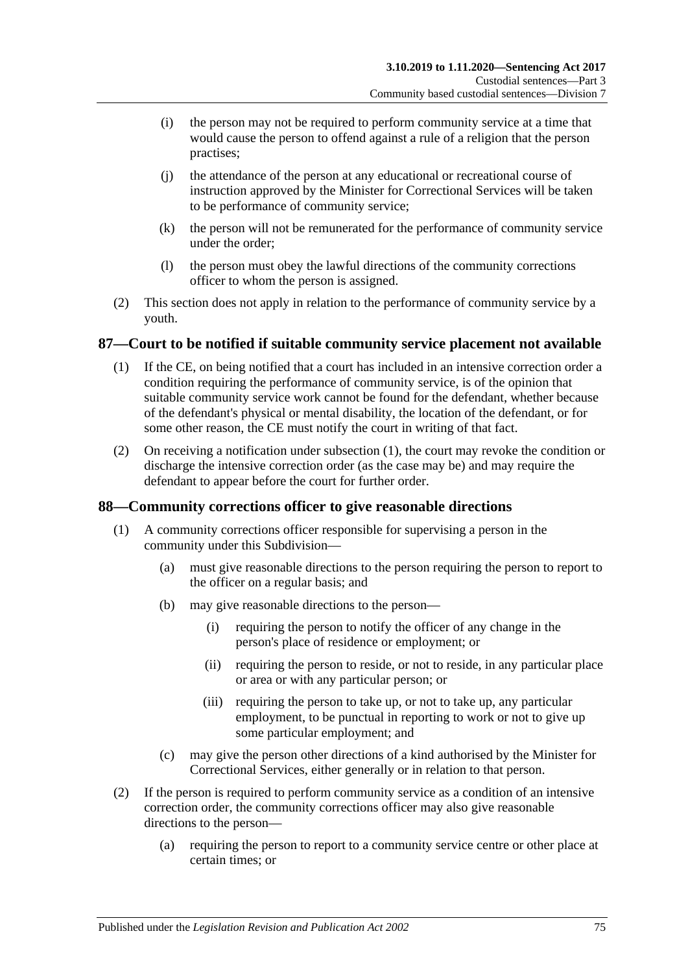- (i) the person may not be required to perform community service at a time that would cause the person to offend against a rule of a religion that the person practises;
- (j) the attendance of the person at any educational or recreational course of instruction approved by the Minister for Correctional Services will be taken to be performance of community service;
- (k) the person will not be remunerated for the performance of community service under the order;
- (l) the person must obey the lawful directions of the community corrections officer to whom the person is assigned.
- (2) This section does not apply in relation to the performance of community service by a youth.

### <span id="page-74-0"></span>**87—Court to be notified if suitable community service placement not available**

- (1) If the CE, on being notified that a court has included in an intensive correction order a condition requiring the performance of community service, is of the opinion that suitable community service work cannot be found for the defendant, whether because of the defendant's physical or mental disability, the location of the defendant, or for some other reason, the CE must notify the court in writing of that fact.
- (2) On receiving a notification under [subsection](#page-74-0) (1), the court may revoke the condition or discharge the intensive correction order (as the case may be) and may require the defendant to appear before the court for further order.

### **88—Community corrections officer to give reasonable directions**

- (1) A community corrections officer responsible for supervising a person in the community under this Subdivision—
	- (a) must give reasonable directions to the person requiring the person to report to the officer on a regular basis; and
	- (b) may give reasonable directions to the person—
		- (i) requiring the person to notify the officer of any change in the person's place of residence or employment; or
		- (ii) requiring the person to reside, or not to reside, in any particular place or area or with any particular person; or
		- (iii) requiring the person to take up, or not to take up, any particular employment, to be punctual in reporting to work or not to give up some particular employment; and
	- (c) may give the person other directions of a kind authorised by the Minister for Correctional Services, either generally or in relation to that person.
- (2) If the person is required to perform community service as a condition of an intensive correction order, the community corrections officer may also give reasonable directions to the person—
	- (a) requiring the person to report to a community service centre or other place at certain times; or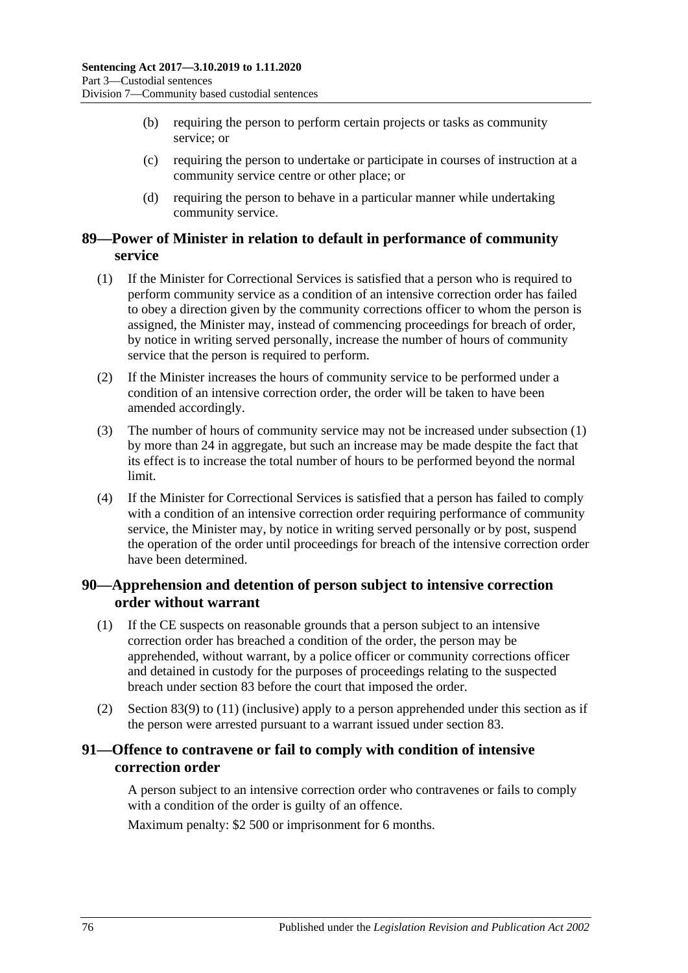- (b) requiring the person to perform certain projects or tasks as community service; or
- (c) requiring the person to undertake or participate in courses of instruction at a community service centre or other place; or
- (d) requiring the person to behave in a particular manner while undertaking community service.

### **89—Power of Minister in relation to default in performance of community service**

- <span id="page-75-0"></span>(1) If the Minister for Correctional Services is satisfied that a person who is required to perform community service as a condition of an intensive correction order has failed to obey a direction given by the community corrections officer to whom the person is assigned, the Minister may, instead of commencing proceedings for breach of order, by notice in writing served personally, increase the number of hours of community service that the person is required to perform.
- (2) If the Minister increases the hours of community service to be performed under a condition of an intensive correction order, the order will be taken to have been amended accordingly.
- (3) The number of hours of community service may not be increased under [subsection](#page-75-0) (1) by more than 24 in aggregate, but such an increase may be made despite the fact that its effect is to increase the total number of hours to be performed beyond the normal limit.
- (4) If the Minister for Correctional Services is satisfied that a person has failed to comply with a condition of an intensive correction order requiring performance of community service, the Minister may, by notice in writing served personally or by post, suspend the operation of the order until proceedings for breach of the intensive correction order have been determined.

### **90—Apprehension and detention of person subject to intensive correction order without warrant**

- (1) If the CE suspects on reasonable grounds that a person subject to an intensive correction order has breached a condition of the order, the person may be apprehended, without warrant, by a police officer or community corrections officer and detained in custody for the purposes of proceedings relating to the suspected breach under [section](#page-70-0) 83 before the court that imposed the order.
- (2) [Section](#page-72-0) 83(9) to [\(11\)](#page-72-1) (inclusive) apply to a person apprehended under this section as if the person were arrested pursuant to a warrant issued under [section](#page-70-0) 83.

## **91—Offence to contravene or fail to comply with condition of intensive correction order**

A person subject to an intensive correction order who contravenes or fails to comply with a condition of the order is guilty of an offence.

Maximum penalty: \$2 500 or imprisonment for 6 months.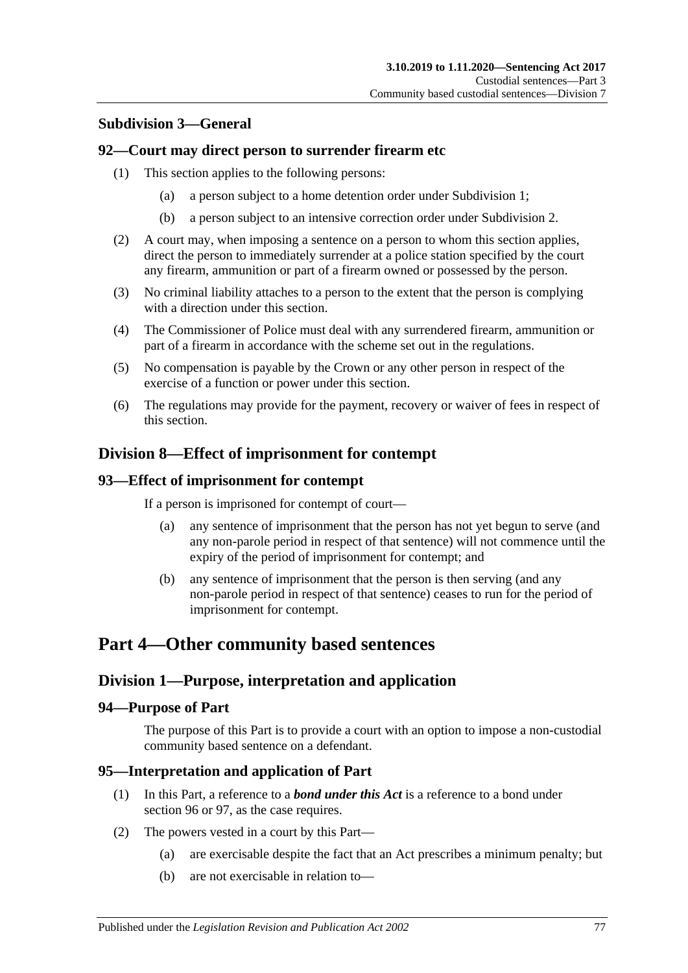### **Subdivision 3—General**

### **92—Court may direct person to surrender firearm etc**

- (1) This section applies to the following persons:
	- (a) a person subject to a home detention order under [Subdivision](#page-53-0) 1;
	- (b) a person subject to an intensive correction order under [Subdivision](#page-64-0) 2.
- (2) A court may, when imposing a sentence on a person to whom this section applies, direct the person to immediately surrender at a police station specified by the court any firearm, ammunition or part of a firearm owned or possessed by the person.
- (3) No criminal liability attaches to a person to the extent that the person is complying with a direction under this section.
- (4) The Commissioner of Police must deal with any surrendered firearm, ammunition or part of a firearm in accordance with the scheme set out in the regulations.
- (5) No compensation is payable by the Crown or any other person in respect of the exercise of a function or power under this section.
- (6) The regulations may provide for the payment, recovery or waiver of fees in respect of this section.

## **Division 8—Effect of imprisonment for contempt**

### **93—Effect of imprisonment for contempt**

If a person is imprisoned for contempt of court—

- (a) any sentence of imprisonment that the person has not yet begun to serve (and any non-parole period in respect of that sentence) will not commence until the expiry of the period of imprisonment for contempt; and
- (b) any sentence of imprisonment that the person is then serving (and any non-parole period in respect of that sentence) ceases to run for the period of imprisonment for contempt.

# **Part 4—Other community based sentences**

## **Division 1—Purpose, interpretation and application**

### **94—Purpose of Part**

The purpose of this Part is to provide a court with an option to impose a non-custodial community based sentence on a defendant.

### **95—Interpretation and application of Part**

- (1) In this Part, a reference to a *bond under this Act* is a reference to a bond under [section](#page-77-0) 96 or [97,](#page-82-0) as the case requires.
- <span id="page-76-0"></span>(2) The powers vested in a court by this Part—
	- (a) are exercisable despite the fact that an Act prescribes a minimum penalty; but
	- (b) are not exercisable in relation to—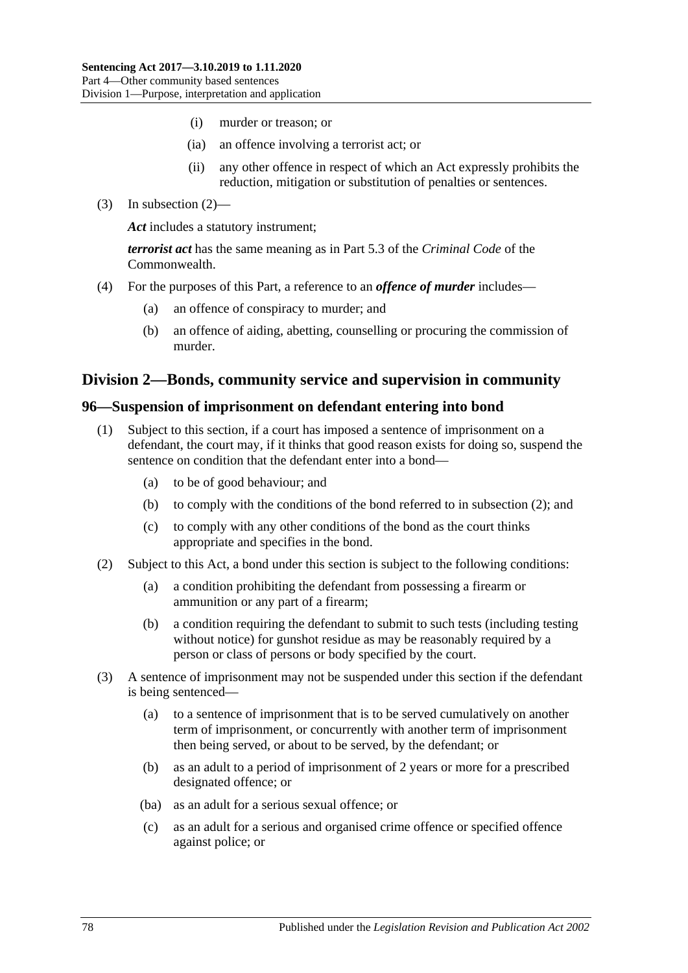- (i) murder or treason; or
- (ia) an offence involving a terrorist act; or
- (ii) any other offence in respect of which an Act expressly prohibits the reduction, mitigation or substitution of penalties or sentences.
- (3) In [subsection](#page-76-0) (2)—

*Act* includes a statutory instrument;

*terrorist act* has the same meaning as in Part 5.3 of the *Criminal Code* of the Commonwealth.

- (4) For the purposes of this Part, a reference to an *offence of murder* includes—
	- (a) an offence of conspiracy to murder; and
	- (b) an offence of aiding, abetting, counselling or procuring the commission of murder.

### **Division 2—Bonds, community service and supervision in community**

#### <span id="page-77-3"></span><span id="page-77-0"></span>**96—Suspension of imprisonment on defendant entering into bond**

- (1) Subject to this section, if a court has imposed a sentence of imprisonment on a defendant, the court may, if it thinks that good reason exists for doing so, suspend the sentence on condition that the defendant enter into a bond—
	- (a) to be of good behaviour; and
	- (b) to comply with the conditions of the bond referred to in [subsection](#page-77-1) (2); and
	- (c) to comply with any other conditions of the bond as the court thinks appropriate and specifies in the bond.
- <span id="page-77-6"></span><span id="page-77-1"></span>(2) Subject to this Act, a bond under this section is subject to the following conditions:
	- (a) a condition prohibiting the defendant from possessing a firearm or ammunition or any part of a firearm;
	- (b) a condition requiring the defendant to submit to such tests (including testing without notice) for gunshot residue as may be reasonably required by a person or class of persons or body specified by the court.
- <span id="page-77-5"></span><span id="page-77-4"></span><span id="page-77-2"></span>(3) A sentence of imprisonment may not be suspended under this section if the defendant is being sentenced—
	- (a) to a sentence of imprisonment that is to be served cumulatively on another term of imprisonment, or concurrently with another term of imprisonment then being served, or about to be served, by the defendant; or
	- (b) as an adult to a period of imprisonment of 2 years or more for a prescribed designated offence; or
	- (ba) as an adult for a serious sexual offence; or
	- (c) as an adult for a serious and organised crime offence or specified offence against police; or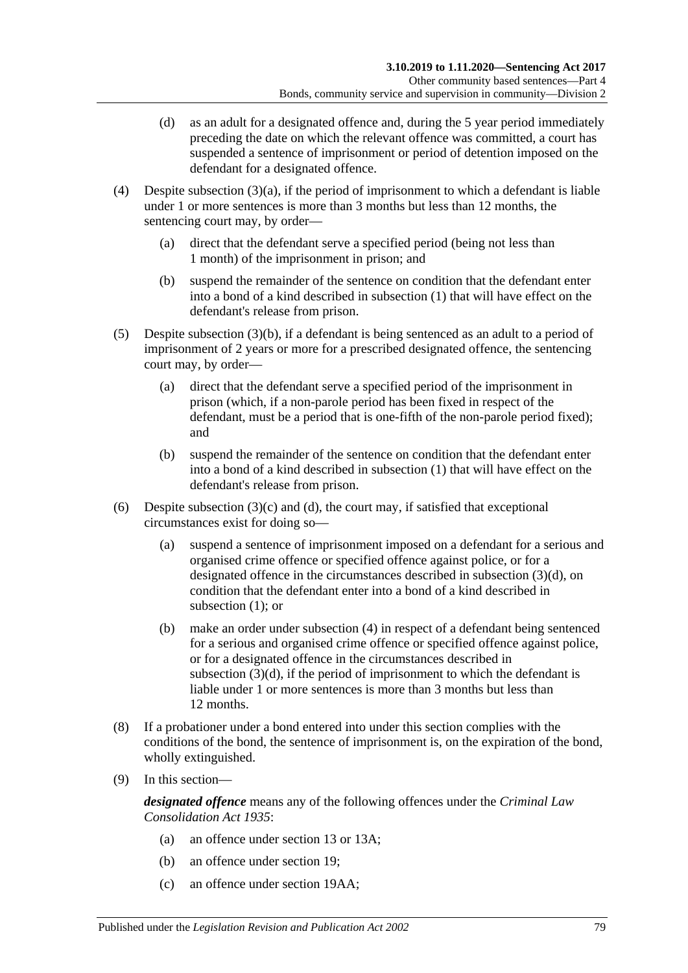- <span id="page-78-0"></span>(d) as an adult for a designated offence and, during the 5 year period immediately preceding the date on which the relevant offence was committed, a court has suspended a sentence of imprisonment or period of detention imposed on the defendant for a designated offence.
- <span id="page-78-1"></span>(4) Despite [subsection](#page-77-2)  $(3)(a)$ , if the period of imprisonment to which a defendant is liable under 1 or more sentences is more than 3 months but less than 12 months, the sentencing court may, by order—
	- (a) direct that the defendant serve a specified period (being not less than 1 month) of the imprisonment in prison; and
	- (b) suspend the remainder of the sentence on condition that the defendant enter into a bond of a kind described in [subsection](#page-77-3) (1) that will have effect on the defendant's release from prison.
- <span id="page-78-2"></span>(5) Despite [subsection](#page-77-4) (3)(b), if a defendant is being sentenced as an adult to a period of imprisonment of 2 years or more for a prescribed designated offence, the sentencing court may, by order—
	- (a) direct that the defendant serve a specified period of the imprisonment in prison (which, if a non-parole period has been fixed in respect of the defendant, must be a period that is one-fifth of the non-parole period fixed); and
	- (b) suspend the remainder of the sentence on condition that the defendant enter into a bond of a kind described in [subsection](#page-77-3) (1) that will have effect on the defendant's release from prison.
- (6) Despite [subsection](#page-77-5)  $(3)(c)$  and  $(d)$ , the court may, if satisfied that exceptional circumstances exist for doing so—
	- (a) suspend a sentence of imprisonment imposed on a defendant for a serious and organised crime offence or specified offence against police, or for a designated offence in the circumstances described in [subsection](#page-78-0) (3)(d), on condition that the defendant enter into a bond of a kind described in [subsection](#page-77-3) (1): or
	- (b) make an order under [subsection](#page-78-1) (4) in respect of a defendant being sentenced for a serious and organised crime offence or specified offence against police, or for a designated offence in the circumstances described in [subsection](#page-78-0) (3)(d), if the period of imprisonment to which the defendant is liable under 1 or more sentences is more than 3 months but less than 12 months.
- (8) If a probationer under a bond entered into under this section complies with the conditions of the bond, the sentence of imprisonment is, on the expiration of the bond, wholly extinguished.
- (9) In this section—

*designated offence* means any of the following offences under the *[Criminal Law](http://www.legislation.sa.gov.au/index.aspx?action=legref&type=act&legtitle=Criminal%20Law%20Consolidation%20Act%201935)  [Consolidation Act](http://www.legislation.sa.gov.au/index.aspx?action=legref&type=act&legtitle=Criminal%20Law%20Consolidation%20Act%201935) 1935*:

- (a) an offence under section 13 or 13A;
- (b) an offence under section 19;
- (c) an offence under section 19AA;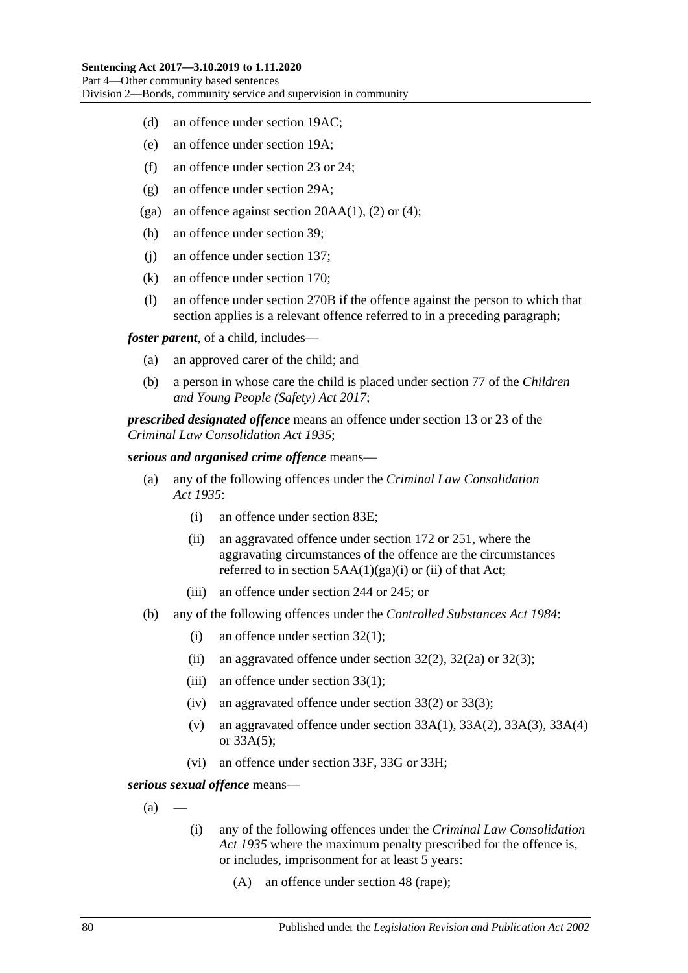- (d) an offence under section 19AC;
- (e) an offence under section 19A;
- (f) an offence under section 23 or 24;
- (g) an offence under section 29A;
- (ga) an offence against section  $20AA(1)$ , (2) or (4);
- (h) an offence under section 39;
- (j) an offence under section 137;
- (k) an offence under section 170;
- (l) an offence under section 270B if the offence against the person to which that section applies is a relevant offence referred to in a preceding paragraph;

*foster parent*, of a child, includes—

- (a) an approved carer of the child; and
- (b) a person in whose care the child is placed under section 77 of the *[Children](http://www.legislation.sa.gov.au/index.aspx?action=legref&type=act&legtitle=Children%20and%20Young%20People%20(Safety)%20Act%202017) [and Young People \(Safety\) Act](http://www.legislation.sa.gov.au/index.aspx?action=legref&type=act&legtitle=Children%20and%20Young%20People%20(Safety)%20Act%202017) 2017*;

*prescribed designated offence* means an offence under section 13 or 23 of the *[Criminal Law Consolidation Act](http://www.legislation.sa.gov.au/index.aspx?action=legref&type=act&legtitle=Criminal%20Law%20Consolidation%20Act%201935) 1935*;

#### *serious and organised crime offence* means—

- (a) any of the following offences under the *[Criminal Law Consolidation](http://www.legislation.sa.gov.au/index.aspx?action=legref&type=act&legtitle=Criminal%20Law%20Consolidation%20Act%201935)  Act [1935](http://www.legislation.sa.gov.au/index.aspx?action=legref&type=act&legtitle=Criminal%20Law%20Consolidation%20Act%201935)*:
	- (i) an offence under section 83E;
	- (ii) an aggravated offence under section 172 or 251, where the aggravating circumstances of the offence are the circumstances referred to in section  $5AA(1)(ga)(i)$  or (ii) of that Act;
	- (iii) an offence under section 244 or 245; or
- (b) any of the following offences under the *[Controlled Substances Act](http://www.legislation.sa.gov.au/index.aspx?action=legref&type=act&legtitle=Controlled%20Substances%20Act%201984) 1984*:
	- (i) an offence under section 32(1);
	- (ii) an aggravated offence under section  $32(2)$ ,  $32(2a)$  or  $32(3)$ ;
	- (iii) an offence under section 33(1);
	- (iv) an aggravated offence under section 33(2) or 33(3);
	- (v) an aggravated offence under section  $33A(1)$ ,  $33A(2)$ ,  $33A(3)$ ,  $33A(4)$ or 33A(5);
	- (vi) an offence under section 33F, 33G or 33H;

<span id="page-79-0"></span>*serious sexual offence* means—

- $(a)$
- (i) any of the following offences under the *[Criminal Law Consolidation](http://www.legislation.sa.gov.au/index.aspx?action=legref&type=act&legtitle=Criminal%20Law%20Consolidation%20Act%201935)  Act [1935](http://www.legislation.sa.gov.au/index.aspx?action=legref&type=act&legtitle=Criminal%20Law%20Consolidation%20Act%201935)* where the maximum penalty prescribed for the offence is, or includes, imprisonment for at least 5 years:
	- (A) an offence under section 48 (rape);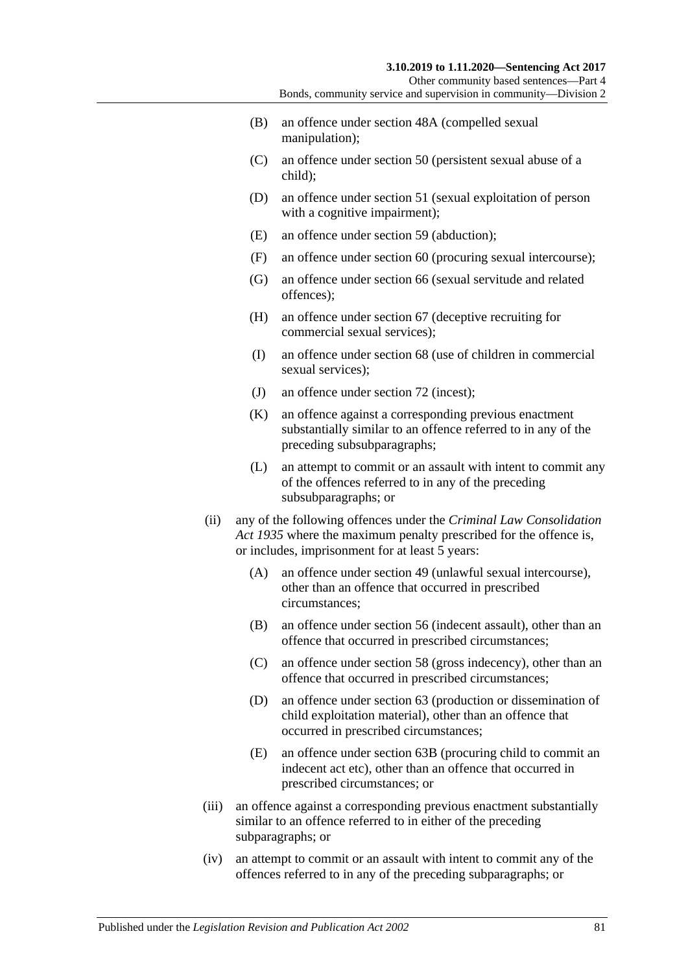Other community based sentences—Part 4 Bonds, community service and supervision in community—Division 2

- (B) an offence under section 48A (compelled sexual manipulation);
- (C) an offence under section 50 (persistent sexual abuse of a child);
- (D) an offence under section 51 (sexual exploitation of person with a cognitive impairment);
- (E) an offence under section 59 (abduction);
- (F) an offence under section 60 (procuring sexual intercourse);
- (G) an offence under section 66 (sexual servitude and related offences);
- (H) an offence under section 67 (deceptive recruiting for commercial sexual services);
- (I) an offence under section 68 (use of children in commercial sexual services):
- (J) an offence under section 72 (incest);
- (K) an offence against a corresponding previous enactment substantially similar to an offence referred to in any of the preceding subsubparagraphs;
- (L) an attempt to commit or an assault with intent to commit any of the offences referred to in any of the preceding subsubparagraphs; or
- (ii) any of the following offences under the *[Criminal Law Consolidation](http://www.legislation.sa.gov.au/index.aspx?action=legref&type=act&legtitle=Criminal%20Law%20Consolidation%20Act%201935)  Act [1935](http://www.legislation.sa.gov.au/index.aspx?action=legref&type=act&legtitle=Criminal%20Law%20Consolidation%20Act%201935)* where the maximum penalty prescribed for the offence is, or includes, imprisonment for at least 5 years:
	- (A) an offence under section 49 (unlawful sexual intercourse), other than an offence that occurred in prescribed circumstances;
	- (B) an offence under section 56 (indecent assault), other than an offence that occurred in prescribed circumstances;
	- (C) an offence under section 58 (gross indecency), other than an offence that occurred in prescribed circumstances;
	- (D) an offence under section 63 (production or dissemination of child exploitation material), other than an offence that occurred in prescribed circumstances;
	- (E) an offence under section 63B (procuring child to commit an indecent act etc), other than an offence that occurred in prescribed circumstances; or
- (iii) an offence against a corresponding previous enactment substantially similar to an offence referred to in either of the preceding subparagraphs; or
- (iv) an attempt to commit or an assault with intent to commit any of the offences referred to in any of the preceding subparagraphs; or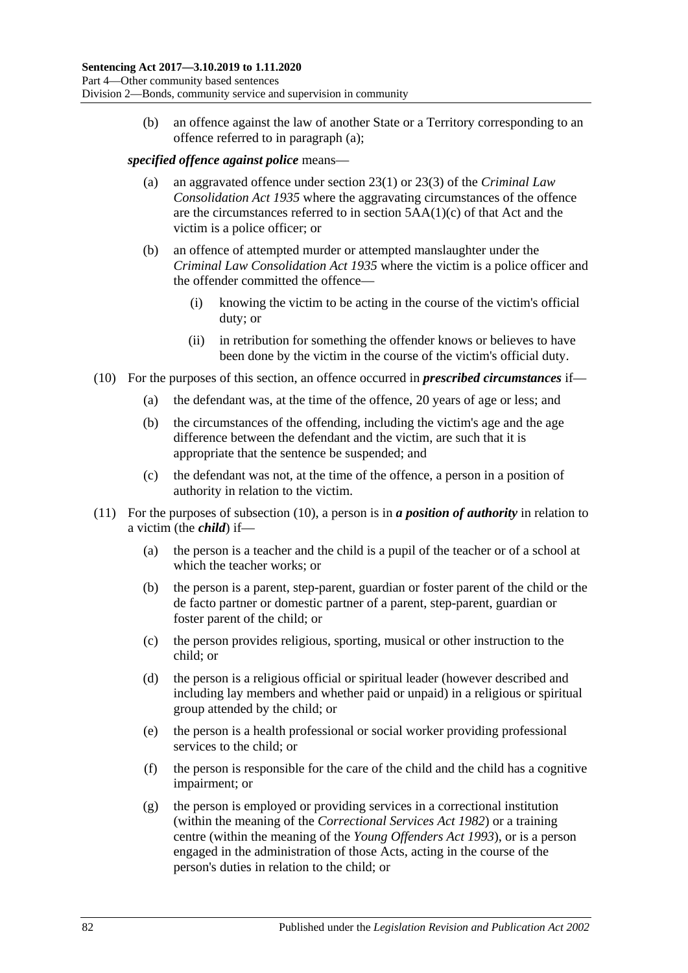(b) an offence against the law of another State or a Territory corresponding to an offence referred to in [paragraph](#page-79-0) (a);

#### *specified offence against police* means—

- (a) an aggravated offence under section 23(1) or 23(3) of the *[Criminal Law](http://www.legislation.sa.gov.au/index.aspx?action=legref&type=act&legtitle=Criminal%20Law%20Consolidation%20Act%201935)  [Consolidation Act](http://www.legislation.sa.gov.au/index.aspx?action=legref&type=act&legtitle=Criminal%20Law%20Consolidation%20Act%201935) 1935* where the aggravating circumstances of the offence are the circumstances referred to in section 5AA(1)(c) of that Act and the victim is a police officer; or
- (b) an offence of attempted murder or attempted manslaughter under the *[Criminal Law Consolidation Act](http://www.legislation.sa.gov.au/index.aspx?action=legref&type=act&legtitle=Criminal%20Law%20Consolidation%20Act%201935) 1935* where the victim is a police officer and the offender committed the offence—
	- (i) knowing the victim to be acting in the course of the victim's official duty; or
	- (ii) in retribution for something the offender knows or believes to have been done by the victim in the course of the victim's official duty.
- <span id="page-81-0"></span>(10) For the purposes of this section, an offence occurred in *prescribed circumstances* if—
	- (a) the defendant was, at the time of the offence, 20 years of age or less; and
	- (b) the circumstances of the offending, including the victim's age and the age difference between the defendant and the victim, are such that it is appropriate that the sentence be suspended; and
	- (c) the defendant was not, at the time of the offence, a person in a position of authority in relation to the victim.
- (11) For the purposes of [subsection](#page-81-0) (10), a person is in *a position of authority* in relation to a victim (the *child*) if—
	- (a) the person is a teacher and the child is a pupil of the teacher or of a school at which the teacher works; or
	- (b) the person is a parent, step-parent, guardian or foster parent of the child or the de facto partner or domestic partner of a parent, step-parent, guardian or foster parent of the child; or
	- (c) the person provides religious, sporting, musical or other instruction to the child; or
	- (d) the person is a religious official or spiritual leader (however described and including lay members and whether paid or unpaid) in a religious or spiritual group attended by the child; or
	- (e) the person is a health professional or social worker providing professional services to the child; or
	- (f) the person is responsible for the care of the child and the child has a cognitive impairment; or
	- (g) the person is employed or providing services in a correctional institution (within the meaning of the *[Correctional Services Act](http://www.legislation.sa.gov.au/index.aspx?action=legref&type=act&legtitle=Correctional%20Services%20Act%201982) 1982*) or a training centre (within the meaning of the *[Young Offenders Act](http://www.legislation.sa.gov.au/index.aspx?action=legref&type=act&legtitle=Young%20Offenders%20Act%201993) 1993*), or is a person engaged in the administration of those Acts, acting in the course of the person's duties in relation to the child; or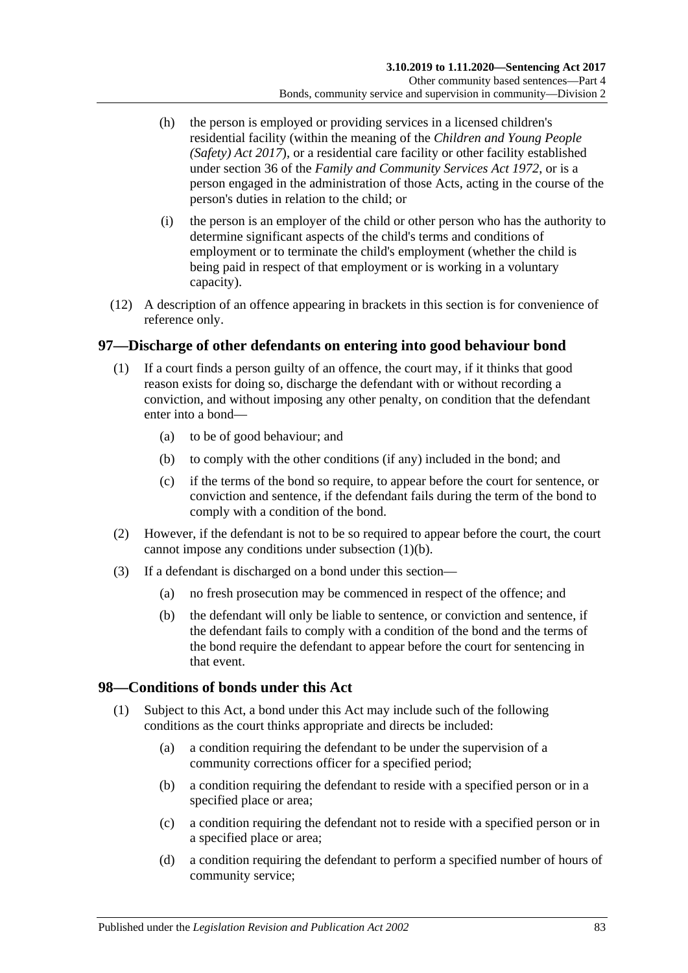- (h) the person is employed or providing services in a licensed children's residential facility (within the meaning of the *[Children and Young People](http://www.legislation.sa.gov.au/index.aspx?action=legref&type=act&legtitle=Children%20and%20Young%20People%20(Safety)%20Act%202017)  [\(Safety\) Act](http://www.legislation.sa.gov.au/index.aspx?action=legref&type=act&legtitle=Children%20and%20Young%20People%20(Safety)%20Act%202017) 2017*), or a residential care facility or other facility established under section 36 of the *[Family and Community Services Act](http://www.legislation.sa.gov.au/index.aspx?action=legref&type=act&legtitle=Family%20and%20Community%20Services%20Act%201972) 1972*, or is a person engaged in the administration of those Acts, acting in the course of the person's duties in relation to the child; or
- (i) the person is an employer of the child or other person who has the authority to determine significant aspects of the child's terms and conditions of employment or to terminate the child's employment (whether the child is being paid in respect of that employment or is working in a voluntary capacity).
- (12) A description of an offence appearing in brackets in this section is for convenience of reference only.

### <span id="page-82-0"></span>**97—Discharge of other defendants on entering into good behaviour bond**

- <span id="page-82-1"></span>(1) If a court finds a person guilty of an offence, the court may, if it thinks that good reason exists for doing so, discharge the defendant with or without recording a conviction, and without imposing any other penalty, on condition that the defendant enter into a bond—
	- (a) to be of good behaviour; and
	- (b) to comply with the other conditions (if any) included in the bond; and
	- (c) if the terms of the bond so require, to appear before the court for sentence, or conviction and sentence, if the defendant fails during the term of the bond to comply with a condition of the bond.
- (2) However, if the defendant is not to be so required to appear before the court, the court cannot impose any conditions under [subsection](#page-82-1) (1)(b).
- (3) If a defendant is discharged on a bond under this section—
	- (a) no fresh prosecution may be commenced in respect of the offence; and
	- (b) the defendant will only be liable to sentence, or conviction and sentence, if the defendant fails to comply with a condition of the bond and the terms of the bond require the defendant to appear before the court for sentencing in that event.

### **98—Conditions of bonds under this Act**

- (1) Subject to this Act, a bond under this Act may include such of the following conditions as the court thinks appropriate and directs be included:
	- (a) a condition requiring the defendant to be under the supervision of a community corrections officer for a specified period;
	- (b) a condition requiring the defendant to reside with a specified person or in a specified place or area;
	- (c) a condition requiring the defendant not to reside with a specified person or in a specified place or area;
	- (d) a condition requiring the defendant to perform a specified number of hours of community service;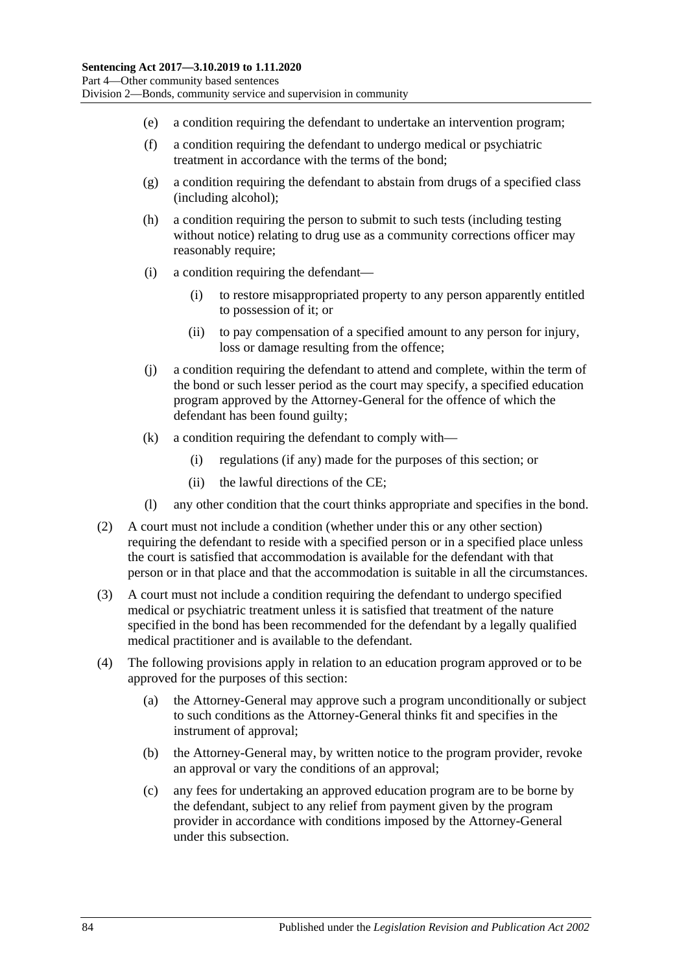- (e) a condition requiring the defendant to undertake an intervention program;
- (f) a condition requiring the defendant to undergo medical or psychiatric treatment in accordance with the terms of the bond;
- (g) a condition requiring the defendant to abstain from drugs of a specified class (including alcohol);
- (h) a condition requiring the person to submit to such tests (including testing without notice) relating to drug use as a community corrections officer may reasonably require;
- (i) a condition requiring the defendant—
	- (i) to restore misappropriated property to any person apparently entitled to possession of it; or
	- (ii) to pay compensation of a specified amount to any person for injury, loss or damage resulting from the offence;
- (j) a condition requiring the defendant to attend and complete, within the term of the bond or such lesser period as the court may specify, a specified education program approved by the Attorney-General for the offence of which the defendant has been found guilty;
- (k) a condition requiring the defendant to comply with—
	- (i) regulations (if any) made for the purposes of this section; or
	- (ii) the lawful directions of the CE;
- (l) any other condition that the court thinks appropriate and specifies in the bond.
- (2) A court must not include a condition (whether under this or any other section) requiring the defendant to reside with a specified person or in a specified place unless the court is satisfied that accommodation is available for the defendant with that person or in that place and that the accommodation is suitable in all the circumstances.
- (3) A court must not include a condition requiring the defendant to undergo specified medical or psychiatric treatment unless it is satisfied that treatment of the nature specified in the bond has been recommended for the defendant by a legally qualified medical practitioner and is available to the defendant.
- (4) The following provisions apply in relation to an education program approved or to be approved for the purposes of this section:
	- (a) the Attorney-General may approve such a program unconditionally or subject to such conditions as the Attorney-General thinks fit and specifies in the instrument of approval;
	- (b) the Attorney-General may, by written notice to the program provider, revoke an approval or vary the conditions of an approval;
	- (c) any fees for undertaking an approved education program are to be borne by the defendant, subject to any relief from payment given by the program provider in accordance with conditions imposed by the Attorney-General under this subsection.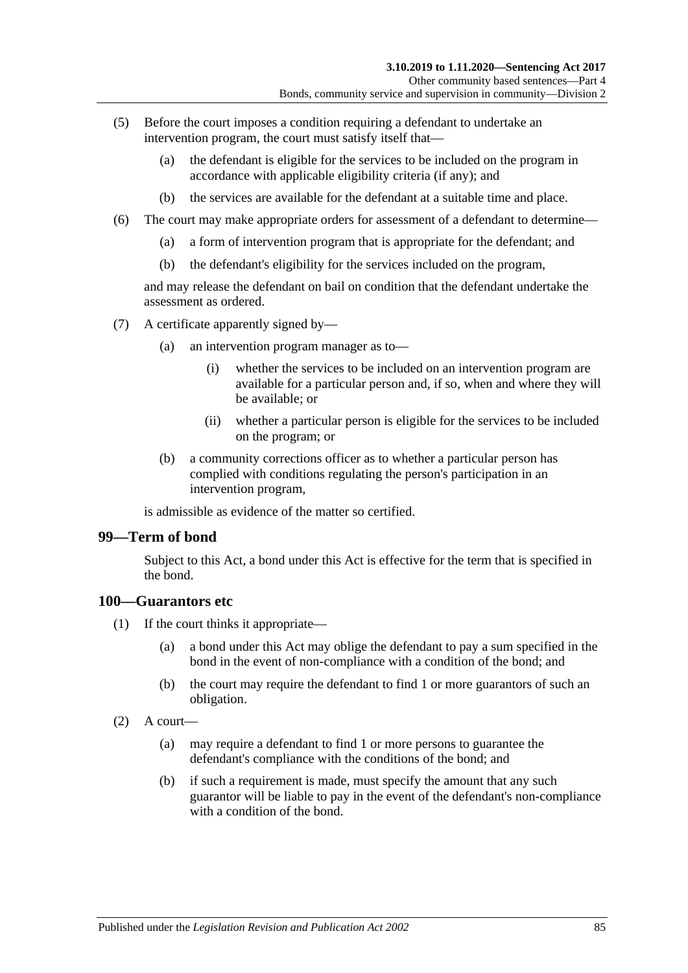- (5) Before the court imposes a condition requiring a defendant to undertake an intervention program, the court must satisfy itself that—
	- (a) the defendant is eligible for the services to be included on the program in accordance with applicable eligibility criteria (if any); and
	- (b) the services are available for the defendant at a suitable time and place.
- (6) The court may make appropriate orders for assessment of a defendant to determine—
	- (a) a form of intervention program that is appropriate for the defendant; and
	- (b) the defendant's eligibility for the services included on the program,

and may release the defendant on bail on condition that the defendant undertake the assessment as ordered.

- (7) A certificate apparently signed by—
	- (a) an intervention program manager as to—
		- (i) whether the services to be included on an intervention program are available for a particular person and, if so, when and where they will be available; or
		- (ii) whether a particular person is eligible for the services to be included on the program; or
	- (b) a community corrections officer as to whether a particular person has complied with conditions regulating the person's participation in an intervention program,

is admissible as evidence of the matter so certified.

#### **99—Term of bond**

Subject to this Act, a bond under this Act is effective for the term that is specified in the bond.

#### **100—Guarantors etc**

- (1) If the court thinks it appropriate—
	- (a) a bond under this Act may oblige the defendant to pay a sum specified in the bond in the event of non-compliance with a condition of the bond; and
	- (b) the court may require the defendant to find 1 or more guarantors of such an obligation.
- $(2)$  A court—
	- (a) may require a defendant to find 1 or more persons to guarantee the defendant's compliance with the conditions of the bond; and
	- (b) if such a requirement is made, must specify the amount that any such guarantor will be liable to pay in the event of the defendant's non-compliance with a condition of the bond.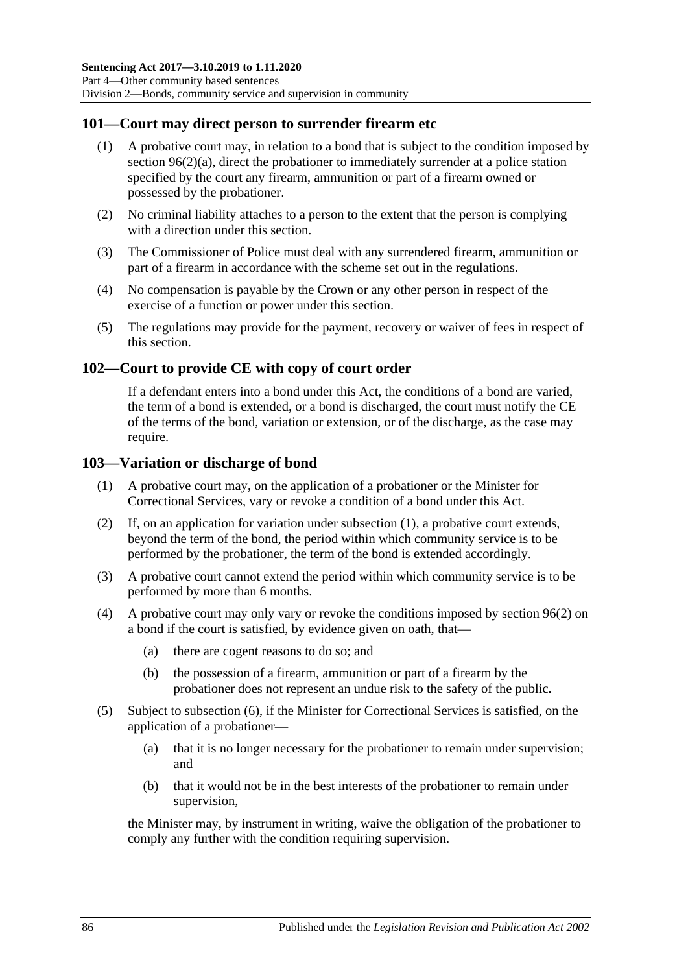### **101—Court may direct person to surrender firearm etc**

- (1) A probative court may, in relation to a bond that is subject to the condition imposed by section [96\(2\)\(a\),](#page-77-6) direct the probationer to immediately surrender at a police station specified by the court any firearm, ammunition or part of a firearm owned or possessed by the probationer.
- (2) No criminal liability attaches to a person to the extent that the person is complying with a direction under this section.
- (3) The Commissioner of Police must deal with any surrendered firearm, ammunition or part of a firearm in accordance with the scheme set out in the regulations.
- (4) No compensation is payable by the Crown or any other person in respect of the exercise of a function or power under this section.
- (5) The regulations may provide for the payment, recovery or waiver of fees in respect of this section.

### **102—Court to provide CE with copy of court order**

If a defendant enters into a bond under this Act, the conditions of a bond are varied, the term of a bond is extended, or a bond is discharged, the court must notify the CE of the terms of the bond, variation or extension, or of the discharge, as the case may require.

#### <span id="page-85-0"></span>**103—Variation or discharge of bond**

- (1) A probative court may, on the application of a probationer or the Minister for Correctional Services, vary or revoke a condition of a bond under this Act.
- (2) If, on an application for variation under [subsection](#page-85-0) (1), a probative court extends, beyond the term of the bond, the period within which community service is to be performed by the probationer, the term of the bond is extended accordingly.
- (3) A probative court cannot extend the period within which community service is to be performed by more than 6 months.
- (4) A probative court may only vary or revoke the conditions imposed by [section](#page-77-1) 96(2) on a bond if the court is satisfied, by evidence given on oath, that—
	- (a) there are cogent reasons to do so; and
	- (b) the possession of a firearm, ammunition or part of a firearm by the probationer does not represent an undue risk to the safety of the public.
- (5) Subject to [subsection](#page-86-0) (6), if the Minister for Correctional Services is satisfied, on the application of a probationer—
	- (a) that it is no longer necessary for the probationer to remain under supervision; and
	- (b) that it would not be in the best interests of the probationer to remain under supervision,

the Minister may, by instrument in writing, waive the obligation of the probationer to comply any further with the condition requiring supervision.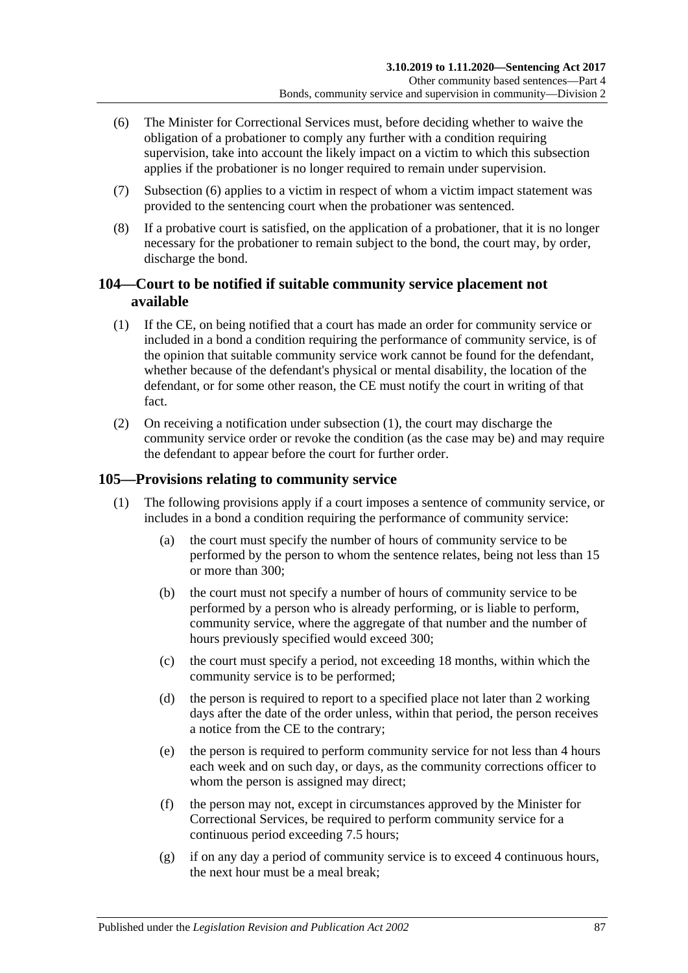- <span id="page-86-0"></span>(6) The Minister for Correctional Services must, before deciding whether to waive the obligation of a probationer to comply any further with a condition requiring supervision, take into account the likely impact on a victim to which this subsection applies if the probationer is no longer required to remain under supervision.
- (7) [Subsection](#page-86-0) (6) applies to a victim in respect of whom a victim impact statement was provided to the sentencing court when the probationer was sentenced.
- (8) If a probative court is satisfied, on the application of a probationer, that it is no longer necessary for the probationer to remain subject to the bond, the court may, by order, discharge the bond.

### **104—Court to be notified if suitable community service placement not available**

- <span id="page-86-1"></span>(1) If the CE, on being notified that a court has made an order for community service or included in a bond a condition requiring the performance of community service, is of the opinion that suitable community service work cannot be found for the defendant, whether because of the defendant's physical or mental disability, the location of the defendant, or for some other reason, the CE must notify the court in writing of that fact.
- (2) On receiving a notification under [subsection](#page-86-1) (1), the court may discharge the community service order or revoke the condition (as the case may be) and may require the defendant to appear before the court for further order.

### <span id="page-86-2"></span>**105—Provisions relating to community service**

- (1) The following provisions apply if a court imposes a sentence of community service, or includes in a bond a condition requiring the performance of community service:
	- (a) the court must specify the number of hours of community service to be performed by the person to whom the sentence relates, being not less than 15 or more than 300;
	- (b) the court must not specify a number of hours of community service to be performed by a person who is already performing, or is liable to perform, community service, where the aggregate of that number and the number of hours previously specified would exceed 300;
	- (c) the court must specify a period, not exceeding 18 months, within which the community service is to be performed;
	- (d) the person is required to report to a specified place not later than 2 working days after the date of the order unless, within that period, the person receives a notice from the CE to the contrary;
	- (e) the person is required to perform community service for not less than 4 hours each week and on such day, or days, as the community corrections officer to whom the person is assigned may direct:
	- (f) the person may not, except in circumstances approved by the Minister for Correctional Services, be required to perform community service for a continuous period exceeding 7.5 hours;
	- (g) if on any day a period of community service is to exceed 4 continuous hours, the next hour must be a meal break;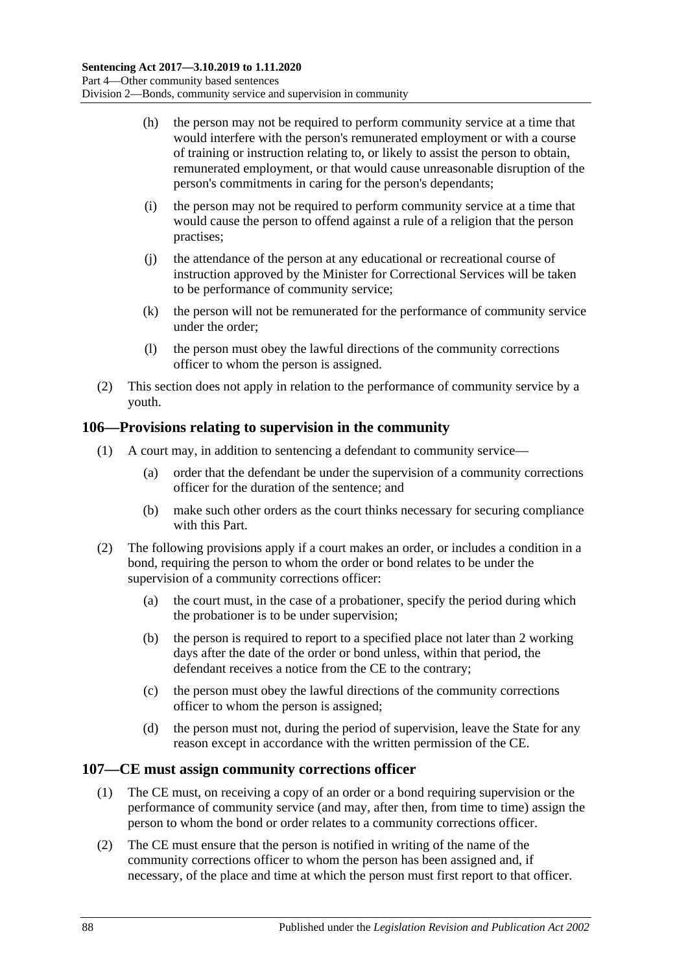- (h) the person may not be required to perform community service at a time that would interfere with the person's remunerated employment or with a course of training or instruction relating to, or likely to assist the person to obtain, remunerated employment, or that would cause unreasonable disruption of the person's commitments in caring for the person's dependants;
- (i) the person may not be required to perform community service at a time that would cause the person to offend against a rule of a religion that the person practises;
- (j) the attendance of the person at any educational or recreational course of instruction approved by the Minister for Correctional Services will be taken to be performance of community service;
- (k) the person will not be remunerated for the performance of community service under the order;
- (l) the person must obey the lawful directions of the community corrections officer to whom the person is assigned.
- (2) This section does not apply in relation to the performance of community service by a youth.

### **106—Provisions relating to supervision in the community**

- (1) A court may, in addition to sentencing a defendant to community service—
	- (a) order that the defendant be under the supervision of a community corrections officer for the duration of the sentence; and
	- (b) make such other orders as the court thinks necessary for securing compliance with this Part.
- (2) The following provisions apply if a court makes an order, or includes a condition in a bond, requiring the person to whom the order or bond relates to be under the supervision of a community corrections officer:
	- (a) the court must, in the case of a probationer, specify the period during which the probationer is to be under supervision;
	- (b) the person is required to report to a specified place not later than 2 working days after the date of the order or bond unless, within that period, the defendant receives a notice from the CE to the contrary;
	- (c) the person must obey the lawful directions of the community corrections officer to whom the person is assigned;
	- (d) the person must not, during the period of supervision, leave the State for any reason except in accordance with the written permission of the CE.

### **107—CE must assign community corrections officer**

- (1) The CE must, on receiving a copy of an order or a bond requiring supervision or the performance of community service (and may, after then, from time to time) assign the person to whom the bond or order relates to a community corrections officer.
- (2) The CE must ensure that the person is notified in writing of the name of the community corrections officer to whom the person has been assigned and, if necessary, of the place and time at which the person must first report to that officer.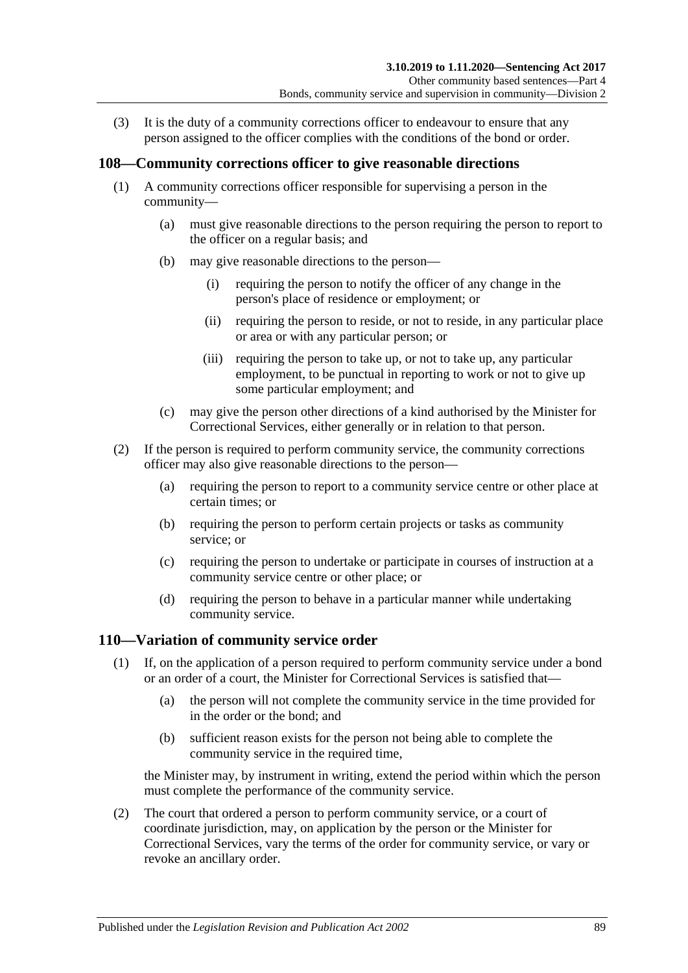(3) It is the duty of a community corrections officer to endeavour to ensure that any person assigned to the officer complies with the conditions of the bond or order.

### **108—Community corrections officer to give reasonable directions**

- (1) A community corrections officer responsible for supervising a person in the community—
	- (a) must give reasonable directions to the person requiring the person to report to the officer on a regular basis; and
	- (b) may give reasonable directions to the person—
		- (i) requiring the person to notify the officer of any change in the person's place of residence or employment; or
		- (ii) requiring the person to reside, or not to reside, in any particular place or area or with any particular person; or
		- (iii) requiring the person to take up, or not to take up, any particular employment, to be punctual in reporting to work or not to give up some particular employment; and
	- (c) may give the person other directions of a kind authorised by the Minister for Correctional Services, either generally or in relation to that person.
- (2) If the person is required to perform community service, the community corrections officer may also give reasonable directions to the person—
	- (a) requiring the person to report to a community service centre or other place at certain times; or
	- (b) requiring the person to perform certain projects or tasks as community service; or
	- (c) requiring the person to undertake or participate in courses of instruction at a community service centre or other place; or
	- (d) requiring the person to behave in a particular manner while undertaking community service.

## <span id="page-88-0"></span>**110—Variation of community service order**

- (1) If, on the application of a person required to perform community service under a bond or an order of a court, the Minister for Correctional Services is satisfied that—
	- (a) the person will not complete the community service in the time provided for in the order or the bond; and
	- (b) sufficient reason exists for the person not being able to complete the community service in the required time,

the Minister may, by instrument in writing, extend the period within which the person must complete the performance of the community service.

(2) The court that ordered a person to perform community service, or a court of coordinate jurisdiction, may, on application by the person or the Minister for Correctional Services, vary the terms of the order for community service, or vary or revoke an ancillary order.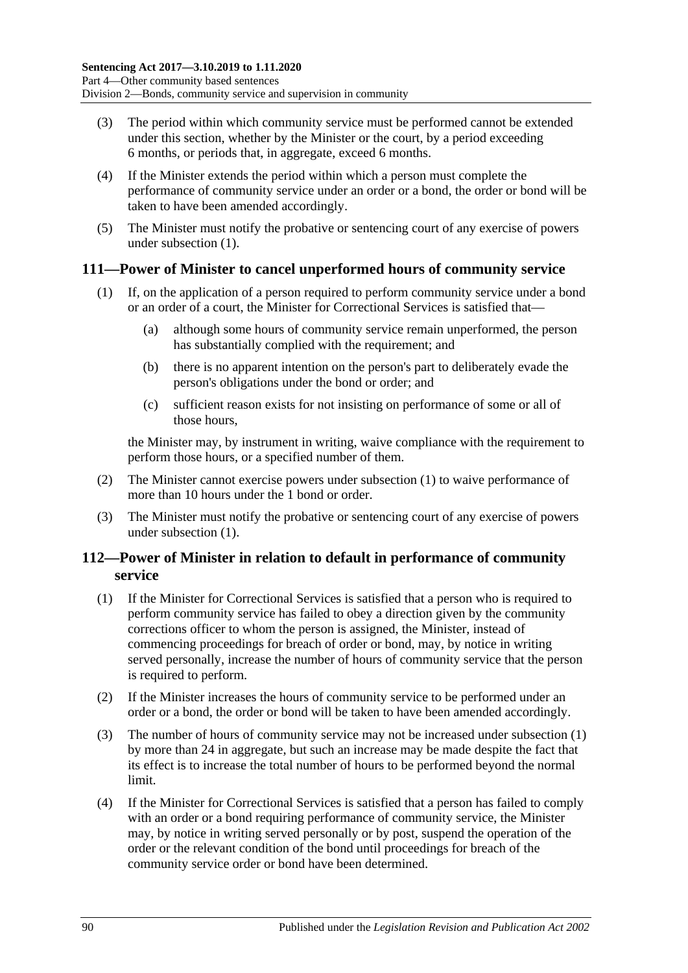- (3) The period within which community service must be performed cannot be extended under this section, whether by the Minister or the court, by a period exceeding 6 months, or periods that, in aggregate, exceed 6 months.
- (4) If the Minister extends the period within which a person must complete the performance of community service under an order or a bond, the order or bond will be taken to have been amended accordingly.
- (5) The Minister must notify the probative or sentencing court of any exercise of powers under [subsection](#page-88-0) (1).

### <span id="page-89-0"></span>**111—Power of Minister to cancel unperformed hours of community service**

- (1) If, on the application of a person required to perform community service under a bond or an order of a court, the Minister for Correctional Services is satisfied that—
	- (a) although some hours of community service remain unperformed, the person has substantially complied with the requirement; and
	- (b) there is no apparent intention on the person's part to deliberately evade the person's obligations under the bond or order; and
	- (c) sufficient reason exists for not insisting on performance of some or all of those hours,

the Minister may, by instrument in writing, waive compliance with the requirement to perform those hours, or a specified number of them.

- (2) The Minister cannot exercise powers under [subsection](#page-89-0) (1) to waive performance of more than 10 hours under the 1 bond or order.
- (3) The Minister must notify the probative or sentencing court of any exercise of powers under [subsection](#page-89-0) (1).

### **112—Power of Minister in relation to default in performance of community service**

- <span id="page-89-1"></span>(1) If the Minister for Correctional Services is satisfied that a person who is required to perform community service has failed to obey a direction given by the community corrections officer to whom the person is assigned, the Minister, instead of commencing proceedings for breach of order or bond, may, by notice in writing served personally, increase the number of hours of community service that the person is required to perform.
- (2) If the Minister increases the hours of community service to be performed under an order or a bond, the order or bond will be taken to have been amended accordingly.
- (3) The number of hours of community service may not be increased under [subsection](#page-89-1) (1) by more than 24 in aggregate, but such an increase may be made despite the fact that its effect is to increase the total number of hours to be performed beyond the normal limit.
- (4) If the Minister for Correctional Services is satisfied that a person has failed to comply with an order or a bond requiring performance of community service, the Minister may, by notice in writing served personally or by post, suspend the operation of the order or the relevant condition of the bond until proceedings for breach of the community service order or bond have been determined.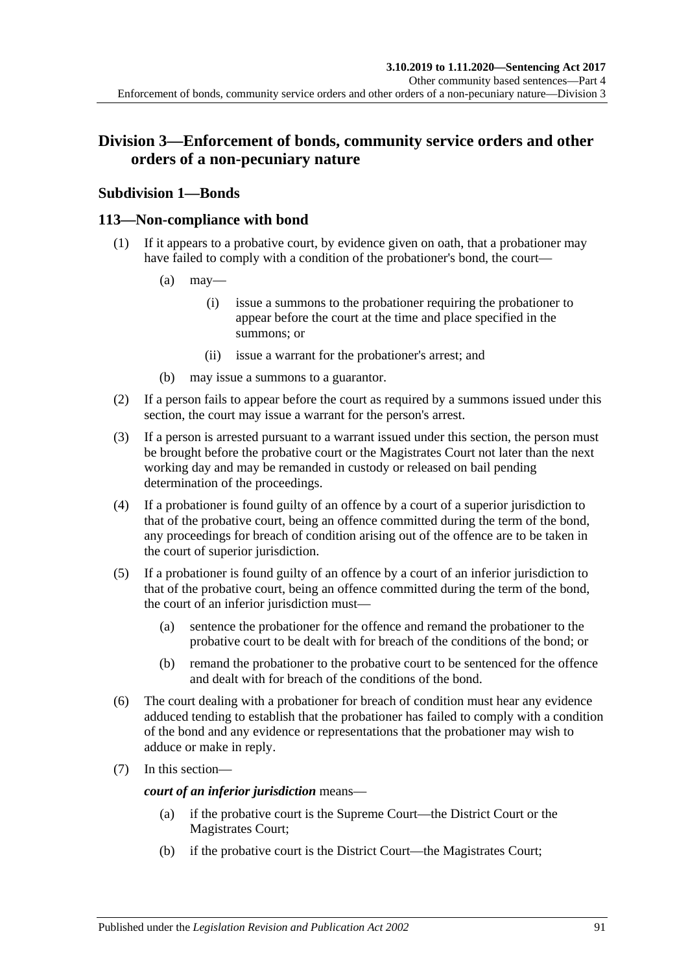## **Division 3—Enforcement of bonds, community service orders and other orders of a non-pecuniary nature**

## **Subdivision 1—Bonds**

### **113—Non-compliance with bond**

- (1) If it appears to a probative court, by evidence given on oath, that a probationer may have failed to comply with a condition of the probationer's bond, the court—
	- $(a)$  may—
		- (i) issue a summons to the probationer requiring the probationer to appear before the court at the time and place specified in the summons; or
		- (ii) issue a warrant for the probationer's arrest; and
	- (b) may issue a summons to a guarantor.
- (2) If a person fails to appear before the court as required by a summons issued under this section, the court may issue a warrant for the person's arrest.
- (3) If a person is arrested pursuant to a warrant issued under this section, the person must be brought before the probative court or the Magistrates Court not later than the next working day and may be remanded in custody or released on bail pending determination of the proceedings.
- (4) If a probationer is found guilty of an offence by a court of a superior jurisdiction to that of the probative court, being an offence committed during the term of the bond, any proceedings for breach of condition arising out of the offence are to be taken in the court of superior jurisdiction.
- (5) If a probationer is found guilty of an offence by a court of an inferior jurisdiction to that of the probative court, being an offence committed during the term of the bond, the court of an inferior jurisdiction must—
	- (a) sentence the probationer for the offence and remand the probationer to the probative court to be dealt with for breach of the conditions of the bond; or
	- (b) remand the probationer to the probative court to be sentenced for the offence and dealt with for breach of the conditions of the bond.
- (6) The court dealing with a probationer for breach of condition must hear any evidence adduced tending to establish that the probationer has failed to comply with a condition of the bond and any evidence or representations that the probationer may wish to adduce or make in reply.
- (7) In this section—

*court of an inferior jurisdiction* means—

- (a) if the probative court is the Supreme Court—the District Court or the Magistrates Court;
- (b) if the probative court is the District Court—the Magistrates Court;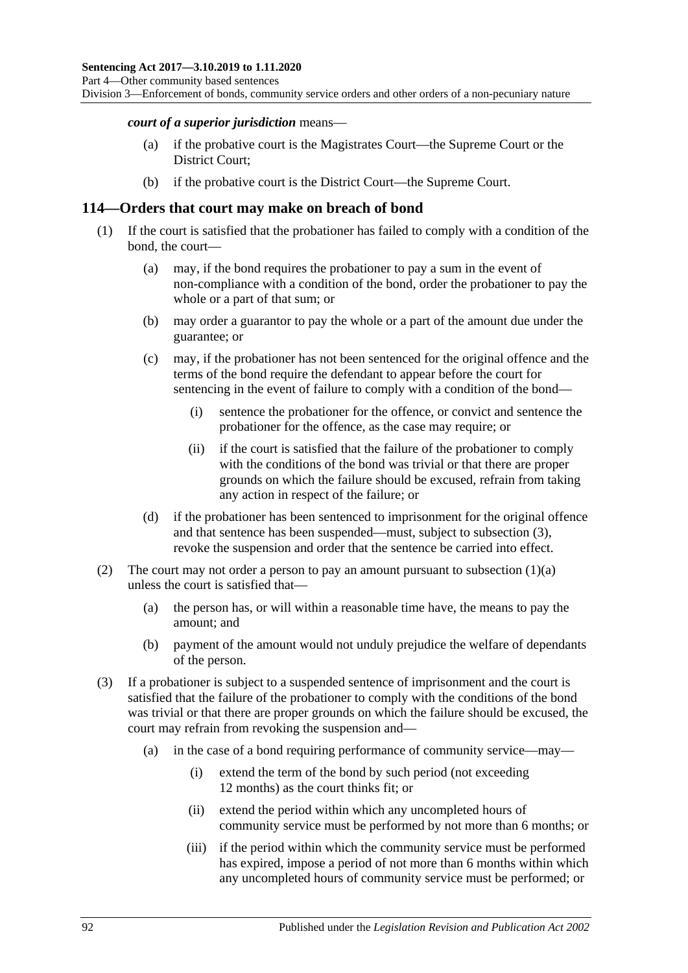Division 3—Enforcement of bonds, community service orders and other orders of a non-pecuniary nature

#### *court of a superior jurisdiction* means—

- (a) if the probative court is the Magistrates Court—the Supreme Court or the District Court;
- (b) if the probative court is the District Court—the Supreme Court.

#### **114—Orders that court may make on breach of bond**

- <span id="page-91-1"></span>(1) If the court is satisfied that the probationer has failed to comply with a condition of the bond, the court—
	- (a) may, if the bond requires the probationer to pay a sum in the event of non-compliance with a condition of the bond, order the probationer to pay the whole or a part of that sum; or
	- (b) may order a guarantor to pay the whole or a part of the amount due under the guarantee; or
	- (c) may, if the probationer has not been sentenced for the original offence and the terms of the bond require the defendant to appear before the court for sentencing in the event of failure to comply with a condition of the bond—
		- (i) sentence the probationer for the offence, or convict and sentence the probationer for the offence, as the case may require; or
		- (ii) if the court is satisfied that the failure of the probationer to comply with the conditions of the bond was trivial or that there are proper grounds on which the failure should be excused, refrain from taking any action in respect of the failure; or
	- (d) if the probationer has been sentenced to imprisonment for the original offence and that sentence has been suspended—must, subject to [subsection](#page-91-0) (3), revoke the suspension and order that the sentence be carried into effect.
- (2) The court may not order a person to pay an amount pursuant to [subsection](#page-91-1)  $(1)(a)$ unless the court is satisfied that—
	- (a) the person has, or will within a reasonable time have, the means to pay the amount; and
	- (b) payment of the amount would not unduly prejudice the welfare of dependants of the person.
- <span id="page-91-0"></span>(3) If a probationer is subject to a suspended sentence of imprisonment and the court is satisfied that the failure of the probationer to comply with the conditions of the bond was trivial or that there are proper grounds on which the failure should be excused, the court may refrain from revoking the suspension and—
	- (a) in the case of a bond requiring performance of community service—may—
		- (i) extend the term of the bond by such period (not exceeding 12 months) as the court thinks fit; or
		- (ii) extend the period within which any uncompleted hours of community service must be performed by not more than 6 months; or
		- (iii) if the period within which the community service must be performed has expired, impose a period of not more than 6 months within which any uncompleted hours of community service must be performed; or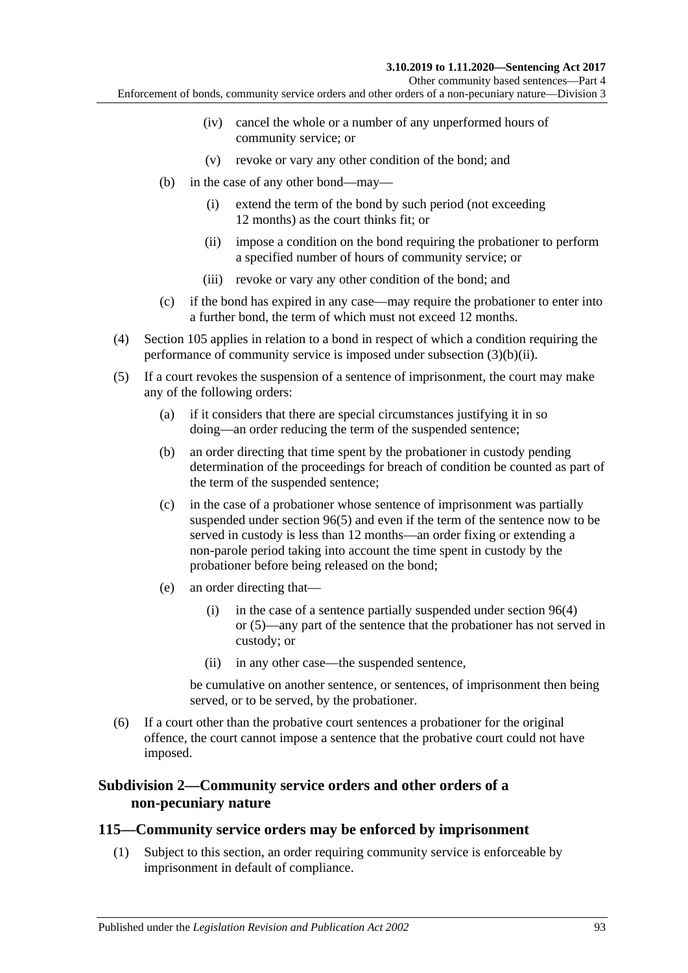Other community based sentences—Part 4

Enforcement of bonds, community service orders and other orders of a non-pecuniary nature—Division 3

- (iv) cancel the whole or a number of any unperformed hours of community service; or
- (v) revoke or vary any other condition of the bond; and
- <span id="page-92-0"></span>(b) in the case of any other bond—may—
	- (i) extend the term of the bond by such period (not exceeding 12 months) as the court thinks fit; or
	- (ii) impose a condition on the bond requiring the probationer to perform a specified number of hours of community service; or
	- (iii) revoke or vary any other condition of the bond; and
- (c) if the bond has expired in any case—may require the probationer to enter into a further bond, the term of which must not exceed 12 months.
- (4) [Section](#page-86-2) 105 applies in relation to a bond in respect of which a condition requiring the performance of community service is imposed under [subsection](#page-92-0) (3)(b)(ii).
- (5) If a court revokes the suspension of a sentence of imprisonment, the court may make any of the following orders:
	- (a) if it considers that there are special circumstances justifying it in so doing—an order reducing the term of the suspended sentence;
	- (b) an order directing that time spent by the probationer in custody pending determination of the proceedings for breach of condition be counted as part of the term of the suspended sentence;
	- (c) in the case of a probationer whose sentence of imprisonment was partially suspended under [section](#page-78-2) 96(5) and even if the term of the sentence now to be served in custody is less than 12 months—an order fixing or extending a non-parole period taking into account the time spent in custody by the probationer before being released on the bond;
	- (e) an order directing that—
		- (i) in the case of a sentence partially suspended under [section](#page-78-1) 96(4) or [\(5\)—](#page-78-2)any part of the sentence that the probationer has not served in custody; or
		- (ii) in any other case—the suspended sentence,

be cumulative on another sentence, or sentences, of imprisonment then being served, or to be served, by the probationer.

(6) If a court other than the probative court sentences a probationer for the original offence, the court cannot impose a sentence that the probative court could not have imposed.

### **Subdivision 2—Community service orders and other orders of a non-pecuniary nature**

#### <span id="page-92-1"></span>**115—Community service orders may be enforced by imprisonment**

(1) Subject to this section, an order requiring community service is enforceable by imprisonment in default of compliance.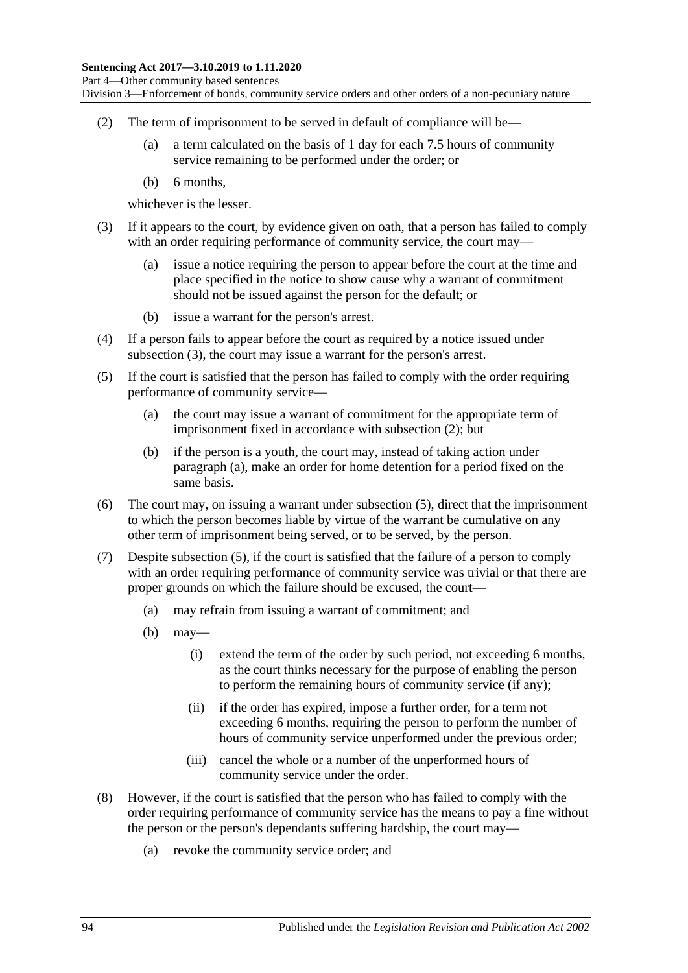Division 3—Enforcement of bonds, community service orders and other orders of a non-pecuniary nature

- <span id="page-93-1"></span>(2) The term of imprisonment to be served in default of compliance will be—
	- (a) a term calculated on the basis of 1 day for each 7.5 hours of community service remaining to be performed under the order; or
	- (b) 6 months,

whichever is the lesser.

- <span id="page-93-0"></span>(3) If it appears to the court, by evidence given on oath, that a person has failed to comply with an order requiring performance of community service, the court may—
	- (a) issue a notice requiring the person to appear before the court at the time and place specified in the notice to show cause why a warrant of commitment should not be issued against the person for the default; or
	- (b) issue a warrant for the person's arrest.
- (4) If a person fails to appear before the court as required by a notice issued under [subsection](#page-93-0) (3), the court may issue a warrant for the person's arrest.
- <span id="page-93-3"></span><span id="page-93-2"></span>(5) If the court is satisfied that the person has failed to comply with the order requiring performance of community service—
	- (a) the court may issue a warrant of commitment for the appropriate term of imprisonment fixed in accordance with [subsection](#page-93-1) (2); but
	- (b) if the person is a youth, the court may, instead of taking action under [paragraph](#page-93-2) (a), make an order for home detention for a period fixed on the same basis.
- (6) The court may, on issuing a warrant under [subsection](#page-93-3) (5), direct that the imprisonment to which the person becomes liable by virtue of the warrant be cumulative on any other term of imprisonment being served, or to be served, by the person.
- (7) Despite [subsection](#page-93-3) (5), if the court is satisfied that the failure of a person to comply with an order requiring performance of community service was trivial or that there are proper grounds on which the failure should be excused, the court—
	- (a) may refrain from issuing a warrant of commitment; and
	- (b) may—
		- (i) extend the term of the order by such period, not exceeding 6 months, as the court thinks necessary for the purpose of enabling the person to perform the remaining hours of community service (if any);
		- (ii) if the order has expired, impose a further order, for a term not exceeding 6 months, requiring the person to perform the number of hours of community service unperformed under the previous order;
		- (iii) cancel the whole or a number of the unperformed hours of community service under the order.
- <span id="page-93-4"></span>(8) However, if the court is satisfied that the person who has failed to comply with the order requiring performance of community service has the means to pay a fine without the person or the person's dependants suffering hardship, the court may—
	- (a) revoke the community service order; and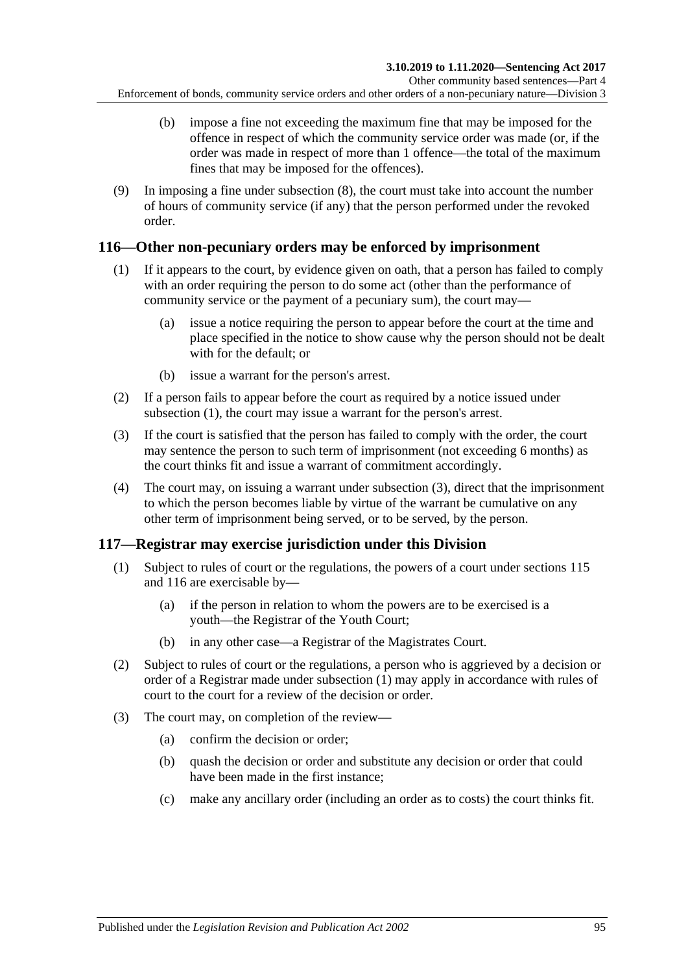- (b) impose a fine not exceeding the maximum fine that may be imposed for the offence in respect of which the community service order was made (or, if the order was made in respect of more than 1 offence—the total of the maximum fines that may be imposed for the offences).
- (9) In imposing a fine under [subsection](#page-93-4) (8), the court must take into account the number of hours of community service (if any) that the person performed under the revoked order.

### <span id="page-94-2"></span><span id="page-94-0"></span>**116—Other non-pecuniary orders may be enforced by imprisonment**

- (1) If it appears to the court, by evidence given on oath, that a person has failed to comply with an order requiring the person to do some act (other than the performance of community service or the payment of a pecuniary sum), the court may—
	- (a) issue a notice requiring the person to appear before the court at the time and place specified in the notice to show cause why the person should not be dealt with for the default; or
	- (b) issue a warrant for the person's arrest.
- (2) If a person fails to appear before the court as required by a notice issued under [subsection](#page-94-0) (1), the court may issue a warrant for the person's arrest.
- <span id="page-94-1"></span>(3) If the court is satisfied that the person has failed to comply with the order, the court may sentence the person to such term of imprisonment (not exceeding 6 months) as the court thinks fit and issue a warrant of commitment accordingly.
- (4) The court may, on issuing a warrant under [subsection](#page-94-1) (3), direct that the imprisonment to which the person becomes liable by virtue of the warrant be cumulative on any other term of imprisonment being served, or to be served, by the person.

## <span id="page-94-3"></span>**117—Registrar may exercise jurisdiction under this Division**

- (1) Subject to rules of court or the regulations, the powers of a court under [sections](#page-92-1) 115 and [116](#page-94-2) are exercisable by—
	- (a) if the person in relation to whom the powers are to be exercised is a youth—the Registrar of the Youth Court;
	- (b) in any other case—a Registrar of the Magistrates Court.
- (2) Subject to rules of court or the regulations, a person who is aggrieved by a decision or order of a Registrar made under [subsection](#page-94-3) (1) may apply in accordance with rules of court to the court for a review of the decision or order.
- (3) The court may, on completion of the review—
	- (a) confirm the decision or order;
	- (b) quash the decision or order and substitute any decision or order that could have been made in the first instance;
	- (c) make any ancillary order (including an order as to costs) the court thinks fit.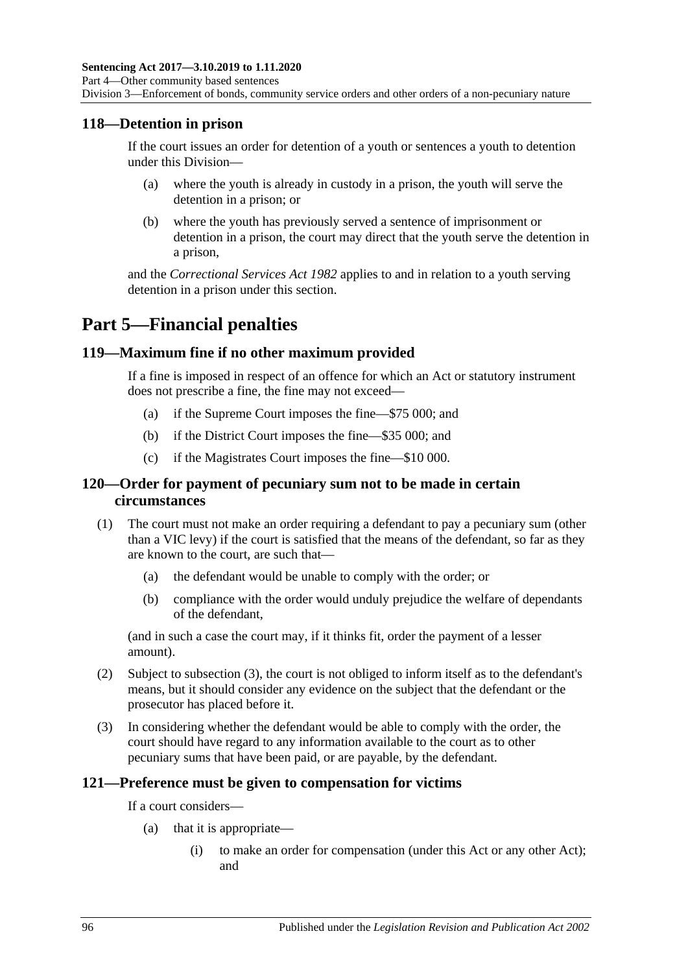### **118—Detention in prison**

If the court issues an order for detention of a youth or sentences a youth to detention under this Division—

- (a) where the youth is already in custody in a prison, the youth will serve the detention in a prison; or
- (b) where the youth has previously served a sentence of imprisonment or detention in a prison, the court may direct that the youth serve the detention in a prison,

and the *[Correctional Services Act](http://www.legislation.sa.gov.au/index.aspx?action=legref&type=act&legtitle=Correctional%20Services%20Act%201982) 1982* applies to and in relation to a youth serving detention in a prison under this section.

# **Part 5—Financial penalties**

### **119—Maximum fine if no other maximum provided**

If a fine is imposed in respect of an offence for which an Act or statutory instrument does not prescribe a fine, the fine may not exceed—

- (a) if the Supreme Court imposes the fine—\$75 000; and
- (b) if the District Court imposes the fine—\$35 000; and
- (c) if the Magistrates Court imposes the fine—\$10 000.

### **120—Order for payment of pecuniary sum not to be made in certain circumstances**

- (1) The court must not make an order requiring a defendant to pay a pecuniary sum (other than a VIC levy) if the court is satisfied that the means of the defendant, so far as they are known to the court, are such that—
	- (a) the defendant would be unable to comply with the order; or
	- (b) compliance with the order would unduly prejudice the welfare of dependants of the defendant,

(and in such a case the court may, if it thinks fit, order the payment of a lesser amount).

- (2) Subject to [subsection](#page-95-0) (3), the court is not obliged to inform itself as to the defendant's means, but it should consider any evidence on the subject that the defendant or the prosecutor has placed before it.
- <span id="page-95-0"></span>(3) In considering whether the defendant would be able to comply with the order, the court should have regard to any information available to the court as to other pecuniary sums that have been paid, or are payable, by the defendant.

#### **121—Preference must be given to compensation for victims**

If a court considers—

- (a) that it is appropriate—
	- (i) to make an order for compensation (under this Act or any other Act); and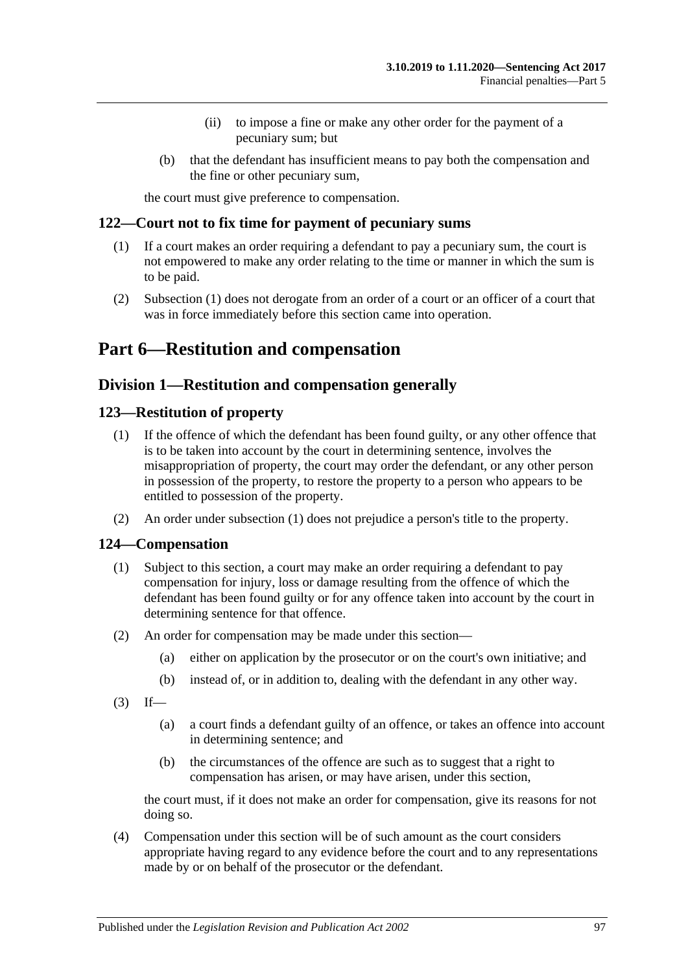- (ii) to impose a fine or make any other order for the payment of a pecuniary sum; but
- (b) that the defendant has insufficient means to pay both the compensation and the fine or other pecuniary sum,

the court must give preference to compensation.

### <span id="page-96-0"></span>**122—Court not to fix time for payment of pecuniary sums**

- (1) If a court makes an order requiring a defendant to pay a pecuniary sum, the court is not empowered to make any order relating to the time or manner in which the sum is to be paid.
- (2) [Subsection](#page-96-0) (1) does not derogate from an order of a court or an officer of a court that was in force immediately before this section came into operation.

# **Part 6—Restitution and compensation**

## **Division 1—Restitution and compensation generally**

### <span id="page-96-2"></span><span id="page-96-1"></span>**123—Restitution of property**

- (1) If the offence of which the defendant has been found guilty, or any other offence that is to be taken into account by the court in determining sentence, involves the misappropriation of property, the court may order the defendant, or any other person in possession of the property, to restore the property to a person who appears to be entitled to possession of the property.
- (2) An order under [subsection](#page-96-1) (1) does not prejudice a person's title to the property.

### **124—Compensation**

- (1) Subject to this section, a court may make an order requiring a defendant to pay compensation for injury, loss or damage resulting from the offence of which the defendant has been found guilty or for any offence taken into account by the court in determining sentence for that offence.
- (2) An order for compensation may be made under this section—
	- (a) either on application by the prosecutor or on the court's own initiative; and
	- (b) instead of, or in addition to, dealing with the defendant in any other way.
- $(3)$  If—
	- (a) a court finds a defendant guilty of an offence, or takes an offence into account in determining sentence; and
	- (b) the circumstances of the offence are such as to suggest that a right to compensation has arisen, or may have arisen, under this section,

the court must, if it does not make an order for compensation, give its reasons for not doing so.

(4) Compensation under this section will be of such amount as the court considers appropriate having regard to any evidence before the court and to any representations made by or on behalf of the prosecutor or the defendant.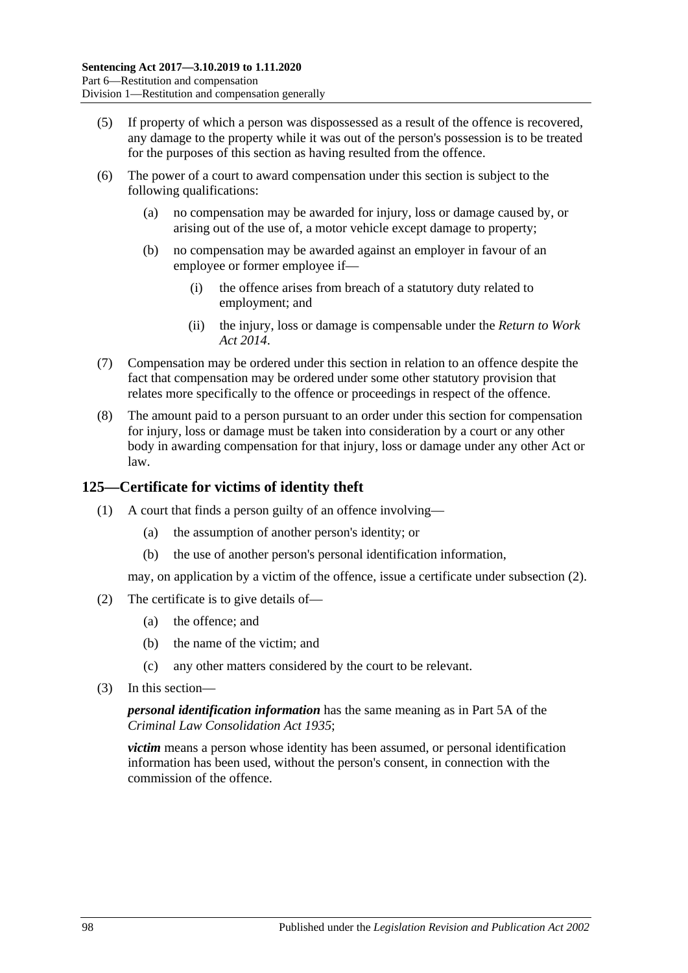- (5) If property of which a person was dispossessed as a result of the offence is recovered, any damage to the property while it was out of the person's possession is to be treated for the purposes of this section as having resulted from the offence.
- (6) The power of a court to award compensation under this section is subject to the following qualifications:
	- (a) no compensation may be awarded for injury, loss or damage caused by, or arising out of the use of, a motor vehicle except damage to property;
	- (b) no compensation may be awarded against an employer in favour of an employee or former employee if—
		- (i) the offence arises from breach of a statutory duty related to employment; and
		- (ii) the injury, loss or damage is compensable under the *[Return to Work](http://www.legislation.sa.gov.au/index.aspx?action=legref&type=act&legtitle=Return%20to%20Work%20Act%202014)  Act [2014](http://www.legislation.sa.gov.au/index.aspx?action=legref&type=act&legtitle=Return%20to%20Work%20Act%202014)*.
- (7) Compensation may be ordered under this section in relation to an offence despite the fact that compensation may be ordered under some other statutory provision that relates more specifically to the offence or proceedings in respect of the offence.
- (8) The amount paid to a person pursuant to an order under this section for compensation for injury, loss or damage must be taken into consideration by a court or any other body in awarding compensation for that injury, loss or damage under any other Act or law.

## **125—Certificate for victims of identity theft**

- (1) A court that finds a person guilty of an offence involving—
	- (a) the assumption of another person's identity; or
	- (b) the use of another person's personal identification information,

may, on application by a victim of the offence, issue a certificate under [subsection](#page-97-0) (2).

- <span id="page-97-0"></span>(2) The certificate is to give details of—
	- (a) the offence; and
	- (b) the name of the victim; and
	- (c) any other matters considered by the court to be relevant.
- (3) In this section—

*personal identification information* has the same meaning as in Part 5A of the *[Criminal Law Consolidation Act](http://www.legislation.sa.gov.au/index.aspx?action=legref&type=act&legtitle=Criminal%20Law%20Consolidation%20Act%201935) 1935*;

*victim* means a person whose identity has been assumed, or personal identification information has been used, without the person's consent, in connection with the commission of the offence.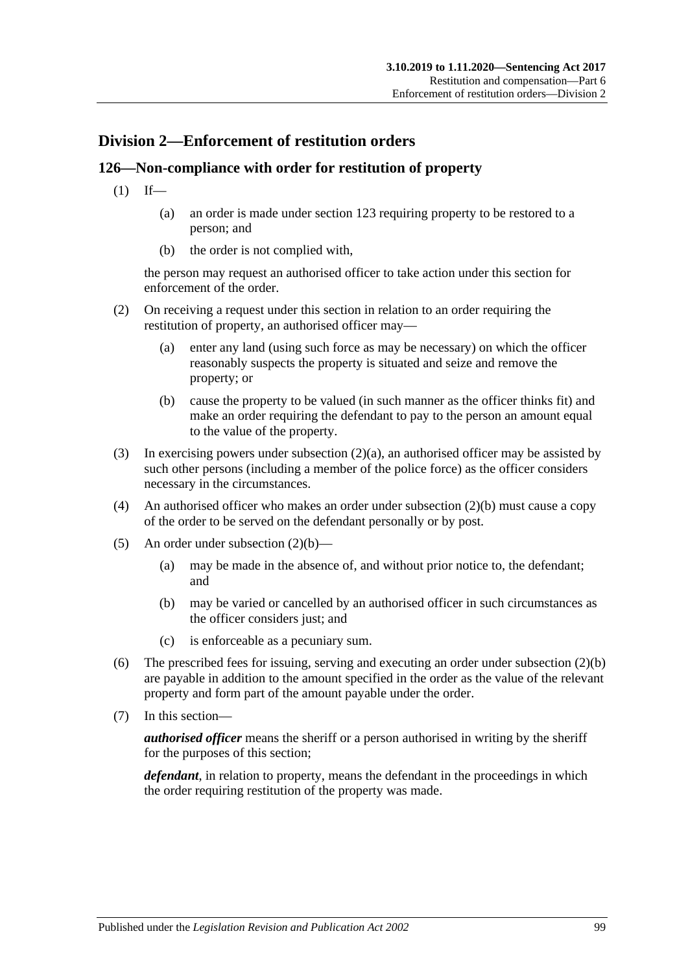## **Division 2—Enforcement of restitution orders**

## **126—Non-compliance with order for restitution of property**

- $(1)$  If—
	- (a) an order is made under [section](#page-96-2) 123 requiring property to be restored to a person; and
	- (b) the order is not complied with,

the person may request an authorised officer to take action under this section for enforcement of the order.

- <span id="page-98-0"></span>(2) On receiving a request under this section in relation to an order requiring the restitution of property, an authorised officer may—
	- (a) enter any land (using such force as may be necessary) on which the officer reasonably suspects the property is situated and seize and remove the property; or
	- (b) cause the property to be valued (in such manner as the officer thinks fit) and make an order requiring the defendant to pay to the person an amount equal to the value of the property.
- <span id="page-98-1"></span>(3) In exercising powers under [subsection](#page-98-0)  $(2)(a)$ , an authorised officer may be assisted by such other persons (including a member of the police force) as the officer considers necessary in the circumstances.
- (4) An authorised officer who makes an order under [subsection](#page-98-1) (2)(b) must cause a copy of the order to be served on the defendant personally or by post.
- (5) An order under [subsection](#page-98-1) (2)(b)—
	- (a) may be made in the absence of, and without prior notice to, the defendant; and
	- (b) may be varied or cancelled by an authorised officer in such circumstances as the officer considers just; and
	- (c) is enforceable as a pecuniary sum.
- (6) The prescribed fees for issuing, serving and executing an order under [subsection](#page-98-1) (2)(b) are payable in addition to the amount specified in the order as the value of the relevant property and form part of the amount payable under the order.
- (7) In this section—

*authorised officer* means the sheriff or a person authorised in writing by the sheriff for the purposes of this section;

*defendant*, in relation to property, means the defendant in the proceedings in which the order requiring restitution of the property was made.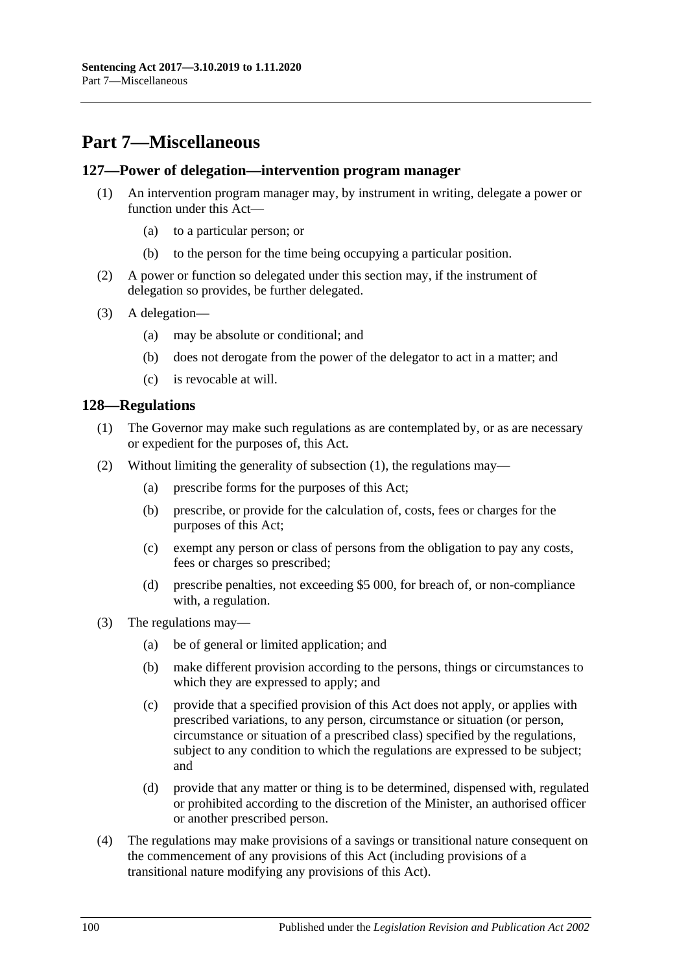# **Part 7—Miscellaneous**

#### **127—Power of delegation—intervention program manager**

- (1) An intervention program manager may, by instrument in writing, delegate a power or function under this Act—
	- (a) to a particular person; or
	- (b) to the person for the time being occupying a particular position.
- (2) A power or function so delegated under this section may, if the instrument of delegation so provides, be further delegated.
- (3) A delegation—
	- (a) may be absolute or conditional; and
	- (b) does not derogate from the power of the delegator to act in a matter; and
	- (c) is revocable at will.

### <span id="page-99-0"></span>**128—Regulations**

- (1) The Governor may make such regulations as are contemplated by, or as are necessary or expedient for the purposes of, this Act.
- (2) Without limiting the generality of [subsection](#page-99-0) (1), the regulations may—
	- (a) prescribe forms for the purposes of this Act;
	- (b) prescribe, or provide for the calculation of, costs, fees or charges for the purposes of this Act;
	- (c) exempt any person or class of persons from the obligation to pay any costs, fees or charges so prescribed;
	- (d) prescribe penalties, not exceeding \$5 000, for breach of, or non-compliance with, a regulation.
- (3) The regulations may—
	- (a) be of general or limited application; and
	- (b) make different provision according to the persons, things or circumstances to which they are expressed to apply; and
	- (c) provide that a specified provision of this Act does not apply, or applies with prescribed variations, to any person, circumstance or situation (or person, circumstance or situation of a prescribed class) specified by the regulations, subject to any condition to which the regulations are expressed to be subject; and
	- (d) provide that any matter or thing is to be determined, dispensed with, regulated or prohibited according to the discretion of the Minister, an authorised officer or another prescribed person.
- (4) The regulations may make provisions of a savings or transitional nature consequent on the commencement of any provisions of this Act (including provisions of a transitional nature modifying any provisions of this Act).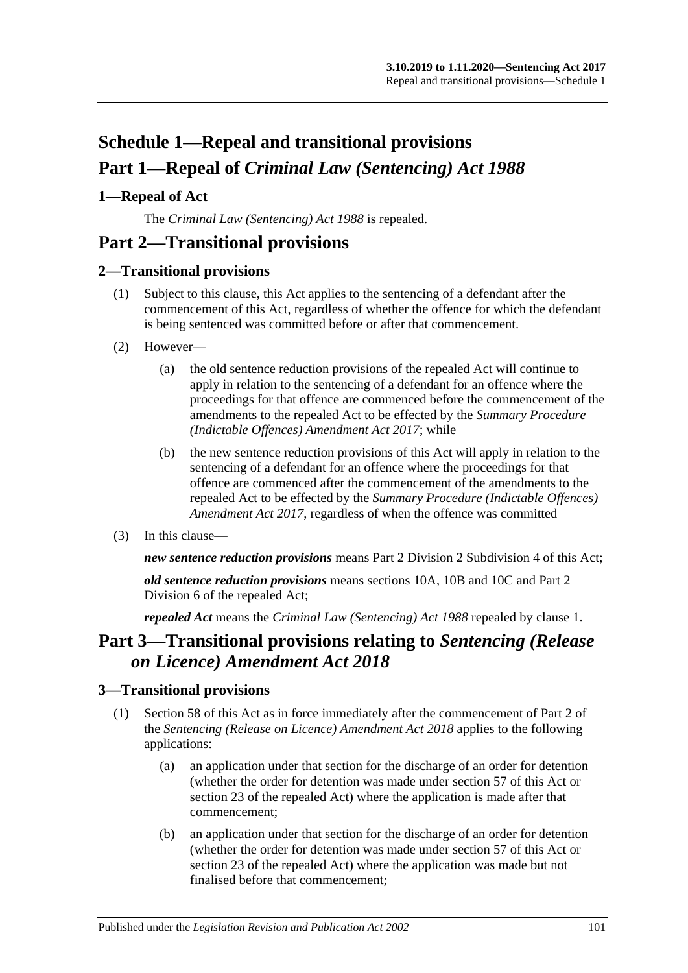# **Schedule 1—Repeal and transitional provisions Part 1—Repeal of** *Criminal Law (Sentencing) Act 1988*

## <span id="page-100-0"></span>**1—Repeal of Act**

The *[Criminal Law \(Sentencing\) Act](http://www.legislation.sa.gov.au/index.aspx?action=legref&type=act&legtitle=Criminal%20Law%20(Sentencing)%20Act%201988) 1988* is repealed.

# **Part 2—Transitional provisions**

### **2—Transitional provisions**

- (1) Subject to this clause, this Act applies to the sentencing of a defendant after the commencement of this Act, regardless of whether the offence for which the defendant is being sentenced was committed before or after that commencement.
- (2) However—
	- (a) the old sentence reduction provisions of the repealed Act will continue to apply in relation to the sentencing of a defendant for an offence where the proceedings for that offence are commenced before the commencement of the amendments to the repealed Act to be effected by the *[Summary Procedure](http://www.legislation.sa.gov.au/index.aspx?action=legref&type=act&legtitle=Summary%20Procedure%20(Indictable%20Offences)%20Amendment%20Act%202017)  [\(Indictable Offences\) Amendment Act](http://www.legislation.sa.gov.au/index.aspx?action=legref&type=act&legtitle=Summary%20Procedure%20(Indictable%20Offences)%20Amendment%20Act%202017) 2017*; while
	- (b) the new sentence reduction provisions of this Act will apply in relation to the sentencing of a defendant for an offence where the proceedings for that offence are commenced after the commencement of the amendments to the repealed Act to be effected by the *[Summary Procedure \(Indictable Offences\)](http://www.legislation.sa.gov.au/index.aspx?action=legref&type=act&legtitle=Summary%20Procedure%20(Indictable%20Offences)%20Amendment%20Act%202017)  [Amendment Act](http://www.legislation.sa.gov.au/index.aspx?action=legref&type=act&legtitle=Summary%20Procedure%20(Indictable%20Offences)%20Amendment%20Act%202017) 2017*, regardless of when the offence was committed
- (3) In this clause—

*new sentence reduction provisions* means Part 2 Division [2 Subdivision](#page-24-0) 4 of this Act;

*old sentence reduction provisions* means sections 10A, 10B and 10C and Part 2 Division 6 of the repealed Act;

*repealed Act* means the *[Criminal Law \(Sentencing\) Act](http://www.legislation.sa.gov.au/index.aspx?action=legref&type=act&legtitle=Criminal%20Law%20(Sentencing)%20Act%201988) 1988* repealed by [clause](#page-100-0) 1.

# **Part 3—Transitional provisions relating to** *Sentencing (Release on Licence) Amendment Act 2018*

### **3—Transitional provisions**

- (1) [Section 58](#page-47-0) of this Act as in force immediately after the commencement of Part 2 of the *[Sentencing \(Release on Licence\) Amendment Act](http://www.legislation.sa.gov.au/index.aspx?action=legref&type=act&legtitle=Sentencing%20(Release%20on%20Licence)%20Amendment%20Act%202018) 2018* applies to the following applications:
	- (a) an application under that section for the discharge of an order for detention (whether the order for detention was made under [section](#page-44-0) 57 of this Act or section 23 of the repealed Act) where the application is made after that commencement;
	- (b) an application under that section for the discharge of an order for detention (whether the order for detention was made under [section](#page-44-0) 57 of this Act or section 23 of the repealed Act) where the application was made but not finalised before that commencement;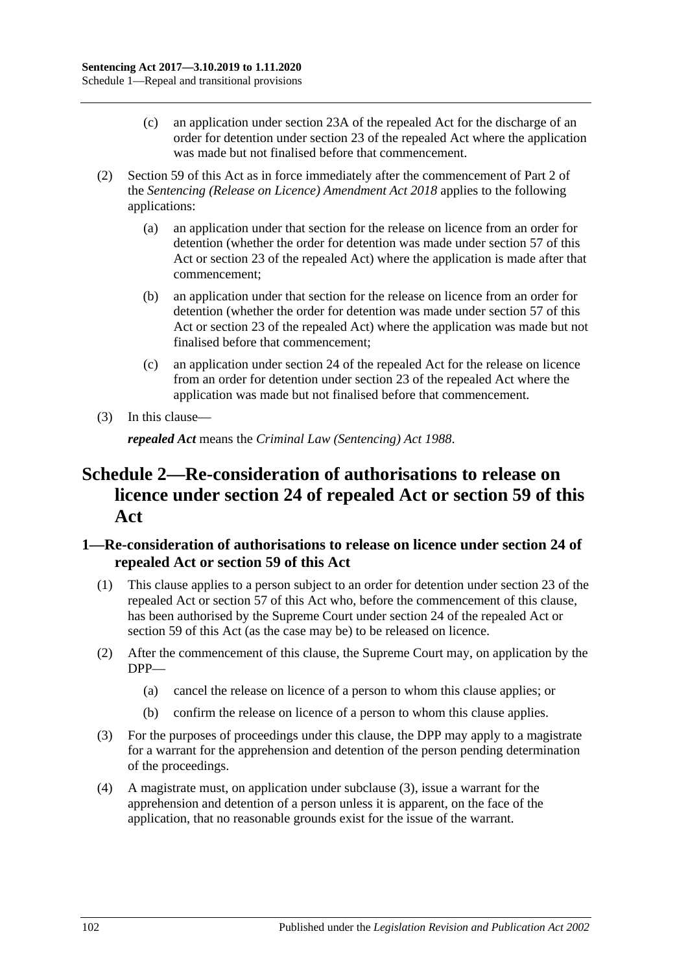- (c) an application under section 23A of the repealed Act for the discharge of an order for detention under section 23 of the repealed Act where the application was made but not finalised before that commencement.
- (2) [Section 59](#page-48-0) of this Act as in force immediately after the commencement of Part 2 of the *[Sentencing \(Release on Licence\) Amendment Act](http://www.legislation.sa.gov.au/index.aspx?action=legref&type=act&legtitle=Sentencing%20(Release%20on%20Licence)%20Amendment%20Act%202018) 2018* applies to the following applications:
	- (a) an application under that section for the release on licence from an order for detention (whether the order for detention was made under [section](#page-44-0) 57 of this Act or section 23 of the repealed Act) where the application is made after that commencement;
	- (b) an application under that section for the release on licence from an order for detention (whether the order for detention was made under [section](#page-44-0) 57 of this Act or section 23 of the repealed Act) where the application was made but not finalised before that commencement;
	- (c) an application under section 24 of the repealed Act for the release on licence from an order for detention under section 23 of the repealed Act where the application was made but not finalised before that commencement.
- (3) In this clause—

*repealed Act* means the *[Criminal Law \(Sentencing\) Act](http://www.legislation.sa.gov.au/index.aspx?action=legref&type=act&legtitle=Criminal%20Law%20(Sentencing)%20Act%201988) 1988*.

# **Schedule 2—Re-consideration of authorisations to release on licence under section 24 of repealed Act or [section](#page-48-0) 59 of this Act**

### **1—Re-consideration of authorisations to release on licence under section 24 of repealed Act or [section](#page-48-0) 59 of this Act**

- (1) This clause applies to a person subject to an order for detention under section 23 of the repealed Act or [section](#page-44-0) 57 of this Act who, before the commencement of this clause, has been authorised by the Supreme Court under section 24 of the repealed Act or [section](#page-48-0) 59 of this Act (as the case may be) to be released on licence.
- (2) After the commencement of this clause, the Supreme Court may, on application by the DPP—
	- (a) cancel the release on licence of a person to whom this clause applies; or
	- (b) confirm the release on licence of a person to whom this clause applies.
- <span id="page-101-0"></span>(3) For the purposes of proceedings under this clause, the DPP may apply to a magistrate for a warrant for the apprehension and detention of the person pending determination of the proceedings.
- (4) A magistrate must, on application under [subclause](#page-101-0) (3), issue a warrant for the apprehension and detention of a person unless it is apparent, on the face of the application, that no reasonable grounds exist for the issue of the warrant.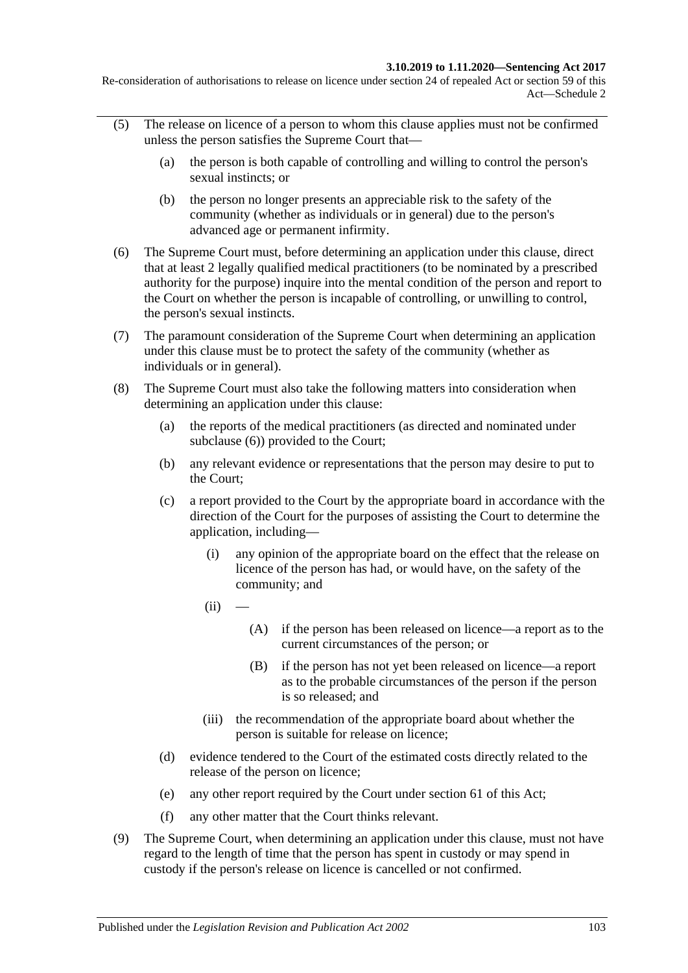Re-consideration of authorisations to release on licence under section 24 of repealed Act or section 59 of this Act—Schedule 2

- (5) The release on licence of a person to whom this clause applies must not be confirmed unless the person satisfies the Supreme Court that—
	- (a) the person is both capable of controlling and willing to control the person's sexual instincts; or
	- (b) the person no longer presents an appreciable risk to the safety of the community (whether as individuals or in general) due to the person's advanced age or permanent infirmity.
- <span id="page-102-0"></span>(6) The Supreme Court must, before determining an application under this clause, direct that at least 2 legally qualified medical practitioners (to be nominated by a prescribed authority for the purpose) inquire into the mental condition of the person and report to the Court on whether the person is incapable of controlling, or unwilling to control, the person's sexual instincts.
- (7) The paramount consideration of the Supreme Court when determining an application under this clause must be to protect the safety of the community (whether as individuals or in general).
- <span id="page-102-1"></span>(8) The Supreme Court must also take the following matters into consideration when determining an application under this clause:
	- (a) the reports of the medical practitioners (as directed and nominated under [subclause](#page-102-0) (6)) provided to the Court;
	- (b) any relevant evidence or representations that the person may desire to put to the Court;
	- (c) a report provided to the Court by the appropriate board in accordance with the direction of the Court for the purposes of assisting the Court to determine the application, including—
		- (i) any opinion of the appropriate board on the effect that the release on licence of the person has had, or would have, on the safety of the community; and
		- $(ii)$
- (A) if the person has been released on licence—a report as to the current circumstances of the person; or
- (B) if the person has not yet been released on licence—a report as to the probable circumstances of the person if the person is so released; and
- (iii) the recommendation of the appropriate board about whether the person is suitable for release on licence;
- (d) evidence tendered to the Court of the estimated costs directly related to the release of the person on licence;
- (e) any other report required by the Court under [section](#page-51-0) 61 of this Act;
- (f) any other matter that the Court thinks relevant.
- (9) The Supreme Court, when determining an application under this clause, must not have regard to the length of time that the person has spent in custody or may spend in custody if the person's release on licence is cancelled or not confirmed.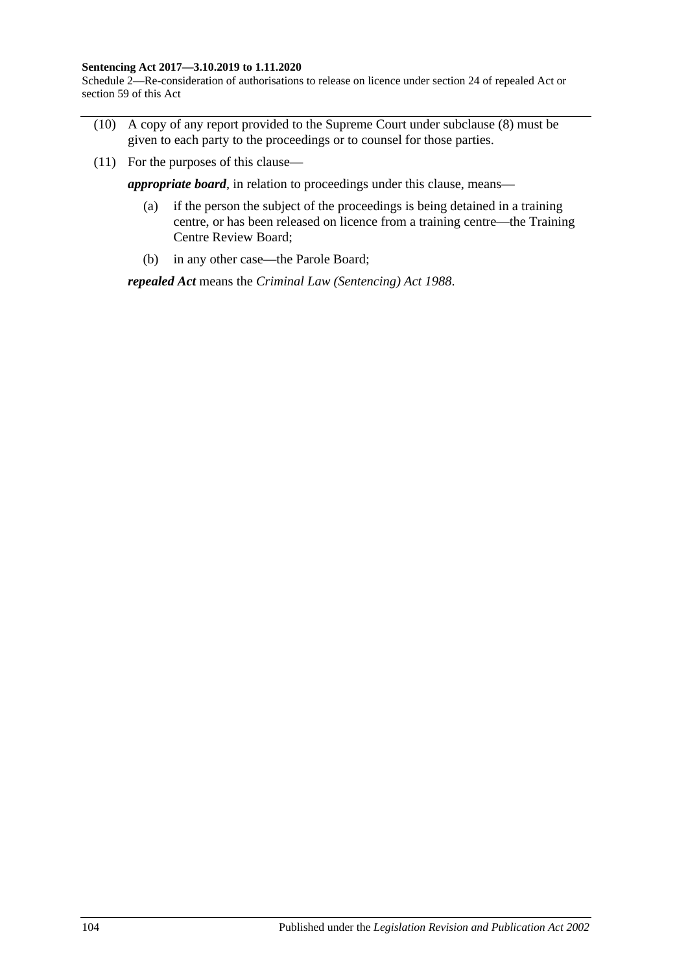#### **Sentencing Act 2017—3.10.2019 to 1.11.2020**

Schedule 2—Re-consideration of authorisations to release on licence under section 24 of repealed Act or section 59 of this Act

- (10) A copy of any report provided to the Supreme Court under [subclause](#page-102-1) (8) must be given to each party to the proceedings or to counsel for those parties.
- (11) For the purposes of this clause—

*appropriate board*, in relation to proceedings under this clause, means—

- (a) if the person the subject of the proceedings is being detained in a training centre, or has been released on licence from a training centre—the Training Centre Review Board;
- (b) in any other case—the Parole Board;

*repealed Act* means the *[Criminal Law \(Sentencing\) Act](http://www.legislation.sa.gov.au/index.aspx?action=legref&type=act&legtitle=Criminal%20Law%20(Sentencing)%20Act%201988) 1988*.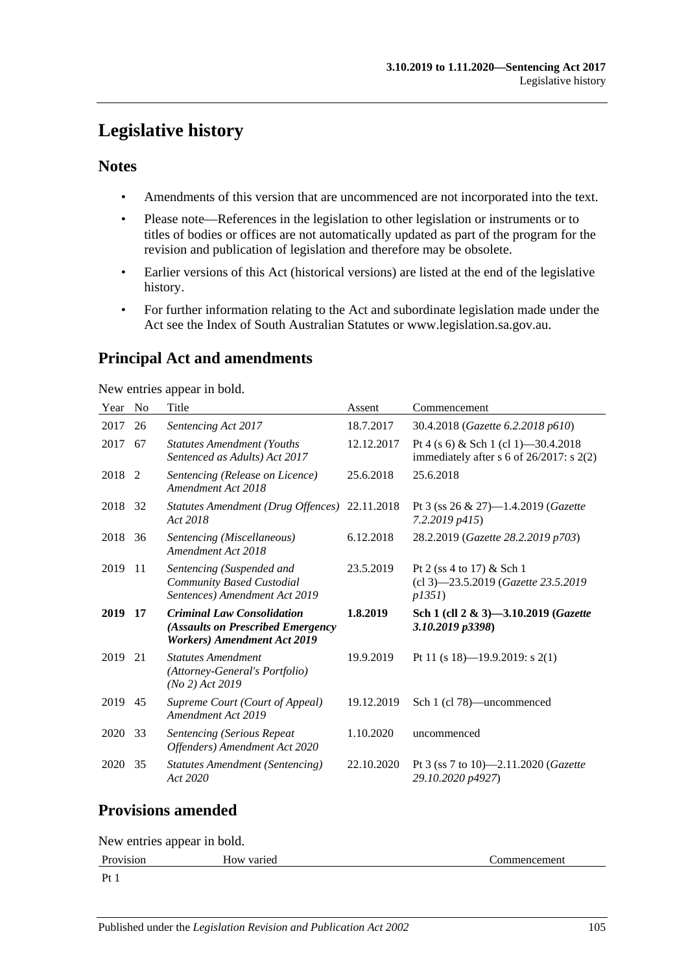# **Legislative history**

### **Notes**

- Amendments of this version that are uncommenced are not incorporated into the text.
- Please note—References in the legislation to other legislation or instruments or to titles of bodies or offices are not automatically updated as part of the program for the revision and publication of legislation and therefore may be obsolete.
- Earlier versions of this Act (historical versions) are listed at the end of the legislative history.
- For further information relating to the Act and subordinate legislation made under the Act see the Index of South Australian Statutes or www.legislation.sa.gov.au.

# **Principal Act and amendments**

New entries appear in bold.

| Year    | No. | Title                                                                                                        | Assent     | Commencement                                                                      |
|---------|-----|--------------------------------------------------------------------------------------------------------------|------------|-----------------------------------------------------------------------------------|
| 2017    | 26  | Sentencing Act 2017                                                                                          | 18.7.2017  | 30.4.2018 (Gazette 6.2.2018 p610)                                                 |
| 2017    | 67  | <b>Statutes Amendment (Youths)</b><br>Sentenced as Adults) Act 2017                                          | 12.12.2017 | Pt 4 (s 6) & Sch 1 (cl 1) - 30.4.2018<br>immediately after s 6 of 26/2017: s 2(2) |
| 2018 2  |     | Sentencing (Release on Licence)<br>Amendment Act 2018                                                        | 25.6.2018  | 25.6.2018                                                                         |
| 2018 32 |     | Statutes Amendment (Drug Offences) 22.11.2018<br>Act 2018                                                    |            | Pt 3 (ss 26 & 27)-1.4.2019 (Gazette<br>7.2.2019 p415)                             |
| 2018    | 36  | Sentencing (Miscellaneous)<br>Amendment Act 2018                                                             | 6.12.2018  | 28.2.2019 (Gazette 28.2.2019 p703)                                                |
| 2019    | -11 | Sentencing (Suspended and<br>Community Based Custodial<br>Sentences) Amendment Act 2019                      | 23.5.2019  | Pt 2 (ss 4 to 17) & Sch 1<br>(cl 3)-23.5.2019 (Gazette 23.5.2019)<br>p1351        |
| 2019    | 17  | <b>Criminal Law Consolidation</b><br>(Assaults on Prescribed Emergency<br><b>Workers)</b> Amendment Act 2019 | 1.8.2019   | Sch 1 (cll 2 & 3)-3.10.2019 ( <i>Gazette</i><br>3.10.2019 p3398)                  |
| 2019    | 21  | <b>Statutes Amendment</b><br>(Attorney-General's Portfolio)<br>$(No 2)$ Act 2019                             | 19.9.2019  | Pt 11 (s 18)—19.9.2019: s 2(1)                                                    |
| 2019    | 45  | Supreme Court (Court of Appeal)<br>Amendment Act 2019                                                        | 19.12.2019 | Sch 1 (cl 78)—uncommenced                                                         |
| 2020    | 33  | <b>Sentencing (Serious Repeat</b><br>Offenders) Amendment Act 2020                                           | 1.10.2020  | uncommenced                                                                       |
| 2020    | 35  | Statutes Amendment (Sentencing)<br>Act 2020                                                                  | 22.10.2020 | Pt 3 (ss 7 to 10)—2.11.2020 ( <i>Gazette</i><br>29.10.2020 p4927)                 |

## **Provisions amended**

New entries appear in bold.

```
Provision How varied Commencement
```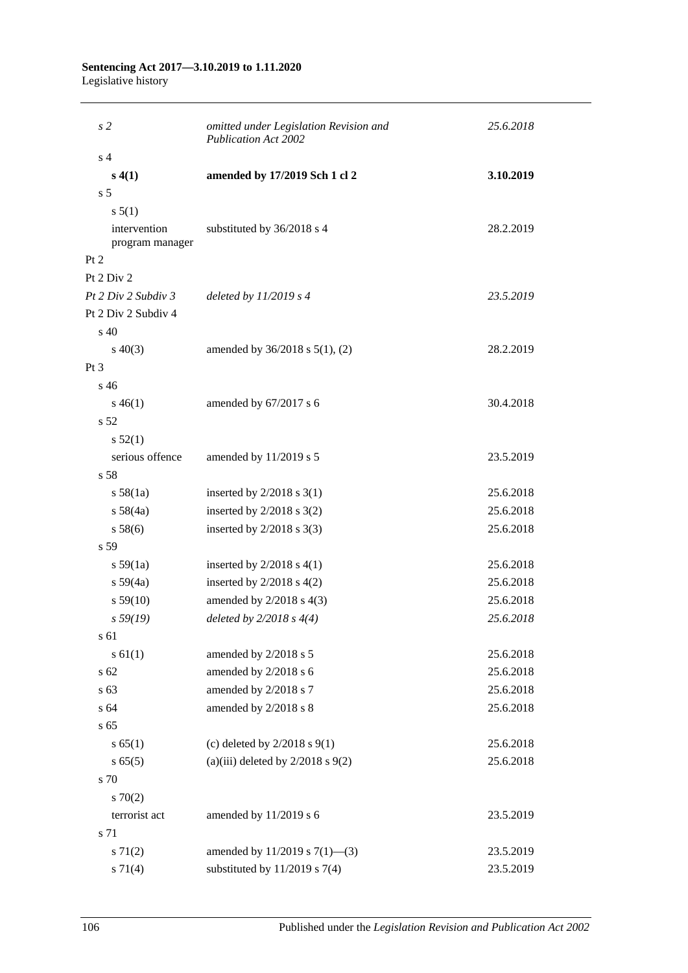#### **Sentencing Act 2017—3.10.2019 to 1.11.2020** Legislative history

| s <sub>2</sub>                  | omitted under Legislation Revision and<br><b>Publication Act 2002</b> | 25.6.2018 |  |
|---------------------------------|-----------------------------------------------------------------------|-----------|--|
| s <sub>4</sub>                  |                                                                       |           |  |
| s(4(1))                         | amended by 17/2019 Sch 1 cl 2                                         | 3.10.2019 |  |
| s <sub>5</sub>                  |                                                                       |           |  |
| s 5(1)                          |                                                                       |           |  |
| intervention<br>program manager | substituted by 36/2018 s 4                                            | 28.2.2019 |  |
| Pt 2                            |                                                                       |           |  |
| Pt 2 Div 2                      |                                                                       |           |  |
| Pt 2 Div 2 Subdiv 3             | deleted by $11/2019$ s 4                                              | 23.5.2019 |  |
| Pt 2 Div 2 Subdiv 4             |                                                                       |           |  |
| s 40                            |                                                                       |           |  |
| $s\ 40(3)$                      | amended by 36/2018 s 5(1), (2)                                        | 28.2.2019 |  |
| Pt <sub>3</sub>                 |                                                                       |           |  |
| $s\,46$                         |                                                                       |           |  |
| $s\,46(1)$                      | amended by 67/2017 s 6                                                | 30.4.2018 |  |
| s 52                            |                                                                       |           |  |
| s 52(1)                         |                                                                       |           |  |
| serious offence                 | amended by 11/2019 s 5                                                | 23.5.2019 |  |
| s 58                            |                                                                       |           |  |
| s 58(1a)                        | inserted by $2/2018$ s $3(1)$                                         | 25.6.2018 |  |
| s 58(4a)                        | inserted by $2/2018$ s $3(2)$                                         | 25.6.2018 |  |
| s 58(6)                         | inserted by $2/2018$ s 3(3)                                           | 25.6.2018 |  |
| s 59                            |                                                                       |           |  |
| $s\,59(1a)$                     | inserted by $2/2018$ s $4(1)$                                         | 25.6.2018 |  |
| $s\,59(4a)$                     | inserted by $2/2018$ s $4(2)$                                         | 25.6.2018 |  |
| s 59(10)                        | amended by 2/2018 s 4(3)                                              | 25.6.2018 |  |
| s 59(19)                        | deleted by $2/2018 s 4(4)$                                            | 25.6.2018 |  |
| s 61                            |                                                                       |           |  |
| s 61(1)                         | amended by 2/2018 s 5                                                 | 25.6.2018 |  |
| s 62                            | amended by 2/2018 s 6                                                 | 25.6.2018 |  |
| s 63                            | amended by 2/2018 s 7                                                 | 25.6.2018 |  |
| s 64                            | amended by 2/2018 s 8                                                 | 25.6.2018 |  |
| s 65                            |                                                                       |           |  |
| s 65(1)                         | (c) deleted by $2/2018$ s $9(1)$                                      | 25.6.2018 |  |
| s 65(5)                         | (a)(iii) deleted by $2/2018$ s $9(2)$                                 | 25.6.2018 |  |
| s 70                            |                                                                       |           |  |
| 570(2)                          |                                                                       |           |  |
| terrorist act                   | amended by 11/2019 s 6                                                | 23.5.2019 |  |
| s 71                            |                                                                       |           |  |
| s 71(2)                         | amended by $11/2019$ s $7(1)$ —(3)                                    | 23.5.2019 |  |
| $s \, 71(4)$                    | substituted by $11/2019$ s 7(4)                                       | 23.5.2019 |  |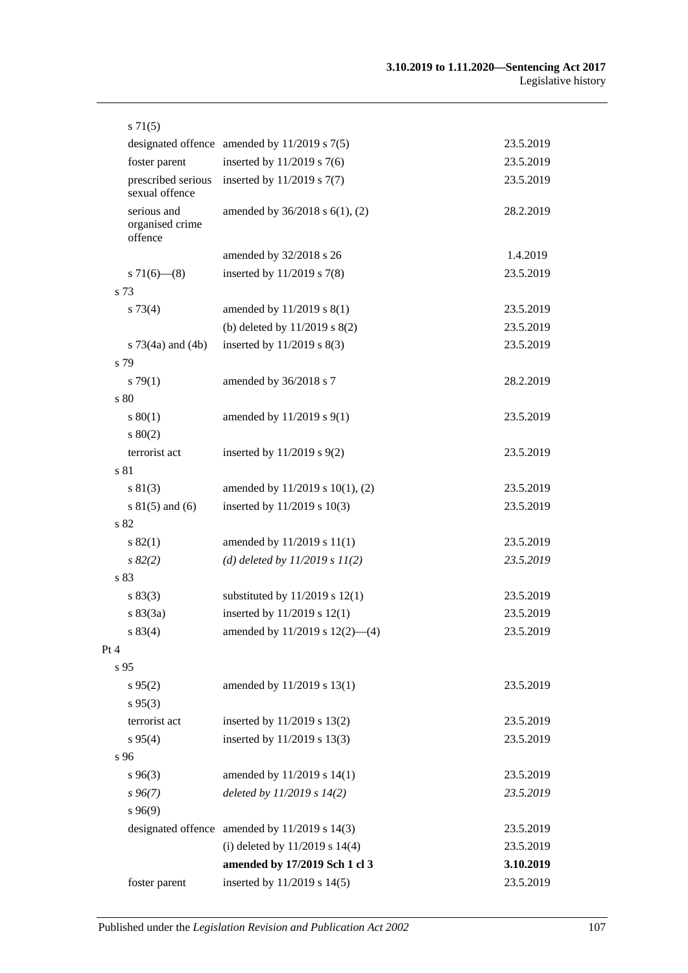| $s \, 71(5)$                              |                                                   |           |
|-------------------------------------------|---------------------------------------------------|-----------|
|                                           | designated offence amended by $11/2019$ s $7(5)$  | 23.5.2019 |
| foster parent                             | inserted by 11/2019 s 7(6)                        | 23.5.2019 |
| prescribed serious<br>sexual offence      | inserted by 11/2019 s 7(7)                        | 23.5.2019 |
| serious and<br>organised crime<br>offence | amended by 36/2018 s 6(1), (2)                    | 28.2.2019 |
|                                           | amended by 32/2018 s 26                           | 1.4.2019  |
| $s71(6)$ (8)                              | inserted by $11/2019$ s $7(8)$                    | 23.5.2019 |
| s 73                                      |                                                   |           |
| $s \, 73(4)$                              | amended by 11/2019 s 8(1)                         | 23.5.2019 |
|                                           | (b) deleted by 11/2019 s 8(2)                     | 23.5.2019 |
| s 73(4a) and (4b)                         | inserted by 11/2019 s 8(3)                        | 23.5.2019 |
| s 79                                      |                                                   |           |
| $s \, 79(1)$                              | amended by 36/2018 s 7                            | 28.2.2019 |
| s 80                                      |                                                   |           |
| $s\,80(1)$                                | amended by 11/2019 s 9(1)                         | 23.5.2019 |
| 80(2)                                     |                                                   |           |
| terrorist act                             | inserted by 11/2019 s 9(2)                        | 23.5.2019 |
| s 81                                      |                                                   |           |
| s 81(3)                                   | amended by 11/2019 s 10(1), (2)                   | 23.5.2019 |
| $s 81(5)$ and (6)                         | inserted by 11/2019 s 10(3)                       | 23.5.2019 |
| s 82                                      |                                                   |           |
| s 82(1)                                   | amended by 11/2019 s 11(1)                        | 23.5.2019 |
| $s\,82(2)$                                | (d) deleted by $11/2019 s 11(2)$                  | 23.5.2019 |
| s 83                                      |                                                   |           |
| s 83(3)                                   | substituted by $11/2019$ s $12(1)$                | 23.5.2019 |
| s 83(3a)                                  | inserted by 11/2019 s 12(1)                       | 23.5.2019 |
| s 83(4)                                   | amended by 11/2019 s 12(2)-(4)                    | 23.5.2019 |
| Pt 4                                      |                                                   |           |
| s 95                                      |                                                   |           |
| $s\,95(2)$                                | amended by 11/2019 s 13(1)                        | 23.5.2019 |
| $s\,95(3)$                                |                                                   |           |
| terrorist act                             | inserted by 11/2019 s 13(2)                       | 23.5.2019 |
| $s\,95(4)$                                | inserted by 11/2019 s 13(3)                       | 23.5.2019 |
| s 96                                      |                                                   |           |
| $s\,96(3)$                                | amended by 11/2019 s 14(1)                        | 23.5.2019 |
| $s\,96(7)$                                | deleted by $11/2019 s 14(2)$                      | 23.5.2019 |
| s96(9)                                    |                                                   |           |
|                                           | designated offence amended by $11/2019$ s $14(3)$ | 23.5.2019 |
|                                           | (i) deleted by $11/2019$ s $14(4)$                | 23.5.2019 |
|                                           | amended by 17/2019 Sch 1 cl 3                     | 3.10.2019 |
| foster parent                             | inserted by 11/2019 s 14(5)                       | 23.5.2019 |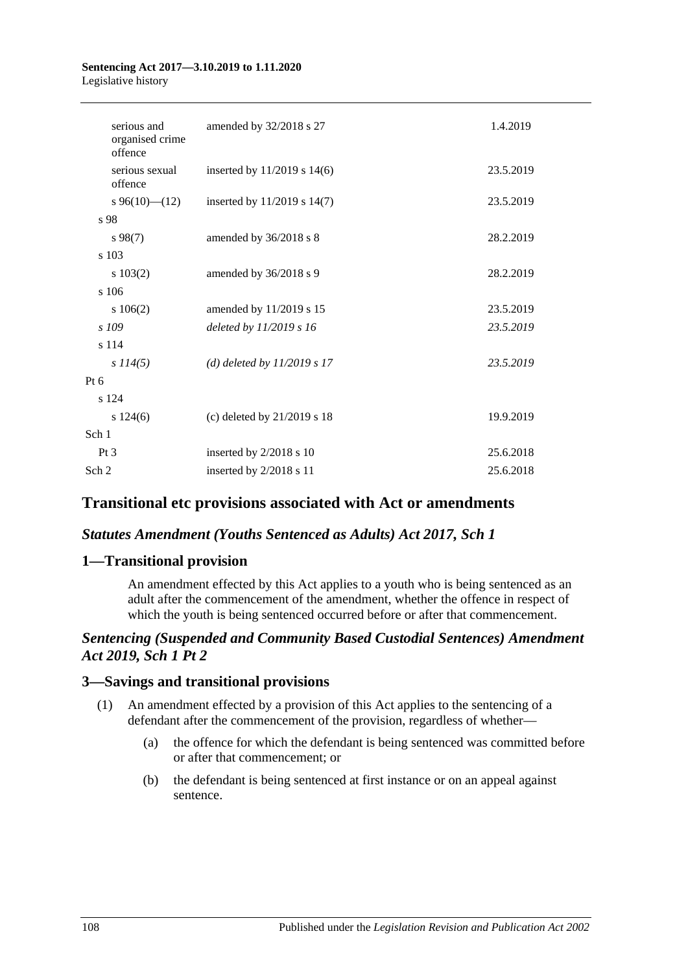#### **Sentencing Act 2017—3.10.2019 to 1.11.2020** Legislative history

| serious and<br>organised crime<br>offence | amended by 32/2018 s 27         | 1.4.2019  |
|-------------------------------------------|---------------------------------|-----------|
| serious sexual<br>offence                 | inserted by $11/2019$ s $14(6)$ | 23.5.2019 |
| $s\,96(10)$ (12)                          | inserted by $11/2019$ s $14(7)$ | 23.5.2019 |
| s 98                                      |                                 |           |
| $s\,98(7)$                                | amended by 36/2018 s 8          | 28.2.2019 |
| s 103                                     |                                 |           |
| 103(2)                                    | amended by 36/2018 s 9          | 28.2.2019 |
| s 106                                     |                                 |           |
| 106(2)                                    | amended by 11/2019 s 15         | 23.5.2019 |
| s 109                                     | deleted by 11/2019 s 16         | 23.5.2019 |
| s 114                                     |                                 |           |
| s 114(5)                                  | (d) deleted by $11/2019 s 17$   | 23.5.2019 |
| Pt 6                                      |                                 |           |
| s 124                                     |                                 |           |
| s 124(6)                                  | (c) deleted by 21/2019 s 18     | 19.9.2019 |
| Sch 1                                     |                                 |           |
| Pt <sub>3</sub>                           | inserted by 2/2018 s 10         | 25.6.2018 |
| Sch <sub>2</sub>                          | inserted by 2/2018 s 11         | 25.6.2018 |
|                                           |                                 |           |

## **Transitional etc provisions associated with Act or amendments**

### *Statutes Amendment (Youths Sentenced as Adults) Act 2017, Sch 1*

### **1—Transitional provision**

An amendment effected by this Act applies to a youth who is being sentenced as an adult after the commencement of the amendment, whether the offence in respect of which the youth is being sentenced occurred before or after that commencement.

### *Sentencing (Suspended and Community Based Custodial Sentences) Amendment Act 2019, Sch 1 Pt 2*

#### **3—Savings and transitional provisions**

- (1) An amendment effected by a provision of this Act applies to the sentencing of a defendant after the commencement of the provision, regardless of whether—
	- (a) the offence for which the defendant is being sentenced was committed before or after that commencement; or
	- (b) the defendant is being sentenced at first instance or on an appeal against sentence.